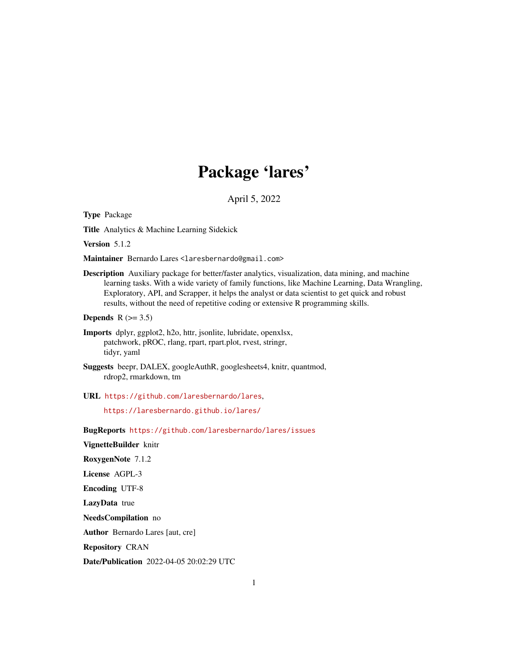# Package 'lares'

April 5, 2022

Type Package

Title Analytics & Machine Learning Sidekick

Version 5.1.2

Maintainer Bernardo Lares <laresbernardo@gmail.com>

Description Auxiliary package for better/faster analytics, visualization, data mining, and machine learning tasks. With a wide variety of family functions, like Machine Learning, Data Wrangling, Exploratory, API, and Scrapper, it helps the analyst or data scientist to get quick and robust results, without the need of repetitive coding or extensive R programming skills.

Depends  $R$  ( $> = 3.5$ )

- Imports dplyr, ggplot2, h2o, httr, jsonlite, lubridate, openxlsx, patchwork, pROC, rlang, rpart, rpart.plot, rvest, stringr, tidyr, yaml
- Suggests beepr, DALEX, googleAuthR, googlesheets4, knitr, quantmod, rdrop2, rmarkdown, tm

URL <https://github.com/laresbernardo/lares>,

<https://laresbernardo.github.io/lares/>

BugReports <https://github.com/laresbernardo/lares/issues>

VignetteBuilder knitr

RoxygenNote 7.1.2

License AGPL-3

Encoding UTF-8

LazyData true

NeedsCompilation no

Author Bernardo Lares [aut, cre]

Repository CRAN

Date/Publication 2022-04-05 20:02:29 UTC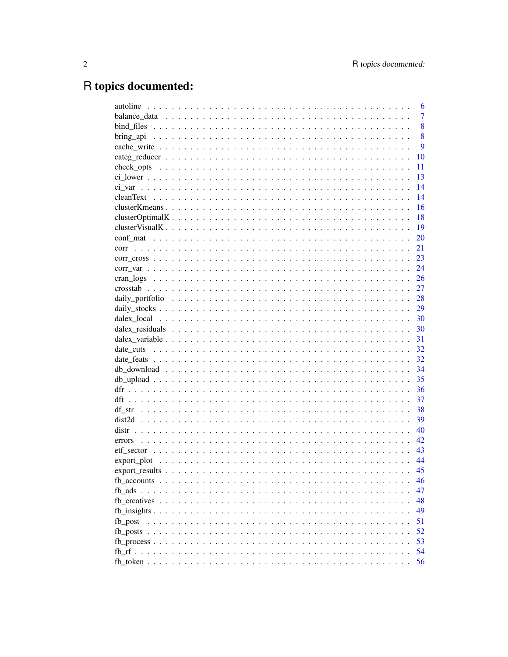# R topics documented:

|         | 6              |
|---------|----------------|
|         | $\overline{7}$ |
|         | 8              |
|         | 8              |
|         | 9              |
|         | 10             |
|         | 11             |
|         | 13             |
|         | 14             |
|         | 14             |
|         | 16             |
|         | 18             |
|         | 19             |
|         | 20             |
| corr    | 21             |
|         | 23             |
|         | 24             |
|         | 26             |
|         | 27             |
|         | 28             |
|         | 29             |
|         | 30             |
|         |                |
|         | 30             |
|         | 31             |
|         | 32             |
|         | 32             |
|         | 34             |
|         | 35             |
|         | 36             |
|         | 37             |
| df str  | 38             |
|         | 39             |
|         | 40             |
| errors  | 42             |
|         | 43             |
|         | 44             |
|         | 45             |
|         | 46             |
|         | 47             |
|         | 48             |
|         | 49             |
| fb post | 51             |
|         | 52             |
|         | 53             |
|         | 54             |
|         | 56             |
|         |                |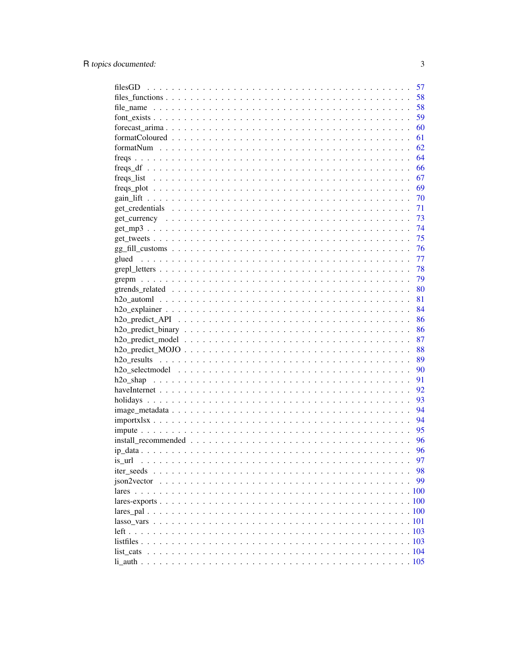|                                                                                                                                                                                                                                                                                                                     | 57 |
|---------------------------------------------------------------------------------------------------------------------------------------------------------------------------------------------------------------------------------------------------------------------------------------------------------------------|----|
|                                                                                                                                                                                                                                                                                                                     | 58 |
|                                                                                                                                                                                                                                                                                                                     | 58 |
|                                                                                                                                                                                                                                                                                                                     | 59 |
|                                                                                                                                                                                                                                                                                                                     | 60 |
|                                                                                                                                                                                                                                                                                                                     | 61 |
|                                                                                                                                                                                                                                                                                                                     | 62 |
|                                                                                                                                                                                                                                                                                                                     | 64 |
| $\frac{1}{2}$ $\frac{1}{2}$ $\frac{1}{2}$ $\frac{1}{2}$ $\frac{1}{2}$ $\frac{1}{2}$ $\frac{1}{2}$ $\frac{1}{2}$ $\frac{1}{2}$ $\frac{1}{2}$ $\frac{1}{2}$ $\frac{1}{2}$ $\frac{1}{2}$ $\frac{1}{2}$ $\frac{1}{2}$ $\frac{1}{2}$ $\frac{1}{2}$ $\frac{1}{2}$ $\frac{1}{2}$ $\frac{1}{2}$ $\frac{1}{2}$ $\frac{1}{2}$ | 66 |
|                                                                                                                                                                                                                                                                                                                     | 67 |
|                                                                                                                                                                                                                                                                                                                     | 69 |
|                                                                                                                                                                                                                                                                                                                     | 70 |
|                                                                                                                                                                                                                                                                                                                     | 71 |
|                                                                                                                                                                                                                                                                                                                     | 73 |
|                                                                                                                                                                                                                                                                                                                     | 74 |
|                                                                                                                                                                                                                                                                                                                     | 75 |
|                                                                                                                                                                                                                                                                                                                     | 76 |
|                                                                                                                                                                                                                                                                                                                     | 77 |
|                                                                                                                                                                                                                                                                                                                     | 78 |
|                                                                                                                                                                                                                                                                                                                     | 79 |
|                                                                                                                                                                                                                                                                                                                     | 80 |
|                                                                                                                                                                                                                                                                                                                     | 81 |
|                                                                                                                                                                                                                                                                                                                     | 84 |
|                                                                                                                                                                                                                                                                                                                     |    |
|                                                                                                                                                                                                                                                                                                                     | 86 |
|                                                                                                                                                                                                                                                                                                                     | 86 |
|                                                                                                                                                                                                                                                                                                                     | 87 |
|                                                                                                                                                                                                                                                                                                                     | 88 |
|                                                                                                                                                                                                                                                                                                                     | 89 |
|                                                                                                                                                                                                                                                                                                                     | 90 |
|                                                                                                                                                                                                                                                                                                                     | 91 |
|                                                                                                                                                                                                                                                                                                                     | 92 |
|                                                                                                                                                                                                                                                                                                                     | 93 |
|                                                                                                                                                                                                                                                                                                                     | 94 |
|                                                                                                                                                                                                                                                                                                                     | 94 |
|                                                                                                                                                                                                                                                                                                                     | 95 |
|                                                                                                                                                                                                                                                                                                                     | 96 |
|                                                                                                                                                                                                                                                                                                                     | 96 |
| is url                                                                                                                                                                                                                                                                                                              | 97 |
|                                                                                                                                                                                                                                                                                                                     | 98 |
|                                                                                                                                                                                                                                                                                                                     | 99 |
|                                                                                                                                                                                                                                                                                                                     |    |
|                                                                                                                                                                                                                                                                                                                     |    |
|                                                                                                                                                                                                                                                                                                                     |    |
|                                                                                                                                                                                                                                                                                                                     |    |
|                                                                                                                                                                                                                                                                                                                     |    |
|                                                                                                                                                                                                                                                                                                                     |    |
|                                                                                                                                                                                                                                                                                                                     |    |
|                                                                                                                                                                                                                                                                                                                     |    |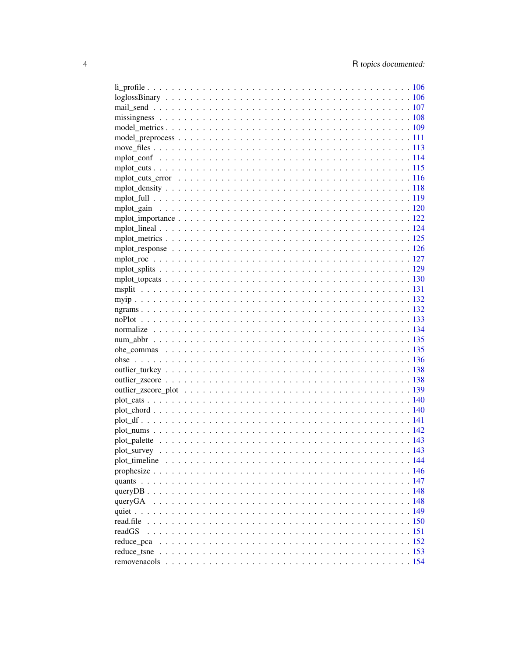| plot timeline |  |
|---------------|--|
|               |  |
|               |  |
|               |  |
|               |  |
|               |  |
| read.file     |  |
| readGS        |  |
| reduce_pca    |  |
|               |  |
|               |  |
|               |  |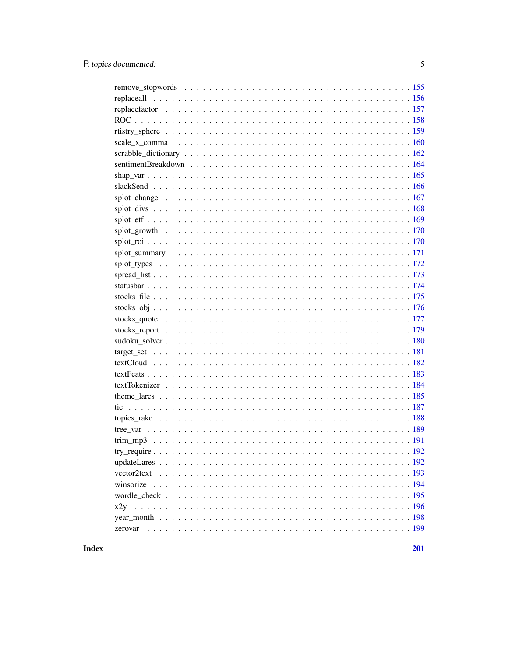| zerovar |
|---------|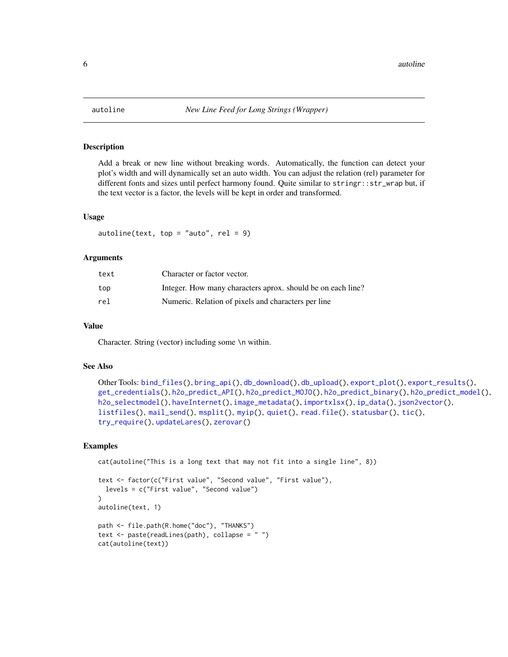Add a break or new line without breaking words. Automatically, the function can detect your plot's width and will dynamically set an auto width. You can adjust the relation (rel) parameter for different fonts and sizes until perfect harmony found. Quite similar to stringr::str\_wrap but, if the text vector is a factor, the levels will be kept in order and transformed.

#### Usage

 $autoline(text, top = "auto", rel = 9)$ 

#### Arguments

| text | Character or factor vector.                                 |
|------|-------------------------------------------------------------|
| top  | Integer. How many characters aprox, should be on each line? |
| rel  | Numeric. Relation of pixels and characters per line         |

#### Value

Character. String (vector) including some \n within.

## See Also

```
Other Tools: bind_files(), bring_api(), db_download(), db_upload(), export_plot(), export_results(),
get_credentials(), h2o_predict_API(), h2o_predict_MOJO(), h2o_predict_binary(), h2o_predict_model(),
h2o_selectmodel(), haveInternet(), image_metadata(), importxlsx(), ip_data(), json2vector(),
listfiles(), mail_send(), msplit(), myip(), quiet(), read.file(), statusbar(), tic(),
try_require(), updateLares(), zerovar()
```

```
cat(autoline("This is a long text that may not fit into a single line", 8))
```

```
text <- factor(c("First value", "Second value", "First value"),
 levels = c("First value", "Second value")
)
autoline(text, 1)
path <- file.path(R.home("doc"), "THANKS")
text <- paste(readLines(path), collapse = " ")
cat(autoline(text))
```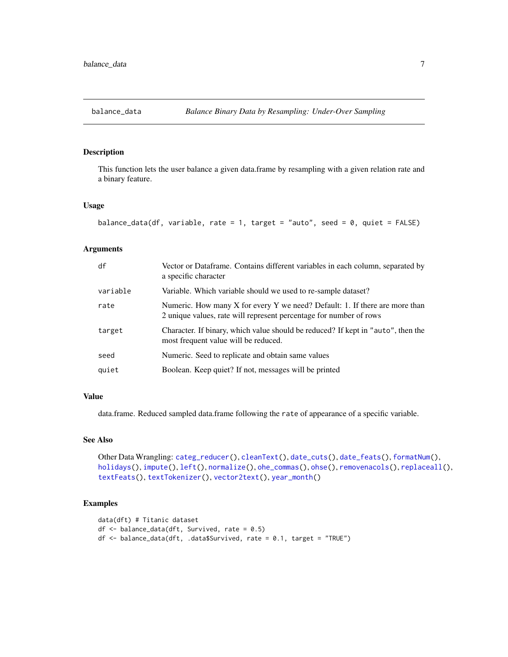<span id="page-6-1"></span><span id="page-6-0"></span>

This function lets the user balance a given data.frame by resampling with a given relation rate and a binary feature.

#### Usage

```
balance_data(df, variable, rate = 1, target = "auto", seed = 0, quiet = FALSE)
```
#### Arguments

| df       | Vector or Dataframe. Contains different variables in each column, separated by<br>a specific character                                            |
|----------|---------------------------------------------------------------------------------------------------------------------------------------------------|
| variable | Variable. Which variable should we used to re-sample dataset?                                                                                     |
| rate     | Numeric. How many X for every Y we need? Default: 1. If there are more than<br>2 unique values, rate will represent percentage for number of rows |
| target   | Character. If binary, which value should be reduced? If kept in "auto", then the<br>most frequent value will be reduced.                          |
| seed     | Numeric. Seed to replicate and obtain same values                                                                                                 |
| quiet    | Boolean. Keep quiet? If not, messages will be printed                                                                                             |

## Value

data.frame. Reduced sampled data.frame following the rate of appearance of a specific variable.

#### See Also

```
Other Data Wrangling: categ_reducer(), cleanText(), date_cuts(), date_feats(), formatNum(),
holidays(), impute(), left(), normalize(), ohe_commas(), ohse(), removenacols(), replaceall(),
textFeats(), textTokenizer(), vector2text(), year_month()
```

```
data(dft) # Titanic dataset
df <- balance_data(dft, Survived, rate = 0.5)
df <- balance_data(dft, .data$Survived, rate = 0.1, target = "TRUE")
```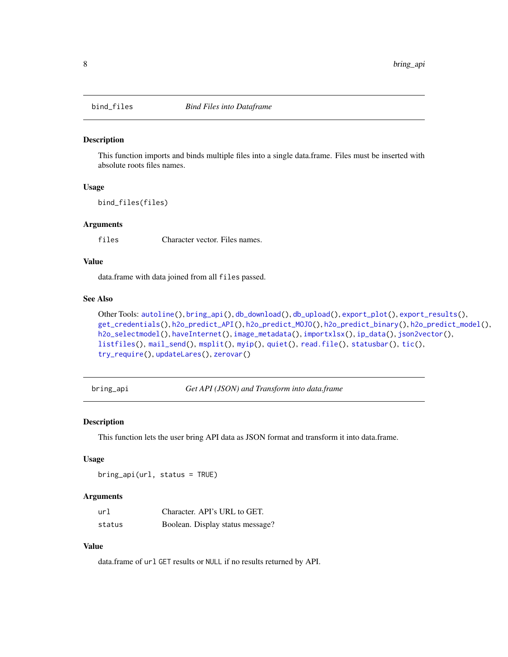<span id="page-7-1"></span><span id="page-7-0"></span>

This function imports and binds multiple files into a single data.frame. Files must be inserted with absolute roots files names.

# Usage

bind\_files(files)

#### Arguments

files Character vector. Files names.

## Value

data.frame with data joined from all files passed.

#### See Also

```
Other Tools: autoline(), bring_api(), db_download(), db_upload(), export_plot(), export_results(),
get_credentials(), h2o_predict_API(), h2o_predict_MOJO(), h2o_predict_binary(), h2o_predict_model(),
h2o_selectmodel(), haveInternet(), image_metadata(), importxlsx(), ip_data(), json2vector(),
listfiles(), mail_send(), msplit(), myip(), quiet(), read.file(), statusbar(), tic(),
try_require(), updateLares(), zerovar()
```
<span id="page-7-2"></span>bring\_api *Get API (JSON) and Transform into data.frame*

#### Description

This function lets the user bring API data as JSON format and transform it into data.frame.

#### Usage

bring\_api(url, status = TRUE)

#### Arguments

| url    | Character. API's URL to GET.     |
|--------|----------------------------------|
| status | Boolean. Display status message? |

#### Value

data.frame of url GET results or NULL if no results returned by API.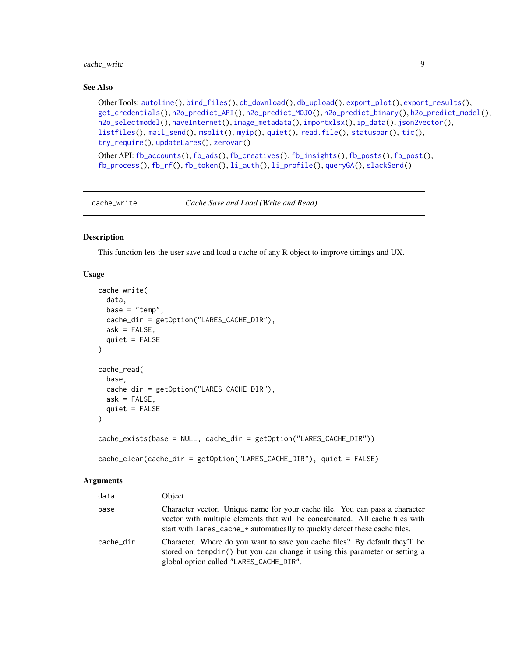## <span id="page-8-0"></span>cache\_write 9

#### See Also

```
Other Tools: autoline(), bind_files(), db_download(), db_upload(), export_plot(), export_results(),
get_credentials(), h2o_predict_API(), h2o_predict_MOJO(), h2o_predict_binary(), h2o_predict_model(),
h2o_selectmodel(), haveInternet(), image_metadata(), importxlsx(), ip_data(), json2vector(),
listfiles(), mail_send(), msplit(), myip(), quiet(), read.file(), statusbar(), tic(),
try_require(), updateLares(), zerovar()
```
Other API: [fb\\_accounts\(](#page-45-1)), [fb\\_ads\(](#page-46-1)), [fb\\_creatives\(](#page-47-1)), [fb\\_insights\(](#page-48-1)), [fb\\_posts\(](#page-51-1)), [fb\\_post\(](#page-50-1)), [fb\\_process\(](#page-52-1)), [fb\\_rf\(](#page-53-1)), [fb\\_token\(](#page-55-1)), [li\\_auth\(](#page-104-1)), [li\\_profile\(](#page-105-1)), [queryGA\(](#page-147-1)), [slackSend\(](#page-165-1))

cache\_write *Cache Save and Load (Write and Read)*

# Description

This function lets the user save and load a cache of any R object to improve timings and UX.

#### Usage

```
cache_write(
  data,
  base = "temp",cache_dir = getOption("LARES_CACHE_DIR"),
  ask = FALSE,quiet = FALSE
)
cache_read(
  base,
  cache_dir = getOption("LARES_CACHE_DIR"),
  ask = FALSE,quiet = FALSE)
cache_exists(base = NULL, cache_dir = getOption("LARES_CACHE_DIR"))
cache_clear(cache_dir = getOption("LARES_CACHE_DIR"), quiet = FALSE)
```

| data      | Object                                                                                                                                                                                                                                      |
|-----------|---------------------------------------------------------------------------------------------------------------------------------------------------------------------------------------------------------------------------------------------|
| base      | Character vector. Unique name for your cache file. You can pass a character<br>vector with multiple elements that will be concatenated. All cache files with<br>start with lares_cache_* automatically to quickly detect these cache files. |
| cache dir | Character. Where do you want to save you cache files? By default they'll be<br>stored on tempdir() but you can change it using this parameter or setting a<br>global option called "LARES_CACHE_DIR".                                       |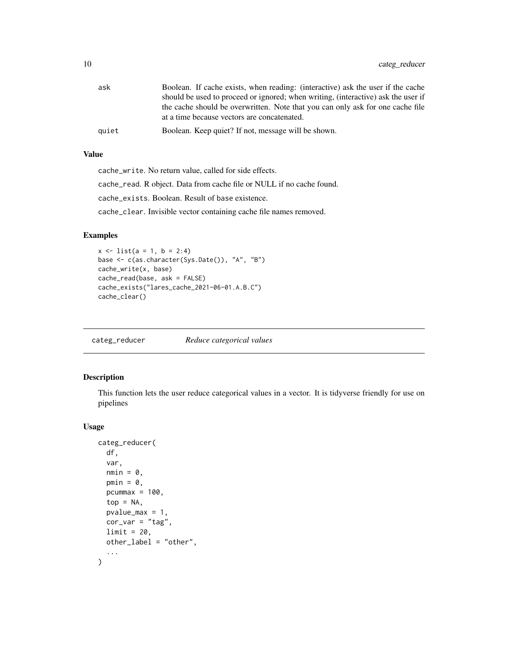<span id="page-9-0"></span>

| ask   | Boolean. If cache exists, when reading: (interactive) ask the user if the cache   |
|-------|-----------------------------------------------------------------------------------|
|       | should be used to proceed or ignored; when writing, (interactive) ask the user if |
|       | the cache should be overwritten. Note that you can only ask for one cache file    |
|       | at a time because vectors are concatenated.                                       |
| auiet | Boolean. Keep quiet? If not, message will be shown.                               |

## Value

cache\_write. No return value, called for side effects. cache\_read. R object. Data from cache file or NULL if no cache found. cache\_exists. Boolean. Result of base existence. cache\_clear. Invisible vector containing cache file names removed.

# Examples

```
x \le - list(a = 1, b = 2:4)
base <- c(as.character(Sys.Date()), "A", "B")
cache_write(x, base)
cache_read(base, ask = FALSE)
cache_exists("lares_cache_2021-06-01.A.B.C")
cache_clear()
```
<span id="page-9-1"></span>categ\_reducer *Reduce categorical values*

# Description

This function lets the user reduce categorical values in a vector. It is tidyverse friendly for use on pipelines

#### Usage

```
categ_reducer(
  df,
  var,
  nmin = 0,
  pmin = 0,
  pcummax = 100,
  top = NA,pvalue_max = 1,
  cor\_var = "tag",limit = 20,other_label = "other",
  ...
\mathcal{L}
```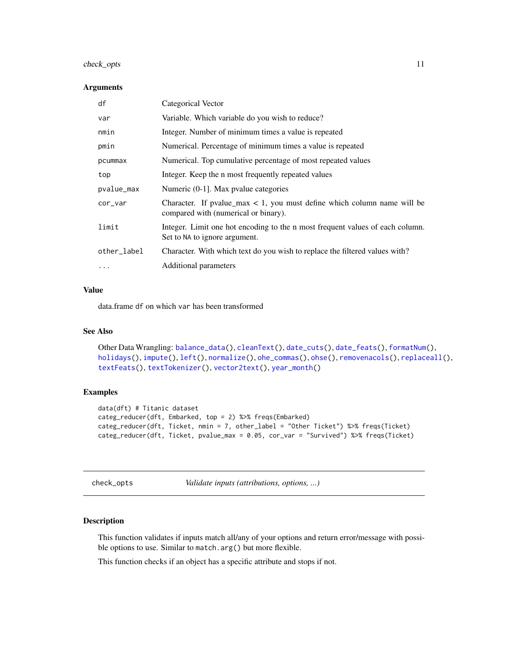# <span id="page-10-0"></span>check\_opts 11

#### Arguments

| df          | Categorical Vector                                                                                                   |
|-------------|----------------------------------------------------------------------------------------------------------------------|
| var         | Variable. Which variable do you wish to reduce?                                                                      |
| nmin        | Integer. Number of minimum times a value is repeated                                                                 |
| pmin        | Numerical. Percentage of minimum times a value is repeated                                                           |
| pcummax     | Numerical. Top cumulative percentage of most repeated values                                                         |
| top         | Integer. Keep the n most frequently repeated values                                                                  |
| pvalue_max  | Numeric (0-1). Max pvalue categories                                                                                 |
| cor_var     | Character. If pvalue_max $\lt 1$ , you must define which column name will be<br>compared with (numerical or binary). |
| limit       | Integer. Limit one hot encoding to the n most frequent values of each column.<br>Set to NA to ignore argument.       |
| other_label | Character. With which text do you wish to replace the filtered values with?                                          |
| $\ddotsc$   | Additional parameters                                                                                                |

# Value

data.frame df on which var has been transformed

# See Also

```
Other Data Wrangling: balance_data(), cleanText(), date_cuts(), date_feats(), formatNum(),
holidays(), impute(), left(), normalize(), ohe_commas(), ohse(), removenacols(), replaceall(),
textFeats(), textTokenizer(), vector2text(), year_month()
```
# Examples

```
data(dft) # Titanic dataset
categ_reducer(dft, Embarked, top = 2) %>% freqs(Embarked)
categ_reducer(dft, Ticket, nmin = 7, other_label = "Other Ticket") %>% freqs(Ticket)
categ_reducer(dft, Ticket, pvalue_max = 0.05, cor_var = "Survived") %>% freqs(Ticket)
```
check\_opts *Validate inputs (attributions, options, ...)*

# Description

This function validates if inputs match all/any of your options and return error/message with possible options to use. Similar to match.arg() but more flexible.

This function checks if an object has a specific attribute and stops if not.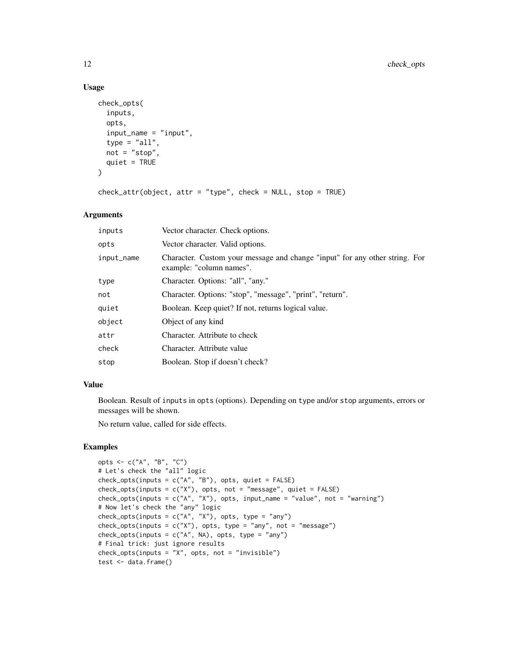# Usage

```
check_opts(
  inputs,
  opts,
  input_name = "input",
  type = "all",not = "stop",quiet = TRUE\lambda
```

```
check_attr(objject, attr = "type", check = NULL, stop = TRUE)
```
# Arguments

| inputs     | Vector character. Check options.                                                                        |
|------------|---------------------------------------------------------------------------------------------------------|
| opts       | Vector character. Valid options.                                                                        |
| input_name | Character. Custom your message and change "input" for any other string. For<br>example: "column names". |
| type       | Character. Options: "all", "any."                                                                       |
| not        | Character. Options: "stop", "message", "print", "return".                                               |
| quiet      | Boolean. Keep quiet? If not, returns logical value.                                                     |
| object     | Object of any kind                                                                                      |
| attr       | Character. Attribute to check                                                                           |
| check      | Character. Attribute value                                                                              |
| stop       | Boolean. Stop if doesn't check?                                                                         |
|            |                                                                                                         |

## Value

Boolean. Result of inputs in opts (options). Depending on type and/or stop arguments, errors or messages will be shown.

No return value, called for side effects.

```
opts <- c("A", "B", "C")
# Let's check the "all" logic
check\_opts(inputs = c("A", "B"), opts, quiet = FALSE)check_opts(inputs = c("X"), opts, not = "message", quiet = FALSE)
check_opts(inputs = c("A", "X"), opts, input_name = "value", not = "warning")
# Now let's check the "any" logic
check\_opts(inputs = c("A", "X"), opts, type = "any")check\_opts(inputs = c("X"), opts, type = "any", not = "message")check\_opts(inputs = c("A", NA), opts, type = "any")# Final trick: just ignore results
check_opts(inputs = "X", opts, not = "invisible")
test <- data.frame()
```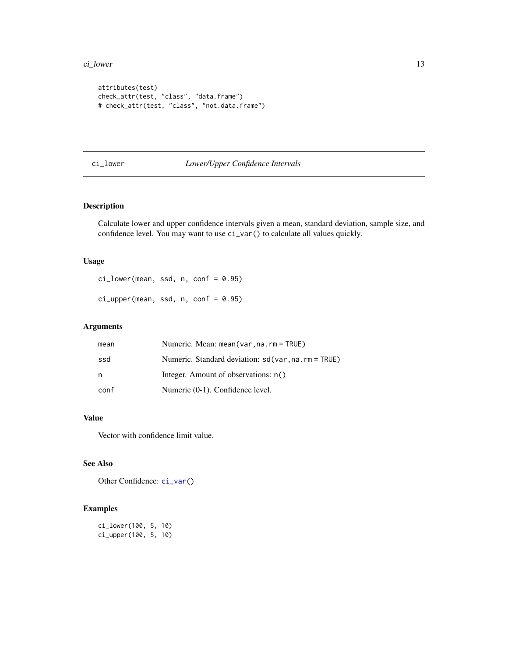#### <span id="page-12-0"></span>ci\_lower 13

```
attributes(test)
check_attr(test, "class", "data.frame")
# check_attr(test, "class", "not.data.frame")
```
# <span id="page-12-1"></span>ci\_lower *Lower/Upper Confidence Intervals*

# Description

Calculate lower and upper confidence intervals given a mean, standard deviation, sample size, and confidence level. You may want to use ci\_var() to calculate all values quickly.

## Usage

ci\_lower(mean, ssd, n, conf = 0.95)

 $ci_{\text{upper}}(mean, ssd, n, conf = 0.95)$ 

# Arguments

| mean | Numeric. Mean: mean(var, na. rm = TRUE)             |
|------|-----------------------------------------------------|
| ssd  | Numeric. Standard deviation: sd(var, na. rm = TRUE) |
| n    | Integer. Amount of observations: n()                |
| conf | Numeric (0-1). Confidence level.                    |

#### Value

Vector with confidence limit value.

# See Also

Other Confidence: [ci\\_var\(](#page-13-2))

```
ci_lower(100, 5, 10)
ci_upper(100, 5, 10)
```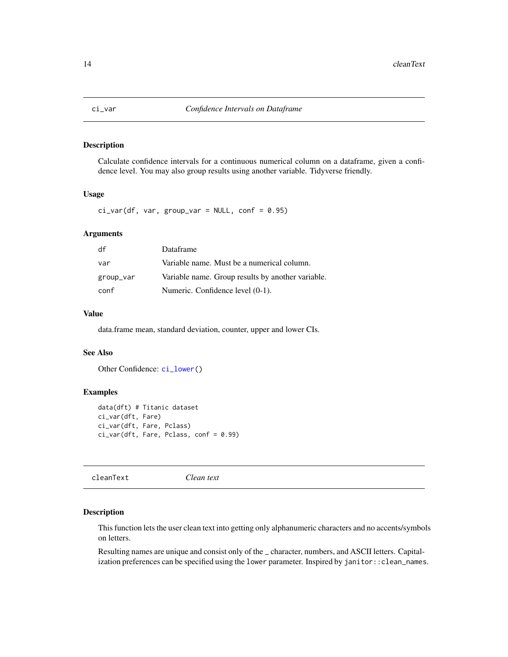<span id="page-13-2"></span><span id="page-13-0"></span>

Calculate confidence intervals for a continuous numerical column on a dataframe, given a confidence level. You may also group results using another variable. Tidyverse friendly.

#### Usage

 $ci\_var(df, var, group\_var = NULL, conf = 0.95)$ 

## Arguments

| df        | Dataframe                                         |
|-----------|---------------------------------------------------|
| var       | Variable name. Must be a numerical column.        |
| group_var | Variable name. Group results by another variable. |
| conf      | Numeric. Confidence level (0-1).                  |

# Value

data.frame mean, standard deviation, counter, upper and lower CIs.

#### See Also

Other Confidence: [ci\\_lower\(](#page-12-1))

## Examples

```
data(dft) # Titanic dataset
ci_var(dft, Fare)
ci_var(dft, Fare, Pclass)
ci_var(dft, Fare, Pclass, conf = 0.99)
```
<span id="page-13-1"></span>cleanText *Clean text*

#### Description

This function lets the user clean text into getting only alphanumeric characters and no accents/symbols on letters.

Resulting names are unique and consist only of the \_ character, numbers, and ASCII letters. Capitalization preferences can be specified using the lower parameter. Inspired by janitor::clean\_names.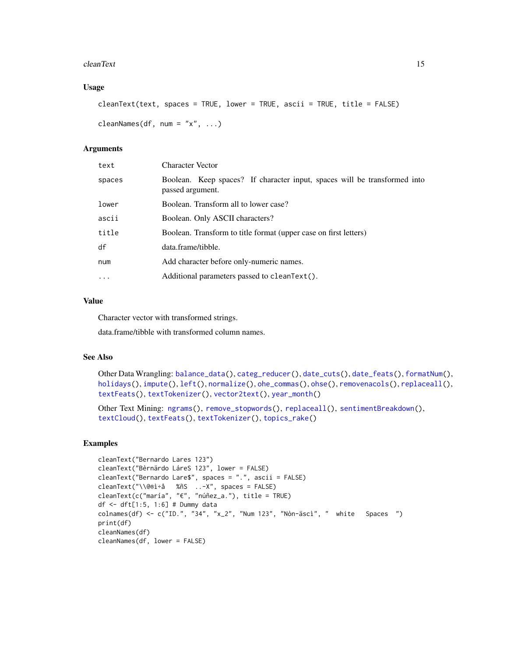#### cleanText 15

# Usage

```
cleanText(text, spaces = TRUE, lower = TRUE, ascii = TRUE, title = FALSE)
```

```
cleanNames(df, num = "x", ...)
```
#### **Arguments**

| text     | <b>Character Vector</b>                                                                       |
|----------|-----------------------------------------------------------------------------------------------|
| spaces   | Boolean. Keep spaces? If character input, spaces will be transformed into<br>passed argument. |
| lower    | Boolean. Transform all to lower case?                                                         |
| ascii    | Boolean. Only ASCII characters?                                                               |
| title    | Boolean. Transform to title format (upper case on first letters)                              |
| df       | data.frame/tibble.                                                                            |
| num      | Add character before only-numeric names.                                                      |
| $\ddots$ | Additional parameters passed to cleanText().                                                  |

# Value

Character vector with transformed strings.

data.frame/tibble with transformed column names.

#### See Also

Other Data Wrangling: [balance\\_data\(](#page-6-1)), [categ\\_reducer\(](#page-9-1)), [date\\_cuts\(](#page-31-1)), [date\\_feats\(](#page-31-2)), [formatNum\(](#page-61-1)), [holidays\(](#page-92-1)), [impute\(](#page-94-1)), [left\(](#page-102-2)), [normalize\(](#page-133-1)), [ohe\\_commas\(](#page-134-1)), [ohse\(](#page-135-1)), [removenacols\(](#page-153-1)), [replaceall\(](#page-155-1)), [textFeats\(](#page-182-1)), [textTokenizer\(](#page-183-1)), [vector2text\(](#page-192-1)), [year\\_month\(](#page-197-1))

Other Text Mining: [ngrams\(](#page-131-2)), [remove\\_stopwords\(](#page-154-1)), [replaceall\(](#page-155-1)), [sentimentBreakdown\(](#page-163-1)), [textCloud\(](#page-181-1)), [textFeats\(](#page-182-1)), [textTokenizer\(](#page-183-1)), [topics\\_rake\(](#page-187-1))

```
cleanText("Bernardo Lares 123")
cleanText("Bèrnärdo LáreS 123", lower = FALSE)
cleanText("Bernardo Lare$", spaces = ".", ascii = FALSE)
cleanText("\\@®ì÷å %ñS ..-X", spaces = FALSE)
cleanText(c("maría", "€", "núñez_a."), title = TRUE)
df <- dft[1:5, 1:6] # Dummy data
colnames(df) <- c("ID.", "34", "x_2", "Num 123", "Nòn-äscì", " white Spaces ")
print(df)
cleanNames(df)
cleanNames(df, lower = FALSE)
```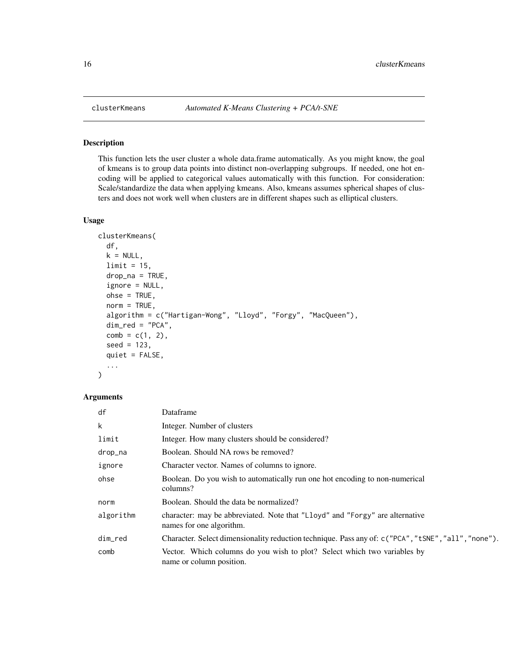This function lets the user cluster a whole data.frame automatically. As you might know, the goal of kmeans is to group data points into distinct non-overlapping subgroups. If needed, one hot encoding will be applied to categorical values automatically with this function. For consideration: Scale/standardize the data when applying kmeans. Also, kmeans assumes spherical shapes of clusters and does not work well when clusters are in different shapes such as elliptical clusters.

## Usage

```
clusterKmeans(
  df,
 k = NULL,limit = 15,
  drop_na = TRUE,ignore = NULL,
  ohse = TRUE,norm = TRUE,algorithm = c("Hartigan-Wong", "Lloyd", "Forgy", "MacQueen"),
 dim\_red = "PCA",comb = c(1, 2),
  seed = 123,
  quiet = FALSE,
  ...
)
```

| df        | Dataframe                                                                                                |
|-----------|----------------------------------------------------------------------------------------------------------|
| k         | Integer. Number of clusters                                                                              |
| limit     | Integer. How many clusters should be considered?                                                         |
| drop_na   | Boolean. Should NA rows be removed?                                                                      |
| ignore    | Character vector. Names of columns to ignore.                                                            |
| ohse      | Boolean. Do you wish to automatically run one hot encoding to non-numerical<br>columns?                  |
| norm      | Boolean. Should the data be normalized?                                                                  |
| algorithm | character: may be abbreviated. Note that "Lloyd" and "Forgy" are alternative<br>names for one algorithm. |
| dim_red   | Character. Select dimensionality reduction technique. Pass any of: $c("PCA", "tSNE", "all", "none").$    |
| comb      | Vector. Which columns do you wish to plot? Select which two variables by<br>name or column position.     |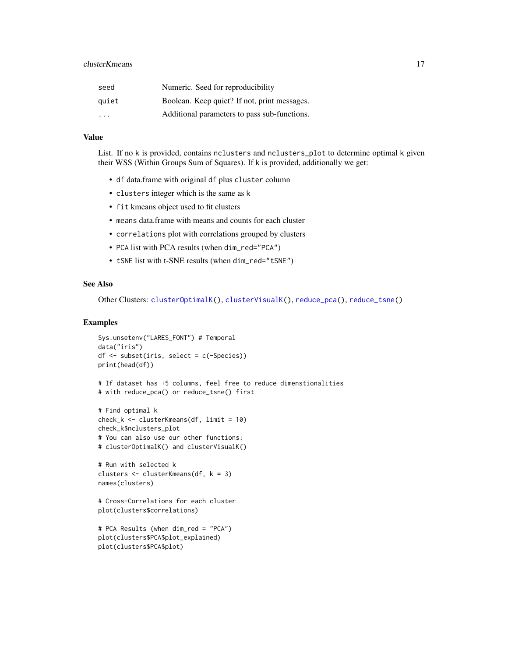| seed                    | Numeric. Seed for reproducibility            |
|-------------------------|----------------------------------------------|
| quiet                   | Boolean. Keep quiet? If not, print messages. |
| $\cdot$ $\cdot$ $\cdot$ | Additional parameters to pass sub-functions. |

## Value

List. If no k is provided, contains nclusters and nclusters\_plot to determine optimal k given their WSS (Within Groups Sum of Squares). If k is provided, additionally we get:

- df data.frame with original df plus cluster column
- clusters integer which is the same as k
- fit kmeans object used to fit clusters
- means data.frame with means and counts for each cluster
- correlations plot with correlations grouped by clusters
- PCA list with PCA results (when dim\_red="PCA")
- tSNE list with t-SNE results (when dim\_red="tSNE")

## See Also

Other Clusters: [clusterOptimalK\(](#page-17-1)), [clusterVisualK\(](#page-18-1)), [reduce\\_pca\(](#page-151-1)), [reduce\\_tsne\(](#page-152-1))

```
Sys.unsetenv("LARES_FONT") # Temporal
data("iris")
df <- subset(iris, select = c(-Species))
print(head(df))
```

```
# If dataset has +5 columns, feel free to reduce dimenstionalities
# with reduce_pca() or reduce_tsne() first
```

```
# Find optimal k
check_k <- clusterKmeans(df, limit = 10)
check_k$nclusters_plot
# You can also use our other functions:
# clusterOptimalK() and clusterVisualK()
```

```
# Run with selected k
clusters <- clusterKmeans(df, k = 3)
names(clusters)
```

```
# Cross-Correlations for each cluster
plot(clusters$correlations)
```

```
# PCA Results (when dim_red = "PCA")
plot(clusters$PCA$plot_explained)
plot(clusters$PCA$plot)
```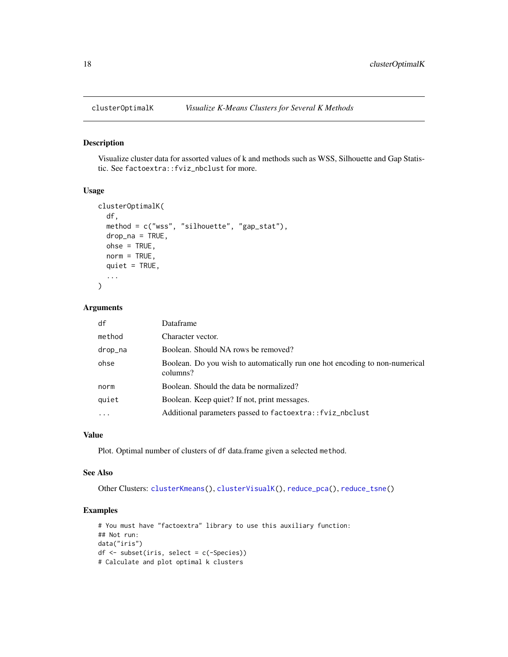<span id="page-17-1"></span><span id="page-17-0"></span>

Visualize cluster data for assorted values of k and methods such as WSS, Silhouette and Gap Statistic. See factoextra::fviz\_nbclust for more.

# Usage

```
clusterOptimalK(
  df,
 method = c("wss", "silhouette", "gap_stat"),
  drop_na = TRUE,ohse = TRUE,
 norm = TRUE,
  quiet = TRUE,
  ...
)
```
#### Arguments

| df       | Dataframe                                                                               |
|----------|-----------------------------------------------------------------------------------------|
| method   | Character vector.                                                                       |
| drop_na  | Boolean. Should NA rows be removed?                                                     |
| ohse     | Boolean. Do you wish to automatically run one hot encoding to non-numerical<br>columns? |
| norm     | Boolean. Should the data be normalized?                                                 |
| quiet    | Boolean. Keep quiet? If not, print messages.                                            |
| $\cdots$ | Additional parameters passed to factoextra:: fviz_nbclust                               |

#### Value

Plot. Optimal number of clusters of df data.frame given a selected method.

#### See Also

Other Clusters: [clusterKmeans\(](#page-15-1)), [clusterVisualK\(](#page-18-1)), [reduce\\_pca\(](#page-151-1)), [reduce\\_tsne\(](#page-152-1))

```
# You must have "factoextra" library to use this auxiliary function:
## Not run:
data("iris")
df <- subset(iris, select = c(-Species))
# Calculate and plot optimal k clusters
```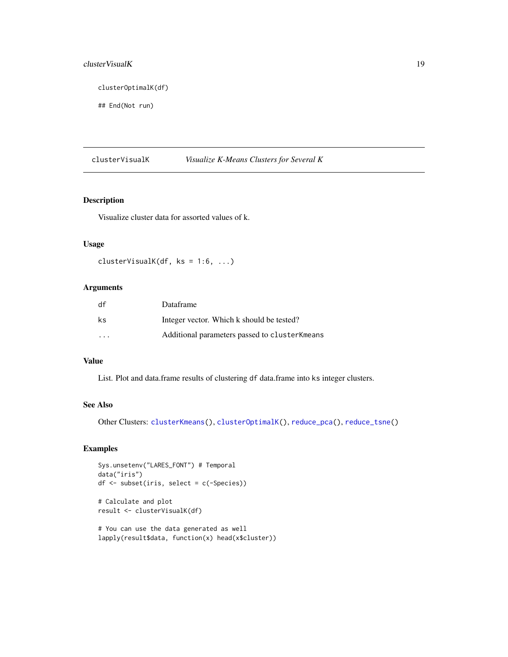# <span id="page-18-0"></span>cluster VisualK 19

clusterOptimalK(df)

## End(Not run)

<span id="page-18-1"></span>clusterVisualK *Visualize K-Means Clusters for Several K*

# Description

Visualize cluster data for assorted values of k.

# Usage

```
clusterVisualK(df, ks = 1:6, ...)
```
# Arguments

| df                      | Dataframe                                     |
|-------------------------|-----------------------------------------------|
| ks                      | Integer vector. Which k should be tested?     |
| $\cdot$ $\cdot$ $\cdot$ | Additional parameters passed to clusterKmeans |

#### Value

List. Plot and data.frame results of clustering df data.frame into ks integer clusters.

#### See Also

Other Clusters: [clusterKmeans\(](#page-15-1)), [clusterOptimalK\(](#page-17-1)), [reduce\\_pca\(](#page-151-1)), [reduce\\_tsne\(](#page-152-1))

```
Sys.unsetenv("LARES_FONT") # Temporal
data("iris")
df <- subset(iris, select = c(-Species))
```

```
# Calculate and plot
result <- clusterVisualK(df)
```

```
# You can use the data generated as well
lapply(result$data, function(x) head(x$cluster))
```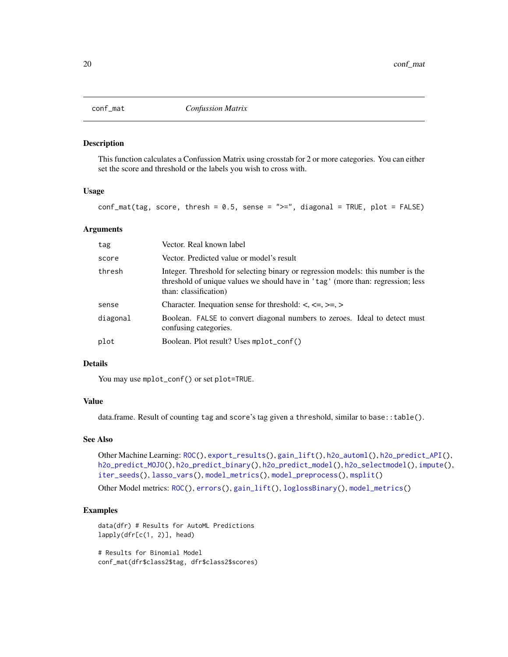<span id="page-19-0"></span>

This function calculates a Confussion Matrix using crosstab for 2 or more categories. You can either set the score and threshold or the labels you wish to cross with.

## Usage

 $conf_matrix(tag, score, thresh = 0.5, sense = ">=", diagonal = TRUE, plot = FALSE)$ 

#### Arguments

| tag      | Vector. Real known label                                                                                                                                                                     |
|----------|----------------------------------------------------------------------------------------------------------------------------------------------------------------------------------------------|
| score    | Vector. Predicted value or model's result                                                                                                                                                    |
| thresh   | Integer. Threshold for selecting binary or regression models: this number is the<br>threshold of unique values we should have in 'tag' (more than: regression; less<br>than: classification) |
| sense    | Character. Inequation sense for threshold: $\lt$ , $\lt$ =, $\gt$ =, $\gt$                                                                                                                   |
| diagonal | Boolean. FALSE to convert diagonal numbers to zeroes. Ideal to detect must<br>confusing categories.                                                                                          |
| plot     | Boolean. Plot result? Uses mplot_conf()                                                                                                                                                      |

#### Details

You may use mplot\_conf() or set plot=TRUE.

#### Value

data.frame. Result of counting tag and score's tag given a threshold, similar to base::table().

#### See Also

Other Machine Learning: [ROC\(](#page-157-1)), [export\\_results\(](#page-44-1)), [gain\\_lift\(](#page-69-1)), [h2o\\_automl\(](#page-80-1)), [h2o\\_predict\\_API\(](#page-85-1)), [h2o\\_predict\\_MOJO\(](#page-87-1)), [h2o\\_predict\\_binary\(](#page-85-2)), [h2o\\_predict\\_model\(](#page-86-1)), [h2o\\_selectmodel\(](#page-89-1)), [impute\(](#page-94-1)), [iter\\_seeds\(](#page-97-1)), [lasso\\_vars\(](#page-100-1)), [model\\_metrics\(](#page-108-1)), [model\\_preprocess\(](#page-110-1)), [msplit\(](#page-130-1))

Other Model metrics: [ROC\(](#page-157-1)), [errors\(](#page-41-1)), [gain\\_lift\(](#page-69-1)), [loglossBinary\(](#page-105-2)), [model\\_metrics\(](#page-108-1))

# Examples

data(dfr) # Results for AutoML Predictions lapply(dfr[c(1, 2)], head)

# Results for Binomial Model conf\_mat(dfr\$class2\$tag, dfr\$class2\$scores)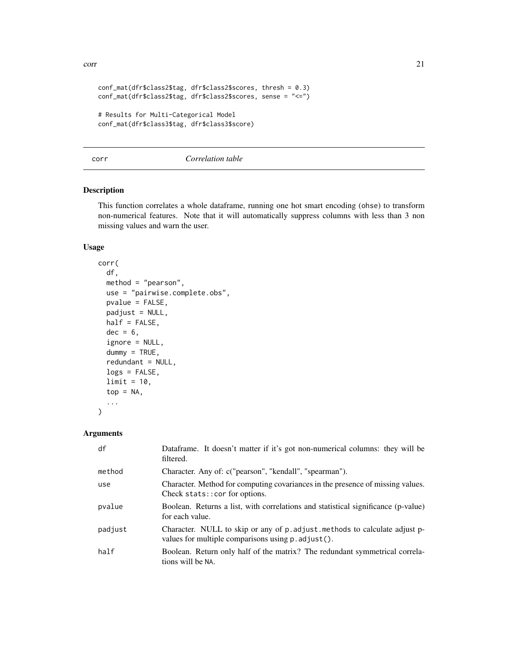```
conf_mat(dfr$class2$tag, dfr$class2$scores, thresh = 0.3)
conf_mat(dfr$class2$tag, dfr$class2$scores, sense = "<=")
# Results for Multi-Categorical Model
conf_mat(dfr$class3$tag, dfr$class3$score)
```
<span id="page-20-1"></span>corr *Correlation table*

#### Description

This function correlates a whole dataframe, running one hot smart encoding (ohse) to transform non-numerical features. Note that it will automatically suppress columns with less than 3 non missing values and warn the user.

## Usage

```
corr(
  df,
 method = "pearson",
  use = "pairwise.complete.obs",
  pvalue = FALSE,
  padjust = NULL,
  half = FALSE,dec = 6,
  ignore = NULL,
  dummy = TRUE,
  redundant = NULL,
  logs = FALSE,
  limit = 10,top = NA,
  ...
)
```

| df      | Dataframe. It doesn't matter if it's got non-numerical columns: they will be<br>filtered.                                         |
|---------|-----------------------------------------------------------------------------------------------------------------------------------|
| method  | Character. Any of: c("pearson", "kendall", "spearman").                                                                           |
| use     | Character. Method for computing covariances in the presence of missing values.<br>Check stats: : cor for options.                 |
| pvalue  | Boolean. Returns a list, with correlations and statistical significance (p-value)<br>for each value.                              |
| padjust | Character. NULL to skip or any of p. adjust. methods to calculate adjust p-<br>values for multiple comparisons using p. adjust(). |
| half    | Boolean. Return only half of the matrix? The redundant symmetrical correla-<br>tions will be NA.                                  |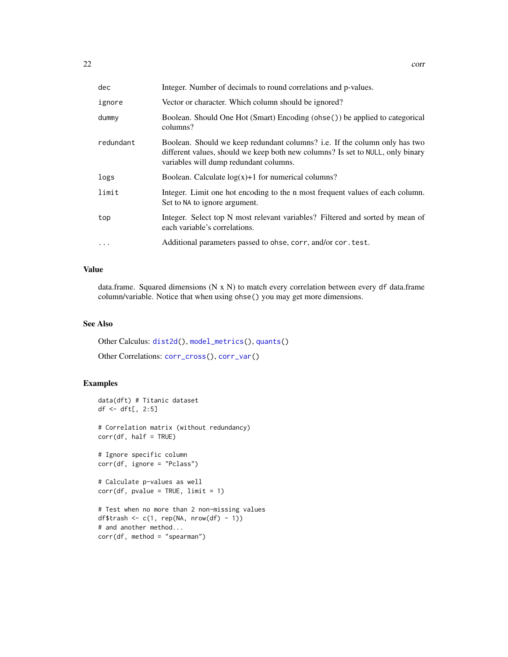| dec       | Integer. Number of decimals to round correlations and p-values.                                                                                                                                        |
|-----------|--------------------------------------------------------------------------------------------------------------------------------------------------------------------------------------------------------|
| ignore    | Vector or character. Which column should be ignored?                                                                                                                                                   |
| dummy     | Boolean. Should One Hot (Smart) Encoding (ohse()) be applied to categorical<br>columns?                                                                                                                |
| redundant | Boolean. Should we keep redundant columns? i.e. If the column only has two<br>different values, should we keep both new columns? Is set to NULL, only binary<br>variables will dump redundant columns. |
| logs      | Boolean. Calculate $log(x)+1$ for numerical columns?                                                                                                                                                   |
| limit     | Integer. Limit one hot encoding to the n most frequent values of each column.<br>Set to NA to ignore argument.                                                                                         |
| top       | Integer. Select top N most relevant variables? Filtered and sorted by mean of<br>each variable's correlations.                                                                                         |
|           | Additional parameters passed to ohse, corr, and/or cor. test.                                                                                                                                          |

# Value

data.frame. Squared dimensions (N x N) to match every correlation between every df data.frame column/variable. Notice that when using ohse() you may get more dimensions.

## See Also

Other Calculus: [dist2d\(](#page-38-1)), [model\\_metrics\(](#page-108-1)), [quants\(](#page-146-1))

Other Correlations: [corr\\_cross\(](#page-22-1)), [corr\\_var\(](#page-23-1))

```
data(dft) # Titanic dataset
df <- dft[, 2:5]
# Correlation matrix (without redundancy)
corr(df, half = TRUE)
# Ignore specific column
corr(df, ignore = "Pclass")
# Calculate p-values as well
corr(df, pvalue = TRUE, limit = 1)# Test when no more than 2 non-missing values
df$trash <- c(1, rep(NA, nrow(df) - 1))# and another method...
corr(df, method = "spearman")
```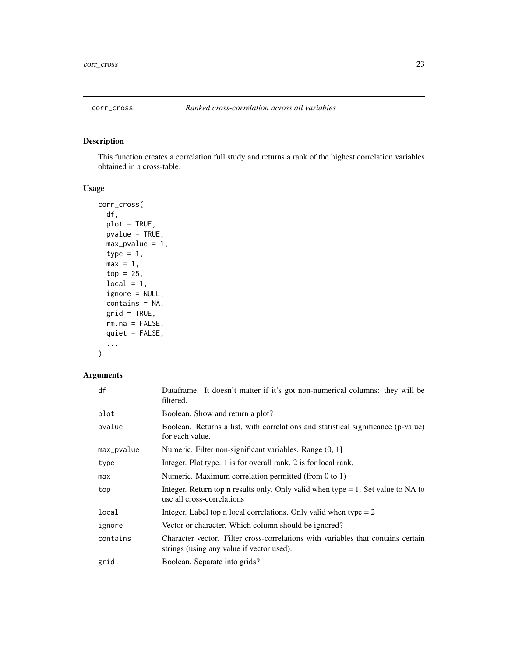<span id="page-22-1"></span><span id="page-22-0"></span>

This function creates a correlation full study and returns a rank of the highest correlation variables obtained in a cross-table.

# Usage

```
corr_cross(
  df,
 plot = TRUE,
 pvalue = TRUE,
 max_pvalue = 1,
  type = 1,
 max = 1,
  top = 25,local = 1,ignore = NULL,
  contains = NA,
 grid = TRUE,rm.na = FALSE,
 quiet = FALSE,
  ...
\mathcal{L}
```

| df         | Dataframe. It doesn't matter if it's got non-numerical columns: they will be<br>filtered.                                     |
|------------|-------------------------------------------------------------------------------------------------------------------------------|
| plot       | Boolean. Show and return a plot?                                                                                              |
| pvalue     | Boolean. Returns a list, with correlations and statistical significance (p-value)<br>for each value.                          |
| max_pvalue | Numeric. Filter non-significant variables. Range (0, 1]                                                                       |
| type       | Integer. Plot type. 1 is for overall rank. 2 is for local rank.                                                               |
| max        | Numeric. Maximum correlation permitted (from $0$ to $1$ )                                                                     |
| top        | Integer. Return top n results only. Only valid when type $= 1$ . Set value to NA to<br>use all cross-correlations             |
| local      | Integer. Label top n local correlations. Only valid when type $= 2$                                                           |
| ignore     | Vector or character. Which column should be ignored?                                                                          |
| contains   | Character vector. Filter cross-correlations with variables that contains certain<br>strings (using any value if vector used). |
| grid       | Boolean. Separate into grids?                                                                                                 |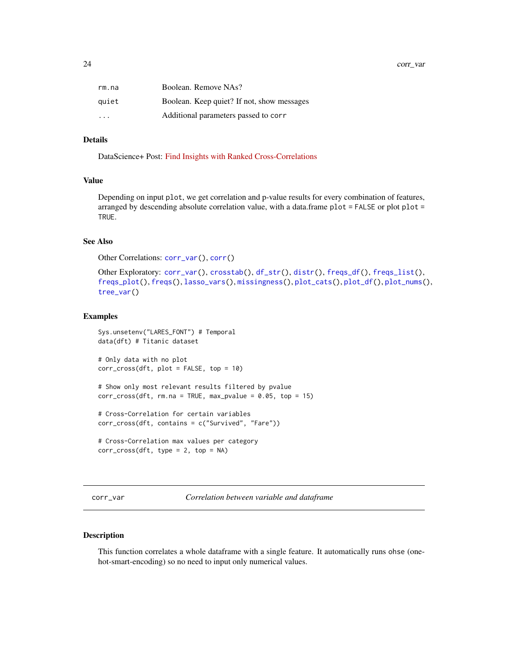<span id="page-23-0"></span>24 corr\_var

| rm.na                   | Boolean. Remove NAs?                       |
|-------------------------|--------------------------------------------|
| quiet                   | Boolean. Keep quiet? If not, show messages |
| $\cdot$ $\cdot$ $\cdot$ | Additional parameters passed to corr       |

#### Details

DataScience+ Post: [Find Insights with Ranked Cross-Correlations](https://datascienceplus.com/find-insights-with-ranked-cross-correlations/)

#### Value

Depending on input plot, we get correlation and p-value results for every combination of features, arranged by descending absolute correlation value, with a data.frame plot = FALSE or plot plot = TRUE.

# See Also

Other Correlations: [corr\\_var\(](#page-23-1)), [corr\(](#page-20-1))

```
Other Exploratory: corr_var(), crosstab(), df_str(), distr(), freqs_df(), freqs_list(),
freqs_plot(), freqs(), lasso_vars(), missingness(), plot_cats(), plot_df(), plot_nums(),
tree_var()
```
#### Examples

```
Sys.unsetenv("LARES_FONT") # Temporal
data(dft) # Titanic dataset
# Only data with no plot
corr_cross(dft, plot = FALSE, top = 10)
# Show only most relevant results filtered by pvalue
corr_cross(dft, rm.na = TRUE, max_pvalue = 0.05, top = 15)# Cross-Correlation for certain variables
corr_cross(dft, contains = c("Survived", "Fare"))
# Cross-Correlation max values per category
corr_cross(dft, type = 2, top = NA)
```
<span id="page-23-1"></span>corr\_var *Correlation between variable and dataframe*

#### Description

This function correlates a whole dataframe with a single feature. It automatically runs ohse (onehot-smart-encoding) so no need to input only numerical values.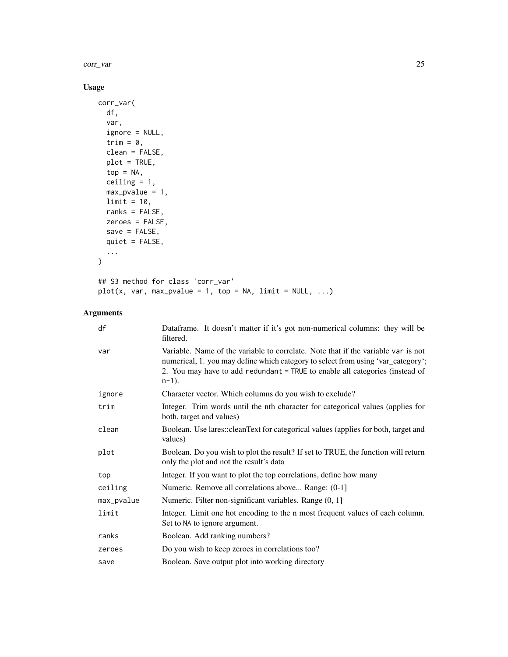corr\_var 25

# Usage

```
corr_var(
  df,
  var,
  ignore = NULL,
  trim = 0,
  clean = FALSE,
  plot = TRUE,
  top = NA,ceiling = 1,
  max\_pvalue = 1,
  limit = 10,ranks = FALSE,
  zeroes = FALSE,
  save = FALSE,
  quiet = FALSE,
  ...
\mathcal{L}## S3 method for class 'corr_var'
plot(x, var, max_pvalue = 1, top = NA, limit = NULL, ...)
```

| df         | Dataframe. It doesn't matter if it's got non-numerical columns: they will be<br>filtered.                                                                                                                                                                         |
|------------|-------------------------------------------------------------------------------------------------------------------------------------------------------------------------------------------------------------------------------------------------------------------|
| var        | Variable. Name of the variable to correlate. Note that if the variable var is not<br>numerical, 1. you may define which category to select from using 'var_category';<br>2. You may have to add redundant = TRUE to enable all categories (instead of<br>$n-1$ ). |
| ignore     | Character vector. Which columns do you wish to exclude?                                                                                                                                                                                                           |
| trim       | Integer. Trim words until the nth character for categorical values (applies for<br>both, target and values)                                                                                                                                                       |
| clean      | Boolean. Use lares::cleanText for categorical values (applies for both, target and<br>values)                                                                                                                                                                     |
| plot       | Boolean. Do you wish to plot the result? If set to TRUE, the function will return<br>only the plot and not the result's data                                                                                                                                      |
| top        | Integer. If you want to plot the top correlations, define how many                                                                                                                                                                                                |
| ceiling    | Numeric. Remove all correlations above Range: (0-1)                                                                                                                                                                                                               |
| max_pvalue | Numeric. Filter non-significant variables. Range (0, 1]                                                                                                                                                                                                           |
| limit      | Integer. Limit one hot encoding to the n most frequent values of each column.<br>Set to NA to ignore argument.                                                                                                                                                    |
| ranks      | Boolean. Add ranking numbers?                                                                                                                                                                                                                                     |
| zeroes     | Do you wish to keep zeroes in correlations too?                                                                                                                                                                                                                   |
| save       | Boolean. Save output plot into working directory                                                                                                                                                                                                                  |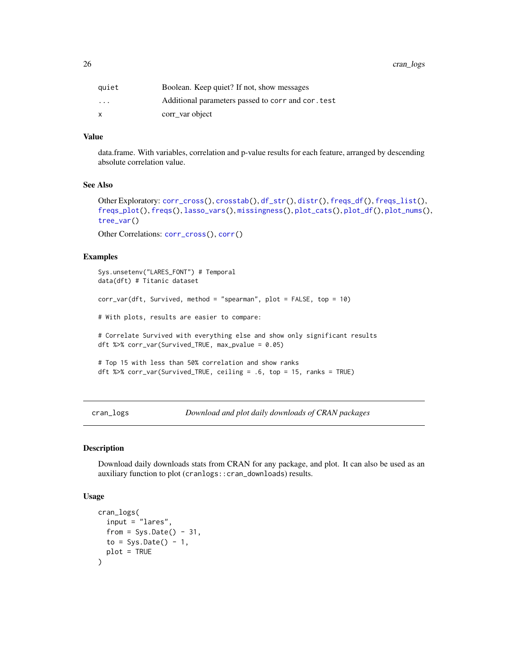<span id="page-25-0"></span>26 cran\_logs

| quiet                   | Boolean. Keep quiet? If not, show messages         |
|-------------------------|----------------------------------------------------|
| $\cdot$ $\cdot$ $\cdot$ | Additional parameters passed to corr and cor. test |
| x                       | corr var object                                    |

# Value

data.frame. With variables, correlation and p-value results for each feature, arranged by descending absolute correlation value.

#### See Also

```
Other Exploratory: corr_cross(), crosstab(), df_str(), distr(), freqs_df(), freqs_list(),
freqs_plot(), freqs(), lasso_vars(), missingness(), plot_cats(), plot_df(), plot_nums(),
tree_var()
```
Other Correlations: [corr\\_cross\(](#page-22-1)), [corr\(](#page-20-1))

#### Examples

```
Sys.unsetenv("LARES_FONT") # Temporal
data(dft) # Titanic dataset
corr\_var(dft, Survived, method = "spearman", plot = FALSE, top = 10)# With plots, results are easier to compare:
# Correlate Survived with everything else and show only significant results
dft %>% corr_var(Survived_TRUE, max_pvalue = 0.05)
# Top 15 with less than 50% correlation and show ranks
dft %>% corr_var(Survived_TRUE, ceiling = .6, top = 15, ranks = TRUE)
```
cran\_logs *Download and plot daily downloads of CRAN packages*

#### Description

Download daily downloads stats from CRAN for any package, and plot. It can also be used as an auxiliary function to plot (cranlogs::cran\_downloads) results.

#### Usage

```
cran_logs(
  input = "lares",
  from = Sys.DataFrame() - 31,to = Sys.DataFrame() - 1,plot = TRUE
)
```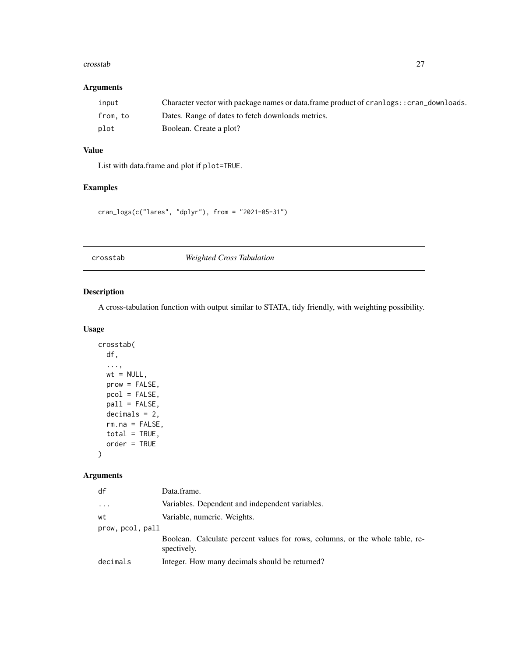#### <span id="page-26-0"></span>crosstab 27

## Arguments

| input   | Character vector with package names or data.frame product of cranlogs: : cran_downloads. |
|---------|------------------------------------------------------------------------------------------|
| from.to | Dates. Range of dates to fetch downloads metrics.                                        |
| plot    | Boolean. Create a plot?                                                                  |

# Value

List with data.frame and plot if plot=TRUE.

# Examples

cran\_logs(c("lares", "dplyr"), from = "2021-05-31")

<span id="page-26-1"></span>crosstab *Weighted Cross Tabulation*

# Description

A cross-tabulation function with output similar to STATA, tidy friendly, with weighting possibility.

#### Usage

```
crosstab(
  df,
  ...,
  wt = NULL,prow = FALSE,
  pcol = FALSE,
  pall = FALSE,decimals = 2,rm.na = FALSE,
  total = TRUE,
  order = TRUE
\mathcal{L}
```

| df             | Data.frame.                                                                                 |
|----------------|---------------------------------------------------------------------------------------------|
| $\cdots$       | Variables. Dependent and independent variables.                                             |
| wt             | Variable, numeric. Weights.                                                                 |
| prow.pcol.pall |                                                                                             |
|                | Boolean. Calculate percent values for rows, columns, or the whole table, re-<br>spectively. |
| decimals       | Integer. How many decimals should be returned?                                              |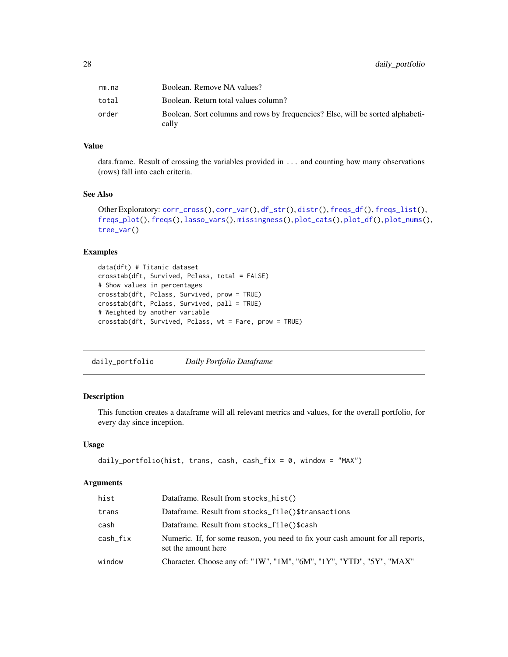<span id="page-27-0"></span>

| rm.na | Boolean. Remove NA values?                                                              |
|-------|-----------------------------------------------------------------------------------------|
| total | Boolean. Return total values column?                                                    |
| order | Boolean. Sort columns and rows by frequencies? Else, will be sorted alphabeti-<br>cally |

# Value

data.frame. Result of crossing the variables provided in ... and counting how many observations (rows) fall into each criteria.

## See Also

```
Other Exploratory: corr_cross(), corr_var(), df_str(), distr(), freqs_df(), freqs_list(),
freqs_plot(), freqs(), lasso_vars(), missingness(), plot_cats(), plot_df(), plot_nums(),
tree_var()
```
# Examples

```
data(dft) # Titanic dataset
crosstab(dft, Survived, Pclass, total = FALSE)
# Show values in percentages
crosstab(dft, Pclass, Survived, prow = TRUE)
crosstab(dft, Pclass, Survived, pall = TRUE)
# Weighted by another variable
crosstab(dft, Survived, Pclass, wt = Fare, prow = TRUE)
```
<span id="page-27-1"></span>daily\_portfolio *Daily Portfolio Dataframe*

# Description

This function creates a dataframe will all relevant metrics and values, for the overall portfolio, for every day since inception.

#### Usage

```
daily_portfolio(hist, trans, cash, cash_fix = 0, window = "MAX")
```

| hist     | Dataframe. Result from stocks_hist()                                                                   |
|----------|--------------------------------------------------------------------------------------------------------|
| trans    | Dataframe. Result from stocks_file()\$transactions                                                     |
| cash     | Dataframe. Result from stocks_file()\$cash                                                             |
| cash_fix | Numeric. If, for some reason, you need to fix your cash amount for all reports,<br>set the amount here |
| window   | Character. Choose any of: "1W", "1M", "6M", "1Y", "YTD", "5Y", "MAX"                                   |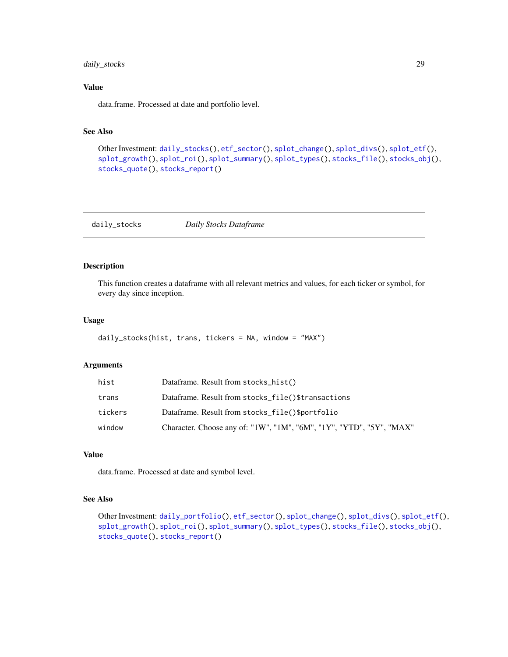# <span id="page-28-0"></span>daily\_stocks 29

## Value

data.frame. Processed at date and portfolio level.

# See Also

```
Other Investment: daily_stocks(), etf_sector(), splot_change(), splot_divs(), splot_etf(),
splot_growth(), splot_roi(), splot_summary(), splot_types(), stocks_file(), stocks_obj(),
stocks_quote(), stocks_report()
```
<span id="page-28-1"></span>daily\_stocks *Daily Stocks Dataframe*

## Description

This function creates a dataframe with all relevant metrics and values, for each ticker or symbol, for every day since inception.

## Usage

```
daily_stocks(hist, trans, tickers = NA, window = "MAX")
```
## Arguments

| hist    | Dataframe. Result from stocks_hist()                                 |
|---------|----------------------------------------------------------------------|
| trans   | Dataframe. Result from stocks_file()\$transactions                   |
| tickers | Dataframe. Result from stocks_file()\$portfolio                      |
| window  | Character. Choose any of: "1W", "1M", "6M", "1Y", "YTD", "5Y", "MAX" |

# Value

data.frame. Processed at date and symbol level.

#### See Also

```
Other Investment: daily_portfolio(), etf_sector(), splot_change(), splot_divs(), splot_etf(),
splot_growth(), splot_roi(), splot_summary(), splot_types(), stocks_file(), stocks_obj(),
stocks_quote(), stocks_report()
```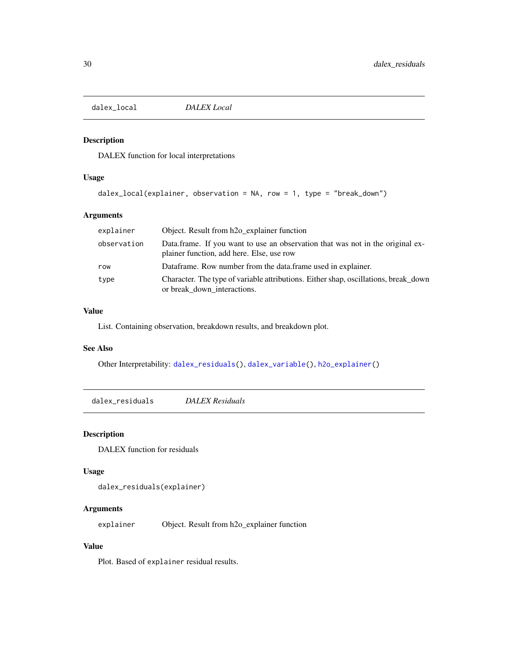<span id="page-29-2"></span><span id="page-29-0"></span>dalex\_local *DALEX Local*

#### Description

DALEX function for local interpretations

# Usage

```
dalex_local(explainer, observation = NA, row = 1, type = "break_down")
```
## Arguments

| explainer   | Object. Result from h <sub>20_explainer</sub> function                                                                      |
|-------------|-----------------------------------------------------------------------------------------------------------------------------|
| observation | Data frame. If you want to use an observation that was not in the original ex-<br>plainer function, add here. Else, use row |
| row         | Dataframe. Row number from the data frame used in explainer.                                                                |
| type        | Character. The type of variable attributions. Either shap, oscillations, break_down<br>or break_down_interactions.          |

#### Value

List. Containing observation, breakdown results, and breakdown plot.

## See Also

Other Interpretability: [dalex\\_residuals\(](#page-29-1)), [dalex\\_variable\(](#page-30-1)), [h2o\\_explainer\(](#page-83-1))

<span id="page-29-1"></span>dalex\_residuals *DALEX Residuals*

#### Description

DALEX function for residuals

#### Usage

dalex\_residuals(explainer)

# Arguments

explainer Object. Result from h2o\_explainer function

#### Value

Plot. Based of explainer residual results.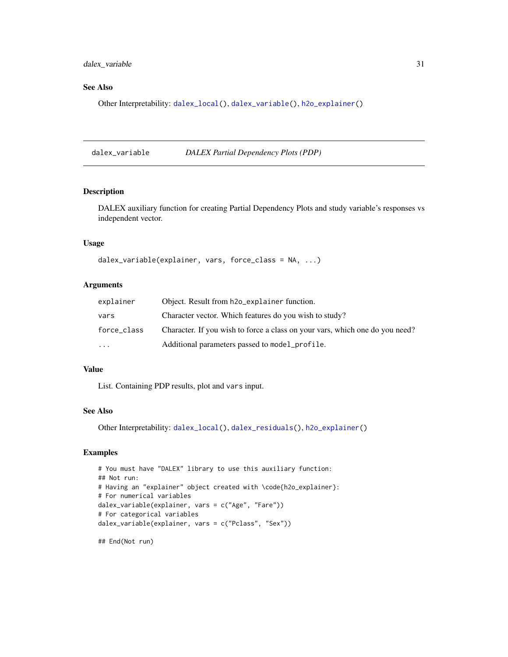<span id="page-30-0"></span>dalex\_variable 31

#### See Also

Other Interpretability: [dalex\\_local\(](#page-29-2)), [dalex\\_variable\(](#page-30-1)), [h2o\\_explainer\(](#page-83-1))

<span id="page-30-1"></span>dalex\_variable *DALEX Partial Dependency Plots (PDP)*

# Description

DALEX auxiliary function for creating Partial Dependency Plots and study variable's responses vs independent vector.

#### Usage

```
dalex_variable(explainer, vars, force_class = NA, ...)
```
#### Arguments

| explainer   | Object. Result from h2o_explainer function.                                  |
|-------------|------------------------------------------------------------------------------|
| vars        | Character vector. Which features do you wish to study?                       |
| force_class | Character. If you wish to force a class on your vars, which one do you need? |
| $\ddotsc$   | Additional parameters passed to model_profile.                               |

## Value

List. Containing PDP results, plot and vars input.

## See Also

Other Interpretability: [dalex\\_local\(](#page-29-2)), [dalex\\_residuals\(](#page-29-1)), [h2o\\_explainer\(](#page-83-1))

## Examples

```
# You must have "DALEX" library to use this auxiliary function:
## Not run:
# Having an "explainer" object created with \code{h2o_explainer}:
# For numerical variables
dalex_variable(explainer, vars = c("Age", "Fare"))
# For categorical variables
dalex_variable(explainer, vars = c("Pclass", "Sex"))
```
## End(Not run)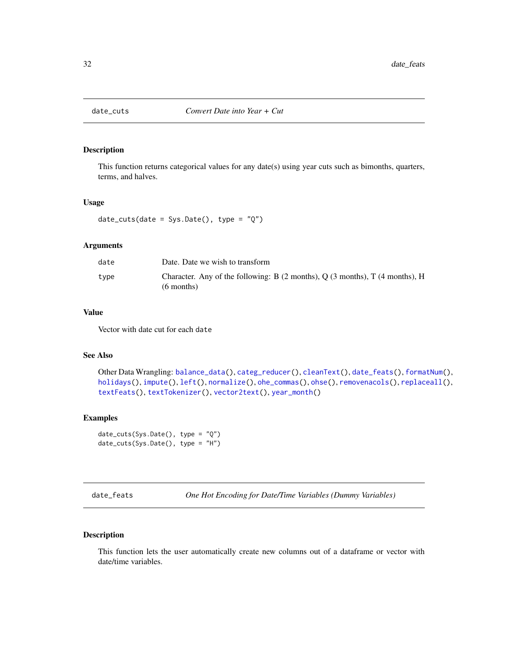<span id="page-31-1"></span><span id="page-31-0"></span>

This function returns categorical values for any date(s) using year cuts such as bimonths, quarters, terms, and halves.

#### Usage

```
date_cuts(date = Sys.Date(), type = "Q")
```
## Arguments

| date | Date. Date we wish to transform                                                                                               |
|------|-------------------------------------------------------------------------------------------------------------------------------|
| type | Character. Any of the following: B $(2 \text{ months})$ , Q $(3 \text{ months})$ , T $(4 \text{ months})$ , H<br>$(6$ months) |

#### Value

Vector with date cut for each date

#### See Also

```
Other Data Wrangling: balance_data(), categ_reducer(), cleanText(), date_feats(), formatNum(),
holidays(), impute(), left(), normalize(), ohe_commas(), ohse(), removenacols(), replaceall(),
textFeats(), textTokenizer(), vector2text(), year_month()
```
#### Examples

```
date_cuts(Sys.Date(), type = "Q")
date_cuts(Sys.Date(), type = "H")
```
<span id="page-31-2"></span>date\_feats *One Hot Encoding for Date/Time Variables (Dummy Variables)*

## Description

This function lets the user automatically create new columns out of a dataframe or vector with date/time variables.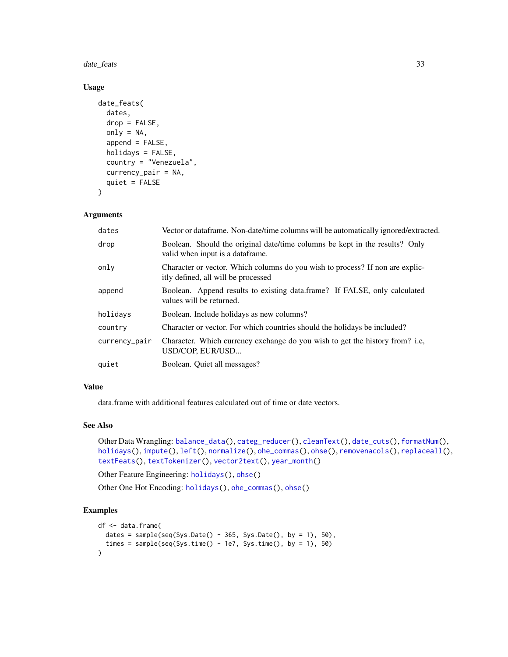date\_feats 33

# Usage

```
date_feats(
  dates,
  drop = FALSE,
  only = NA,
  append = FALSE,holidays = FALSE,
  country = "Venezuela",
  currency_pair = NA,
  quiet = FALSE
)
```
# Arguments

| dates         | Vector or dataframe. Non-date/time columns will be automatically ignored/extracted.                                  |
|---------------|----------------------------------------------------------------------------------------------------------------------|
| drop          | Boolean. Should the original date/time columns be kept in the results? Only<br>valid when input is a dataframe.      |
| only          | Character or vector. Which columns do you wish to process? If non are explic-<br>itly defined, all will be processed |
| append        | Boolean. Append results to existing data.frame? If FALSE, only calculated<br>values will be returned.                |
| holidays      | Boolean. Include holidays as new columns?                                                                            |
| country       | Character or vector. For which countries should the holidays be included?                                            |
| currency_pair | Character. Which currency exchange do you wish to get the history from? i.e.<br>USD/COP, EUR/USD                     |
| quiet         | Boolean. Quiet all messages?                                                                                         |
|               |                                                                                                                      |

# Value

data.frame with additional features calculated out of time or date vectors.

## See Also

```
Other Data Wrangling: balance_data(), categ_reducer(), cleanText(), date_cuts(), formatNum(),
holidays(), impute(), left(), normalize(), ohe_commas(), ohse(), removenacols(), replaceall(),
textFeats(), textTokenizer(), vector2text(), year_month()
```
Other Feature Engineering: [holidays\(](#page-92-1)), [ohse\(](#page-135-1))

Other One Hot Encoding: [holidays\(](#page-92-1)), [ohe\\_commas\(](#page-134-1)), [ohse\(](#page-135-1))

```
df <- data.frame(
 dates = sample(seq(Sys.Date() - 365, Sys.Date(), by = 1), 50),
  times = sample(seq(Sys.time() - 1e7, Sys.time(), by = 1), 50)
)
```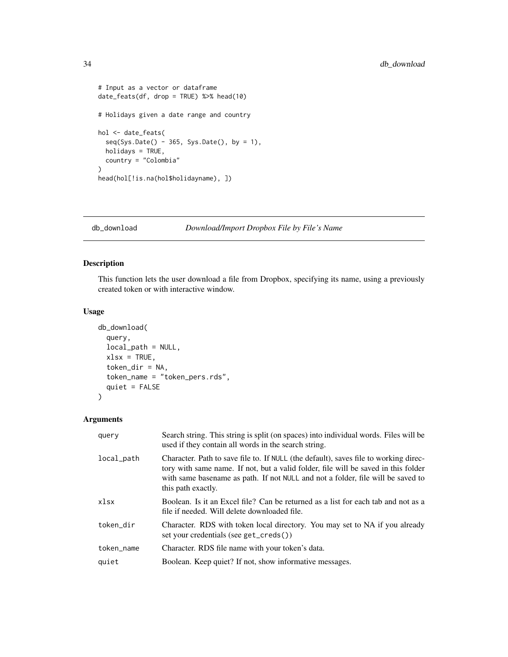```
# Input as a vector or dataframe
date_feats(df, drop = TRUE) %>% head(10)
# Holidays given a date range and country
hol <- date_feats(
  seq(Sys.Date() - 365, Sys.Date(), by = 1),holidays = TRUE,
  country = "Colombia"
\mathcal{L}head(hol[!is.na(hol$holidayname), ])
```
# <span id="page-33-1"></span>db\_download *Download/Import Dropbox File by File's Name*

# Description

This function lets the user download a file from Dropbox, specifying its name, using a previously created token or with interactive window.

## Usage

```
db_download(
  query,
  local_path = NULL,
  xlsx =TRUE,
  token_dir = NA,
  token_name = "token_pers.rds",
  quiet = FALSE
\mathcal{L}
```

| query      | Search string. This string is split (on spaces) into individual words. Files will be<br>used if they contain all words in the search string.                                                                                                                                        |
|------------|-------------------------------------------------------------------------------------------------------------------------------------------------------------------------------------------------------------------------------------------------------------------------------------|
| local_path | Character. Path to save file to. If NULL (the default), saves file to working direc-<br>tory with same name. If not, but a valid folder, file will be saved in this folder<br>with same basename as path. If not NULL and not a folder, file will be saved to<br>this path exactly. |
| xlsx       | Boolean. Is it an Excel file? Can be returned as a list for each tab and not as a<br>file if needed. Will delete downloaded file.                                                                                                                                                   |
| token_dir  | Character. RDS with token local directory. You may set to NA if you already<br>set your credentials (see get_creds())                                                                                                                                                               |
| token_name | Character. RDS file name with your token's data.                                                                                                                                                                                                                                    |
| quiet      | Boolean. Keep quiet? If not, show informative messages.                                                                                                                                                                                                                             |

<span id="page-33-0"></span>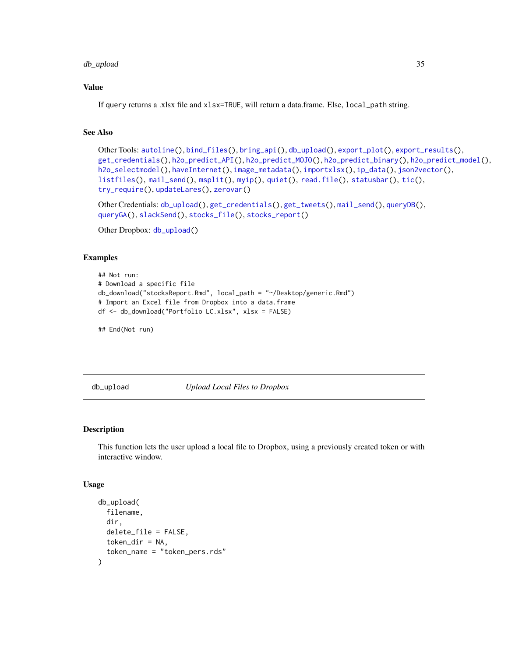# <span id="page-34-0"></span>db\_upload 35

## Value

If query returns a .xlsx file and xlsx=TRUE, will return a data.frame. Else, local\_path string.

# See Also

```
Other Tools: autoline(), bind_files(), bring_api(), db_upload(), export_plot(), export_results(),
get_credentials(), h2o_predict_API(), h2o_predict_MOJO(), h2o_predict_binary(), h2o_predict_model(),
h2o_selectmodel(), haveInternet(), image_metadata(), importxlsx(), ip_data(), json2vector(),
listfiles(), mail_send(), msplit(), myip(), quiet(), read.file(), statusbar(), tic(),
try_require(), updateLares(), zerovar()
```
Other Credentials: [db\\_upload\(](#page-34-1)), [get\\_credentials\(](#page-70-1)), [get\\_tweets\(](#page-74-1)), [mail\\_send\(](#page-106-1)), [queryDB\(](#page-147-2)), [queryGA\(](#page-147-1)), [slackSend\(](#page-165-1)), [stocks\\_file\(](#page-174-1)), [stocks\\_report\(](#page-178-1))

Other Dropbox: [db\\_upload\(](#page-34-1))

#### Examples

```
## Not run:
# Download a specific file
db_download("stocksReport.Rmd", local_path = "~/Desktop/generic.Rmd")
# Import an Excel file from Dropbox into a data.frame
df <- db_download("Portfolio LC.xlsx", xlsx = FALSE)
```
## End(Not run)

<span id="page-34-1"></span>db\_upload *Upload Local Files to Dropbox*

## Description

This function lets the user upload a local file to Dropbox, using a previously created token or with interactive window.

#### Usage

```
db_upload(
  filename,
  dir,
  delete_file = FALSE,
  token_dir = NA,
  token_name = "token_pers.rds"
)
```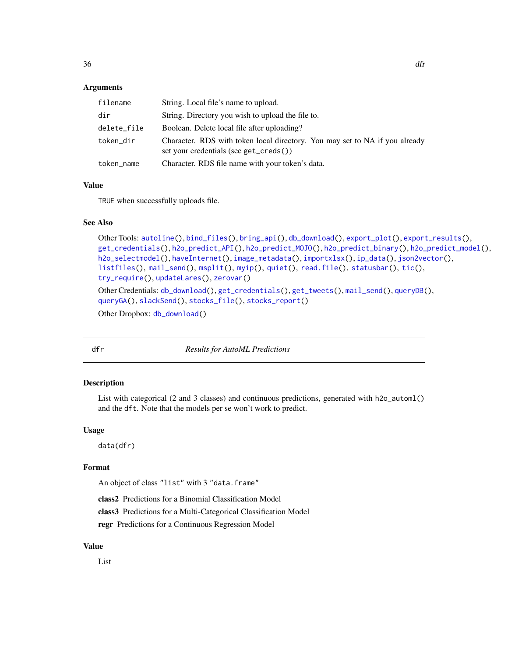## <span id="page-35-0"></span>Arguments

| filename    | String. Local file's name to upload.                                                                                  |
|-------------|-----------------------------------------------------------------------------------------------------------------------|
| dir         | String. Directory you wish to upload the file to.                                                                     |
| delete_file | Boolean. Delete local file after uploading?                                                                           |
| token_dir   | Character. RDS with token local directory. You may set to NA if you already<br>set your credentials (see get_creds()) |
| token_name  | Character. RDS file name with your token's data.                                                                      |

#### Value

TRUE when successfully uploads file.

#### See Also

```
Other Tools: autoline(), bind_files(), bring_api(), db_download(), export_plot(), export_results(),
get_credentials(), h2o_predict_API(), h2o_predict_MOJO(), h2o_predict_binary(), h2o_predict_model(),
h2o_selectmodel(), haveInternet(), image_metadata(), importxlsx(), ip_data(), json2vector(),
listfiles(), mail_send(), msplit(), myip(), quiet(), read.file(), statusbar(), tic(),
try_require(), updateLares(), zerovar()
```

```
Other Credentials: db_download(), get_credentials(), get_tweets(), mail_send(), queryDB(),
queryGA(), slackSend(), stocks_file(), stocks_report()
```
Other Dropbox: [db\\_download\(](#page-33-1))

dfr *Results for AutoML Predictions*

#### Description

List with categorical (2 and 3 classes) and continuous predictions, generated with h2o\_automl() and the dft. Note that the models per se won't work to predict.

#### Usage

data(dfr)

#### Format

An object of class "list" with 3 "data.frame"

class2 Predictions for a Binomial Classification Model

class3 Predictions for a Multi-Categorical Classification Model

regr Predictions for a Continuous Regression Model

#### Value

List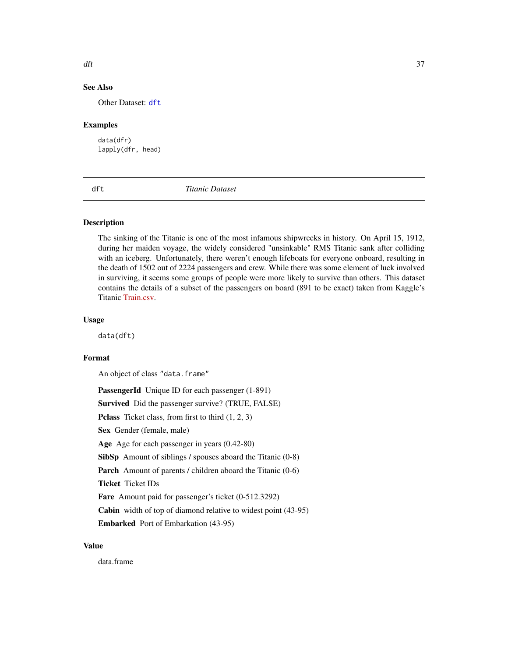#### $\det$  37

## See Also

Other Dataset: [dft](#page-36-0)

#### Examples

data(dfr) lapply(dfr, head)

<span id="page-36-0"></span>dft *Titanic Dataset*

#### Description

The sinking of the Titanic is one of the most infamous shipwrecks in history. On April 15, 1912, during her maiden voyage, the widely considered "unsinkable" RMS Titanic sank after colliding with an iceberg. Unfortunately, there weren't enough lifeboats for everyone onboard, resulting in the death of 1502 out of 2224 passengers and crew. While there was some element of luck involved in surviving, it seems some groups of people were more likely to survive than others. This dataset contains the details of a subset of the passengers on board (891 to be exact) taken from Kaggle's Titanic [Train.csv.](https://www.kaggle.com/c/titanic/overview)

## Usage

data(dft)

## Format

An object of class "data.frame"

PassengerId Unique ID for each passenger (1-891) Survived Did the passenger survive? (TRUE, FALSE) Pclass Ticket class, from first to third  $(1, 2, 3)$ Sex Gender (female, male) Age Age for each passenger in years  $(0.42-80)$ SibSp Amount of siblings / spouses aboard the Titanic (0-8) Parch Amount of parents / children aboard the Titanic (0-6) Ticket Ticket IDs Fare Amount paid for passenger's ticket (0-512.3292) Cabin width of top of diamond relative to widest point (43-95) Embarked Port of Embarkation (43-95)

## Value

data.frame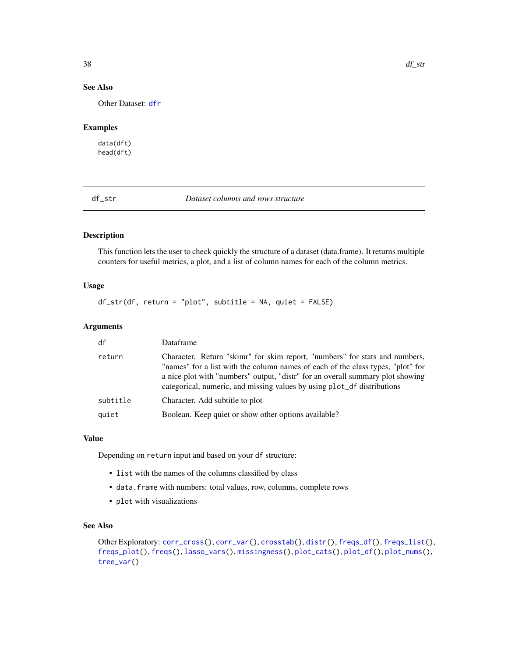## See Also

Other Dataset: [dfr](#page-35-0)

## Examples

data(dft) head(dft)

<span id="page-37-0"></span>df\_str *Dataset columns and rows structure*

## Description

This function lets the user to check quickly the structure of a dataset (data.frame). It returns multiple counters for useful metrics, a plot, and a list of column names for each of the column metrics.

#### Usage

df\_str(df, return = "plot", subtitle = NA, quiet = FALSE)

#### Arguments

| df       | Dataframe                                                                                                                                                                                                                                                                                                                   |
|----------|-----------------------------------------------------------------------------------------------------------------------------------------------------------------------------------------------------------------------------------------------------------------------------------------------------------------------------|
| return   | Character. Return "skimr" for skim report, "numbers" for stats and numbers,<br>"names" for a list with the column names of each of the class types, "plot" for<br>a nice plot with "numbers" output, "distr" for an overall summary plot showing<br>categorical, numeric, and missing values by using plot_df distributions |
| subtitle | Character. Add subtitle to plot                                                                                                                                                                                                                                                                                             |
| quiet    | Boolean. Keep quiet or show other options available?                                                                                                                                                                                                                                                                        |

## Value

Depending on return input and based on your df structure:

- list with the names of the columns classified by class
- data.frame with numbers: total values, row, columns, complete rows
- plot with visualizations

## See Also

```
Other Exploratory: corr_cross(), corr_var(), crosstab(), distr(), freqs_df(), freqs_list(),
freqs_plot(), freqs(), lasso_vars(), missingness(), plot_cats(), plot_df(), plot_nums(),
tree_var()
```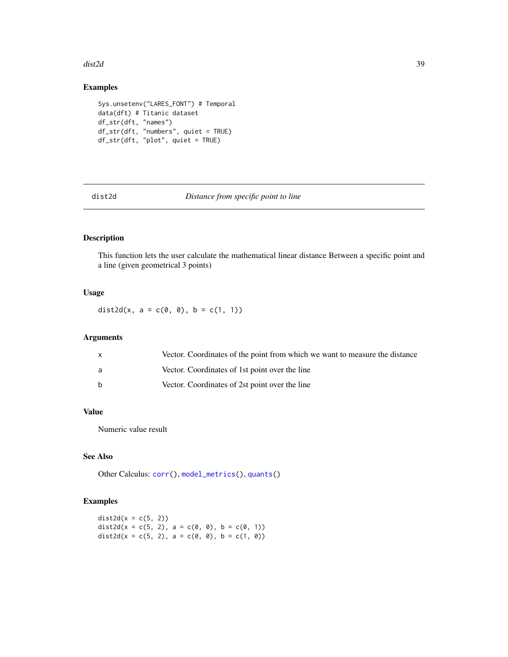#### dist2d 39

## Examples

```
Sys.unsetenv("LARES_FONT") # Temporal
data(dft) # Titanic dataset
df_str(dft, "names")
df_str(dft, "numbers", quiet = TRUE)
df_str(dft, "plot", quiet = TRUE)
```
dist2d *Distance from specific point to line*

## Description

This function lets the user calculate the mathematical linear distance Between a specific point and a line (given geometrical 3 points)

## Usage

dist2d(x, a =  $c(0, 0)$ , b =  $c(1, 1)$ )

## Arguments

| $\mathsf{x}$ | Vector. Coordinates of the point from which we want to measure the distance |
|--------------|-----------------------------------------------------------------------------|
| a            | Vector. Coordinates of 1st point over the line                              |
| <sub>b</sub> | Vector. Coordinates of 2st point over the line                              |

## Value

Numeric value result

# See Also

Other Calculus: [corr\(](#page-20-0)), [model\\_metrics\(](#page-108-0)), [quants\(](#page-146-0))

## Examples

 $dist2d(x = c(5, 2))$ dist2d(x = c(5, 2), a = c(0, 0), b = c(0, 1)) dist2d(x = c(5, 2), a = c(0, 0), b = c(1, 0))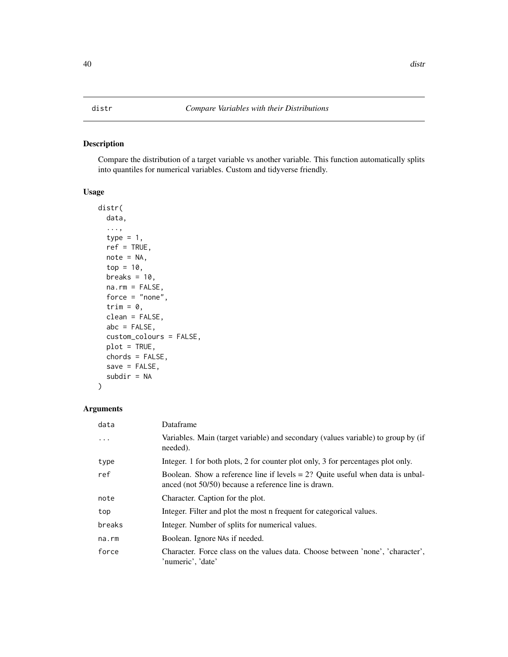#### <span id="page-39-0"></span>Description

Compare the distribution of a target variable vs another variable. This function automatically splits into quantiles for numerical variables. Custom and tidyverse friendly.

## Usage

```
distr(
  data,
  ...,
  type = 1,
  ref = TRUE,note = NA,top = 10,
 breaks = 10,
 na.rm = FALSE,
  force = "none",
  trim = 0,
  clean = FALSE,
  abc = FALSE,custom_colours = FALSE,
 plot = TRUE,
  chords = FALSE,
  save = FALSE,subdir = NA
)
```

| data   | Dataframe                                                                                                                                 |
|--------|-------------------------------------------------------------------------------------------------------------------------------------------|
| .      | Variables. Main (target variable) and secondary (values variable) to group by (if<br>needed).                                             |
| type   | Integer. 1 for both plots, 2 for counter plot only, 3 for percentages plot only.                                                          |
| ref    | Boolean. Show a reference line if levels $= 2$ ? Ouite useful when data is unbal-<br>anced (not 50/50) because a reference line is drawn. |
| note   | Character. Caption for the plot.                                                                                                          |
| top    | Integer. Filter and plot the most n frequent for categorical values.                                                                      |
| breaks | Integer. Number of splits for numerical values.                                                                                           |
| na.rm  | Boolean. Ignore NAs if needed.                                                                                                            |
| force  | Character. Force class on the values data. Choose between 'none', 'character',<br>'numeric', 'date'                                       |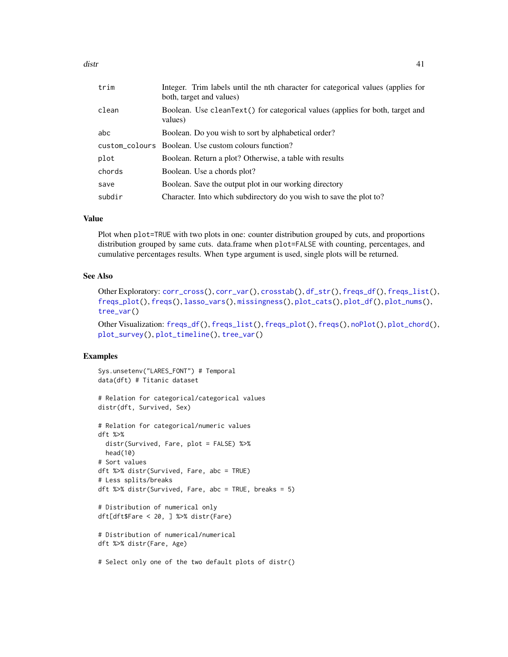| trim   | Integer. Trim labels until the nth character for categorical values (applies for<br>both, target and values) |
|--------|--------------------------------------------------------------------------------------------------------------|
| clean  | Boolean. Use cleanText() for categorical values (applies for both, target and<br>values)                     |
| abc    | Boolean. Do you wish to sort by alphabetical order?                                                          |
|        | custom_colours Boolean. Use custom colours function?                                                         |
| plot   | Boolean. Return a plot? Otherwise, a table with results                                                      |
| chords | Boolean. Use a chords plot?                                                                                  |
| save   | Boolean. Save the output plot in our working directory                                                       |
| subdir | Character. Into which subdirectory do you wish to save the plot to?                                          |

#### Value

Plot when plot=TRUE with two plots in one: counter distribution grouped by cuts, and proportions distribution grouped by same cuts. data.frame when plot=FALSE with counting, percentages, and cumulative percentages results. When type argument is used, single plots will be returned.

#### See Also

```
Other Exploratory: corr_cross(), corr_var(), crosstab(), df_str(), freqs_df(), freqs_list(),
freqs_plot(), freqs(), lasso_vars(), missingness(), plot_cats(), plot_df(), plot_nums(),
tree_var()
```

```
Other Visualization: freqs_df(), freqs_list(), freqs_plot(), freqs(), noPlot(), plot_chord(),
plot_survey(), plot_timeline(), tree_var()
```
## Examples

```
Sys.unsetenv("LARES_FONT") # Temporal
data(dft) # Titanic dataset
# Relation for categorical/categorical values
distr(dft, Survived, Sex)
# Relation for categorical/numeric values
dft %>%
  distr(Survived, Fare, plot = FALSE) %>%
 head(10)
# Sort values
dft %>% distr(Survived, Fare, abc = TRUE)
# Less splits/breaks
dft %>% distr(Survived, Fare, abc = TRUE, breaks = 5)
# Distribution of numerical only
dft[dft$Fare < 20, ] %>% distr(Fare)
# Distribution of numerical/numerical
dft %>% distr(Fare, Age)
# Select only one of the two default plots of distr()
```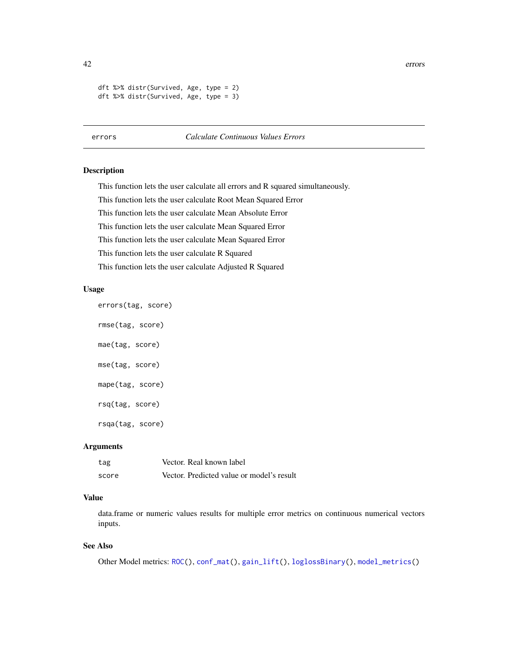42 errors

```
dft %>% distr(Survived, Age, type = 2)
dft %>% distr(Survived, Age, type = 3)
```
## <span id="page-41-0"></span>errors *Calculate Continuous Values Errors*

#### Description

This function lets the user calculate all errors and R squared simultaneously.

This function lets the user calculate Root Mean Squared Error

This function lets the user calculate Mean Absolute Error

This function lets the user calculate Mean Squared Error

This function lets the user calculate Mean Squared Error

This function lets the user calculate R Squared

This function lets the user calculate Adjusted R Squared

#### Usage

```
errors(tag, score)
```

```
rmse(tag, score)
mae(tag, score)
mse(tag, score)
mape(tag, score)
rsq(tag, score)
rsqa(tag, score)
```
## Arguments

| tag   | Vector. Real known label                  |
|-------|-------------------------------------------|
| score | Vector. Predicted value or model's result |

## Value

data.frame or numeric values results for multiple error metrics on continuous numerical vectors inputs.

## See Also

Other Model metrics: [ROC\(](#page-157-0)), [conf\\_mat\(](#page-19-0)), [gain\\_lift\(](#page-69-0)), [loglossBinary\(](#page-105-0)), [model\\_metrics\(](#page-108-0))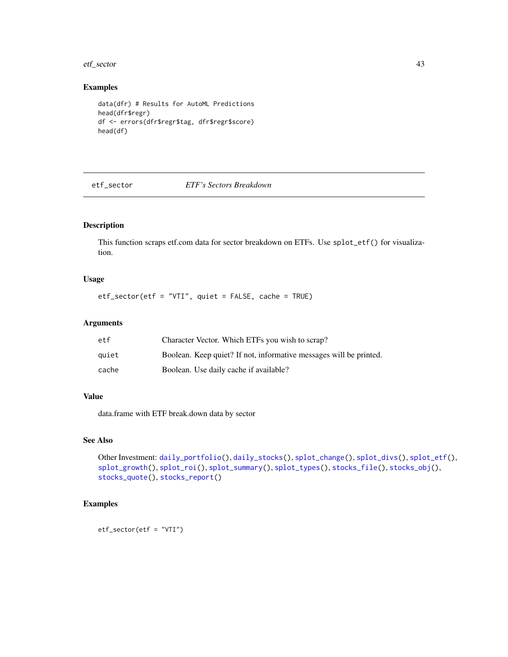#### etf\_sector 43

# Examples

```
data(dfr) # Results for AutoML Predictions
head(dfr$regr)
df <- errors(dfr$regr$tag, dfr$regr$score)
head(df)
```
#### etf\_sector *ETF's Sectors Breakdown*

## Description

This function scraps etf.com data for sector breakdown on ETFs. Use splot\_etf() for visualization.

## Usage

etf\_sector(etf = "VTI", quiet = FALSE, cache = TRUE)

## Arguments

| etf   | Character Vector. Which ETFs you wish to scrap?                    |
|-------|--------------------------------------------------------------------|
| quiet | Boolean. Keep quiet? If not, informative messages will be printed. |
| cache | Boolean. Use daily cache if available?                             |

#### Value

data.frame with ETF break.down data by sector

#### See Also

```
Other Investment: daily_portfolio(), daily_stocks(), splot_change(), splot_divs(), splot_etf(),
splot_growth(), splot_roi(), splot_summary(), splot_types(), stocks_file(), stocks_obj(),
stocks_quote(), stocks_report()
```
## Examples

etf\_sector(etf = "VTI")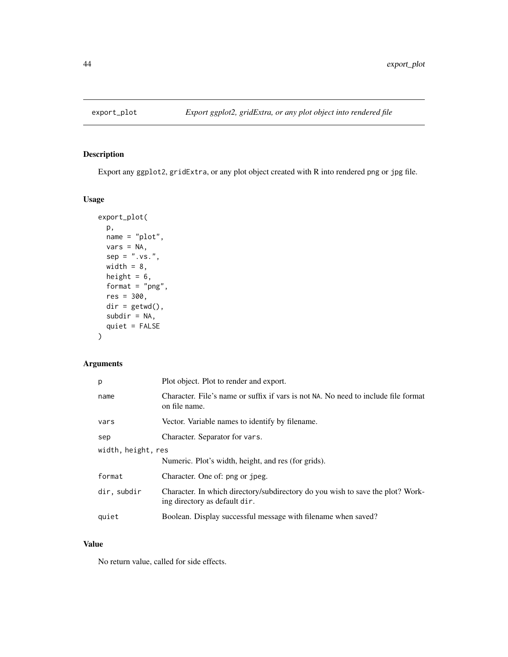<span id="page-43-0"></span>

## Description

Export any ggplot2, gridExtra, or any plot object created with R into rendered png or jpg file.

## Usage

```
export_plot(
 p,
 name = "plot",
 vars = NA,
 sep = ".vs."width = 8,
 height = 6,
 format = "png",
 res = 300,
 dir = getwd(),
 subdir = NA,
 quiet = FALSE
)
```
## Arguments

| р                  | Plot object. Plot to render and export.                                                                         |
|--------------------|-----------------------------------------------------------------------------------------------------------------|
| name               | Character. File's name or suffix if vars is not NA. No need to include file format<br>on file name.             |
| vars               | Vector. Variable names to identify by filename.                                                                 |
| sep                | Character. Separator for vars.                                                                                  |
| width, height, res |                                                                                                                 |
|                    | Numeric. Plot's width, height, and res (for grids).                                                             |
| format             | Character. One of: png or jpeg.                                                                                 |
| dir, subdir        | Character. In which directory/subdirectory do you wish to save the plot? Work-<br>ing directory as default dir. |
| quiet              | Boolean. Display successful message with filename when saved?                                                   |

# Value

No return value, called for side effects.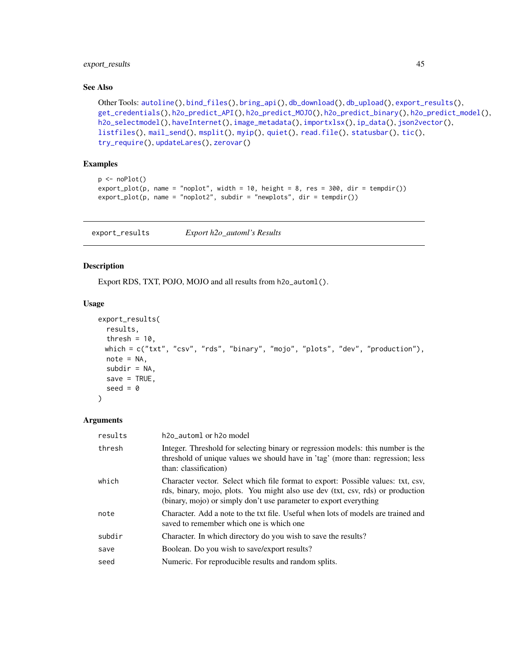## export\_results 45

#### See Also

```
Other Tools: autoline(), bind_files(), bring_api(), db_download(), db_upload(), export_results(),
get_credentials(), h2o_predict_API(), h2o_predict_MOJO(), h2o_predict_binary(), h2o_predict_model(),
h2o_selectmodel(), haveInternet(), image_metadata(), importxlsx(), ip_data(), json2vector(),
listfiles(), mail_send(), msplit(), myip(), quiet(), read.file(), statusbar(), tic(),
try_require(), updateLares(), zerovar()
```
## Examples

```
p \leftarrow \text{noPlot}()export\_plot(p, name = "noplot", width = 10, height = 8, res = 300, dir = tempdir())export_plot(p, name = "noplot2", subdir = "newplots", dir = tempdir())
```
<span id="page-44-0"></span>export\_results *Export h2o\_automl's Results*

### Description

Export RDS, TXT, POJO, MOJO and all results from h2o\_automl().

#### Usage

```
export_results(
  results,
 thresh = 10,
 which = c("txt", "csv", "rds", "binary", "mojo", "plots", "dev", "production"),
 note = NA,subdir = NA,
 save = TRUE,
  seed = \theta)
```

| results | h <sub>20</sub> _automl or h <sub>20</sub> model                                                                                                                                                                                        |
|---------|-----------------------------------------------------------------------------------------------------------------------------------------------------------------------------------------------------------------------------------------|
| thresh  | Integer. Threshold for selecting binary or regression models: this number is the<br>threshold of unique values we should have in 'tag' (more than: regression; less<br>than: classification)                                            |
| which   | Character vector. Select which file format to export: Possible values: txt, csv,<br>rds, binary, mojo, plots. You might also use dev (txt, csv, rds) or production<br>(binary, mojo) or simply don't use parameter to export everything |
| note    | Character. Add a note to the txt file. Useful when lots of models are trained and<br>saved to remember which one is which one                                                                                                           |
| subdir  | Character. In which directory do you wish to save the results?                                                                                                                                                                          |
| save    | Boolean. Do you wish to save/export results?                                                                                                                                                                                            |
| seed    | Numeric. For reproducible results and random splits.                                                                                                                                                                                    |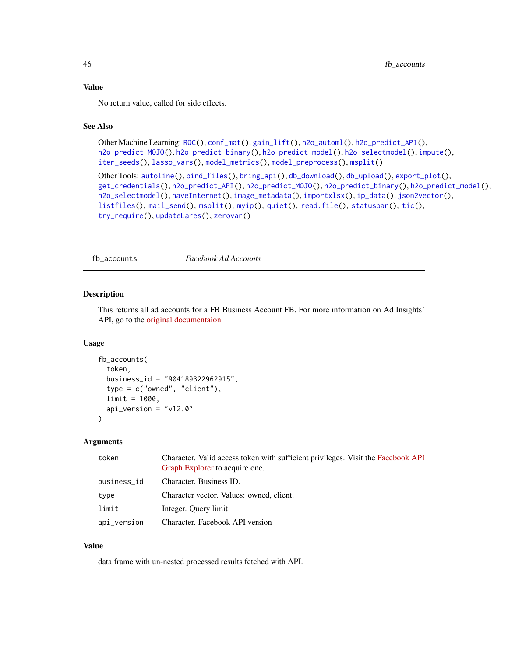#### Value

No return value, called for side effects.

## See Also

```
ROC(conf_mat(gain_lift(h2o_automl(h2o_predict_API(),
h2o_predict_MOJO(), h2o_predict_binary(), h2o_predict_model(), h2o_selectmodel(), impute(),
iter_seeds(), lasso_vars(), model_metrics(), model_preprocess(), msplit()
```

```
Other Tools: autoline(), bind_files(), bring_api(), db_download(), db_upload(), export_plot(),
get_credentials(), h2o_predict_API(), h2o_predict_MOJO(), h2o_predict_binary(), h2o_predict_model(),
h2o_selectmodel(), haveInternet(), image_metadata(), importxlsx(), ip_data(), json2vector(),
listfiles(), mail_send(), msplit(), myip(), quiet(), read.file(), statusbar(), tic(),
try_require(), updateLares(), zerovar()
```
<span id="page-45-0"></span>fb\_accounts *Facebook Ad Accounts*

#### Description

This returns all ad accounts for a FB Business Account FB. For more information on Ad Insights' API, go to the [original documentaion](https://developers.facebook.com/docs/marketing-api/insights/)

#### Usage

```
fb_accounts(
  token,
  business_id = "904189322962915",
  type = c("owned", "client"),limit = 1000,
  api_version = "v12.0"
\lambda
```
#### Arguments

| token       | Character. Valid access token with sufficient privileges. Visit the Facebook API<br>Graph Explorer to acquire one. |
|-------------|--------------------------------------------------------------------------------------------------------------------|
| business_id | Character. Business ID.                                                                                            |
| type        | Character vector. Values: owned, client.                                                                           |
| limit       | Integer. Query limit                                                                                               |
| api_version | Character. Facebook API version                                                                                    |
|             |                                                                                                                    |

## Value

data.frame with un-nested processed results fetched with API.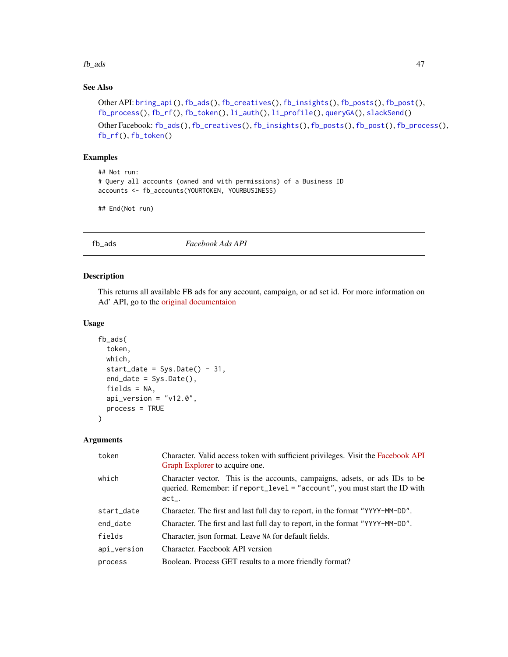#### $f_{\rm L}$  ads  $47$

# See Also

```
Other API: bring_api(), fb_ads(), fb_creatives(), fb_insights(), fb_posts(), fb_post(),
fb_process(), fb_rf(), fb_token(), li_auth(), li_profile(), queryGA(), slackSend()
Other Facebook: fb_ads(), fb_creatives(), fb_insights(), fb_posts(), fb_post(), fb_process(),
```

```
fb_rf(), fb_token()
```
## Examples

```
## Not run:
# Query all accounts (owned and with permissions) of a Business ID
accounts <- fb_accounts(YOURTOKEN, YOURBUSINESS)
```
## End(Not run)

<span id="page-46-0"></span>fb\_ads *Facebook Ads API*

#### Description

This returns all available FB ads for any account, campaign, or ad set id. For more information on Ad' API, go to the [original documentaion](https://developers.facebook.com/docs/marketing-api/reference/adgroup)

## Usage

```
fb_ads(
  token,
  which,
  start_date = Sys.Date() - 31,end_date = Sys.Date(),
  fields = NA,
  api\_version = "v12.0",process = TRUE
)
```

| Character. Valid access token with sufficient privileges. Visit the Facebook API<br>Graph Explorer to acquire one.                                                  |
|---------------------------------------------------------------------------------------------------------------------------------------------------------------------|
| Character vector. This is the accounts, campaigns, adsets, or ads IDs to be<br>queried. Remember: if report_level = "account", you must start the ID with<br>$act_$ |
| Character. The first and last full day to report, in the format "YYYY-MM-DD".                                                                                       |
| Character. The first and last full day to report, in the format "YYYY-MM-DD".                                                                                       |
| Character, json format. Leave NA for default fields.                                                                                                                |
| Character. Facebook API version                                                                                                                                     |
| Boolean. Process GET results to a more friendly format?                                                                                                             |
|                                                                                                                                                                     |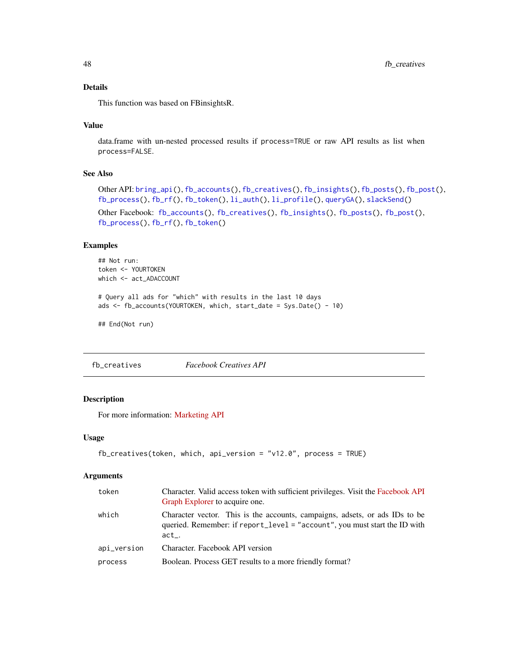## Details

This function was based on FBinsightsR.

## Value

data.frame with un-nested processed results if process=TRUE or raw API results as list when process=FALSE.

## See Also

```
Other API: bring_api(), fb_accounts(), fb_creatives(), fb_insights(), fb_posts(), fb_post(),
fb_process(), fb_rf(), fb_token(), li_auth(), li_profile(), queryGA(), slackSend()
```

```
Other Facebook: fb_accounts(), fb_creatives(), fb_insights(), fb_posts(), fb_post(),
fb_process(), fb_rf(), fb_token()
```
## Examples

```
## Not run:
token <- YOURTOKEN
which <- act_ADACCOUNT
```

```
# Query all ads for "which" with results in the last 10 days
ads <- fb_accounts(YOURTOKEN, which, start_date = Sys.Date() - 10)
```
## End(Not run)

<span id="page-47-0"></span>fb\_creatives *Facebook Creatives API*

#### Description

For more information: [Marketing API](https://developers.facebook.com/docs/marketing-apis)

#### Usage

```
fb_creatives(token, which, api_version = "v12.0", process = TRUE)
```

| token       | Character. Valid access token with sufficient privileges. Visit the Facebook API<br>Graph Explorer to acquire one.                                                    |
|-------------|-----------------------------------------------------------------------------------------------------------------------------------------------------------------------|
| which       | Character vector. This is the accounts, campaigns, adsets, or ads IDs to be<br>queried. Remember: if report_level = "account", you must start the ID with<br>$act_-.$ |
| api_version | Character. Facebook API version                                                                                                                                       |
| process     | Boolean. Process GET results to a more friendly format?                                                                                                               |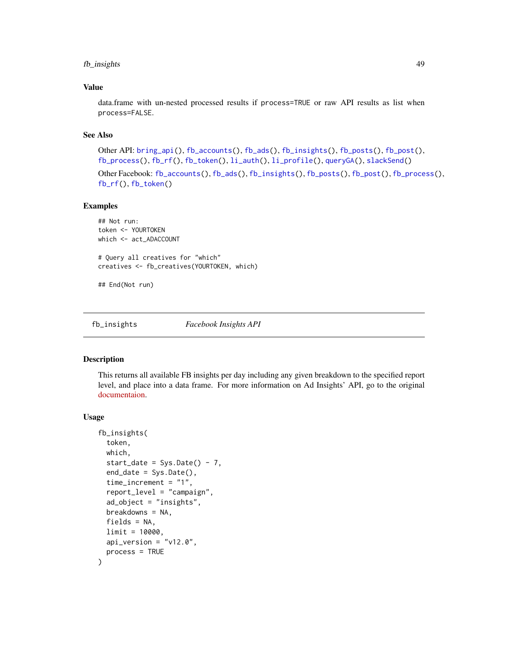## fb\_insights 49

## Value

data.frame with un-nested processed results if process=TRUE or raw API results as list when process=FALSE.

## See Also

Other API: [bring\\_api\(](#page-7-1)), [fb\\_accounts\(](#page-45-0)), [fb\\_ads\(](#page-46-0)), [fb\\_insights\(](#page-48-0)), [fb\\_posts\(](#page-51-0)), [fb\\_post\(](#page-50-0)), [fb\\_process\(](#page-52-0)), [fb\\_rf\(](#page-53-0)), [fb\\_token\(](#page-55-0)), [li\\_auth\(](#page-104-0)), [li\\_profile\(](#page-105-1)), [queryGA\(](#page-147-0)), [slackSend\(](#page-165-0))

Other Facebook: [fb\\_accounts\(](#page-45-0)), [fb\\_ads\(](#page-46-0)), [fb\\_insights\(](#page-48-0)), [fb\\_posts\(](#page-51-0)), [fb\\_post\(](#page-50-0)), [fb\\_process\(](#page-52-0)), [fb\\_rf\(](#page-53-0)), [fb\\_token\(](#page-55-0))

#### Examples

## Not run: token <- YOURTOKEN which <- act ADACCOUNT # Query all creatives for "which"

creatives <- fb\_creatives(YOURTOKEN, which)

## End(Not run)

<span id="page-48-0"></span>fb\_insights *Facebook Insights API*

#### Description

This returns all available FB insights per day including any given breakdown to the specified report level, and place into a data frame. For more information on Ad Insights' API, go to the original [documentaion.](https://developers.facebook.com/docs/marketing-api/insights/)

#### Usage

```
fb_insights(
  token,
  which,
  start_date = Sys.Date() - 7,
  end_date = Sys.Date(),
  time_increment = "1",
  report_level = "campaign",
  ad_object = "insights",
 breakdowns = NA,
  fields = NA,
  limit = 10000.
  api\_version = "v12.0",process = TRUE
)
```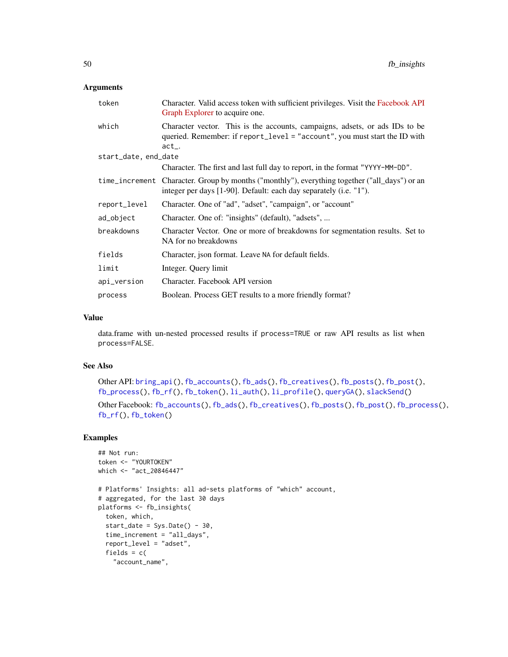## Arguments

| token                | Character. Valid access token with sufficient privileges. Visit the Facebook API<br>Graph Explorer to acquire one.                                                    |
|----------------------|-----------------------------------------------------------------------------------------------------------------------------------------------------------------------|
| which                | Character vector. This is the accounts, campaigns, adsets, or ads IDs to be<br>queried. Remember: if report_level = "account", you must start the ID with<br>$act_-.$ |
| start_date, end_date |                                                                                                                                                                       |
|                      | Character. The first and last full day to report, in the format "YYYY-MM-DD".                                                                                         |
|                      | time_increment Character. Group by months ("monthly"), everything together ("all_days") or an<br>integer per days [1-90]. Default: each day separately (i.e. "1").    |
| report_level         | Character. One of "ad", "adset", "campaign", or "account"                                                                                                             |
| ad_object            | Character. One of: "insights" (default), "adsets",                                                                                                                    |
| breakdowns           | Character Vector. One or more of breakdowns for segmentation results. Set to<br>NA for no breakdowns                                                                  |
| fields               | Character, json format. Leave NA for default fields.                                                                                                                  |
| limit                | Integer. Query limit                                                                                                                                                  |
| api_version          | Character. Facebook API version                                                                                                                                       |
| process              | Boolean. Process GET results to a more friendly format?                                                                                                               |

#### Value

data.frame with un-nested processed results if process=TRUE or raw API results as list when process=FALSE.

## See Also

Other API: [bring\\_api\(](#page-7-1)), [fb\\_accounts\(](#page-45-0)), [fb\\_ads\(](#page-46-0)), [fb\\_creatives\(](#page-47-0)), [fb\\_posts\(](#page-51-0)), [fb\\_post\(](#page-50-0)), [fb\\_process\(](#page-52-0)), [fb\\_rf\(](#page-53-0)), [fb\\_token\(](#page-55-0)), [li\\_auth\(](#page-104-0)), [li\\_profile\(](#page-105-1)), [queryGA\(](#page-147-0)), [slackSend\(](#page-165-0))

Other Facebook: [fb\\_accounts\(](#page-45-0)), [fb\\_ads\(](#page-46-0)), [fb\\_creatives\(](#page-47-0)), [fb\\_posts\(](#page-51-0)), [fb\\_post\(](#page-50-0)), [fb\\_process\(](#page-52-0)), [fb\\_rf\(](#page-53-0)), [fb\\_token\(](#page-55-0))

## Examples

```
## Not run:
token <- "YOURTOKEN"
which <- "act_20846447"
# Platforms' Insights: all ad-sets platforms of "which" account,
# aggregated, for the last 30 days
platforms <- fb_insights(
  token, which,
  start_date = Sys.Date() - 30,time_increment = "all_days",
  report_level = "adset",
  fields = c("account_name",
```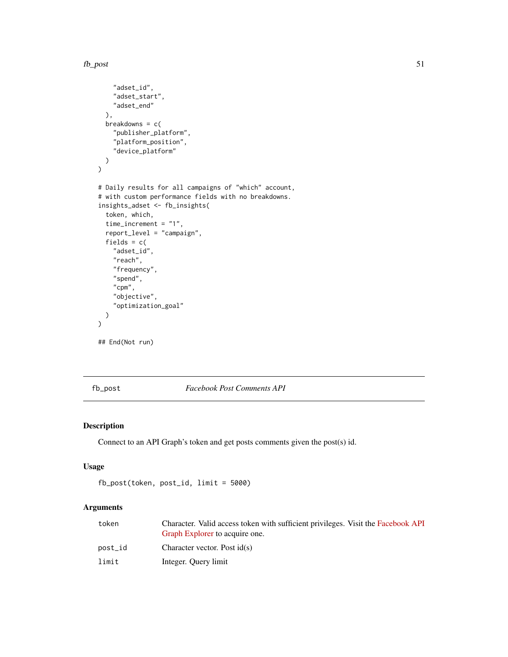```
"adset_id",
    "adset_start",
    "adset_end"
  ),
  breakdowns = c("publisher_platform",
    "platform_position",
    "device_platform"
  )
\mathcal{L}# Daily results for all campaigns of "which" account,
# with custom performance fields with no breakdowns.
insights_adset <- fb_insights(
  token, which,
  time_increment = "1",
  report_level = "campaign",
  fields = c("adset_id",
    "reach",
    "frequency",
    "spend",
    "cpm",
    "objective",
    "optimization_goal"
  )
\overline{\phantom{a}}## End(Not run)
```
<span id="page-50-0"></span>fb\_post *Facebook Post Comments API*

## Description

Connect to an API Graph's token and get posts comments given the post(s) id.

# Usage

```
fb_post(token, post_id, limit = 5000)
```

| token   | Character. Valid access token with sufficient privileges. Visit the Facebook API<br>Graph Explorer to acquire one. |
|---------|--------------------------------------------------------------------------------------------------------------------|
| post_id | Character vector. Post $id(s)$                                                                                     |
| limit   | Integer. Query limit                                                                                               |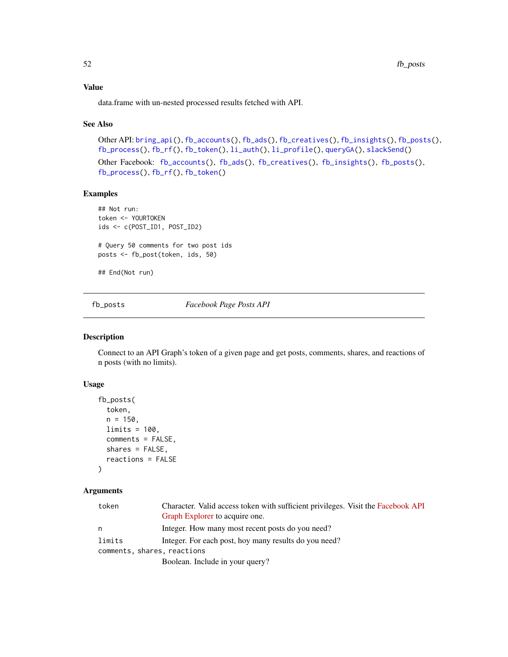## Value

data.frame with un-nested processed results fetched with API.

#### See Also

```
Other API: bring_api(), fb_accounts(), fb_ads(), fb_creatives(), fb_insights(), fb_posts(),
fb_process(), fb_rf(), fb_token(), li_auth(), li_profile(), queryGA(), slackSend()
Other Facebook: fb_accounts(), fb_ads(), fb_creatives(), fb_insights(), fb_posts(),
fb_process(), fb_rf(), fb_token()
```
#### Examples

```
## Not run:
token <- YOURTOKEN
ids <- c(POST_ID1, POST_ID2)
# Query 50 comments for two post ids
posts <- fb_post(token, ids, 50)
## End(Not run)
```
<span id="page-51-0"></span>

fb\_posts *Facebook Page Posts API*

## Description

Connect to an API Graph's token of a given page and get posts, comments, shares, and reactions of n posts (with no limits).

## Usage

```
fb_posts(
  token,
 n = 150,
 limits = 100,
 comments = FALSE,
  shares = FALSE,
  reactions = FALSE
```
## )

| token  | Character. Valid access token with sufficient privileges. Visit the Facebook API |
|--------|----------------------------------------------------------------------------------|
|        | Graph Explorer to acquire one.                                                   |
| n      | Integer. How many most recent posts do you need?                                 |
| limits | Integer. For each post, hoy many results do you need?                            |
|        | comments, shares, reactions                                                      |
|        | Boolean. Include in your query?                                                  |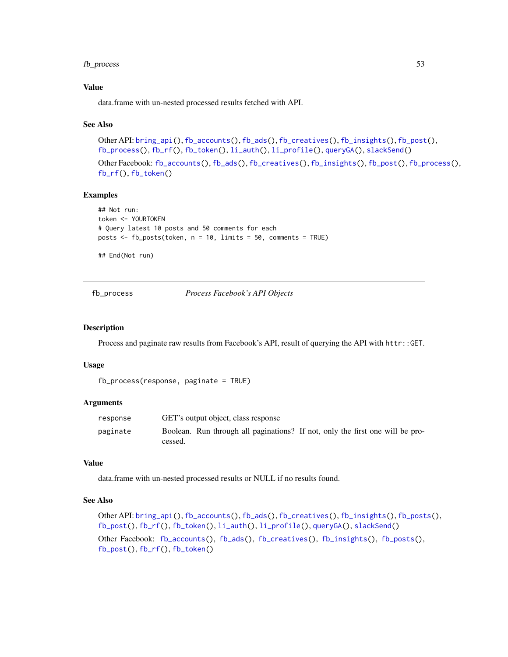## fb\_process 53

## Value

data.frame with un-nested processed results fetched with API.

#### See Also

Other API: [bring\\_api\(](#page-7-1)), [fb\\_accounts\(](#page-45-0)), [fb\\_ads\(](#page-46-0)), [fb\\_creatives\(](#page-47-0)), [fb\\_insights\(](#page-48-0)), [fb\\_post\(](#page-50-0)), [fb\\_process\(](#page-52-0)), [fb\\_rf\(](#page-53-0)), [fb\\_token\(](#page-55-0)), [li\\_auth\(](#page-104-0)), [li\\_profile\(](#page-105-1)), [queryGA\(](#page-147-0)), [slackSend\(](#page-165-0))

Other Facebook: [fb\\_accounts\(](#page-45-0)), [fb\\_ads\(](#page-46-0)), [fb\\_creatives\(](#page-47-0)), [fb\\_insights\(](#page-48-0)), [fb\\_post\(](#page-50-0)), [fb\\_process\(](#page-52-0)), [fb\\_rf\(](#page-53-0)), [fb\\_token\(](#page-55-0))

## Examples

```
## Not run:
token <- YOURTOKEN
# Query latest 10 posts and 50 comments for each
posts <- fb_posts(token, n = 10, limits = 50, comments = TRUE)
```
## End(Not run)

<span id="page-52-0"></span>fb\_process *Process Facebook's API Objects*

#### **Description**

Process and paginate raw results from Facebook's API, result of querying the API with httr::GET.

#### Usage

```
fb_process(response, paginate = TRUE)
```
#### **Arguments**

| response | GET's output object, class response                                                      |
|----------|------------------------------------------------------------------------------------------|
| paginate | Boolean. Run through all paginations? If not, only the first one will be pro-<br>cessed. |

### Value

data.frame with un-nested processed results or NULL if no results found.

#### See Also

Other API: [bring\\_api\(](#page-7-1)), [fb\\_accounts\(](#page-45-0)), [fb\\_ads\(](#page-46-0)), [fb\\_creatives\(](#page-47-0)), [fb\\_insights\(](#page-48-0)), [fb\\_posts\(](#page-51-0)), [fb\\_post\(](#page-50-0)), [fb\\_rf\(](#page-53-0)), [fb\\_token\(](#page-55-0)), [li\\_auth\(](#page-104-0)), [li\\_profile\(](#page-105-1)), [queryGA\(](#page-147-0)), [slackSend\(](#page-165-0))

Other Facebook: [fb\\_accounts\(](#page-45-0)), [fb\\_ads\(](#page-46-0)), [fb\\_creatives\(](#page-47-0)), [fb\\_insights\(](#page-48-0)), [fb\\_posts\(](#page-51-0)), [fb\\_post\(](#page-50-0)), [fb\\_rf\(](#page-53-0)), [fb\\_token\(](#page-55-0))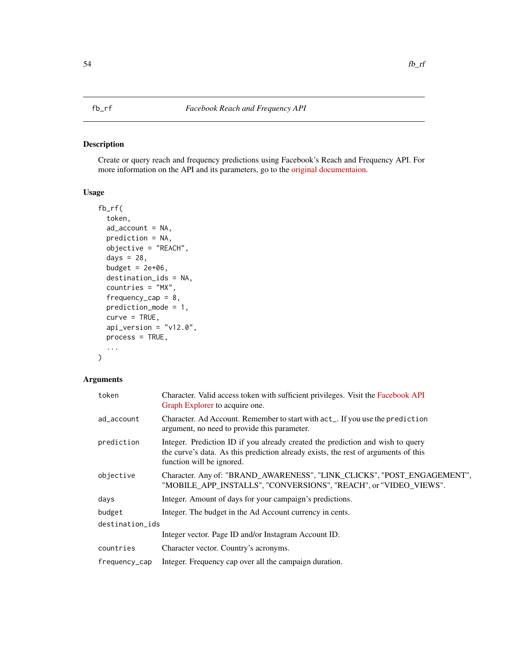## <span id="page-53-0"></span>Description

Create or query reach and frequency predictions using Facebook's Reach and Frequency API. For more information on the API and its parameters, go to the [original documentaion.](https://developers.facebook.com/docs/marketing-api/insights)

## Usage

```
fb_rf(
  token,
  ad_account = NA,
 prediction = NA,
 objective = "REACH",
  days = 28,
 budget = 2e+06,
  destination_ids = NA,
  countries = "MX",
  frequency_{cap} = 8,
 prediction_mode = 1,
  curve = TRUE,api_version = "v12.0",
 process = TRUE,
  ...
)
```

| token           | Character. Valid access token with sufficient privileges. Visit the Facebook API<br>Graph Explorer to acquire one.                                                                                |  |
|-----------------|---------------------------------------------------------------------------------------------------------------------------------------------------------------------------------------------------|--|
| ad_account      | Character. Ad Account. Remember to start with act_. If you use the prediction<br>argument, no need to provide this parameter.                                                                     |  |
| prediction      | Integer. Prediction ID if you already created the prediction and wish to query<br>the curve's data. As this prediction already exists, the rest of arguments of this<br>function will be ignored. |  |
| objective       | Character. Any of: "BRAND_AWARENESS", "LINK_CLICKS", "POST_ENGAGEMENT",<br>"MOBILE APP INSTALLS", "CONVERSIONS", "REACH", or "VIDEO VIEWS".                                                       |  |
| days            | Integer. Amount of days for your campaign's predictions.                                                                                                                                          |  |
| budget          | Integer. The budget in the Ad Account currency in cents.                                                                                                                                          |  |
| destination_ids |                                                                                                                                                                                                   |  |
|                 | Integer vector. Page ID and/or Instagram Account ID.                                                                                                                                              |  |
| countries       | Character vector. Country's acronyms.                                                                                                                                                             |  |
| frequency_cap   | Integer. Frequency cap over all the campaign duration.                                                                                                                                            |  |
|                 |                                                                                                                                                                                                   |  |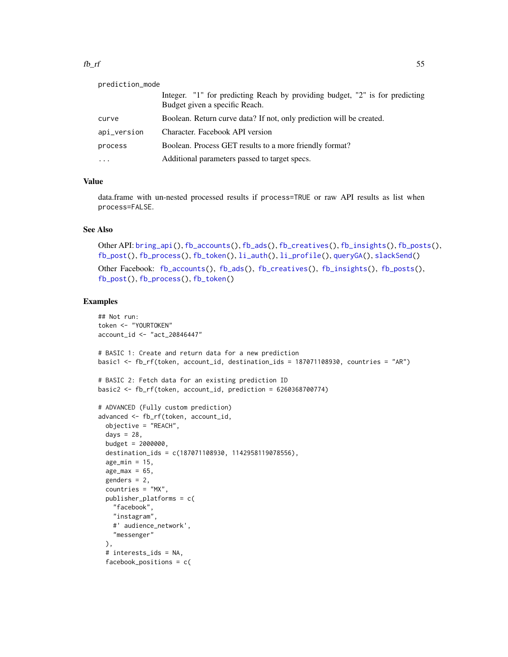#### $f_{\rm b\_rf}$  55

| prediction_mode |                                                                                                                |
|-----------------|----------------------------------------------------------------------------------------------------------------|
|                 | Integer. "1" for predicting Reach by providing budget, "2" is for predicting<br>Budget given a specific Reach. |
| curve           | Boolean. Return curve data? If not, only prediction will be created.                                           |
| api_version     | Character. Facebook API version                                                                                |
| process         | Boolean. Process GET results to a more friendly format?                                                        |
| $\cdots$        | Additional parameters passed to target specs.                                                                  |

## Value

data.frame with un-nested processed results if process=TRUE or raw API results as list when process=FALSE.

#### See Also

```
Other API: bring_api(), fb_accounts(), fb_ads(), fb_creatives(), fb_insights(), fb_posts(),
fb_post(), fb_process(), fb_token(), li_auth(), li_profile(), queryGA(), slackSend()
fb_accounts(fb_ads(fb_creatives(fb_insights(fb_posts(),
```

```
fb_post(), fb_process(), fb_token()
```
#### Examples

```
## Not run:
token <- "YOURTOKEN"
account_id <- "act_20846447"
# BASIC 1: Create and return data for a new prediction
basic1 <- fb_rf(token, account_id, destination_ids = 187071108930, countries = "AR")
# BASIC 2: Fetch data for an existing prediction ID
basic2 <- fb_rf(token, account_id, prediction = 6260368700774)
# ADVANCED (Fully custom prediction)
advanced <- fb_rf(token, account_id,
  objective = "REACH",
  days = 28,
  budget = 2000000,destination_ids = c(187071108930, 1142958119078556),
  age\_min = 15,
  age_max = 65,
  genders = 2,
  countries = "MX",
  publisher_platforms = c(
    "facebook",
    "instagram",
    #' audience_network',
    "messenger"
  ),
  # interests_ids = NA,
  facebook_positions = c(
```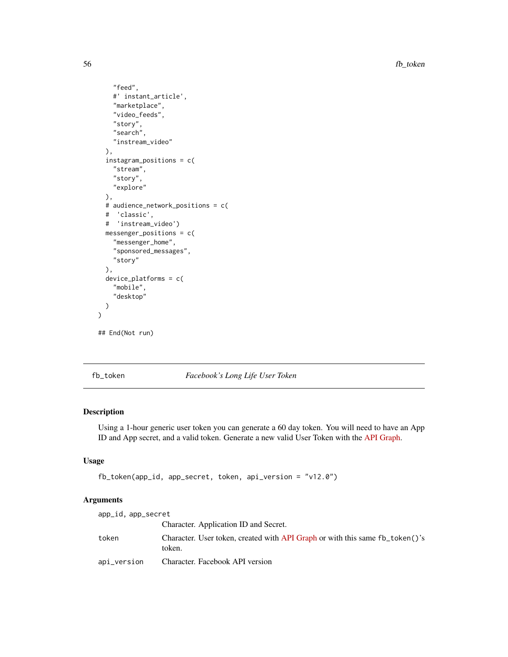56 fb\_token

```
"feed",
    #' instant_article',
    "marketplace",
    "video_feeds",
    "story",
   "search",
    "instream_video"
 ),
 instagram_positions = c(
    "stream",
    "story",
    "explore"
 ),
 # audience_network_positions = c(
 # 'classic',
 # 'instream_video')
 messenger_positions = c(
   "messenger_home",
    "sponsored_messages",
   "story"
 ),
 device_platforms = c(
    "mobile",
    "desktop"
 )
## End(Not run)
```
)

<span id="page-55-0"></span>fb\_token *Facebook's Long Life User Token*

## Description

Using a 1-hour generic user token you can generate a 60 day token. You will need to have an App ID and App secret, and a valid token. Generate a new valid User Token with the [API Graph.](https://developers.facebook.com/tools/explorer)

## Usage

```
fb_token(app_id, app_secret, token, api_version = "v12.0")
```

| app_id, app_secret |                                                                                        |
|--------------------|----------------------------------------------------------------------------------------|
|                    | Character. Application ID and Secret.                                                  |
| token              | Character. User token, created with API Graph or with this same fb_token()'s<br>token. |
| api_version        | Character. Facebook API version                                                        |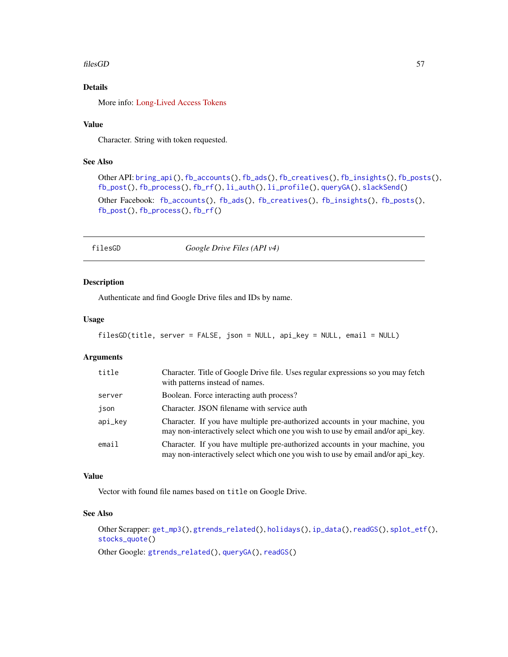#### filesGD 57

# Details

More info: [Long-Lived Access Tokens](https://developers.facebook.com/docs/facebook-login/access-tokens/refreshing/)

#### Value

Character. String with token requested.

## See Also

```
Other API: bring_api(), fb_accounts(), fb_ads(), fb_creatives(), fb_insights(), fb_posts(),
fb_post(), fb_process(), fb_rf(), li_auth(), li_profile(), queryGA(), slackSend()
Other Facebook: fb_accounts(), fb_ads(), fb_creatives(), fb_insights(), fb_posts(),
fb_post(), fb_process(), fb_rf()
```
filesGD *Google Drive Files (API v4)*

## Description

Authenticate and find Google Drive files and IDs by name.

#### Usage

```
filesGD(title, server = FALSE, json = NULL, api_key = NULL, email = NULL)
```
#### Arguments

| title   | Character. Title of Google Drive file. Uses regular expressions so you may fetch<br>with patterns instead of names.                                             |
|---------|-----------------------------------------------------------------------------------------------------------------------------------------------------------------|
| server  | Boolean. Force interacting auth process?                                                                                                                        |
| json    | Character. JSON filename with service auth                                                                                                                      |
| api_kev | Character. If you have multiple pre-authorized accounts in your machine, you<br>may non-interactively select which one you wish to use by email and/or api_key. |
| email   | Character. If you have multiple pre-authorized accounts in your machine, you<br>may non-interactively select which one you wish to use by email and/or api_key. |

## Value

Vector with found file names based on title on Google Drive.

## See Also

Other Scrapper: [get\\_mp3\(](#page-73-0)), [gtrends\\_related\(](#page-79-0)), [holidays\(](#page-92-0)), [ip\\_data\(](#page-95-0)), [readGS\(](#page-150-0)), [splot\\_etf\(](#page-168-0)), [stocks\\_quote\(](#page-176-0))

Other Google: [gtrends\\_related\(](#page-79-0)), [queryGA\(](#page-147-0)), [readGS\(](#page-150-0))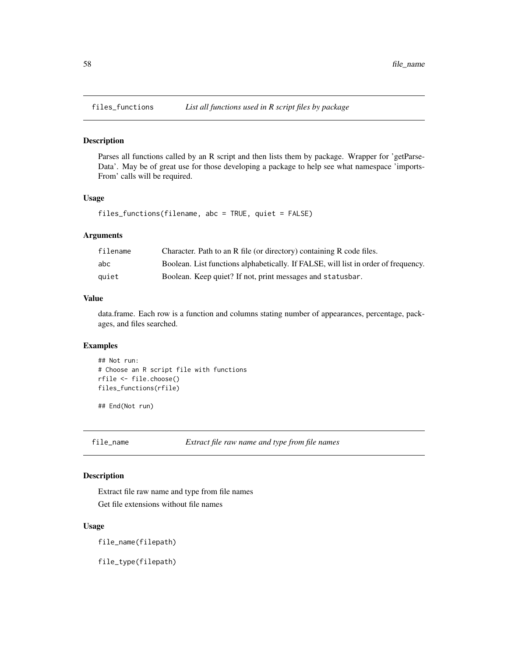## Description

Parses all functions called by an R script and then lists them by package. Wrapper for 'getParse-Data'. May be of great use for those developing a package to help see what namespace 'imports-From' calls will be required.

#### Usage

```
files_functions(filename, abc = TRUE, quiet = FALSE)
```
#### Arguments

| filename | Character. Path to an R file (or directory) containing R code files.               |
|----------|------------------------------------------------------------------------------------|
| abc      | Boolean. List functions alphabetically. If FALSE, will list in order of frequency. |
| quiet    | Boolean. Keep quiet? If not, print messages and statusbar.                         |

## Value

data.frame. Each row is a function and columns stating number of appearances, percentage, packages, and files searched.

#### Examples

```
## Not run:
# Choose an R script file with functions
rfile <- file.choose()
files_functions(rfile)
```
## End(Not run)

file\_name *Extract file raw name and type from file names*

#### Description

Extract file raw name and type from file names Get file extensions without file names

#### Usage

file\_name(filepath)

file\_type(filepath)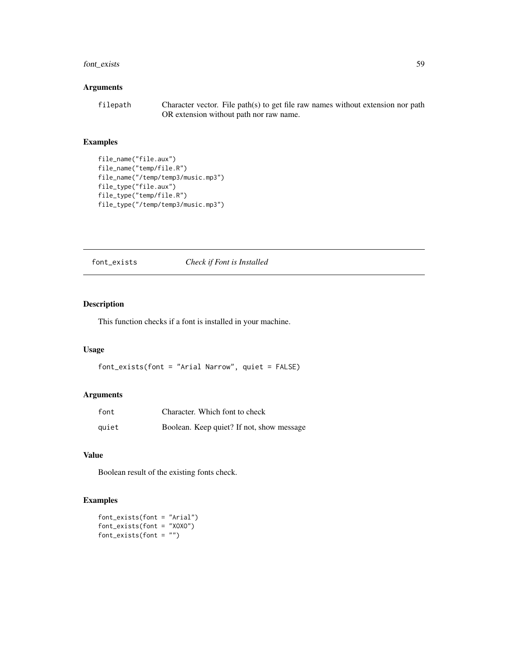## font\_exists 59

## Arguments

filepath Character vector. File path(s) to get file raw names without extension nor path OR extension without path nor raw name.

## Examples

```
file_name("file.aux")
file_name("temp/file.R")
file_name("/temp/temp3/music.mp3")
file_type("file.aux")
file_type("temp/file.R")
file_type("/temp/temp3/music.mp3")
```
font\_exists *Check if Font is Installed*

# Description

This function checks if a font is installed in your machine.

## Usage

font\_exists(font = "Arial Narrow", quiet = FALSE)

## Arguments

| font  | Character. Which font to check            |
|-------|-------------------------------------------|
| quiet | Boolean. Keep quiet? If not, show message |

#### Value

Boolean result of the existing fonts check.

## Examples

font\_exists(font = "Arial") font\_exists(font = "XOXO")  $font\_exists (font = "")$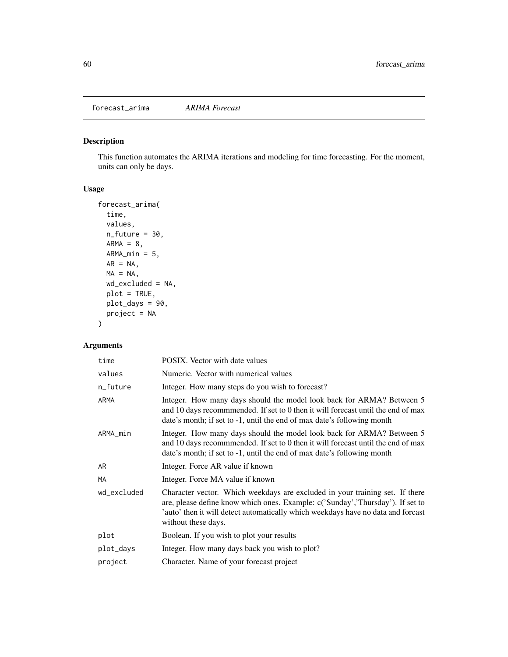forecast\_arima *ARIMA Forecast*

# Description

This function automates the ARIMA iterations and modeling for time forecasting. For the moment, units can only be days.

## Usage

```
forecast_arima(
  time,
  values,
 n_future = 30,
 ARMA = 8,
 ARMA\_min = 5,
 AR = NA,
 MA = NA,
 wd_excluded = NA,
 plot = TRUE,
 plot_days = 90,
 project = NA
)
```

| time        | <b>POSIX.</b> Vector with date values                                                                                                                                                                                                                                     |
|-------------|---------------------------------------------------------------------------------------------------------------------------------------------------------------------------------------------------------------------------------------------------------------------------|
| values      | Numeric. Vector with numerical values                                                                                                                                                                                                                                     |
| n_future    | Integer. How many steps do you wish to forecast?                                                                                                                                                                                                                          |
| ARMA        | Integer. How many days should the model look back for ARMA? Between 5<br>and 10 days recommended. If set to 0 then it will forecast until the end of max<br>date's month; if set to -1, until the end of max date's following month                                       |
| ARMA_min    | Integer. How many days should the model look back for ARMA? Between 5<br>and 10 days recommended. If set to 0 then it will forecast until the end of max<br>date's month; if set to -1, until the end of max date's following month                                       |
| AR          | Integer. Force AR value if known                                                                                                                                                                                                                                          |
| MA          | Integer. Force MA value if known                                                                                                                                                                                                                                          |
| wd_excluded | Character vector. Which weekdays are excluded in your training set. If there<br>are, please define know which ones. Example: c('Sunday','Thursday'). If set to<br>'auto' then it will detect automatically which weekdays have no data and forcast<br>without these days. |
| plot        | Boolean. If you wish to plot your results                                                                                                                                                                                                                                 |
| plot_days   | Integer. How many days back you wish to plot?                                                                                                                                                                                                                             |
| project     | Character. Name of your forecast project                                                                                                                                                                                                                                  |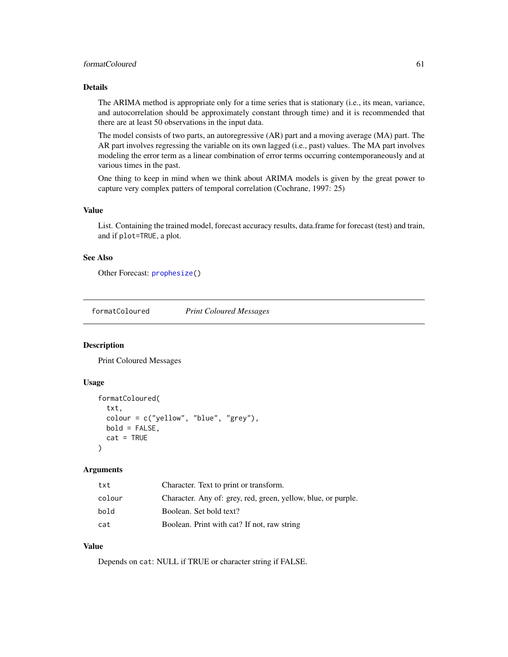## formatColoured 61 and 51 and 51 and 51 and 51 and 51 and 51 and 51 and 51 and 51 and 51 and 51 and 51 and 51 and 51 and 51 and 51 and 51 and 51 and 51 and 51 and 51 and 51 and 51 and 51 and 51 and 51 and 51 and 51 and 51 a

#### Details

The ARIMA method is appropriate only for a time series that is stationary (i.e., its mean, variance, and autocorrelation should be approximately constant through time) and it is recommended that there are at least 50 observations in the input data.

The model consists of two parts, an autoregressive (AR) part and a moving average (MA) part. The AR part involves regressing the variable on its own lagged (i.e., past) values. The MA part involves modeling the error term as a linear combination of error terms occurring contemporaneously and at various times in the past.

One thing to keep in mind when we think about ARIMA models is given by the great power to capture very complex patters of temporal correlation (Cochrane, 1997: 25)

#### Value

List. Containing the trained model, forecast accuracy results, data.frame for forecast (test) and train, and if plot=TRUE, a plot.

#### See Also

Other Forecast: [prophesize\(](#page-145-0))

formatColoured *Print Coloured Messages*

#### Description

Print Coloured Messages

#### Usage

```
formatColoured(
 txt,
 colour = c("yellow", "blue", "grey"),
 bold = FALSE,cat = TRUE)
```
#### Arguments

| txt    | Character. Text to print or transform.                        |
|--------|---------------------------------------------------------------|
| colour | Character. Any of: grey, red, green, yellow, blue, or purple. |
| bold   | Boolean. Set bold text?                                       |
| cat    | Boolean. Print with cat? If not, raw string                   |

#### Value

Depends on cat: NULL if TRUE or character string if FALSE.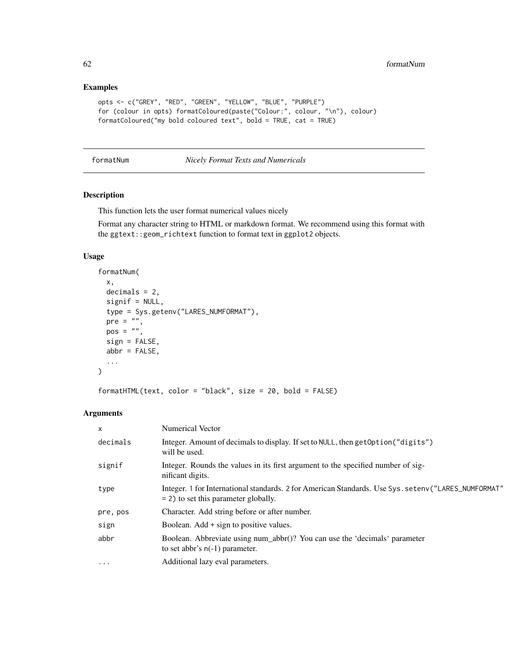## Examples

```
opts <- c("GREY", "RED", "GREEN", "YELLOW", "BLUE", "PURPLE")
for (colour in opts) formatColoured(paste("Colour:", colour, "\n"), colour)
formatColoured("my bold coloured text", bold = TRUE, cat = TRUE)
```
formatNum *Nicely Format Texts and Numericals*

### Description

This function lets the user format numerical values nicely

Format any character string to HTML or markdown format. We recommend using this format with the ggtext::geom\_richtext function to format text in ggplot2 objects.

#### Usage

```
formatNum(
  x,
  decimals = 2,
  signif = NULL,
  type = Sys.getenv("LARES_NUMFORMAT"),
  pre = ",
 pos = "",sign = FALSE,
  abbr = FALSE,...
\mathcal{L}
```
formatHTML(text, color = "black", size = 20, bold = FALSE)

| $\boldsymbol{\mathsf{x}}$ | <b>Numerical Vector</b>                                                                                                                         |
|---------------------------|-------------------------------------------------------------------------------------------------------------------------------------------------|
| decimals                  | Integer. Amount of decimals to display. If set to NULL, then getOption("digits")<br>will be used.                                               |
| signif                    | Integer. Rounds the values in its first argument to the specified number of sig-<br>nificant digits.                                            |
| type                      | Integer. 1 for International standards. 2 for American Standards. Use Sys. setenv ("LARES_NUMFORMAT"<br>$= 2$ ) to set this parameter globally. |
| pre, pos                  | Character. Add string before or after number.                                                                                                   |
| sign                      | Boolean. Add + sign to positive values.                                                                                                         |
| abbr                      | Boolean. Abbreviate using num_abbr()? You can use the 'decimals' parameter<br>to set abbr's $n(-1)$ parameter.                                  |
| $\cdots$                  | Additional lazy eval parameters.                                                                                                                |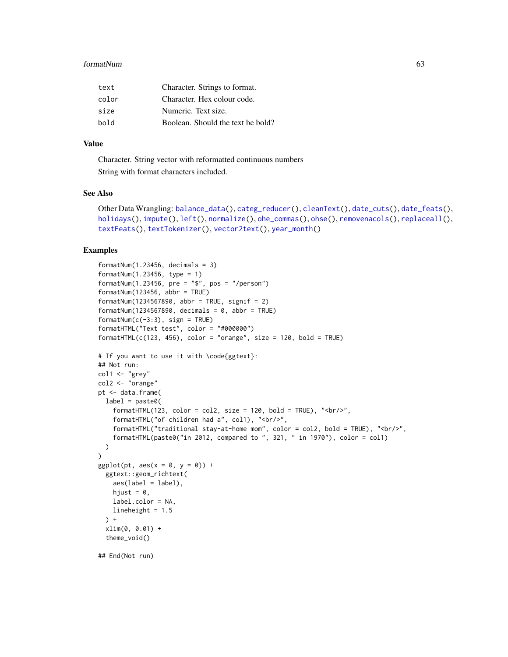#### formatNum 63

| text  | Character. Strings to format.     |
|-------|-----------------------------------|
| color | Character. Hex colour code.       |
| size  | Numeric. Text size.               |
| bold  | Boolean. Should the text be bold? |

#### Value

Character. String vector with reformatted continuous numbers String with format characters included.

#### See Also

```
Other Data Wrangling: balance_data(), categ_reducer(), cleanText(), date_cuts(), date_feats(),
holidays(), impute(), left(), normalize(), ohe_commas(), ohse(), removenacols(), replaceall(),
textFeats(), textTokenizer(), vector2text(), year_month()
```
#### Examples

```
formatNum(1.23456, decimals = 3)
formatNum(1.23456, type = 1)
formatNum(1.23456, pre = "$", pos = "/person")
formatNum(123456, abbr = TRUE)
formatNum(1234567890, abbr = TRUE, signif = 2)formatNum(1234567890, decimals = 0, abbr = TRUE)
formatNum(c(-3:3), sign = TRUE)formatHTML("Text test", color = "#000000")
formatHTML(c(123, 456), color = "orange", size = 120, bold = TRUE)# If you want to use it with \code{ggtext}:
## Not run:
col1 <- "grey"
col2 <- "orange"
pt <- data.frame(
  label = paste0(formatHTML(123, color = col2, size = 120, bold = TRUE), "<br/>h/>",
    formatHTML("of children had a", col1), "<br/>br/>",
    formatHTML("traditional stay-at-home mom", color = col2, bold = TRUE), "<br/>br/>",
    formatHTML(paste0("in 2012, compared to ", 321, " in 1970"), color = col1)
  )
\mathcal{L}ggplot(pt, aes(x = 0, y = 0)) +ggtext::geom_richtext(
   aes(label = label),
   hjust = 0,
   label.color = NA,
   lineheight = 1.5) +xlim(0, 0.01) +
  theme_void()
## End(Not run)
```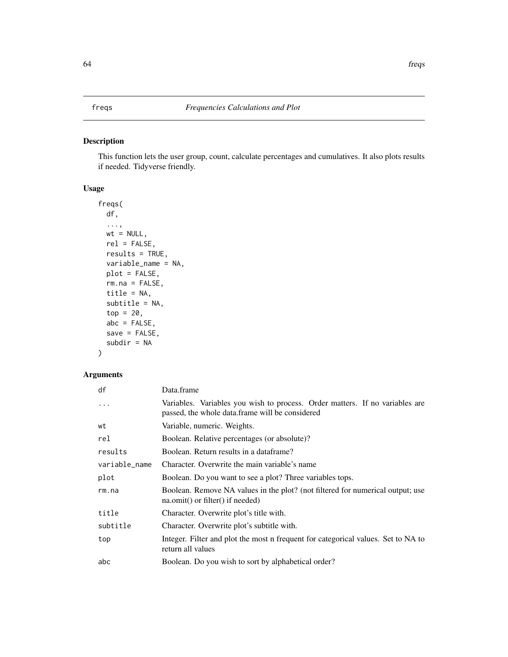## <span id="page-63-0"></span>Description

This function lets the user group, count, calculate percentages and cumulatives. It also plots results if needed. Tidyverse friendly.

## Usage

```
freqs(
  df,
  ...,
 wt = NULL,rel = FALSE,results = TRUE,
 variable_name = NA,
 plot = FALSE,
 rm.na = FALSE,
  title = NA,
  subtitle = NA,
  top = 20,
  abc = FALSE,save = FALSE,
  subdir = NA
```

```
)
```

| df            | Data.frame                                                                                                                      |
|---------------|---------------------------------------------------------------------------------------------------------------------------------|
| $\cdots$      | Variables. Variables you wish to process. Order matters. If no variables are<br>passed, the whole data frame will be considered |
| wt            | Variable, numeric. Weights.                                                                                                     |
| rel           | Boolean. Relative percentages (or absolute)?                                                                                    |
| results       | Boolean. Return results in a dataframe?                                                                                         |
| variable_name | Character. Overwrite the main variable's name                                                                                   |
| plot          | Boolean. Do you want to see a plot? Three variables tops.                                                                       |
| rm.na         | Boolean. Remove NA values in the plot? (not filtered for numerical output; use<br>$na.$ omit() or filter() if needed)           |
| title         | Character. Overwrite plot's title with.                                                                                         |
| subtitle      | Character. Overwrite plot's subtitle with.                                                                                      |
| top           | Integer. Filter and plot the most n frequent for categorical values. Set to NA to<br>return all values                          |
| abc           | Boolean. Do you wish to sort by alphabetical order?                                                                             |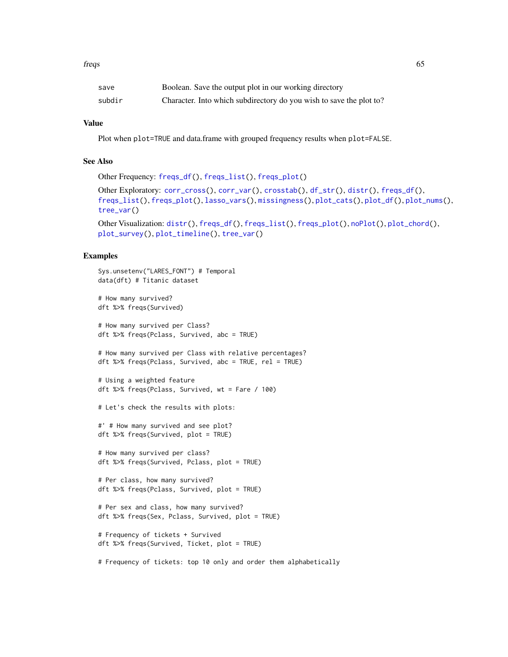#### freqs 65

| save   | Boolean. Save the output plot in our working directory              |
|--------|---------------------------------------------------------------------|
| subdir | Character. Into which subdirectory do you wish to save the plot to? |

## Value

Plot when plot=TRUE and data.frame with grouped frequency results when plot=FALSE.

# See Also

```
Other Frequency: freqs_df(), freqs_list(), freqs_plot()
```

```
Other Exploratory: corr_cross(), corr_var(), crosstab(), df_str(), distr(), freqs_df(),
freqs_list(), freqs_plot(), lasso_vars(), missingness(), plot_cats(), plot_df(), plot_nums(),
tree_var()
```

```
Other Visualization: distr(), freqs_df(), freqs_list(), freqs_plot(), noPlot(), plot_chord(),
plot_survey(), plot_timeline(), tree_var()
```
### Examples

```
Sys.unsetenv("LARES_FONT") # Temporal
data(dft) # Titanic dataset
# How many survived?
dft %>% freqs(Survived)
# How many survived per Class?
dft %>% freqs(Pclass, Survived, abc = TRUE)
# How many survived per Class with relative percentages?
dft %>% freqs(Pclass, Survived, abc = TRUE, rel = TRUE)
# Using a weighted feature
dft %>% freqs(Pclass, Survived, wt = Fare / 100)
# Let's check the results with plots:
#' # How many survived and see plot?
dft %>% freqs(Survived, plot = TRUE)
# How many survived per class?
dft %>% freqs(Survived, Pclass, plot = TRUE)
# Per class, how many survived?
dft %>% freqs(Pclass, Survived, plot = TRUE)
# Per sex and class, how many survived?
dft %>% freqs(Sex, Pclass, Survived, plot = TRUE)
# Frequency of tickets + Survived
dft %>% freqs(Survived, Ticket, plot = TRUE)
```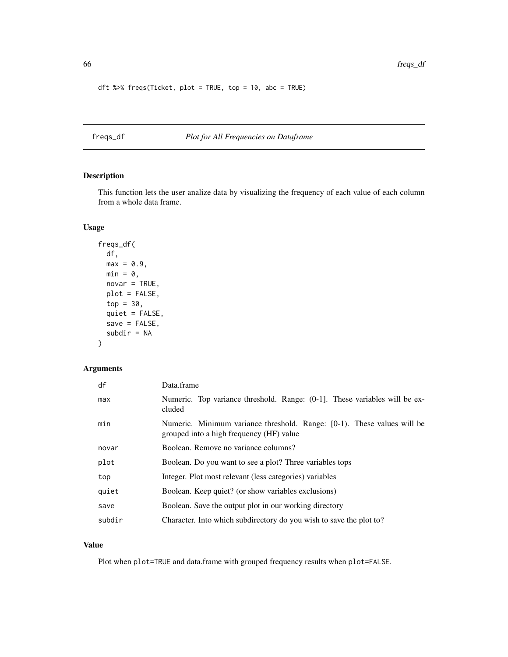```
dft %>% freqs(Ticket, plot = TRUE, top = 10, abc = TRUE)
```
<span id="page-65-0"></span>freqs\_df *Plot for All Frequencies on Dataframe*

## Description

This function lets the user analize data by visualizing the frequency of each value of each column from a whole data frame.

## Usage

```
freqs_df(
  df,
 max = 0.9,
 min = 0,
 novar = TRUE,plot = FALSE,
  top = 30,quiet = FALSE,
  save = FALSE,subdir = NA
\mathcal{L}
```
## Arguments

| df     | Data.frame                                                                                                          |
|--------|---------------------------------------------------------------------------------------------------------------------|
| max    | Numeric. Top variance threshold. Range: $(0-1)$ . These variables will be ex-<br>cluded                             |
| min    | Numeric. Minimum variance threshold. Range: [0-1). These values will be<br>grouped into a high frequency (HF) value |
| novar  | Boolean. Remove no variance columns?                                                                                |
| plot   | Boolean. Do you want to see a plot? Three variables tops                                                            |
| top    | Integer. Plot most relevant (less categories) variables                                                             |
| quiet  | Boolean. Keep quiet? (or show variables exclusions)                                                                 |
| save   | Boolean. Save the output plot in our working directory                                                              |
| subdir | Character. Into which subdirectory do you wish to save the plot to?                                                 |

## Value

Plot when plot=TRUE and data.frame with grouped frequency results when plot=FALSE.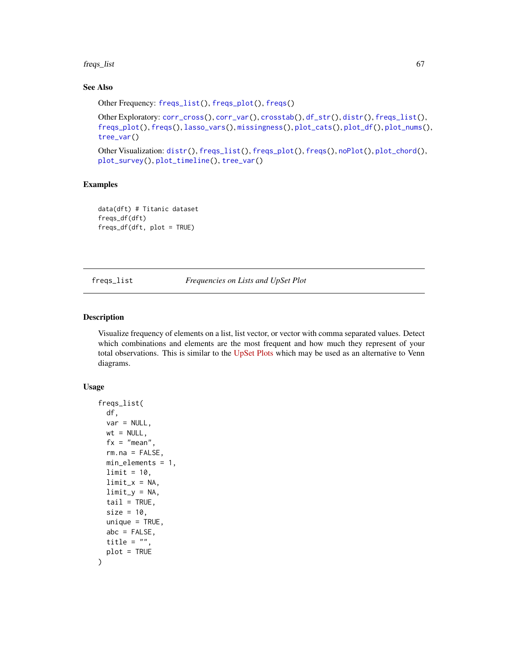#### freqs\_list 67

## See Also

```
Other Frequency: freqs_list(), freqs_plot(), freqs()
Other Exploratory: corr_cross(), corr_var(), crosstab(), df_str(), distr(), freqs_list(),
freqs_plot(), freqs(), lasso_vars(), missingness(), plot_cats(), plot_df(), plot_nums(),
tree_var()
```
Other Visualization: [distr\(](#page-39-0)), [freqs\\_list\(](#page-66-0)), [freqs\\_plot\(](#page-68-0)), [freqs\(](#page-63-0)), [noPlot\(](#page-132-0)), [plot\\_chord\(](#page-139-1)), [plot\\_survey\(](#page-142-0)), [plot\\_timeline\(](#page-143-0)), [tree\\_var\(](#page-188-0))

## Examples

data(dft) # Titanic dataset freqs\_df(dft) freqs\_df(dft, plot = TRUE)

<span id="page-66-0"></span>freqs\_list *Frequencies on Lists and UpSet Plot*

#### Description

Visualize frequency of elements on a list, list vector, or vector with comma separated values. Detect which combinations and elements are the most frequent and how much they represent of your total observations. This is similar to the [UpSet Plots](http://vcg.github.io/upset/) which may be used as an alternative to Venn diagrams.

#### Usage

```
freqs_list(
 df,
 var = NULL,wt = NULL,fx = "mean",rm.na = FALSE,min_elements = 1,
 limit = 10,limit_x = NA,
 limit_y = NA,
 tail = TRUE,size = 10.
 unique = TRUE,abc = FALSE,
 title = ",
 plot = TRUE
)
```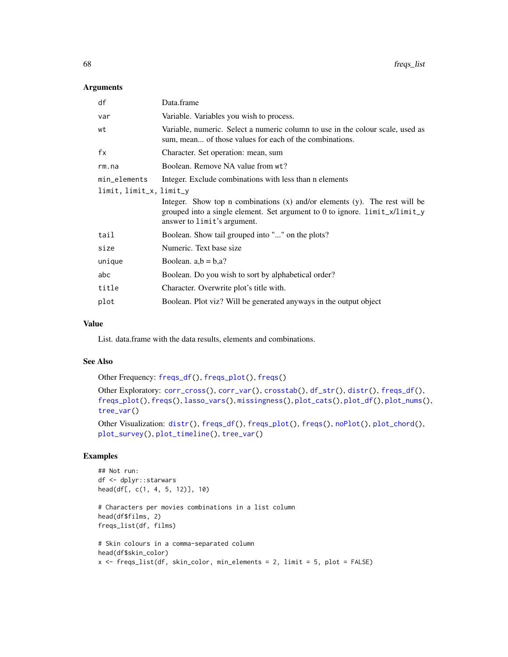## Arguments

| df                      | Data.frame                                                                                                                                                                                    |
|-------------------------|-----------------------------------------------------------------------------------------------------------------------------------------------------------------------------------------------|
| var                     | Variable. Variables you wish to process.                                                                                                                                                      |
| wt                      | Variable, numeric. Select a numeric column to use in the colour scale, used as<br>sum, mean of those values for each of the combinations.                                                     |
| fx                      | Character. Set operation: mean, sum                                                                                                                                                           |
| rm.na                   | Boolean. Remove NA value from wt?                                                                                                                                                             |
| min_elements            | Integer. Exclude combinations with less than a elements                                                                                                                                       |
| limit, limit_x, limit_y |                                                                                                                                                                                               |
|                         | Integer. Show top n combinations $(x)$ and/or elements $(y)$ . The rest will be<br>grouped into a single element. Set argument to 0 to ignore. limit_x/limit_y<br>answer to limit's argument. |
| tail                    | Boolean. Show tail grouped into "" on the plots?                                                                                                                                              |
| size                    | Numeric. Text base size.                                                                                                                                                                      |
| unique                  | Boolean. $a,b = b,a$ ?                                                                                                                                                                        |
| abc                     | Boolean. Do you wish to sort by alphabetical order?                                                                                                                                           |
| title                   | Character. Overwrite plot's title with.                                                                                                                                                       |
| plot                    | Boolean. Plot viz? Will be generated anyways in the output object                                                                                                                             |

### Value

List. data.frame with the data results, elements and combinations.

## See Also

Other Frequency: [freqs\\_df\(](#page-65-0)), [freqs\\_plot\(](#page-68-0)), [freqs\(](#page-63-0))

```
corr_cross(corr_var(crosstab(df_str(distr(freqs_df(),
freqs_plot(), freqs(), lasso_vars(), missingness(), plot_cats(), plot_df(), plot_nums(),
tree_var()
```

```
Other Visualization: distr(), freqs_df(), freqs_plot(), freqs(), noPlot(), plot_chord(),
plot_survey(), plot_timeline(), tree_var()
```
## Examples

```
## Not run:
df <- dplyr::starwars
head(df[, c(1, 4, 5, 12)], 10)
# Characters per movies combinations in a list column
head(df$films, 2)
freqs_list(df, films)
# Skin colours in a comma-separated column
head(df$skin_color)
x <- freqs_list(df, skin_color, min_elements = 2, limit = 5, plot = FALSE)
```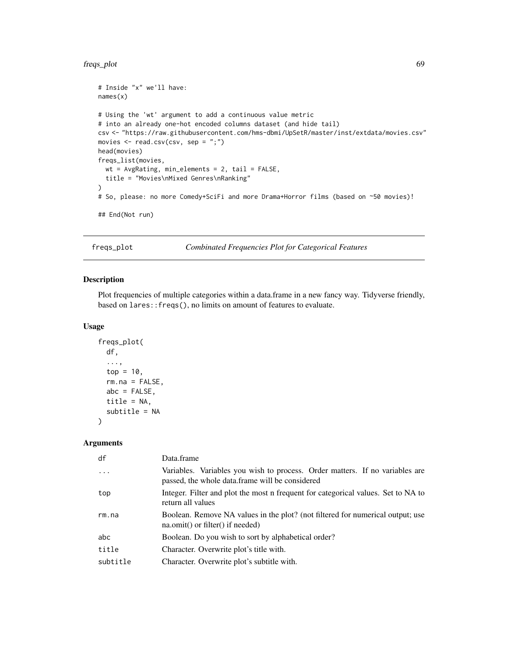#### freqs\_plot 69

```
# Inside "x" we'll have:
names(x)
# Using the 'wt' argument to add a continuous value metric
# into an already one-hot encoded columns dataset (and hide tail)
csv <- "https://raw.githubusercontent.com/hms-dbmi/UpSetR/master/inst/extdata/movies.csv"
movies \leq read.csv(csv, sep = ";")
head(movies)
freqs_list(movies,
  wt = AvgRating, min_elements = 2, tail = FALSE,title = "Movies\nMixed Genres\nRanking"
\lambda# So, please: no more Comedy+SciFi and more Drama+Horror films (based on ~50 movies)!
## End(Not run)
```
<span id="page-68-0"></span>freqs\_plot *Combinated Frequencies Plot for Categorical Features*

#### Description

Plot frequencies of multiple categories within a data.frame in a new fancy way. Tidyverse friendly, based on lares::freqs(), no limits on amount of features to evaluate.

#### Usage

```
freqs_plot(
  df,
  ...,
  top = 10,
  rm.na = FALSE,abc = FALSE,title = NA,
  subtitle = NA
)
```

| df       | Data.frame                                                                                                                      |
|----------|---------------------------------------------------------------------------------------------------------------------------------|
| $\cdot$  | Variables. Variables you wish to process. Order matters. If no variables are<br>passed, the whole data.frame will be considered |
| top      | Integer. Filter and plot the most n frequent for categorical values. Set to NA to<br>return all values                          |
| rm.na    | Boolean. Remove NA values in the plot? (not filtered for numerical output; use<br>$na.$ omit() or filter() if needed)           |
| abc      | Boolean. Do you wish to sort by alphabetical order?                                                                             |
| title    | Character. Overwrite plot's title with.                                                                                         |
| subtitle | Character. Overwrite plot's subtitle with.                                                                                      |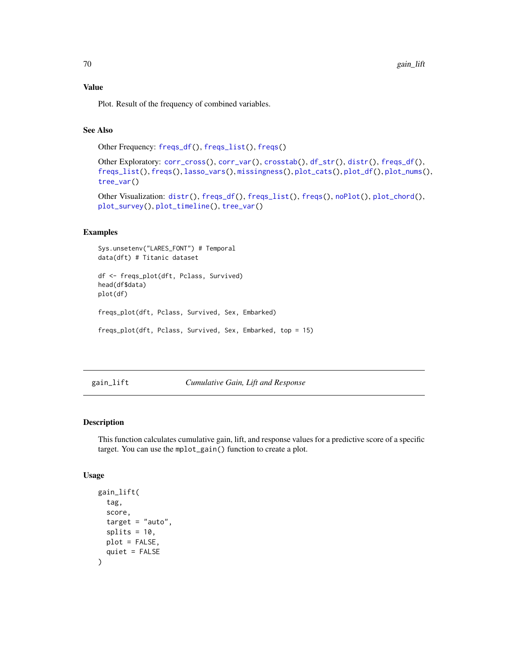Plot. Result of the frequency of combined variables.

## See Also

```
Other Frequency: freqs_df(), freqs_list(), freqs()
```
Other Exploratory: [corr\\_cross\(](#page-22-0)), [corr\\_var\(](#page-23-0)), [crosstab\(](#page-26-0)), [df\\_str\(](#page-37-0)), [distr\(](#page-39-0)), [freqs\\_df\(](#page-65-0)), [freqs\\_list\(](#page-66-0)), [freqs\(](#page-63-0)), [lasso\\_vars\(](#page-100-0)), [missingness\(](#page-107-0)), [plot\\_cats\(](#page-139-0)), [plot\\_df\(](#page-140-0)), [plot\\_nums\(](#page-141-0)), [tree\\_var\(](#page-188-0))

Other Visualization: [distr\(](#page-39-0)), [freqs\\_df\(](#page-65-0)), [freqs\\_list\(](#page-66-0)), [freqs\(](#page-63-0)), [noPlot\(](#page-132-0)), [plot\\_chord\(](#page-139-1)), [plot\\_survey\(](#page-142-0)), [plot\\_timeline\(](#page-143-0)), [tree\\_var\(](#page-188-0))

## Examples

```
Sys.unsetenv("LARES_FONT") # Temporal
data(dft) # Titanic dataset
df <- freqs_plot(dft, Pclass, Survived)
head(df$data)
plot(df)
freqs_plot(dft, Pclass, Survived, Sex, Embarked)
freqs_plot(dft, Pclass, Survived, Sex, Embarked, top = 15)
```
<span id="page-69-0"></span>gain\_lift *Cumulative Gain, Lift and Response*

#### Description

This function calculates cumulative gain, lift, and response values for a predictive score of a specific target. You can use the mplot\_gain() function to create a plot.

#### Usage

```
gain_lift(
  tag,
  score,
  target = "auto",splits = 10,plot = FALSE,
  quiet = FALSE
)
```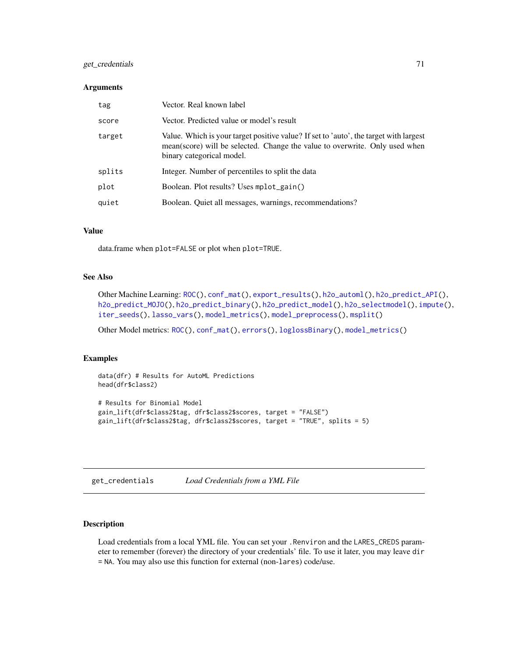## get\_credentials 71

#### **Arguments**

| tag    | Vector. Real known label                                                                                                                                                                          |
|--------|---------------------------------------------------------------------------------------------------------------------------------------------------------------------------------------------------|
| score  | Vector. Predicted value or model's result                                                                                                                                                         |
| target | Value. Which is your target positive value? If set to 'auto', the target with largest<br>mean(score) will be selected. Change the value to overwrite. Only used when<br>binary categorical model. |
| splits | Integer. Number of percentiles to split the data                                                                                                                                                  |
| plot   | Boolean. Plot results? Uses mplot_gain()                                                                                                                                                          |
| quiet  | Boolean. Quiet all messages, warnings, recommendations?                                                                                                                                           |

## Value

data.frame when plot=FALSE or plot when plot=TRUE.

## See Also

```
Other Machine Learning: ROC(), conf_mat(), export_results(), h2o_automl(), h2o_predict_API(),
h2o_predict_MOJO(h2o_predict_binary(h2o_predict_model(h2o_selectmodel(impute(),
iter_seeds(), lasso_vars(), model_metrics(), model_preprocess(), msplit()
```
Other Model metrics: [ROC\(](#page-157-0)), [conf\\_mat\(](#page-19-0)), [errors\(](#page-41-0)), [loglossBinary\(](#page-105-0)), [model\\_metrics\(](#page-108-0))

#### Examples

```
data(dfr) # Results for AutoML Predictions
head(dfr$class2)
# Results for Binomial Model
gain_lift(dfr$class2$tag, dfr$class2$scores, target = "FALSE")
gain_lift(dfr$class2$tag, dfr$class2$scores, target = "TRUE", splits = 5)
```
<span id="page-70-0"></span>

| get_credentials | Load Credentials from a YML File |  |
|-----------------|----------------------------------|--|
|                 |                                  |  |

## Description

Load credentials from a local YML file. You can set your .Renviron and the LARES\_CREDS parameter to remember (forever) the directory of your credentials' file. To use it later, you may leave dir = NA. You may also use this function for external (non-lares) code/use.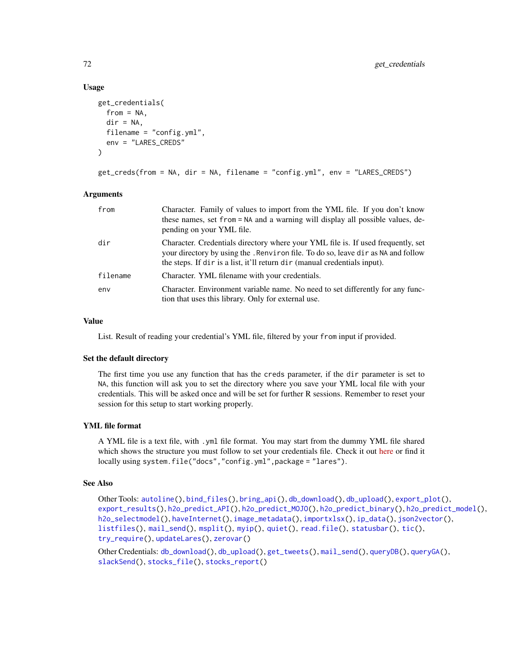#### Usage

```
get_credentials(
  from = NA,
  dir = NA,
  filename = "config.yml",
  env = "LARES_CREDS"
\lambda
```

```
get_creds(from = NA, dir = NA, filename = "config.yml", env = "LARES_CREDS")
```
#### Arguments

| from     | Character. Family of values to import from the YML file. If you don't know<br>these names, set from = NA and a warning will display all possible values, de-<br>pending on your YML file.                                                          |
|----------|----------------------------------------------------------------------------------------------------------------------------------------------------------------------------------------------------------------------------------------------------|
| dir      | Character. Credentials directory where your YML file is. If used frequently, set<br>your directory by using the . Renviron file. To do so, leave dir as NA and follow<br>the steps. If dir is a list, it'll return dir (manual credentials input). |
| filename | Character. YML filename with your credentials.                                                                                                                                                                                                     |
| env      | Character. Environment variable name. No need to set differently for any func-<br>tion that uses this library. Only for external use.                                                                                                              |

## Value

List. Result of reading your credential's YML file, filtered by your from input if provided.

#### Set the default directory

The first time you use any function that has the creds parameter, if the dir parameter is set to NA, this function will ask you to set the directory where you save your YML local file with your credentials. This will be asked once and will be set for further R sessions. Remember to reset your session for this setup to start working properly.

## YML file format

A YML file is a text file, with .yml file format. You may start from the dummy YML file shared which shows the structure you must follow to set your credentials file. Check it out [here](https://raw.githubusercontent.com/laresbernardo/lares/master/inst/docs/config.yml) or find it locally using system.file("docs","config.yml",package = "lares").

## See Also

Other Tools: [autoline\(](#page-5-0)), [bind\\_files\(](#page-7-0)), [bring\\_api\(](#page-7-1)), [db\\_download\(](#page-33-0)), [db\\_upload\(](#page-34-0)), [export\\_plot\(](#page-43-0)), [export\\_results\(](#page-44-0)), [h2o\\_predict\\_API\(](#page-85-0)), [h2o\\_predict\\_MOJO\(](#page-87-0)), [h2o\\_predict\\_binary\(](#page-85-1)), [h2o\\_predict\\_model\(](#page-86-0)), [h2o\\_selectmodel\(](#page-89-0)), [haveInternet\(](#page-91-0)), [image\\_metadata\(](#page-93-0)), [importxlsx\(](#page-93-1)), [ip\\_data\(](#page-95-0)), [json2vector\(](#page-98-0)), [listfiles\(](#page-102-0)), [mail\\_send\(](#page-106-0)), [msplit\(](#page-130-0)), [myip\(](#page-131-0)), [quiet\(](#page-148-0)), [read.file\(](#page-149-0)), [statusbar\(](#page-173-0)), [tic\(](#page-186-0)), [try\\_require\(](#page-191-0)), [updateLares\(](#page-191-1)), [zerovar\(](#page-198-0))

Other Credentials: [db\\_download\(](#page-33-0)), [db\\_upload\(](#page-34-0)), [get\\_tweets\(](#page-74-0)), [mail\\_send\(](#page-106-0)), [queryDB\(](#page-147-1)), [queryGA\(](#page-147-0)), [slackSend\(](#page-165-0)), [stocks\\_file\(](#page-174-0)), [stocks\\_report\(](#page-178-0))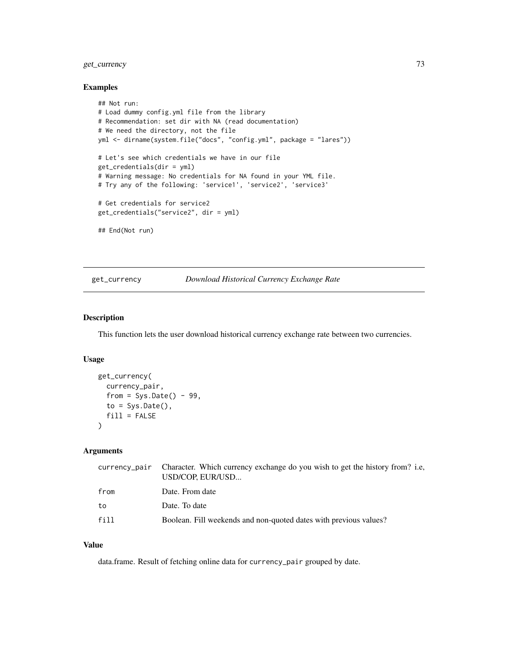## get\_currency 73

## Examples

```
## Not run:
# Load dummy config.yml file from the library
# Recommendation: set dir with NA (read documentation)
# We need the directory, not the file
yml <- dirname(system.file("docs", "config.yml", package = "lares"))
# Let's see which credentials we have in our file
get_credentials(dir = yml)
# Warning message: No credentials for NA found in your YML file.
# Try any of the following: 'service1', 'service2', 'service3'
# Get credentials for service2
get_credentials("service2", dir = yml)
## End(Not run)
```
## get\_currency *Download Historical Currency Exchange Rate*

#### Description

This function lets the user download historical currency exchange rate between two currencies.

#### Usage

```
get_currency(
  currency_pair,
  from = Sys.Date() - 99,to = Sys.<b>Date()</b>,fill = FALSE)
```
## Arguments

|      | currency_pair Character. Which currency exchange do you wish to get the history from? i.e,<br>USD/COP. EUR/USD |
|------|----------------------------------------------------------------------------------------------------------------|
| from | Date. From date                                                                                                |
| to   | Date. To date                                                                                                  |
| fill | Boolean. Fill weekends and non-quoted dates with previous values?                                              |

#### Value

data.frame. Result of fetching online data for currency\_pair grouped by date.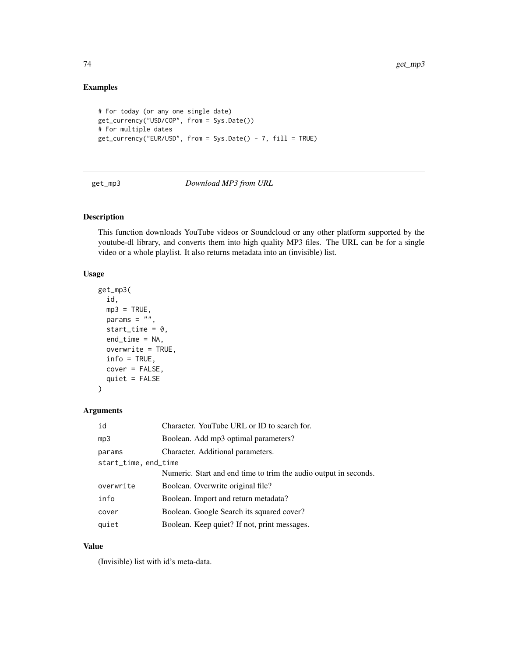## Examples

```
# For today (or any one single date)
get_currency("USD/COP", from = Sys.Date())
# For multiple dates
get_currency("EUR/USD", from = Sys.Date() - 7, fill = TRUE)
```
## <span id="page-73-0"></span>get\_mp3 *Download MP3 from URL*

#### Description

This function downloads YouTube videos or Soundcloud or any other platform supported by the youtube-dl library, and converts them into high quality MP3 files. The URL can be for a single video or a whole playlist. It also returns metadata into an (invisible) list.

## Usage

```
get_mp3(
  id,
  mp3 = TRUE,params = ",
  start_time = 0,
  end_time = NA,
  overwrite = TRUE,
  info = TRUE,
  cover = FALSE,
  quiet = FALSE
)
```
## Arguments

| id                   | Character. YouTube URL or ID to search for.                      |  |
|----------------------|------------------------------------------------------------------|--|
| mp3                  | Boolean. Add mp3 optimal parameters?                             |  |
| params               | Character. Additional parameters.                                |  |
| start_time, end_time |                                                                  |  |
|                      | Numeric. Start and end time to trim the audio output in seconds. |  |
| overwrite            | Boolean. Overwrite original file?                                |  |
| info                 | Boolean. Import and return metadata?                             |  |
| cover                | Boolean. Google Search its squared cover?                        |  |
| quiet                | Boolean. Keep quiet? If not, print messages.                     |  |

## Value

(Invisible) list with id's meta-data.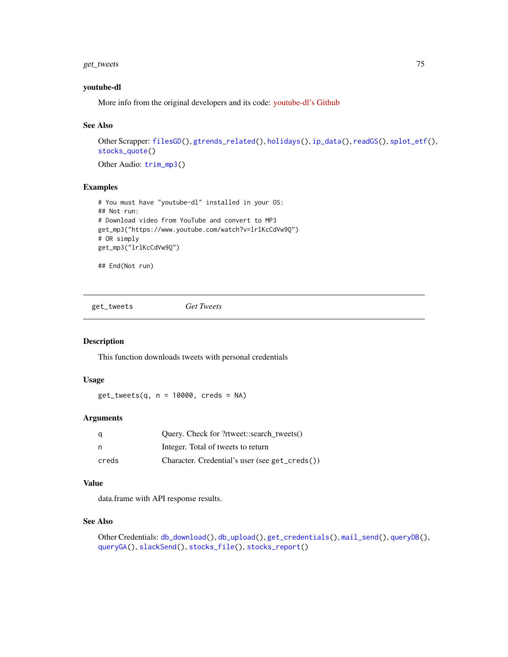## get\_tweets 75

#### youtube-dl

More info from the original developers and its code: [youtube-dl's Github](https://github.com/ytdl-org/youtube-dl/)

## See Also

```
Other Scrapper: filesGD(), gtrends_related(), holidays(), ip_data(), readGS(), splot_etf(),
stocks_quote()
```
Other Audio: [trim\\_mp3\(](#page-190-0))

## Examples

```
# You must have "youtube-dl" installed in your OS:
## Not run:
# Download video from YouTube and convert to MP3
get_mp3("https://www.youtube.com/watch?v=lrlKcCdVw9Q")
# OR simply
get_mp3("lrlKcCdVw9Q")
```
## End(Not run)

<span id="page-74-0"></span>get\_tweets *Get Tweets*

## Description

This function downloads tweets with personal credentials

## Usage

 $get_tweets(q, n = 10000, creds = NA)$ 

#### Arguments

| q     | Query. Check for ?rtweet::search_tweets()      |
|-------|------------------------------------------------|
| n     | Integer. Total of tweets to return             |
| creds | Character. Credential's user (see get_creds()) |

## Value

data.frame with API response results.

#### See Also

```
Other Credentials: db_download(), db_upload(), get_credentials(), mail_send(), queryDB(),
queryGA(), slackSend(), stocks_file(), stocks_report()
```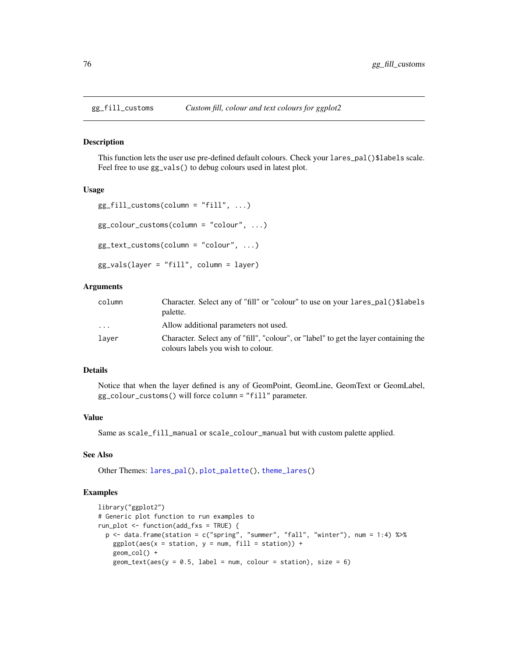<span id="page-75-0"></span>

This function lets the user use pre-defined default colours. Check your lares\_pal()\$labels scale. Feel free to use gg\_vals() to debug colours used in latest plot.

#### Usage

```
gg_fill_customs(colum = "fill", ...)gg_colour_customs(column = "colour", ...)
gg_text_customs(column = "colour", ...)
gg_vals(layer = "fill", column = layer)
```
## Arguments

| column  | Character. Select any of "fill" or "colour" to use on your lares_pal()\$labels<br>palette.                                  |
|---------|-----------------------------------------------------------------------------------------------------------------------------|
| $\cdot$ | Allow additional parameters not used.                                                                                       |
| layer   | Character. Select any of "fill", "colour", or "label" to get the layer containing the<br>colours labels you wish to colour. |

#### Details

Notice that when the layer defined is any of GeomPoint, GeomLine, GeomText or GeomLabel, gg\_colour\_customs() will force column = "fill" parameter.

#### Value

Same as scale\_fill\_manual or scale\_colour\_manual but with custom palette applied.

#### See Also

Other Themes: [lares\\_pal\(](#page-99-0)), [plot\\_palette\(](#page-142-0)), [theme\\_lares\(](#page-184-0))

## Examples

```
library("ggplot2")
# Generic plot function to run examples to
run_plot <- function(add_fxs = TRUE) {
 p <- data.frame(station = c("spring", "summer", "fall", "winter"), num = 1:4) %>%
   ggplot(aes(x = station, y = num, fill = station)) +geom_col() +
   geom\_text(aes(y = 0.5, label = num, colour = station), size = 6)
```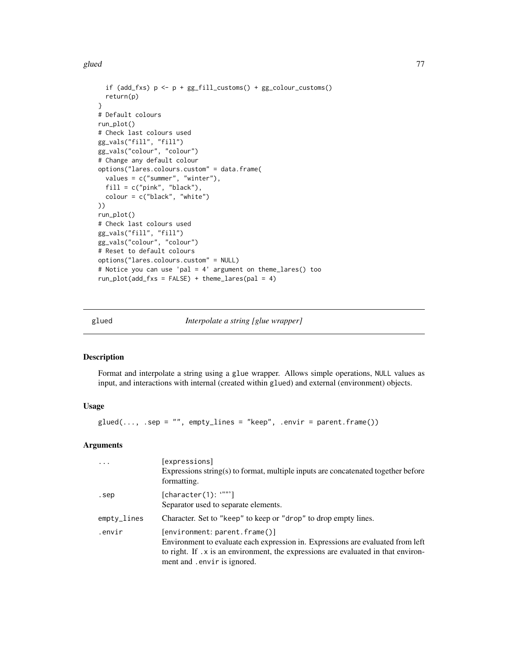#### glued 277 and 278 and 278 and 278 and 278 and 278 and 278 and 278 and 278 and 278 and 278 and 278 and 278 and

```
if (add_fxs) p \leftarrow p + gg\_fill\_customs() + gg\_colour\_customs()return(p)
}
# Default colours
run_plot()
# Check last colours used
gg_vals("fill", "fill")
gg_vals("colour", "colour")
# Change any default colour
options("lares.colours.custom" = data.frame(
  values = c("summer", "winter"),
  fill = c("pink", "black"),
  colour = c("black", "white")
))
run_plot()
# Check last colours used
gg_vals("fill", "fill")
gg_vals("colour", "colour")
# Reset to default colours
options("lares.colours.custom" = NULL)
# Notice you can use 'pal = 4' argument on theme_lares() too
run_plot(add_fxs = FALSE) + theme_lares(pal = 4)
```
glued *Interpolate a string [glue wrapper]*

#### Description

Format and interpolate a string using a glue wrapper. Allows simple operations, NULL values as input, and interactions with internal (created within glued) and external (environment) objects.

## Usage

 $glued(..., .sep = "", empty_lines = "keep", .envir = parent-frame())$ 

#### Arguments

| $\cdots$    | [expressions]<br>Expressions string(s) to format, multiple inputs are concatenated together before<br>formatting.                                                                                                                    |
|-------------|--------------------------------------------------------------------------------------------------------------------------------------------------------------------------------------------------------------------------------------|
| .sep        | [character(1): """]<br>Separator used to separate elements.                                                                                                                                                                          |
| empty_lines | Character. Set to "keep" to keep or "drop" to drop empty lines.                                                                                                                                                                      |
| .envir      | [environment: parent.frame()]<br>Environment to evaluate each expression in. Expressions are evaluated from left<br>to right. If .x is an environment, the expressions are evaluated in that environ-<br>ment and .envir is ignored. |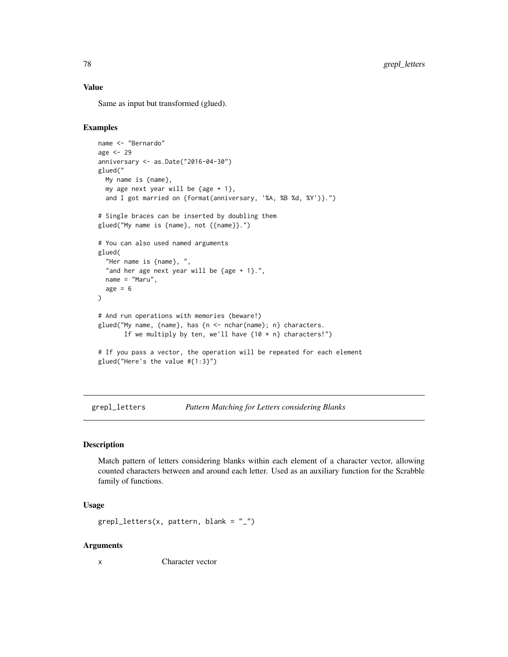## Value

Same as input but transformed (glued).

## Examples

```
name <- "Bernardo"
age <- 29
anniversary <- as.Date("2016-04-30")
glued("
  My name is {name},
  my age next year will be \{age + 1\},
  and I got married on {format(anniversary, '%A, %B %d, %Y')}.")
# Single braces can be inserted by doubling them
glued("My name is {name}, not {{name}}.")
# You can also used named arguments
glued(
  "Her name is {name}, ",
  "and her age next year will be {age + 1}.",
  name = "Maru",
  age = 6)
# And run operations with memories (beware!)
glued("My name, {name}, has {n <- nchar(name); n} characters.
       If we multiply by ten, we'll have {10 * n} characters!")
# If you pass a vector, the operation will be repeated for each element
glued("Here's the value #{1:3}")
```
grepl\_letters *Pattern Matching for Letters considering Blanks*

#### Description

Match pattern of letters considering blanks within each element of a character vector, allowing counted characters between and around each letter. Used as an auxiliary function for the Scrabble family of functions.

#### Usage

```
graph_{\text{letters}}(x, pattern, blank = "
```
#### Arguments

x Character vector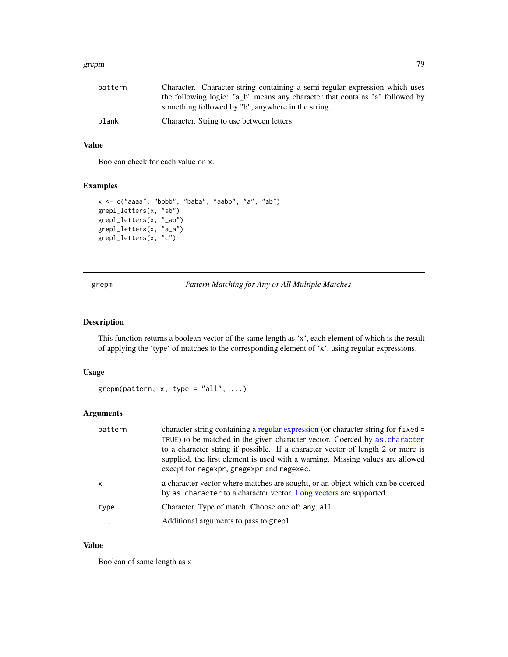#### grepm and the state of the state of the state of the state of the state of the state of the state of the state of the state of the state of the state of the state of the state of the state of the state of the state of the

| pattern | Character. Character string containing a semi-regular expression which uses  |
|---------|------------------------------------------------------------------------------|
|         | the following logic: "a b" means any character that contains "a" followed by |
|         | something followed by "b", anywhere in the string.                           |
| blank   | Character. String to use between letters.                                    |

## Value

Boolean check for each value on x.

#### Examples

```
x <- c("aaaa", "bbbb", "baba", "aabb", "a", "ab")
grepl_letters(x, "ab")
grepl_letters(x, "_ab")
grepl_letters(x, "a_a")
grepl_letters(x, "c")
```
grepm *Pattern Matching for Any or All Multiple Matches*

## Description

This function returns a boolean vector of the same length as 'x', each element of which is the result of applying the 'type' of matches to the corresponding element of 'x', using regular expressions.

#### Usage

```
grepm(pattern, x, type = "all", ...)
```
## Arguments

| by as character to a character vector. Long vectors are supported.<br>Character. Type of match. Choose one of: any, all<br>Additional arguments to pass to grepl | pattern | character string containing a regular expression (or character string for fixed =<br>TRUE) to be matched in the given character vector. Coerced by as character<br>to a character string if possible. If a character vector of length 2 or more is<br>supplied, the first element is used with a warning. Missing values are allowed<br>except for regexpr, gregexpr and regexec. |
|------------------------------------------------------------------------------------------------------------------------------------------------------------------|---------|-----------------------------------------------------------------------------------------------------------------------------------------------------------------------------------------------------------------------------------------------------------------------------------------------------------------------------------------------------------------------------------|
| type                                                                                                                                                             | x       | a character vector where matches are sought, or an object which can be coerced                                                                                                                                                                                                                                                                                                    |
|                                                                                                                                                                  |         |                                                                                                                                                                                                                                                                                                                                                                                   |
|                                                                                                                                                                  |         |                                                                                                                                                                                                                                                                                                                                                                                   |

#### Value

Boolean of same length as x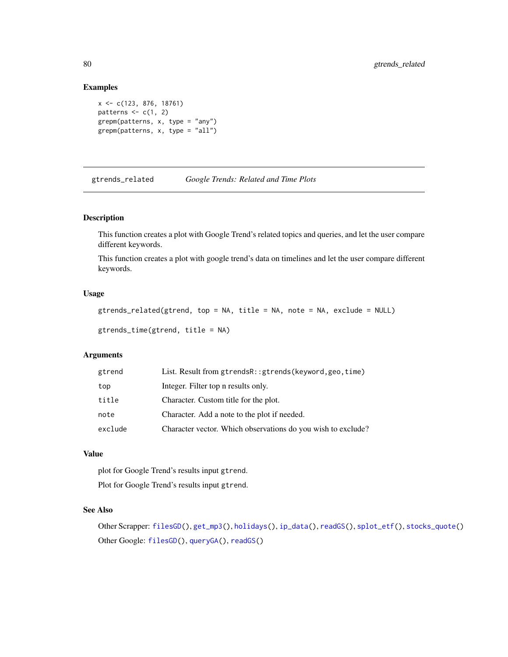#### Examples

```
x <- c(123, 876, 18761)
patterns \leq c(1, 2)grepm(patterns, x, type = "any")
grepm(patterns, x, type = "all")
```
<span id="page-79-0"></span>gtrends\_related *Google Trends: Related and Time Plots*

## Description

This function creates a plot with Google Trend's related topics and queries, and let the user compare different keywords.

This function creates a plot with google trend's data on timelines and let the user compare different keywords.

#### Usage

```
gtrends_related(gtrend, top = NA, title = NA, note = NA, exclude = NULL)
```

```
gtrends_time(gtrend, title = NA)
```
## Arguments

| gtrend  | List. Result from gtrendsR:: gtrends (keyword, geo, time)    |
|---------|--------------------------------------------------------------|
| top     | Integer. Filter top n results only.                          |
| title   | Character. Custom title for the plot.                        |
| note    | Character. Add a note to the plot if needed.                 |
| exclude | Character vector. Which observations do you wish to exclude? |

## Value

plot for Google Trend's results input gtrend. Plot for Google Trend's results input gtrend.

#### See Also

```
Other Scrapper: filesGD(), get_mp3(), holidays(), ip_data(), readGS(), splot_etf(), stocks_quote()
Other Google: filesGD(), queryGA(), readGS()
```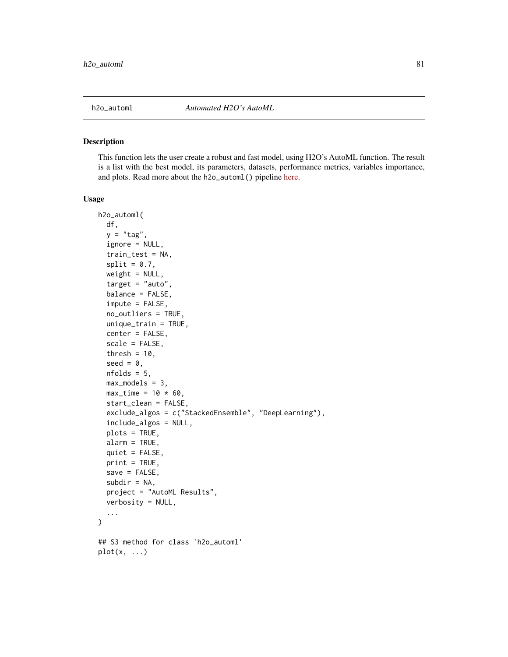<span id="page-80-0"></span>

This function lets the user create a robust and fast model, using H2O's AutoML function. The result is a list with the best model, its parameters, datasets, performance metrics, variables importance, and plots. Read more about the h2o\_automl() pipeline [here.](https://laresbernardo.github.io/lares/articles/h2o_automl.html)

#### Usage

```
h2o_automl(
  df,
  y = "tag",ignore = NULL,
  train_test = NA,
  split = 0.7,weight = NULL,target = "auto",balance = FALSE,
  impute = FALSE,
  no_outliers = TRUE,
  unique_train = TRUE,
  center = FALSE,
  scale = FALSE,
  thresh = 10,
  seed = 0,
  nfolds = 5,
 max_models = 3,
 max_time = 10 * 60,start_clean = FALSE,
  exclude_algos = c("StackedEnsemble", "DeepLearning"),
  include_algos = NULL,
  plots = TRUE,
  alarm = TRUE,
  quiet = FALSE,
 print = TRUE,
  save = FALSE,subdir = NA,
 project = "AutoML Results",
  verbosity = NULL,
  ...
)
## S3 method for class 'h2o_automl'
plot(x, ...)
```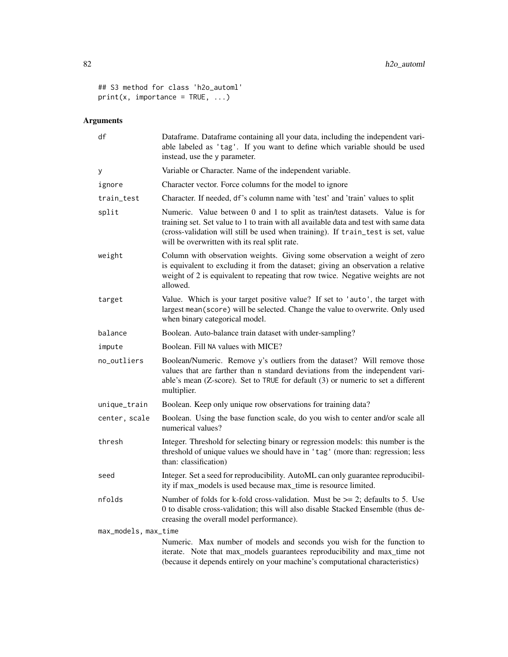```
## S3 method for class 'h2o_automl'
print(x, importance = TRUE, ...)
```
# Arguments

| df                   | Dataframe. Dataframe containing all your data, including the independent vari-<br>able labeled as 'tag'. If you want to define which variable should be used<br>instead, use the y parameter.                                                                                                              |
|----------------------|------------------------------------------------------------------------------------------------------------------------------------------------------------------------------------------------------------------------------------------------------------------------------------------------------------|
| у                    | Variable or Character. Name of the independent variable.                                                                                                                                                                                                                                                   |
| ignore               | Character vector. Force columns for the model to ignore                                                                                                                                                                                                                                                    |
| train_test           | Character. If needed, df's column name with 'test' and 'train' values to split                                                                                                                                                                                                                             |
| split                | Numeric. Value between 0 and 1 to split as train/test datasets. Value is for<br>training set. Set value to 1 to train with all available data and test with same data<br>(cross-validation will still be used when training). If train_test is set, value<br>will be overwritten with its real split rate. |
| weight               | Column with observation weights. Giving some observation a weight of zero<br>is equivalent to excluding it from the dataset; giving an observation a relative<br>weight of 2 is equivalent to repeating that row twice. Negative weights are not<br>allowed.                                               |
| target               | Value. Which is your target positive value? If set to 'auto', the target with<br>largest mean(score) will be selected. Change the value to overwrite. Only used<br>when binary categorical model.                                                                                                          |
| balance              | Boolean. Auto-balance train dataset with under-sampling?                                                                                                                                                                                                                                                   |
| impute               | Boolean. Fill NA values with MICE?                                                                                                                                                                                                                                                                         |
| no_outliers          | Boolean/Numeric. Remove y's outliers from the dataset? Will remove those<br>values that are farther than n standard deviations from the independent vari-<br>able's mean (Z-score). Set to TRUE for default (3) or numeric to set a different<br>multiplier.                                               |
| unique_train         | Boolean. Keep only unique row observations for training data?                                                                                                                                                                                                                                              |
| center, scale        | Boolean. Using the base function scale, do you wish to center and/or scale all<br>numerical values?                                                                                                                                                                                                        |
| thresh               | Integer. Threshold for selecting binary or regression models: this number is the<br>threshold of unique values we should have in 'tag' (more than: regression; less<br>than: classification)                                                                                                               |
| seed                 | Integer. Set a seed for reproducibility. AutoML can only guarantee reproducibil-<br>ity if max_models is used because max_time is resource limited.                                                                                                                                                        |
| nfolds               | Number of folds for k-fold cross-validation. Must be $\geq$ 2; defaults to 5. Use<br>0 to disable cross-validation; this will also disable Stacked Ensemble (thus de-<br>creasing the overall model performance).                                                                                          |
| max_models, max_time |                                                                                                                                                                                                                                                                                                            |
|                      | Numeric. Max number of models and seconds you wish for the function to<br>iterate. Note that max_models guarantees reproducibility and max_time not<br>(because it depends entirely on your machine's computational characteristics)                                                                       |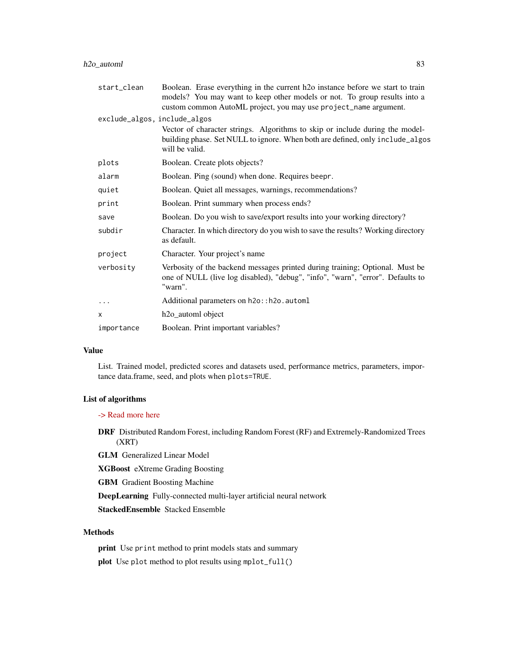| start_clean                  | Boolean. Erase everything in the current h <sub>20</sub> instance before we start to train<br>models? You may want to keep other models or not. To group results into a<br>custom common AutoML project, you may use project_name argument. |
|------------------------------|---------------------------------------------------------------------------------------------------------------------------------------------------------------------------------------------------------------------------------------------|
| exclude_algos, include_algos |                                                                                                                                                                                                                                             |
|                              | Vector of character strings. Algorithms to skip or include during the model-<br>building phase. Set NULL to ignore. When both are defined, only include_algos<br>will be valid.                                                             |
| plots                        | Boolean. Create plots objects?                                                                                                                                                                                                              |
| alarm                        | Boolean. Ping (sound) when done. Requires beepr.                                                                                                                                                                                            |
| quiet                        | Boolean. Quiet all messages, warnings, recommendations?                                                                                                                                                                                     |
| print                        | Boolean. Print summary when process ends?                                                                                                                                                                                                   |
| save                         | Boolean. Do you wish to save/export results into your working directory?                                                                                                                                                                    |
| subdir                       | Character. In which directory do you wish to save the results? Working directory<br>as default.                                                                                                                                             |
| project                      | Character. Your project's name                                                                                                                                                                                                              |
| verbosity                    | Verbosity of the backend messages printed during training; Optional. Must be<br>one of NULL (live log disabled), "debug", "info", "warn", "error". Defaults to<br>"warn".                                                                   |
| .                            | Additional parameters on h2o:: h2o. automl                                                                                                                                                                                                  |
| X                            | h <sub>2o_automl</sub> object                                                                                                                                                                                                               |
| importance                   | Boolean. Print important variables?                                                                                                                                                                                                         |

#### Value

List. Trained model, predicted scores and datasets used, performance metrics, parameters, importance data.frame, seed, and plots when plots=TRUE.

## List of algorithms

[-> Read more here](https://docs.h2o.ai/h2o/latest-stable/h2o-docs/automl.html)

DRF Distributed Random Forest, including Random Forest (RF) and Extremely-Randomized Trees (XRT)

GLM Generalized Linear Model

XGBoost eXtreme Grading Boosting

GBM Gradient Boosting Machine

DeepLearning Fully-connected multi-layer artificial neural network

StackedEnsemble Stacked Ensemble

## Methods

print Use print method to print models stats and summary plot Use plot method to plot results using mplot\_full()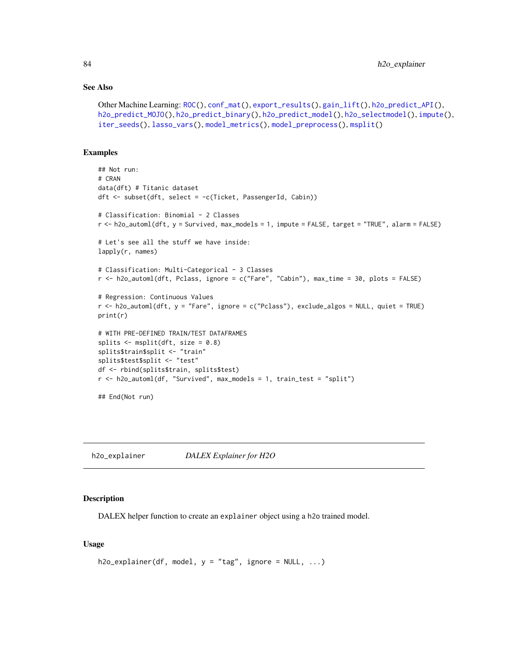#### See Also

```
Other Machine Learning: ROC(), conf_mat(), export_results(), gain_lift(), h2o_predict_API(),
h2o_predict_MOJO(h2o_predict_binary(h2o_predict_model(h2o_selectmodel(impute(),
iter_seeds(), lasso_vars(), model_metrics(), model_preprocess(), msplit()
```
#### Examples

```
## Not run:
# CRAN
data(dft) # Titanic dataset
dft <- subset(dft, select = -c(Ticket, PassengerId, Cabin))
# Classification: Binomial - 2 Classes
r <- h2o_automl(dft, y = Survived, max_models = 1, impute = FALSE, target = "TRUE", alarm = FALSE)
# Let's see all the stuff we have inside:
lapply(r, names)
# Classification: Multi-Categorical - 3 Classes
r <- h2o_automl(dft, Pclass, ignore = c("Fare", "Cabin"), max_time = 30, plots = FALSE)
# Regression: Continuous Values
r <- h2o_automl(dft, y = "Fare", ignore = c("Pclass"), exclude_algos = NULL, quiet = TRUE)
print(r)
# WITH PRE-DEFINED TRAIN/TEST DATAFRAMES
splits <- msplit(dft, size = 0.8)
splits$train$split <- "train"
splits$test$split <- "test"
df <- rbind(splits$train, splits$test)
r <- h2o_automl(df, "Survived", max_models = 1, train_test = "split")
## End(Not run)
```
h2o\_explainer *DALEX Explainer for H2O*

#### Description

DALEX helper function to create an explainer object using a h2o trained model.

## Usage

```
h2o\_explainer(df, model, y = "tag", ignore = NULL, ...)
```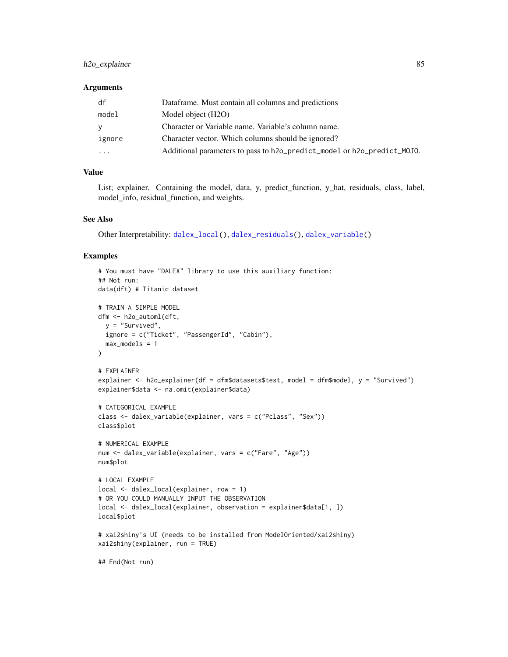## h2o\_explainer 85

#### **Arguments**

| df       | Dataframe. Must contain all columns and predictions                     |
|----------|-------------------------------------------------------------------------|
| model    | Model object (H2O)                                                      |
| У        | Character or Variable name. Variable's column name.                     |
| ignore   | Character vector. Which columns should be ignored?                      |
| $\ddots$ | Additional parameters to pass to h2o_predict_model or h2o_predict_MOJO. |

## Value

List; explainer. Containing the model, data, y, predict\_function, y\_hat, residuals, class, label, model\_info, residual\_function, and weights.

## See Also

Other Interpretability: [dalex\\_local\(](#page-29-0)), [dalex\\_residuals\(](#page-29-1)), [dalex\\_variable\(](#page-30-0))

#### Examples

```
# You must have "DALEX" library to use this auxiliary function:
## Not run:
data(dft) # Titanic dataset
# TRAIN A SIMPLE MODEL
dfm <- h2o_automl(dft,
 y = "Survived",
 ignore = c("Ticket", "PassengerId", "Cabin"),
  max_models = 1\mathcal{L}# EXPLAINER
explainer <- h2o_explainer(df = dfm$datasets$test, model = dfm$model, y = "Survived")
explainer$data <- na.omit(explainer$data)
# CATEGORICAL EXAMPLE
class <- dalex_variable(explainer, vars = c("Pclass", "Sex"))
class$plot
# NUMERICAL EXAMPLE
num <- dalex_variable(explainer, vars = c("Fare", "Age"))
num$plot
# LOCAL EXAMPLE
local <- dalex_local(explainer, row = 1)
# OR YOU COULD MANUALLY INPUT THE OBSERVATION
local <- dalex_local(explainer, observation = explainer$data[1, ])
local$plot
# xai2shiny's UI (needs to be installed from ModelOriented/xai2shiny)
xai2shiny(explainer, run = TRUE)
## End(Not run)
```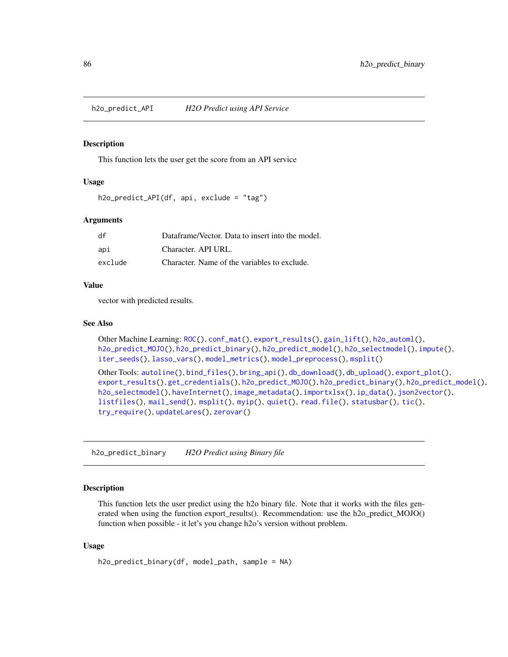<span id="page-85-0"></span>h2o\_predict\_API *H2O Predict using API Service*

#### Description

This function lets the user get the score from an API service

## Usage

```
h2o_predict_API(df, api, exclude = "tag")
```
#### Arguments

| df      | Dataframe/Vector. Data to insert into the model. |
|---------|--------------------------------------------------|
| api     | Character. API URL.                              |
| exclude | Character. Name of the variables to exclude.     |

## Value

vector with predicted results.

#### See Also

```
Other Machine Learning: ROC(), conf_mat(), export_results(), gain_lift(), h2o_automl(),
h2o_predict_MOJO(), h2o_predict_binary(), h2o_predict_model(), h2o_selectmodel(), impute(),
iter_seeds(), lasso_vars(), model_metrics(), model_preprocess(), msplit()
```

```
Other Tools: autoline(), bind_files(), bring_api(), db_download(), db_upload(), export_plot(),
export_results(), get_credentials(), h2o_predict_MOJO(), h2o_predict_binary(), h2o_predict_model(),
h2o_selectmodel(), haveInternet(), image_metadata(), importxlsx(), ip_data(), json2vector(),
listfiles(), mail_send(), msplit(), myip(), quiet(), read.file(), statusbar(), tic(),
try_require(), updateLares(), zerovar()
```
<span id="page-85-1"></span>h2o\_predict\_binary *H2O Predict using Binary file*

## Description

This function lets the user predict using the h2o binary file. Note that it works with the files generated when using the function export\_results(). Recommendation: use the h2o\_predict\_MOJO() function when possible - it let's you change h2o's version without problem.

## Usage

```
h2o_predict_binary(df, model_path, sample = NA)
```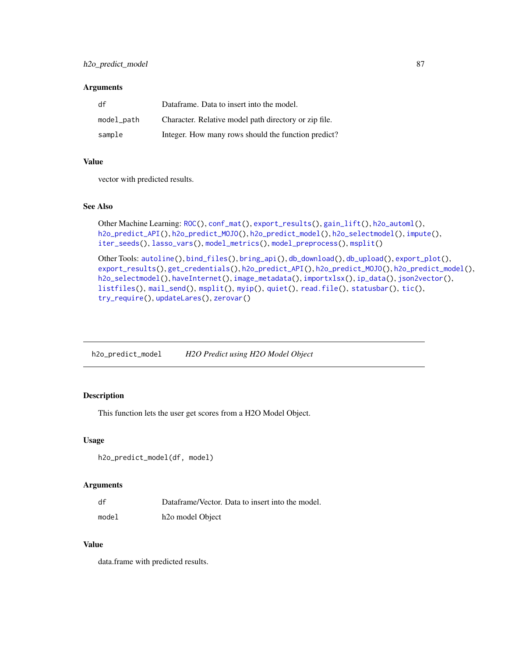#### **Arguments**

| df         | Dataframe. Data to insert into the model.             |
|------------|-------------------------------------------------------|
| model_path | Character. Relative model path directory or zip file. |
| sample     | Integer. How many rows should the function predict?   |

#### Value

vector with predicted results.

## See Also

```
Other Machine Learning: ROC(), conf_mat(), export_results(), gain_lift(), h2o_automl(),
h2o_predict_API(), h2o_predict_MOJO(), h2o_predict_model(), h2o_selectmodel(), impute(),
iter_seeds(), lasso_vars(), model_metrics(), model_preprocess(), msplit()
```

```
Other Tools: autoline(), bind_files(), bring_api(), db_download(), db_upload(), export_plot(),
export_results(), get_credentials(), h2o_predict_API(), h2o_predict_MOJO(), h2o_predict_model(),
h2o_selectmodel(), haveInternet(), image_metadata(), importxlsx(), ip_data(), json2vector(),
listfiles(), mail_send(), msplit(), myip(), quiet(), read.file(), statusbar(), tic(),
try_require(), updateLares(), zerovar()
```
<span id="page-86-0"></span>h2o\_predict\_model *H2O Predict using H2O Model Object*

## Description

This function lets the user get scores from a H2O Model Object.

#### Usage

```
h2o_predict_model(df, model)
```
#### Arguments

| df    | Dataframe/Vector. Data to insert into the model. |
|-------|--------------------------------------------------|
| model | h <sub>20</sub> model Object                     |

## Value

data.frame with predicted results.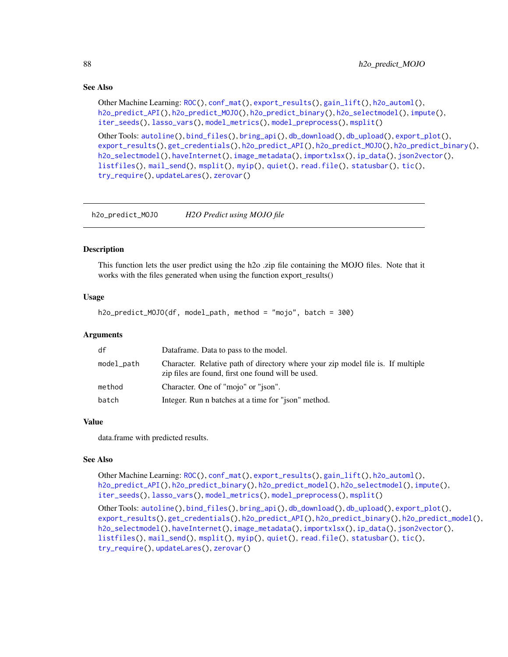## See Also

```
Other Machine Learning: ROC(), conf_mat(), export_results(), gain_lift(), h2o_automl(),
h2o_predict_API(), h2o_predict_MOJO(), h2o_predict_binary(), h2o_selectmodel(), impute(),
iter_seeds(), lasso_vars(), model_metrics(), model_preprocess(), msplit()
```

```
Other Tools: autoline(), bind_files(), bring_api(), db_download(), db_upload(), export_plot(),
export_results(), get_credentials(), h2o_predict_API(), h2o_predict_MOJO(), h2o_predict_binary(),
h2o_selectmodel(), haveInternet(), image_metadata(), importxlsx(), ip_data(), json2vector(),
listfiles(), mail_send(), msplit(), myip(), quiet(), read.file(), statusbar(), tic(),
try_require(), updateLares(), zerovar()
```
<span id="page-87-0"></span>h2o\_predict\_MOJO *H2O Predict using MOJO file*

#### **Description**

This function lets the user predict using the h2o .zip file containing the MOJO files. Note that it works with the files generated when using the function export\_results()

#### Usage

h2o\_predict\_MOJO(df, model\_path, method = "mojo", batch = 300)

#### Arguments

| df         | Dataframe. Data to pass to the model.                                                                                                 |
|------------|---------------------------------------------------------------------------------------------------------------------------------------|
| model_path | Character. Relative path of directory where your zip model file is. If multiple<br>zip files are found, first one found will be used. |
| method     | Character. One of "mojo" or "json".                                                                                                   |
| batch      | Integer. Run n batches at a time for "ison" method.                                                                                   |

#### Value

data.frame with predicted results.

#### See Also

Other Machine Learning: [ROC\(](#page-157-0)), [conf\\_mat\(](#page-19-0)), [export\\_results\(](#page-44-0)), [gain\\_lift\(](#page-69-0)), [h2o\\_automl\(](#page-80-0)), [h2o\\_predict\\_API\(](#page-85-0)), [h2o\\_predict\\_binary\(](#page-85-1)), [h2o\\_predict\\_model\(](#page-86-0)), [h2o\\_selectmodel\(](#page-89-0)), [impute\(](#page-94-0)), [iter\\_seeds\(](#page-97-0)), [lasso\\_vars\(](#page-100-0)), [model\\_metrics\(](#page-108-0)), [model\\_preprocess\(](#page-110-0)), [msplit\(](#page-130-0)) Other Tools: [autoline\(](#page-5-0)), [bind\\_files\(](#page-7-0)), [bring\\_api\(](#page-7-1)), [db\\_download\(](#page-33-0)), [db\\_upload\(](#page-34-0)), [export\\_plot\(](#page-43-0)), [export\\_results\(](#page-44-0)), [get\\_credentials\(](#page-70-0)), [h2o\\_predict\\_API\(](#page-85-0)), [h2o\\_predict\\_binary\(](#page-85-1)), [h2o\\_predict\\_model\(](#page-86-0)), [h2o\\_selectmodel\(](#page-89-0)), [haveInternet\(](#page-91-0)), [image\\_metadata\(](#page-93-0)), [importxlsx\(](#page-93-1)), [ip\\_data\(](#page-95-0)), [json2vector\(](#page-98-0)), [listfiles\(](#page-102-0)), [mail\\_send\(](#page-106-0)), [msplit\(](#page-130-0)), [myip\(](#page-131-0)), [quiet\(](#page-148-0)), [read.file\(](#page-149-0)), [statusbar\(](#page-173-0)), [tic\(](#page-186-0)),

[try\\_require\(](#page-191-0)), [updateLares\(](#page-191-1)), [zerovar\(](#page-198-0))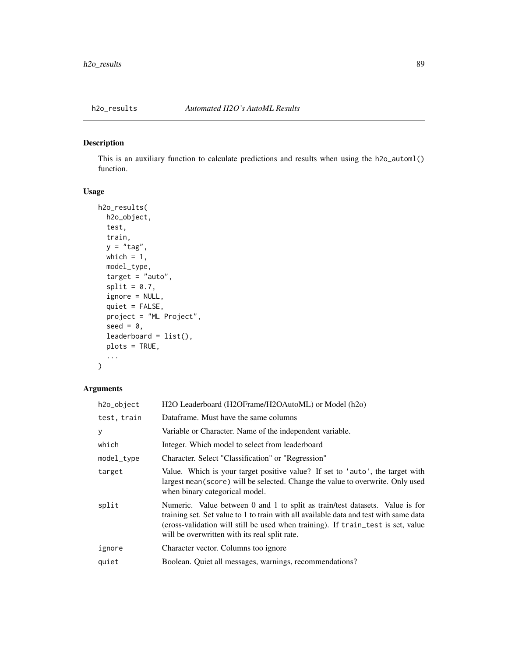This is an auxiliary function to calculate predictions and results when using the h2o\_automl() function.

## Usage

```
h2o_results(
 h2o_object,
  test,
  train,
 y = "tag",which = 1,
 model_type,
  target = "auto",split = 0.7,ignore = NULL,
  quiet = FALSE,
 project = "ML Project",
  seed = 0,
  leaderboard = list(),
 plots = TRUE,
  ...
)
```
## Arguments

| H2O Leaderboard (H2OFrame/H2OAutoML) or Model (h2o)                                                                                                                                                                                                                                                        |
|------------------------------------------------------------------------------------------------------------------------------------------------------------------------------------------------------------------------------------------------------------------------------------------------------------|
| Dataframe. Must have the same columns                                                                                                                                                                                                                                                                      |
| Variable or Character. Name of the independent variable.                                                                                                                                                                                                                                                   |
| Integer. Which model to select from leaderboard                                                                                                                                                                                                                                                            |
| Character. Select "Classification" or "Regression"                                                                                                                                                                                                                                                         |
| Value. Which is your target positive value? If set to 'auto', the target with<br>largest mean (score) will be selected. Change the value to overwrite. Only used<br>when binary categorical model.                                                                                                         |
| Numeric. Value between 0 and 1 to split as train/test datasets. Value is for<br>training set. Set value to 1 to train with all available data and test with same data<br>(cross-validation will still be used when training). If train_test is set, value<br>will be overwritten with its real split rate. |
| Character vector. Columns too ignore                                                                                                                                                                                                                                                                       |
| Boolean. Quiet all messages, warnings, recommendations?                                                                                                                                                                                                                                                    |
|                                                                                                                                                                                                                                                                                                            |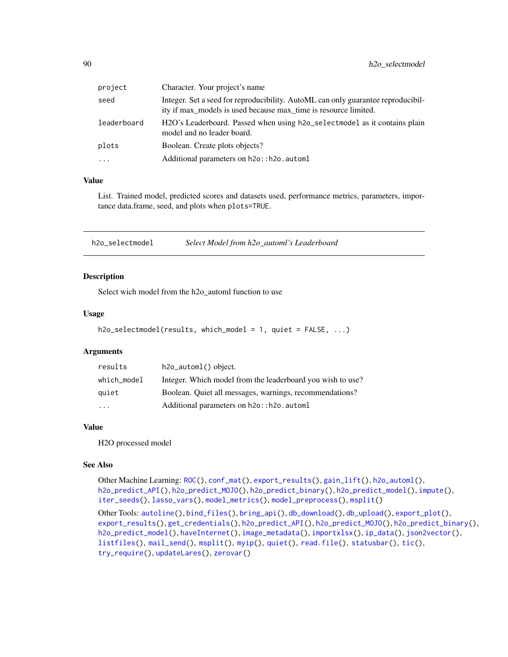| project     | Character. Your project's name                                                                                                                      |
|-------------|-----------------------------------------------------------------------------------------------------------------------------------------------------|
| seed        | Integer. Set a seed for reproducibility. AutoML can only guarantee reproducibil-<br>ity if max_models is used because max_time is resource limited. |
| leaderboard | H2O's Leaderboard. Passed when using h2o_selectmodel as it contains plain<br>model and no leader board.                                             |
| plots       | Boolean. Create plots objects?                                                                                                                      |
| $\cdots$    | Additional parameters on h2o:: h2o. automl                                                                                                          |
|             |                                                                                                                                                     |

## Value

List. Trained model, predicted scores and datasets used, performance metrics, parameters, importance data.frame, seed, and plots when plots=TRUE.

<span id="page-89-0"></span>h2o\_selectmodel *Select Model from h2o\_automl's Leaderboard*

#### Description

Select wich model from the h2o\_automl function to use

## Usage

```
h2o_selectmodel(results, which_model = 1, quiet = FALSE, ...)
```
## Arguments

| results     | $h2o_$ -automl $()$ object.                                |
|-------------|------------------------------------------------------------|
| which_model | Integer. Which model from the leaderboard you wish to use? |
| quiet       | Boolean. Quiet all messages, warnings, recommendations?    |
| .           | Additional parameters on h2o:: h2o. automl                 |

#### Value

H2O processed model

## See Also

```
Other Machine Learning: ROC(), conf_mat(), export_results(), gain_lift(), h2o_automl(),
h2o_predict_API(), h2o_predict_MOJO(), h2o_predict_binary(), h2o_predict_model(), impute(),
iter_seeds(), lasso_vars(), model_metrics(), model_preprocess(), msplit()
```

```
Other Tools: autoline(), bind_files(), bring_api(), db_download(), db_upload(), export_plot(),
export_results(), get_credentials(), h2o_predict_API(), h2o_predict_MOJO(), h2o_predict_binary(),
h2o_predict_model(), haveInternet(), image_metadata(), importxlsx(), ip_data(), json2vector(),
listfiles(), mail_send(), msplit(), myip(), quiet(), read.file(), statusbar(), tic(),
try_require(), updateLares(), zerovar()
```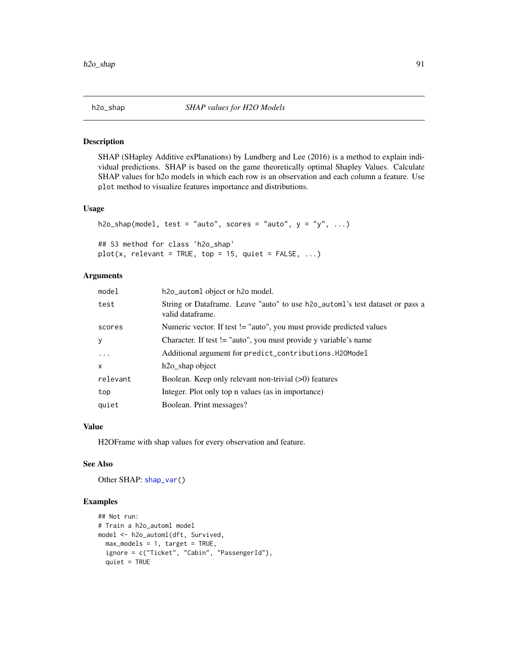SHAP (SHapley Additive exPlanations) by Lundberg and Lee (2016) is a method to explain individual predictions. SHAP is based on the game theoretically optimal Shapley Values. Calculate SHAP values for h2o models in which each row is an observation and each column a feature. Use plot method to visualize features importance and distributions.

## Usage

```
h2o_shap(model, test = "auto", scores = "auto", y = y'', ...)
## S3 method for class 'h2o_shap'
plot(x, relevant = TRUE, top = 15, quiet = FALSE, ...)
```
#### Arguments

| model        | h2o_automl object or h2o model.                                                                  |
|--------------|--------------------------------------------------------------------------------------------------|
| test         | String or Dataframe. Leave "auto" to use h2o_automl's test dataset or pass a<br>valid dataframe. |
| scores       | Numeric vector. If test != "auto", you must provide predicted values                             |
| У            | Character. If test != "auto", you must provide y variable's name                                 |
| $\ddots$     | Additional argument for predict_contributions.H20Model                                           |
| $\mathsf{x}$ | h <sub>20</sub> shap object                                                                      |
| relevant     | Boolean. Keep only relevant non-trivial (>0) features                                            |
| top          | Integer. Plot only top n values (as in importance)                                               |
| quiet        | Boolean. Print messages?                                                                         |

## Value

H2OFrame with shap values for every observation and feature.

## See Also

Other SHAP: [shap\\_var\(](#page-164-0))

#### Examples

```
## Not run:
# Train a h2o_automl model
model <- h2o_automl(dft, Survived,
  max_models = 1, target = TRUE,
  ignore = c("Ticket", "Cabin", "PassengerId"),
  quiet = TRUE
```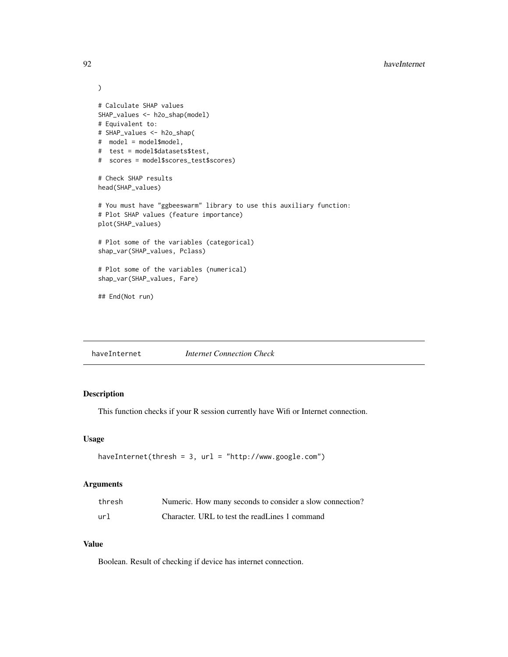```
)
# Calculate SHAP values
SHAP_values <- h2o_shap(model)
# Equivalent to:
# SHAP_values <- h2o_shap(
# model = model$model,
# test = model$datasets$test,
# scores = model$scores_test$scores)
# Check SHAP results
head(SHAP_values)
# You must have "ggbeeswarm" library to use this auxiliary function:
# Plot SHAP values (feature importance)
plot(SHAP_values)
# Plot some of the variables (categorical)
shap_var(SHAP_values, Pclass)
# Plot some of the variables (numerical)
shap_var(SHAP_values, Fare)
## End(Not run)
```
<span id="page-91-0"></span>

| haveInternet | <i>Internet Connection Check</i> |
|--------------|----------------------------------|
|              |                                  |

This function checks if your R session currently have Wifi or Internet connection.

#### Usage

```
haveInternet(thresh = 3, url = "http://www.google.com")
```
## Arguments

| thresh | Numeric. How many seconds to consider a slow connection? |
|--------|----------------------------------------------------------|
| url    | Character. URL to test the readLines 1 command           |

## Value

Boolean. Result of checking if device has internet connection.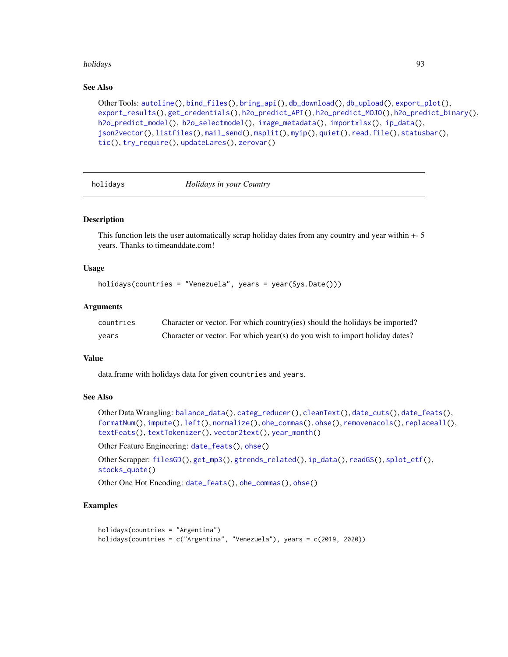#### holidays 93

## See Also

```
Other Tools: autoline(), bind_files(), bring_api(), db_download(), db_upload(), export_plot(),
export_results(), get_credentials(), h2o_predict_API(), h2o_predict_MOJO(), h2o_predict_binary(),
h2o_predict_model(), h2o_selectmodel(), image_metadata(), importxlsx(), ip_data(),
json2vector(), listfiles(), mail_send(), msplit(), myip(), quiet(), read.file(), statusbar(),
tic(), try_require(), updateLares(), zerovar()
```
<span id="page-92-0"></span>

holidays *Holidays in your Country*

## Description

This function lets the user automatically scrap holiday dates from any country and year within +- 5 years. Thanks to timeanddate.com!

#### Usage

```
holidays(countries = "Venezuela", years = year(Sys.Date()))
```
#### Arguments

| countries | Character or vector. For which country(ies) should the holidays be imported? |
|-----------|------------------------------------------------------------------------------|
| years     | Character or vector. For which year(s) do you wish to import holiday dates?  |

#### Value

data.frame with holidays data for given countries and years.

## See Also

```
Other Data Wrangling: balance_data(), categ_reducer(), cleanText(), date_cuts(), date_feats(),
formatNum(), impute(), left(), normalize(), ohe_commas(), ohse(), removenacols(), replaceall(),
textFeats(), textTokenizer(), vector2text(), year_month()
```
Other Feature Engineering: [date\\_feats\(](#page-31-1)), [ohse\(](#page-135-0))

Other Scrapper: [filesGD\(](#page-56-0)), [get\\_mp3\(](#page-73-0)), [gtrends\\_related\(](#page-79-0)), [ip\\_data\(](#page-95-0)), [readGS\(](#page-150-0)), [splot\\_etf\(](#page-168-0)), [stocks\\_quote\(](#page-176-0))

Other One Hot Encoding: [date\\_feats\(](#page-31-1)), [ohe\\_commas\(](#page-134-0)), [ohse\(](#page-135-0))

## Examples

```
holidays(countries = "Argentina")
holidays(countries = c("Argentina", "Venezuela"), years = c(2019, 2020))
```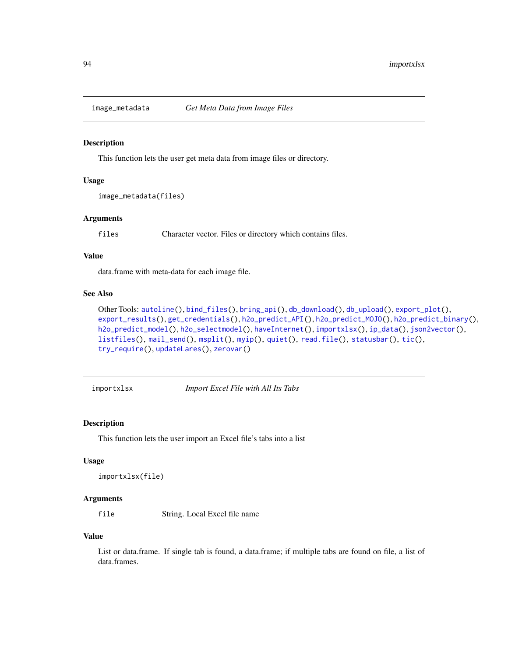<span id="page-93-0"></span>

This function lets the user get meta data from image files or directory.

## Usage

```
image_metadata(files)
```
## Arguments

files Character vector. Files or directory which contains files.

#### Value

data.frame with meta-data for each image file.

#### See Also

```
Other Tools: autoline(), bind_files(), bring_api(), db_download(), db_upload(), export_plot(),
export_results(), get_credentials(), h2o_predict_API(), h2o_predict_MOJO(), h2o_predict_binary(),
h2o_predict_model(), h2o_selectmodel(), haveInternet(), importxlsx(), ip_data(), json2vector(),
listfiles(), mail_send(), msplit(), myip(), quiet(), read.file(), statusbar(), tic(),
try_require(), updateLares(), zerovar()
```
<span id="page-93-1"></span>importxlsx *Import Excel File with All Its Tabs*

## Description

This function lets the user import an Excel file's tabs into a list

## Usage

```
importxlsx(file)
```
#### Arguments

file String. Local Excel file name

#### Value

List or data.frame. If single tab is found, a data.frame; if multiple tabs are found on file, a list of data.frames.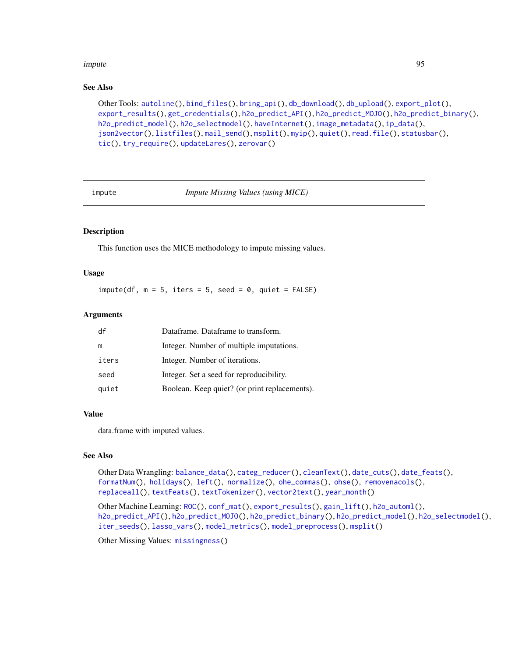#### impute the contract of the contract of the contract of the contract of the contract of the contract of the contract of the contract of the contract of the contract of the contract of the contract of the contract of the con

#### See Also

```
Other Tools: autoline(), bind_files(), bring_api(), db_download(), db_upload(), export_plot(),
export_results(), get_credentials(), h2o_predict_API(), h2o_predict_MOJO(), h2o_predict_binary(),
h2o_predict_model(), h2o_selectmodel(), haveInternet(), image_metadata(), ip_data(),
json2vector(), listfiles(), mail_send(), msplit(), myip(), quiet(), read.file(), statusbar(),
tic(), try_require(), updateLares(), zerovar()
```
<span id="page-94-0"></span>

impute *Impute Missing Values (using MICE)*

## Description

This function uses the MICE methodology to impute missing values.

#### Usage

 $impute(df, m = 5, iter = 5, seed = 0, quiet = FALSE)$ 

## **Arguments**

| df    | Dataframe. Dataframe to transform.            |
|-------|-----------------------------------------------|
| m     | Integer. Number of multiple imputations.      |
| iters | Integer. Number of iterations.                |
| seed  | Integer. Set a seed for reproducibility.      |
| quiet | Boolean. Keep quiet? (or print replacements). |

#### Value

data.frame with imputed values.

## See Also

Other Data Wrangling: [balance\\_data\(](#page-6-0)), [categ\\_reducer\(](#page-9-0)), [cleanText\(](#page-13-0)), [date\\_cuts\(](#page-31-0)), [date\\_feats\(](#page-31-1)), [formatNum\(](#page-61-0)), [holidays\(](#page-92-0)), [left\(](#page-102-1)), [normalize\(](#page-133-0)), [ohe\\_commas\(](#page-134-0)), [ohse\(](#page-135-0)), [removenacols\(](#page-153-0)), [replaceall\(](#page-155-0)), [textFeats\(](#page-182-0)), [textTokenizer\(](#page-183-0)), [vector2text\(](#page-192-0)), [year\\_month\(](#page-197-0))

Other Machine Learning: [ROC\(](#page-157-0)), [conf\\_mat\(](#page-19-0)), [export\\_results\(](#page-44-0)), [gain\\_lift\(](#page-69-0)), [h2o\\_automl\(](#page-80-0)), [h2o\\_predict\\_API\(](#page-85-0)), [h2o\\_predict\\_MOJO\(](#page-87-0)), [h2o\\_predict\\_binary\(](#page-85-1)), [h2o\\_predict\\_model\(](#page-86-0)), [h2o\\_selectmodel\(](#page-89-0)), [iter\\_seeds\(](#page-97-0)), [lasso\\_vars\(](#page-100-0)), [model\\_metrics\(](#page-108-0)), [model\\_preprocess\(](#page-110-0)), [msplit\(](#page-130-0))

Other Missing Values: [missingness\(](#page-107-0))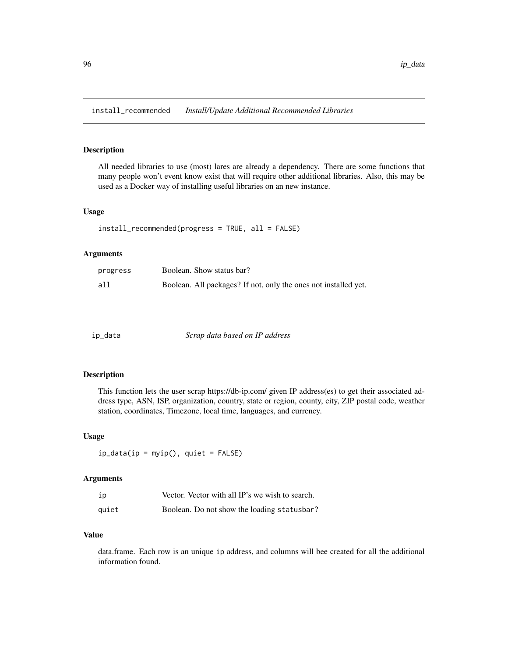install\_recommended *Install/Update Additional Recommended Libraries*

## Description

All needed libraries to use (most) lares are already a dependency. There are some functions that many people won't event know exist that will require other additional libraries. Also, this may be used as a Docker way of installing useful libraries on an new instance.

#### Usage

```
install_recommended(progress = TRUE, all = FALSE)
```
## Arguments

| progress | Boolean. Show status bar?                                       |
|----------|-----------------------------------------------------------------|
| all      | Boolean. All packages? If not, only the ones not installed yet. |

<span id="page-95-0"></span>

| n | da |
|---|----|

ip\_data *Scrap data based on IP address*

#### Description

This function lets the user scrap https://db-ip.com/ given IP address(es) to get their associated address type, ASN, ISP, organization, country, state or region, county, city, ZIP postal code, weather station, coordinates, Timezone, local time, languages, and currency.

#### Usage

 $ip_data(ip = myip(), quiet = FALSE)$ 

## Arguments

| ip    | Vector. Vector with all IP's we wish to search. |
|-------|-------------------------------------------------|
| quiet | Boolean. Do not show the loading statusbar?     |

## Value

data.frame. Each row is an unique ip address, and columns will bee created for all the additional information found.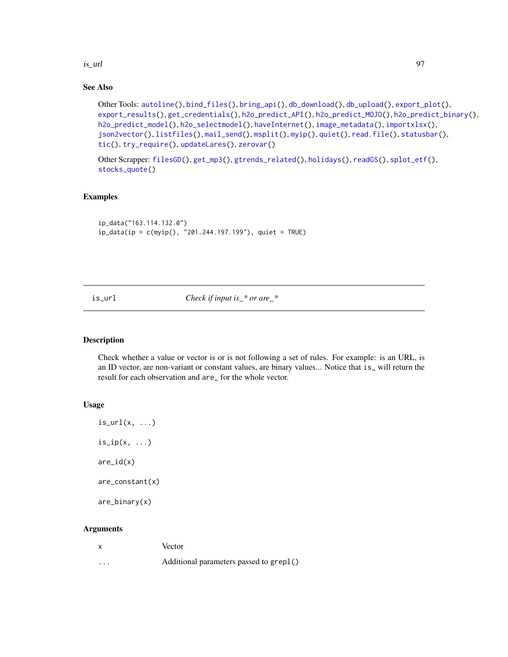is\_url 97

## See Also

```
Other Tools: autoline(), bind_files(), bring_api(), db_download(), db_upload(), export_plot(),
export_results(), get_credentials(), h2o_predict_API(), h2o_predict_MOJO(), h2o_predict_binary(),
h2o_predict_model(), h2o_selectmodel(), haveInternet(), image_metadata(), importxlsx(),
json2vector(), listfiles(), mail_send(), msplit(), myip(), quiet(), read.file(), statusbar(),
tic(), try_require(), updateLares(), zerovar()
```

```
Other Scrapper: filesGD(), get_mp3(), gtrends_related(), holidays(), readGS(), splot_etf(),
stocks_quote()
```
## Examples

```
ip_data("163.114.132.0")
ip_data(ip = c(myip(), "201.244.197.199"), quiet = TRUE)
```
is\_url *Check if input is\_\* or are\_\**

## Description

Check whether a value or vector is or is not following a set of rules. For example: is an URL, is an ID vector, are non-variant or constant values, are binary values... Notice that is\_ will return the result for each observation and are\_ for the whole vector.

## Usage

```
is\_url(x, ...)is\_ip(x, \ldots)are_id(x)are_constant(x)
are_binary(x)
```
## Arguments

|          | Vector                                  |
|----------|-----------------------------------------|
| $\cdots$ | Additional parameters passed to grep1() |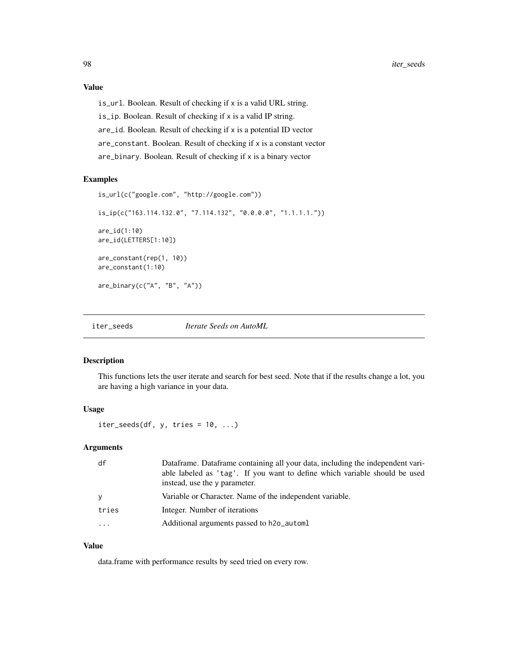## Value

is\_url. Boolean. Result of checking if x is a valid URL string. is\_ip. Boolean. Result of checking if x is a valid IP string. are\_id. Boolean. Result of checking if x is a potential ID vector are\_constant. Boolean. Result of checking if x is a constant vector are\_binary. Boolean. Result of checking if x is a binary vector

#### Examples

```
is_url(c("google.com", "http://google.com"))
is_ip(c("163.114.132.0", "7.114.132", "0.0.0.0", "1.1.1.1."))
are_id(1:10)
are_id(LETTERS[1:10])
are_constant(rep(1, 10))
are_constant(1:10)
are_binary(c("A", "B", "A"))
```
<span id="page-97-0"></span>iter\_seeds *Iterate Seeds on AutoML*

## Description

This functions lets the user iterate and search for best seed. Note that if the results change a lot, you are having a high variance in your data.

#### Usage

 $iter\_seeds(df, y, tries = 10, ...)$ 

## Arguments

| df       | Dataframe. Dataframe containing all your data, including the independent vari-<br>able labeled as 'tag'. If you want to define which variable should be used<br>instead, use the y parameter. |
|----------|-----------------------------------------------------------------------------------------------------------------------------------------------------------------------------------------------|
| <b>V</b> | Variable or Character. Name of the independent variable.                                                                                                                                      |
| tries    | Integer. Number of iterations                                                                                                                                                                 |
| $\cdot$  | Additional arguments passed to h2o_automl                                                                                                                                                     |
|          |                                                                                                                                                                                               |

## Value

data.frame with performance results by seed tried on every row.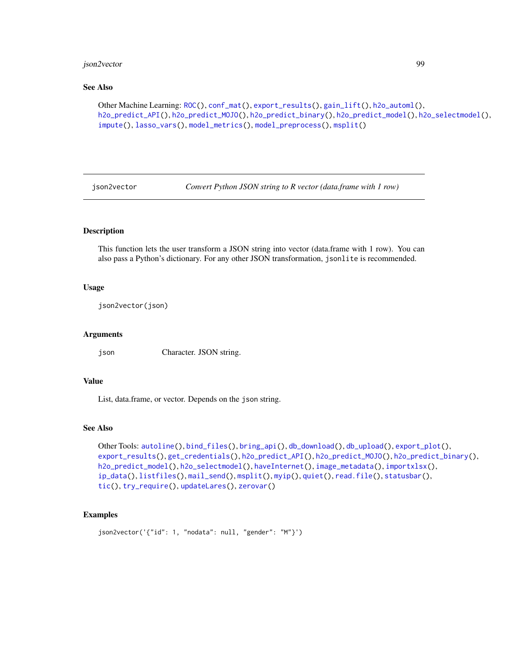## json2vector 99

#### See Also

```
Other Machine Learning: ROC(), conf_mat(), export_results(), gain_lift(), h2o_automl(),
h2o_predict_API(), h2o_predict_MOJO(), h2o_predict_binary(), h2o_predict_model(), h2o_selectmodel(),
impute(), lasso_vars(), model_metrics(), model_preprocess(), msplit()
```
<span id="page-98-0"></span>json2vector *Convert Python JSON string to R vector (data.frame with 1 row)*

## Description

This function lets the user transform a JSON string into vector (data.frame with 1 row). You can also pass a Python's dictionary. For any other JSON transformation, jsonlite is recommended.

## Usage

json2vector(json)

#### Arguments

json Character. JSON string.

#### Value

List, data.frame, or vector. Depends on the json string.

#### See Also

```
Other Tools: autoline(), bind_files(), bring_api(), db_download(), db_upload(), export_plot(),
export_results(), get_credentials(), h2o_predict_API(), h2o_predict_MOJO(), h2o_predict_binary(),
h2o_predict_model(), h2o_selectmodel(), haveInternet(), image_metadata(), importxlsx(),
ip_data(), listfiles(), mail_send(), msplit(), myip(), quiet(), read.file(), statusbar(),
tic(), try_require(), updateLares(), zerovar()
```
## Examples

```
json2vector('{"id": 1, "nodata": null, "gender": "M"}')
```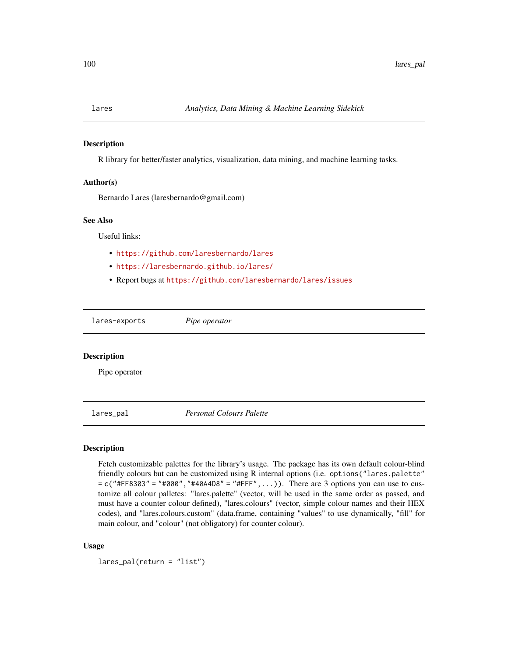R library for better/faster analytics, visualization, data mining, and machine learning tasks.

## Author(s)

Bernardo Lares (laresbernardo@gmail.com)

#### See Also

Useful links:

- <https://github.com/laresbernardo/lares>
- <https://laresbernardo.github.io/lares/>
- Report bugs at <https://github.com/laresbernardo/lares/issues>

lares-exports *Pipe operator*

#### **Description**

Pipe operator

<span id="page-99-0"></span>lares\_pal *Personal Colours Palette*

#### Description

Fetch customizable palettes for the library's usage. The package has its own default colour-blind friendly colours but can be customized using R internal options (i.e. options("lares.palette"  $= c("#FF8303" = "#000", "#40A4D8" = "#FFF", \ldots).$  There are 3 options you can use to customize all colour palletes: "lares.palette" (vector, will be used in the same order as passed, and must have a counter colour defined), "lares.colours" (vector, simple colour names and their HEX codes), and "lares.colours.custom" (data.frame, containing "values" to use dynamically, "fill" for main colour, and "colour" (not obligatory) for counter colour).

## Usage

lares\_pal(return = "list")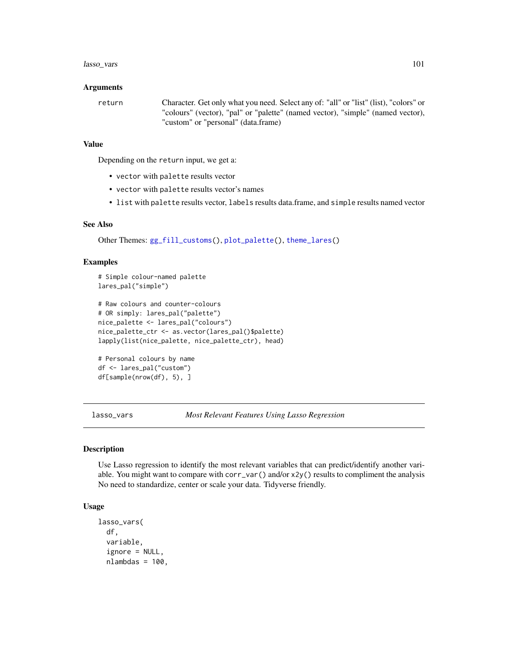## lasso\_vars 101

#### Arguments

return Character. Get only what you need. Select any of: "all" or "list" (list), "colors" or "colours" (vector), "pal" or "palette" (named vector), "simple" (named vector), "custom" or "personal" (data.frame)

#### Value

Depending on the return input, we get a:

- vector with palette results vector
- vector with palette results vector's names
- list with palette results vector, labels results data.frame, and simple results named vector

## See Also

Other Themes: [gg\\_fill\\_customs\(](#page-75-0)), [plot\\_palette\(](#page-142-0)), [theme\\_lares\(](#page-184-0))

#### Examples

```
# Simple colour-named palette
lares_pal("simple")
# Raw colours and counter-colours
# OR simply: lares_pal("palette")
nice_palette <- lares_pal("colours")
nice_palette_ctr <- as.vector(lares_pal()$palette)
lapply(list(nice_palette, nice_palette_ctr), head)
# Personal colours by name
```

```
df <- lares_pal("custom")
df[sample(nrow(df), 5), ]
```
<span id="page-100-0"></span>lasso\_vars *Most Relevant Features Using Lasso Regression*

#### Description

Use Lasso regression to identify the most relevant variables that can predict/identify another variable. You might want to compare with corr\_var() and/or x2y() results to compliment the analysis No need to standardize, center or scale your data. Tidyverse friendly.

## Usage

```
lasso_vars(
  df,
  variable,
  ignore = NULL,
  nlambdas = 100,
```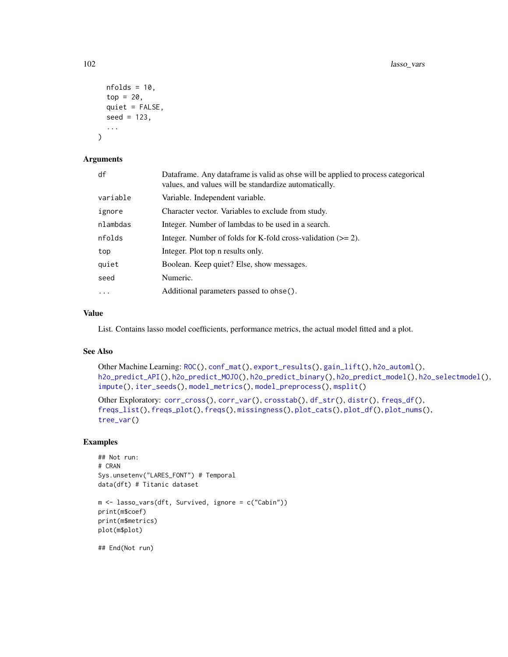```
nfolds = 10,
top = 20,
quiet = FALSE,
seed = 123,
...
```
#### Arguments

)

| df        | Dataframe. Any dataframe is valid as obse will be applied to process categorical<br>values, and values will be standardize automatically. |
|-----------|-------------------------------------------------------------------------------------------------------------------------------------------|
| variable  | Variable. Independent variable.                                                                                                           |
| ignore    | Character vector. Variables to exclude from study.                                                                                        |
| nlambdas  | Integer. Number of lambdas to be used in a search.                                                                                        |
| nfolds    | Integer. Number of folds for K-fold cross-validation $(>= 2)$ .                                                                           |
| top       | Integer. Plot top n results only.                                                                                                         |
| quiet     | Boolean. Keep quiet? Else, show messages.                                                                                                 |
| seed      | Numeric.                                                                                                                                  |
| $\ddotsc$ | Additional parameters passed to ohse().                                                                                                   |

#### Value

List. Contains lasso model coefficients, performance metrics, the actual model fitted and a plot.

## See Also

```
Other Machine Learning: ROC(), conf_mat(), export_results(), gain_lift(), h2o_automl(),
h2o_predict_API(), h2o_predict_MOJO(), h2o_predict_binary(), h2o_predict_model(), h2o_selectmodel(),
impute(), iter_seeds(), model_metrics(), model_preprocess(), msplit()
```

```
Other Exploratory: corr_cross(), corr_var(), crosstab(), df_str(), distr(), freqs_df(),
freqs_list(), freqs_plot(), freqs(), missingness(), plot_cats(), plot_df(), plot_nums(),
tree_var()
```
## Examples

```
## Not run:
# CRAN
Sys.unsetenv("LARES_FONT") # Temporal
data(dft) # Titanic dataset
```
m <- lasso\_vars(dft, Survived, ignore = c("Cabin")) print(m\$coef) print(m\$metrics) plot(m\$plot)

## End(Not run)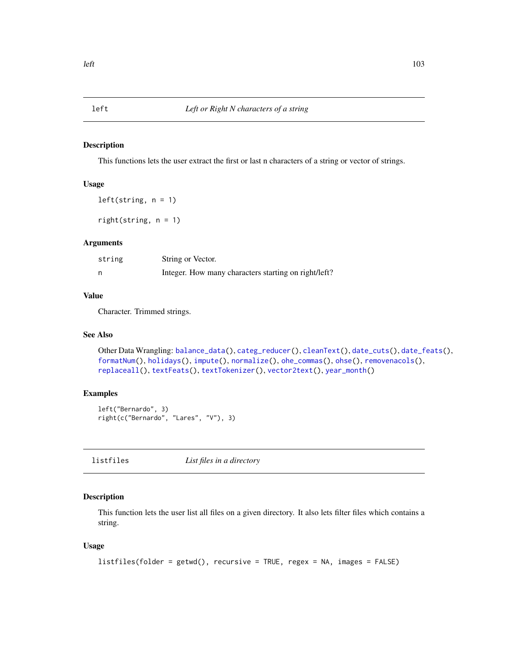<span id="page-102-1"></span>

This functions lets the user extract the first or last n characters of a string or vector of strings.

#### Usage

 $left(string, n = 1)$ 

right(string, n = 1)

#### Arguments

| string | String or Vector.                                    |
|--------|------------------------------------------------------|
|        | Integer. How many characters starting on right/left? |

## Value

Character. Trimmed strings.

#### See Also

```
Other Data Wrangling: balance_data(), categ_reducer(), cleanText(), date_cuts(), date_feats(),
formatNum(), holidays(), impute(), normalize(), ohe_commas(), ohse(), removenacols(),
replaceall(), textFeats(), textTokenizer(), vector2text(), year_month()
```
## Examples

```
left("Bernardo", 3)
right(c("Bernardo", "Lares", "V"), 3)
```
<span id="page-102-0"></span>listfiles *List files in a directory*

## Description

This function lets the user list all files on a given directory. It also lets filter files which contains a string.

#### Usage

```
listfiles(folder = getwd(), recursive = TRUE, regex = NA, images = FALSE)
```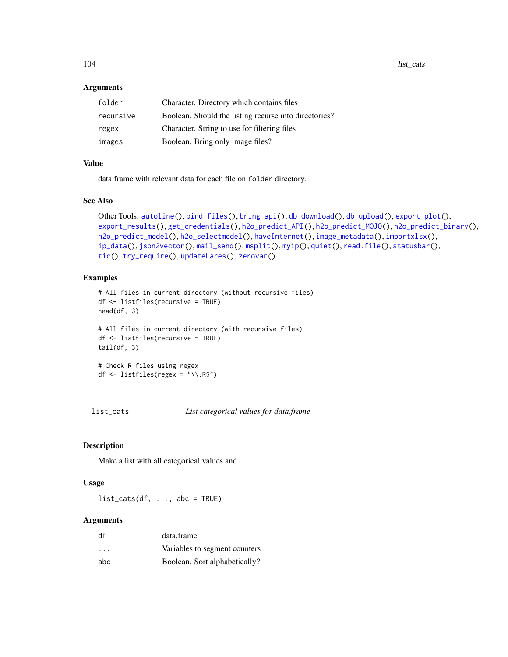104 list\_cats

#### **Arguments**

| folder    | Character. Directory which contains files             |
|-----------|-------------------------------------------------------|
| recursive | Boolean. Should the listing recurse into directories? |
| regex     | Character. String to use for filtering files          |
| images    | Boolean. Bring only image files?                      |

## Value

data.frame with relevant data for each file on folder directory.

## See Also

```
Other Tools: autoline(), bind_files(), bring_api(), db_download(), db_upload(), export_plot(),
export_results(), get_credentials(), h2o_predict_API(), h2o_predict_MOJO(), h2o_predict_binary(),
h2o_predict_model(), h2o_selectmodel(), haveInternet(), image_metadata(), importxlsx(),
ip_data(), json2vector(), mail_send(), msplit(), myip(), quiet(), read.file(), statusbar(),
tic(), try_require(), updateLares(), zerovar()
```
## Examples

```
# All files in current directory (without recursive files)
df <- listfiles(recursive = TRUE)
head(df, 3)
# All files in current directory (with recursive files)
df <- listfiles(recursive = TRUE)
tail(df, 3)# Check R files using regex
df \le listfiles(regex = "\\.R$")
```
list\_cats *List categorical values for data.frame*

## Description

Make a list with all categorical values and

#### Usage

 $list\_cats(df, ..., abc = TRUE)$ 

#### Arguments

| df                      | data.frame                    |
|-------------------------|-------------------------------|
| $\cdot$ $\cdot$ $\cdot$ | Variables to segment counters |
| abc                     | Boolean. Sort alphabetically? |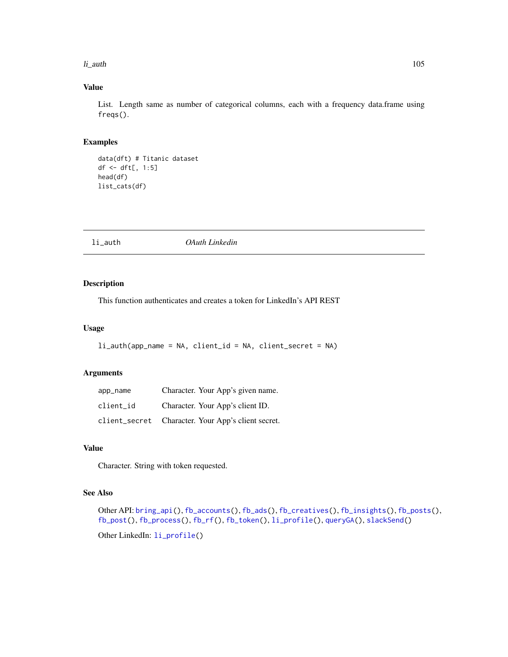#### li\_auth 105

## Value

List. Length same as number of categorical columns, each with a frequency data.frame using freqs().

## Examples

```
data(dft) # Titanic dataset
df <- dft[, 1:5]
head(df)
list_cats(df)
```
<span id="page-104-0"></span>li\_auth *OAuth Linkedin*

## Description

This function authenticates and creates a token for LinkedIn's API REST

## Usage

```
li_auth(app_name = NA, client_id = NA, client_secret = NA)
```
## Arguments

| app_name  | Character. Your App's given name.                  |
|-----------|----------------------------------------------------|
| client id | Character. Your App's client ID.                   |
|           | client_secret Character. Your App's client secret. |

#### Value

Character. String with token requested.

## See Also

```
Other API: bring_api(), fb_accounts(), fb_ads(), fb_creatives(), fb_insights(), fb_posts(),
fb_post(), fb_process(), fb_rf(), fb_token(), li_profile(), queryGA(), slackSend()
```
Other LinkedIn: [li\\_profile\(](#page-105-0))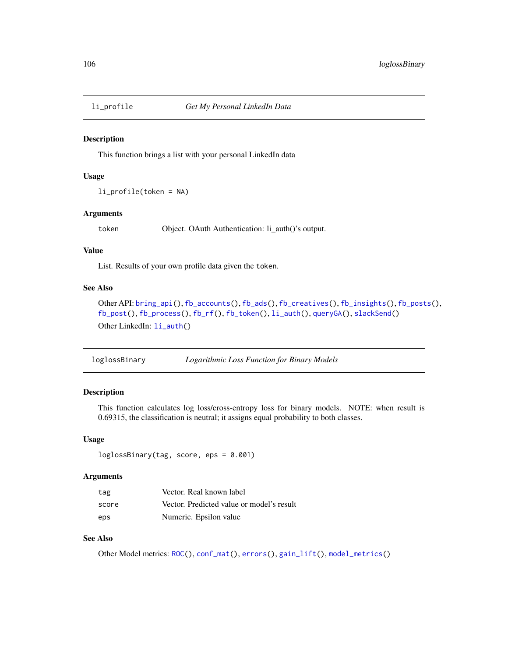<span id="page-105-0"></span>

This function brings a list with your personal LinkedIn data

#### Usage

li\_profile(token = NA)

#### Arguments

token Object. OAuth Authentication: li\_auth()'s output.

## Value

List. Results of your own profile data given the token.

## See Also

```
Other API: bring_api(), fb_accounts(), fb_ads(), fb_creatives(), fb_insights(), fb_posts(),
fb_post(), fb_process(), fb_rf(), fb_token(), li_auth(), queryGA(), slackSend()
Other LinkedIn: li_auth()
```

| loglossBinary | Logarithmic Loss Function for Binary Models |  |  |
|---------------|---------------------------------------------|--|--|
|---------------|---------------------------------------------|--|--|

## Description

This function calculates log loss/cross-entropy loss for binary models. NOTE: when result is 0.69315, the classification is neutral; it assigns equal probability to both classes.

#### Usage

```
loglossBinary(tag, score, eps = 0.001)
```
#### Arguments

| tag   | Vector. Real known label                  |
|-------|-------------------------------------------|
| score | Vector. Predicted value or model's result |
| eps   | Numeric. Epsilon value                    |

## See Also

Other Model metrics: [ROC\(](#page-157-0)), [conf\\_mat\(](#page-19-0)), [errors\(](#page-41-0)), [gain\\_lift\(](#page-69-0)), [model\\_metrics\(](#page-108-0))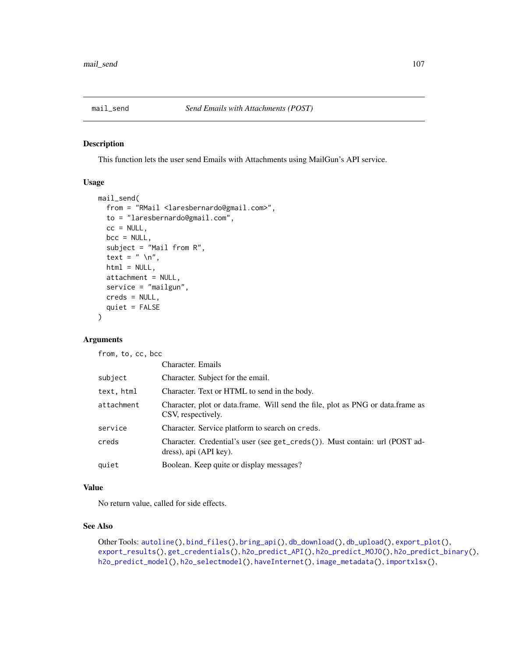<span id="page-106-0"></span>

This function lets the user send Emails with Attachments using MailGun's API service.

## Usage

```
mail_send(
  from = "RMail <laresbernardo@gmail.com>",
  to = "laresbernardo@gmail.com",
  cc = NULL,bcc = NULL,subject = "Mail from R",
  text = " \n\ln",
  html = NULL,attachment = NULL,
  service = "mailgun",
  creds = NULL,
  quiet = FALSE
)
```
## Arguments

from, to, cc, bcc

|            | Character. Emails                                                                                     |
|------------|-------------------------------------------------------------------------------------------------------|
| subject    | Character. Subject for the email.                                                                     |
| text, html | Character. Text or HTML to send in the body.                                                          |
| attachment | Character, plot or data.frame. Will send the file, plot as PNG or data.frame as<br>CSV, respectively. |
| service    | Character. Service platform to search on creds.                                                       |
| creds      | Character. Credential's user (see get_creds()). Must contain: url (POST ad-<br>dress), api (API key). |
| quiet      | Boolean. Keep quite or display messages?                                                              |

## Value

No return value, called for side effects.

## See Also

```
Other Tools: autoline(), bind_files(), bring_api(), db_download(), db_upload(), export_plot(),
export_results(), get_credentials(), h2o_predict_API(), h2o_predict_MOJO(), h2o_predict_binary(),
h2o_predict_model(), h2o_selectmodel(), haveInternet(), image_metadata(), importxlsx(),
```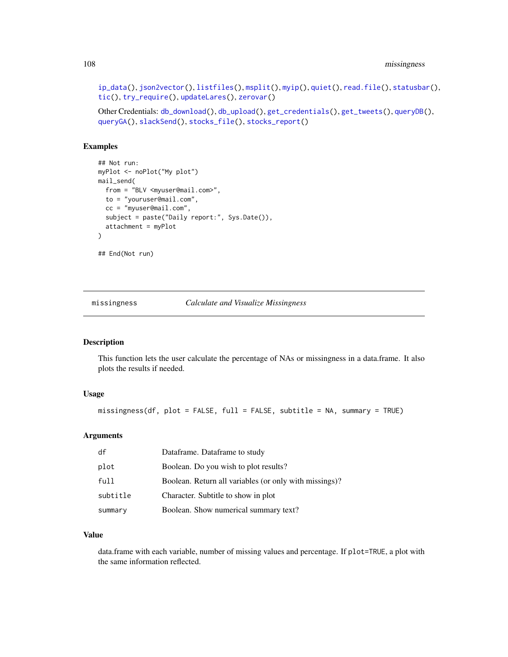```
ip_data(), json2vector(), listfiles(), msplit(), myip(), quiet(), read.file(), statusbar(),
tic(), try_require(), updateLares(), zerovar()
```

```
Other Credentials: db_download(), db_upload(), get_credentials(), get_tweets(), queryDB(),
queryGA(), slackSend(), stocks_file(), stocks_report()
```
## Examples

```
## Not run:
myPlot <- noPlot("My plot")
mail_send(
 from = "BLV <myuser@mail.com>",
 to = "youruser@mail.com",
  cc = "myuser@mail.com",
  subject = paste("Daily report:", Sys.Date()),
  attachment = myPlot
\lambda## End(Not run)
```
<span id="page-107-0"></span>missingness *Calculate and Visualize Missingness*

## Description

This function lets the user calculate the percentage of NAs or missingness in a data.frame. It also plots the results if needed.

## Usage

missingness(df, plot = FALSE, full = FALSE, subtitle = NA, summary = TRUE)

#### Arguments

| df       | Dataframe. Dataframe to study                          |
|----------|--------------------------------------------------------|
| plot     | Boolean. Do you wish to plot results?                  |
| full     | Boolean. Return all variables (or only with missings)? |
| subtitle | Character. Subtitle to show in plot                    |
| summary  | Boolean. Show numerical summary text?                  |

## Value

data.frame with each variable, number of missing values and percentage. If plot=TRUE, a plot with the same information reflected.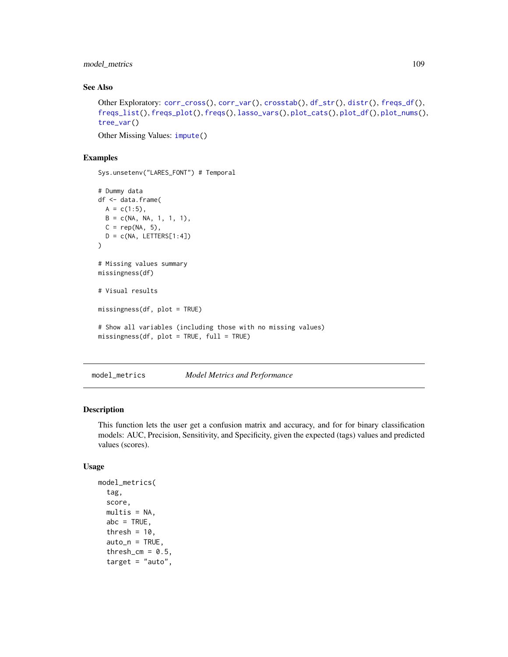model\_metrics 109

# See Also

```
Other Exploratory: corr_cross(), corr_var(), crosstab(), df_str(), distr(), freqs_df(),
freqs_list(), freqs_plot(), freqs(), lasso_vars(), plot_cats(), plot_df(), plot_nums(),
tree_var()
```
Other Missing Values: [impute\(](#page-94-0))

## Examples

Sys.unsetenv("LARES\_FONT") # Temporal

```
# Dummy data
df <- data.frame(
  A = c(1:5),
 B = c(NA, NA, 1, 1, 1),C = rep(NA, 5),D = c(NA, LETTERS[1:4])\lambda# Missing values summary
missingness(df)
# Visual results
missingness(df, plot = TRUE)
# Show all variables (including those with no missing values)
missingness(df, plot = TRUE, full = TRUE)
```
<span id="page-108-0"></span>model\_metrics *Model Metrics and Performance*

## Description

This function lets the user get a confusion matrix and accuracy, and for for binary classification models: AUC, Precision, Sensitivity, and Specificity, given the expected (tags) values and predicted values (scores).

```
model_metrics(
  tag,
  score,
  multis = NA,
  abc = TRUE,thresh = 10.
  auto_n = TRUE,thresh_cm = 0.5,
  target = "auto",
```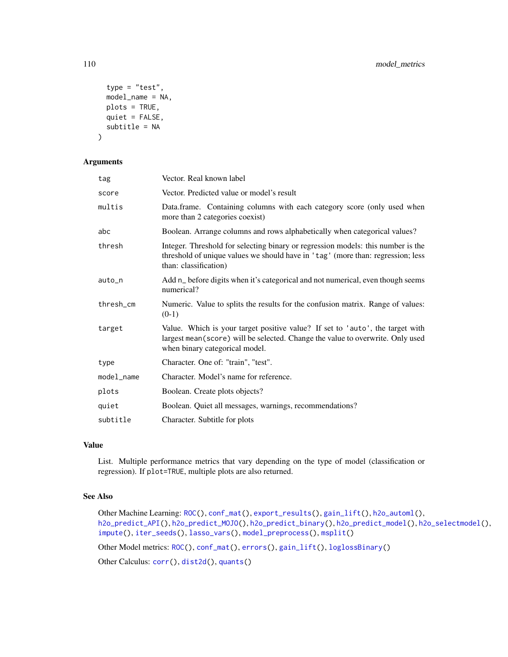```
type = "test",model_name = NA,
 plots = TRUE,
 quiet = FALSE,
  subtitle = NA
\mathcal{L}
```
#### Arguments

| tag        | Vector. Real known label                                                                                                                                                                           |
|------------|----------------------------------------------------------------------------------------------------------------------------------------------------------------------------------------------------|
| score      | Vector. Predicted value or model's result                                                                                                                                                          |
| multis     | Data.frame. Containing columns with each category score (only used when<br>more than 2 categories coexist)                                                                                         |
| abc        | Boolean. Arrange columns and rows alphabetically when categorical values?                                                                                                                          |
| thresh     | Integer. Threshold for selecting binary or regression models: this number is the<br>threshold of unique values we should have in 'tag' (more than: regression; less<br>than: classification)       |
| auto_n     | Add n_ before digits when it's categorical and not numerical, even though seems<br>numerical?                                                                                                      |
| thresh_cm  | Numeric. Value to splits the results for the confusion matrix. Range of values:<br>$(0-1)$                                                                                                         |
| target     | Value. Which is your target positive value? If set to 'auto', the target with<br>largest mean (score) will be selected. Change the value to overwrite. Only used<br>when binary categorical model. |
| type       | Character. One of: "train", "test".                                                                                                                                                                |
| model_name | Character. Model's name for reference.                                                                                                                                                             |
| plots      | Boolean. Create plots objects?                                                                                                                                                                     |
| quiet      | Boolean. Quiet all messages, warnings, recommendations?                                                                                                                                            |
| subtitle   | Character. Subtitle for plots                                                                                                                                                                      |

## Value

List. Multiple performance metrics that vary depending on the type of model (classification or regression). If plot=TRUE, multiple plots are also returned.

# See Also

```
Other Machine Learning: ROC(), conf_mat(), export_results(), gain_lift(), h2o_automl(),
h2o_predict_API(), h2o_predict_MOJO(), h2o_predict_binary(), h2o_predict_model(), h2o_selectmodel(),
impute(), iter_seeds(), lasso_vars(), model_preprocess(), msplit()
```
Other Model metrics: [ROC\(](#page-157-0)), [conf\\_mat\(](#page-19-0)), [errors\(](#page-41-0)), [gain\\_lift\(](#page-69-0)), [loglossBinary\(](#page-105-0))

Other Calculus: [corr\(](#page-20-0)), [dist2d\(](#page-38-0)), [quants\(](#page-146-0))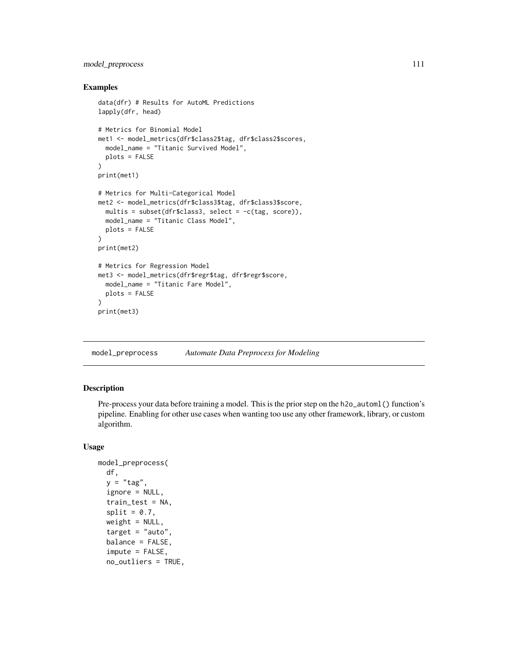# model\_preprocess 111

#### Examples

```
data(dfr) # Results for AutoML Predictions
lapply(dfr, head)
# Metrics for Binomial Model
met1 <- model_metrics(dfr$class2$tag, dfr$class2$scores,
  model_name = "Titanic Survived Model",
  plots = FALSE
)
print(met1)
# Metrics for Multi-Categorical Model
met2 <- model_metrics(dfr$class3$tag, dfr$class3$score,
 multis = subset(dfr$class3, select = -c(tag, score)),
 model_name = "Titanic Class Model",
  plots = FALSE
)
print(met2)
# Metrics for Regression Model
met3 <- model_metrics(dfr$regr$tag, dfr$regr$score,
  model_name = "Titanic Fare Model",
  plots = FALSE
)
print(met3)
```
<span id="page-110-0"></span>model\_preprocess *Automate Data Preprocess for Modeling*

# Description

Pre-process your data before training a model. This is the prior step on the h2o\_automl() function's pipeline. Enabling for other use cases when wanting too use any other framework, library, or custom algorithm.

```
model_preprocess(
  df,
  y = "tag",ignore = NULL,
  train_test = NA,
  split = 0.7,
  weight = NULL,target = "auto",balance = FALSE,
  impute = FALSE,
  no_outliers = TRUE,
```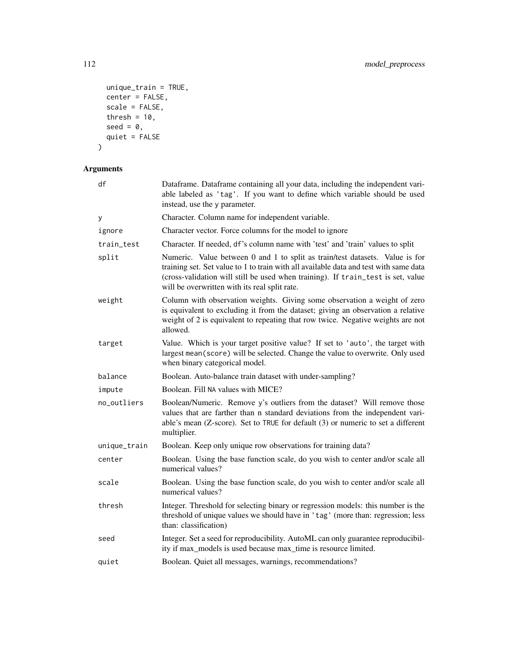```
unique_train = TRUE,
 center = FALSE,scale = FALSE,thresh = 10,
 seed = \theta,
 quiet = FALSE
\mathcal{L}
```
Arguments

| df           | Dataframe. Dataframe containing all your data, including the independent vari-<br>able labeled as 'tag'. If you want to define which variable should be used<br>instead, use the y parameter.                                                                                                              |
|--------------|------------------------------------------------------------------------------------------------------------------------------------------------------------------------------------------------------------------------------------------------------------------------------------------------------------|
| у            | Character. Column name for independent variable.                                                                                                                                                                                                                                                           |
| ignore       | Character vector. Force columns for the model to ignore                                                                                                                                                                                                                                                    |
| train_test   | Character. If needed, df's column name with 'test' and 'train' values to split                                                                                                                                                                                                                             |
| split        | Numeric. Value between 0 and 1 to split as train/test datasets. Value is for<br>training set. Set value to 1 to train with all available data and test with same data<br>(cross-validation will still be used when training). If train_test is set, value<br>will be overwritten with its real split rate. |
| weight       | Column with observation weights. Giving some observation a weight of zero<br>is equivalent to excluding it from the dataset; giving an observation a relative<br>weight of 2 is equivalent to repeating that row twice. Negative weights are not<br>allowed.                                               |
| target       | Value. Which is your target positive value? If set to 'auto', the target with<br>largest mean(score) will be selected. Change the value to overwrite. Only used<br>when binary categorical model.                                                                                                          |
| balance      | Boolean. Auto-balance train dataset with under-sampling?                                                                                                                                                                                                                                                   |
| impute       | Boolean. Fill NA values with MICE?                                                                                                                                                                                                                                                                         |
| no_outliers  | Boolean/Numeric. Remove y's outliers from the dataset? Will remove those<br>values that are farther than n standard deviations from the independent vari-<br>able's mean (Z-score). Set to TRUE for default (3) or numeric to set a different<br>multiplier.                                               |
| unique_train | Boolean. Keep only unique row observations for training data?                                                                                                                                                                                                                                              |
| center       | Boolean. Using the base function scale, do you wish to center and/or scale all<br>numerical values?                                                                                                                                                                                                        |
| scale        | Boolean. Using the base function scale, do you wish to center and/or scale all<br>numerical values?                                                                                                                                                                                                        |
| thresh       | Integer. Threshold for selecting binary or regression models: this number is the<br>threshold of unique values we should have in 'tag' (more than: regression; less<br>than: classification)                                                                                                               |
| seed         | Integer. Set a seed for reproducibility. AutoML can only guarantee reproducibil-<br>ity if max_models is used because max_time is resource limited.                                                                                                                                                        |
| quiet        | Boolean. Quiet all messages, warnings, recommendations?                                                                                                                                                                                                                                                    |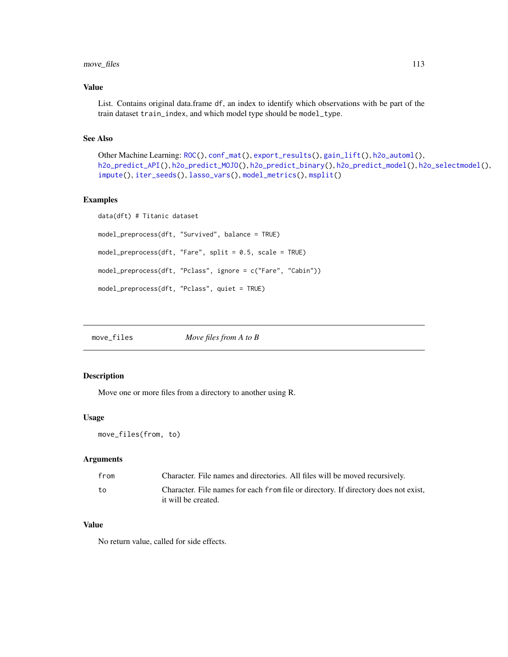# move\_files 113

## Value

List. Contains original data.frame df, an index to identify which observations with be part of the train dataset train\_index, and which model type should be model\_type.

## See Also

```
Other Machine Learning: ROC(), conf_mat(), export_results(), gain_lift(), h2o_automl(),
h2o_predict_API(), h2o_predict_MOJO(), h2o_predict_binary(), h2o_predict_model(), h2o_selectmodel(),
impute(), iter_seeds(), lasso_vars(), model_metrics(), msplit()
```
## Examples

```
data(dft) # Titanic dataset
model_preprocess(dft, "Survived", balance = TRUE)
model_preprocess(dft, "Fare", split = 0.5, scale = TRUE)
model_preprocess(dft, "Pclass", ignore = c("Fare", "Cabin"))
model_preprocess(dft, "Pclass", quiet = TRUE)
```
move\_files *Move files from A to B*

#### Description

Move one or more files from a directory to another using R.

#### Usage

```
move_files(from, to)
```
#### Arguments

| from | Character. File names and directories. All files will be moved recursively.         |
|------|-------------------------------------------------------------------------------------|
| to   | Character. File names for each from file or directory. If directory does not exist, |
|      | it will be created.                                                                 |

## Value

No return value, called for side effects.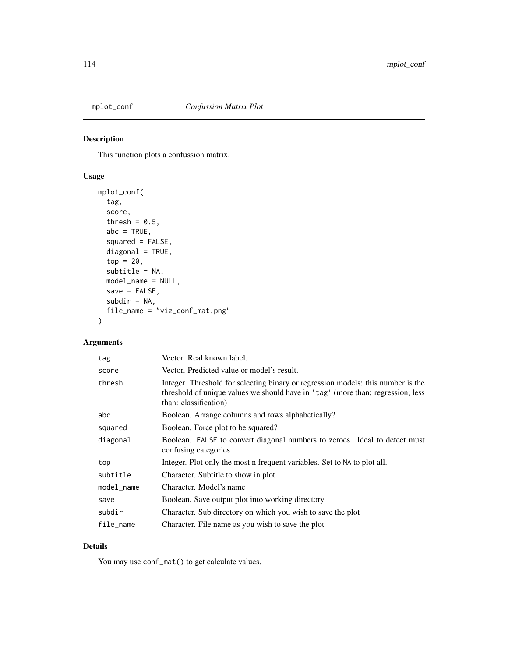<span id="page-113-0"></span>

This function plots a confussion matrix.

# Usage

```
mplot_conf(
  tag,
  score,
  thresh = 0.5,
 abc = TRUE,squared = FALSE,
  diagonal = TRUE,top = 20,subtitle = NA,
 model_name = NULL,
 save = FALSE,subdir = NA,
  file_name = "viz_conf_mat.png"
\mathcal{L}
```
# Arguments

| tag        | Vector. Real known label.                                                                                                                                                                    |
|------------|----------------------------------------------------------------------------------------------------------------------------------------------------------------------------------------------|
| score      | Vector. Predicted value or model's result.                                                                                                                                                   |
| thresh     | Integer. Threshold for selecting binary or regression models: this number is the<br>threshold of unique values we should have in 'tag' (more than: regression; less<br>than: classification) |
| abc        | Boolean. Arrange columns and rows alphabetically?                                                                                                                                            |
| squared    | Boolean. Force plot to be squared?                                                                                                                                                           |
| diagonal   | Boolean. FALSE to convert diagonal numbers to zeroes. Ideal to detect must<br>confusing categories.                                                                                          |
| top        | Integer. Plot only the most n frequent variables. Set to NA to plot all.                                                                                                                     |
| subtitle   | Character. Subtitle to show in plot                                                                                                                                                          |
| model_name | Character. Model's name                                                                                                                                                                      |
| save       | Boolean. Save output plot into working directory                                                                                                                                             |
| subdir     | Character. Sub directory on which you wish to save the plot                                                                                                                                  |
| file_name  | Character. File name as you wish to save the plot                                                                                                                                            |

# Details

You may use conf\_mat() to get calculate values.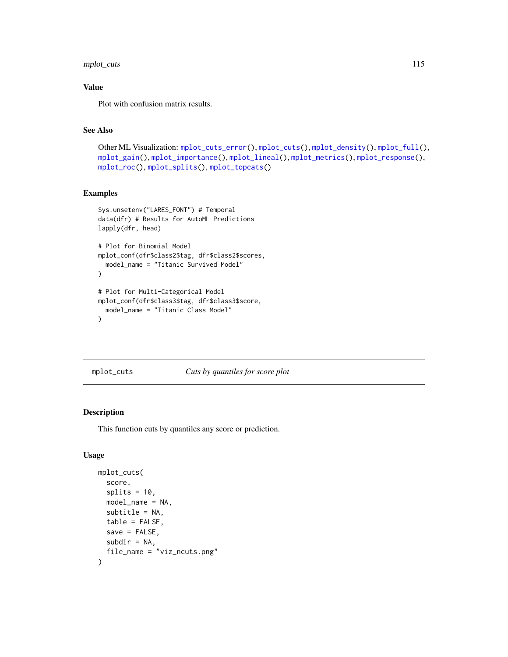# mplot\_cuts 115

## Value

Plot with confusion matrix results.

# See Also

```
Other ML Visualization: mplot_cuts_error(), mplot_cuts(), mplot_density(), mplot_full(),
mplot_gain(), mplot_importance(), mplot_lineal(), mplot_metrics(), mplot_response(),
mplot_roc(), mplot_splits(), mplot_topcats()
```
## Examples

```
Sys.unsetenv("LARES_FONT") # Temporal
data(dfr) # Results for AutoML Predictions
lapply(dfr, head)
# Plot for Binomial Model
mplot_conf(dfr$class2$tag, dfr$class2$scores,
  model_name = "Titanic Survived Model"
\mathcal{L}# Plot for Multi-Categorical Model
mplot_conf(dfr$class3$tag, dfr$class3$score,
  model_name = "Titanic Class Model"
)
```
<span id="page-114-0"></span>mplot\_cuts *Cuts by quantiles for score plot*

## Description

This function cuts by quantiles any score or prediction.

```
mplot_cuts(
  score,
  splits = 10,model_name = NA,
  subtitle = NA,
  table = FALSE,
  save = FALSE,
  subdir = NA,
  file_name = "viz_ncuts.png"
)
```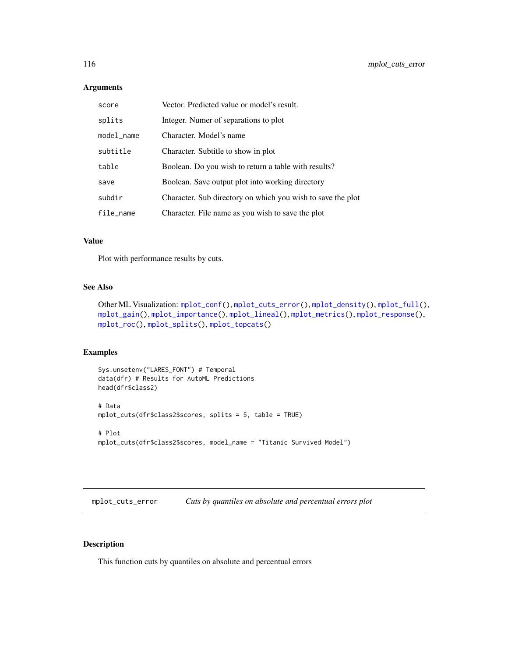## Arguments

| score      | Vector. Predicted value or model's result.                  |
|------------|-------------------------------------------------------------|
| splits     | Integer. Numer of separations to plot                       |
| model_name | Character. Model's name                                     |
| subtitle   | Character. Subtitle to show in plot                         |
| table      | Boolean. Do you wish to return a table with results?        |
| save       | Boolean. Save output plot into working directory            |
| subdir     | Character. Sub directory on which you wish to save the plot |
| file_name  | Character. File name as you wish to save the plot           |

## Value

Plot with performance results by cuts.

## See Also

```
Other ML Visualization: mplot_conf(), mplot_cuts_error(), mplot_density(), mplot_full(),
mplot_gain(), mplot_importance(), mplot_lineal(), mplot_metrics(), mplot_response(),
mplot_roc(), mplot_splits(), mplot_topcats()
```
## Examples

```
Sys.unsetenv("LARES_FONT") # Temporal
data(dfr) # Results for AutoML Predictions
head(dfr$class2)
# Data
mplot_cuts(dfr$class2$scores, splits = 5, table = TRUE)
# Plot
mplot_cuts(dfr$class2$scores, model_name = "Titanic Survived Model")
```
<span id="page-115-0"></span>mplot\_cuts\_error *Cuts by quantiles on absolute and percentual errors plot*

## Description

This function cuts by quantiles on absolute and percentual errors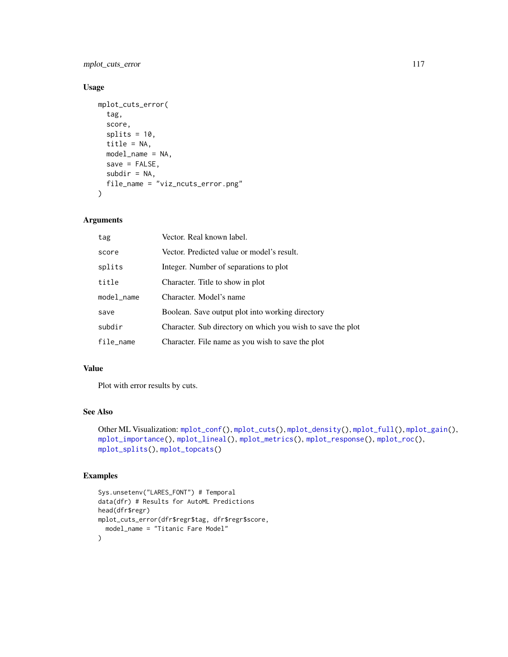mplot\_cuts\_error 117

## Usage

```
mplot_cuts_error(
  tag,
 score,
 splits = 10,title = NA,
 model_name = NA,
 save = FALSE,subdir = NA,
 file_name = "viz_ncuts_error.png"
)
```
## Arguments

| tag        | Vector. Real known label.                                   |
|------------|-------------------------------------------------------------|
| score      | Vector. Predicted value or model's result.                  |
| splits     | Integer. Number of separations to plot                      |
| title      | Character. Title to show in plot                            |
| model_name | Character. Model's name                                     |
| save       | Boolean. Save output plot into working directory            |
| subdir     | Character. Sub directory on which you wish to save the plot |
| file_name  | Character. File name as you wish to save the plot           |

#### Value

Plot with error results by cuts.

## See Also

```
Other ML Visualization: mplot_conf(), mplot_cuts(), mplot_density(), mplot_full(), mplot_gain(),
mplot_importance(), mplot_lineal(), mplot_metrics(), mplot_response(), mplot_roc(),
mplot_splits(), mplot_topcats()
```
## Examples

```
Sys.unsetenv("LARES_FONT") # Temporal
data(dfr) # Results for AutoML Predictions
head(dfr$regr)
mplot_cuts_error(dfr$regr$tag, dfr$regr$score,
  model_name = "Titanic Fare Model"
)
```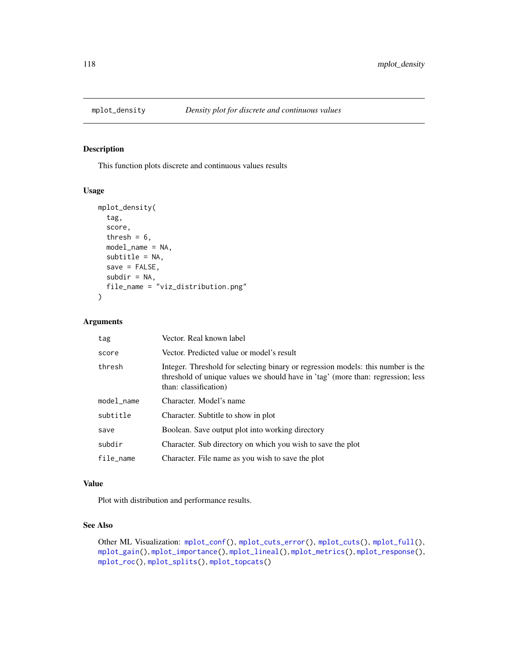<span id="page-117-0"></span>

This function plots discrete and continuous values results

# Usage

```
mplot_density(
  tag,
  score,
  thresh = 6,
 model_name = NA,
  subtitle = NA,
  save = FALSE,subdir = NA,
  file_name = "viz_distribution.png"
)
```
#### Arguments

| tag        | Vector. Real known label                                                                                                                                                                     |
|------------|----------------------------------------------------------------------------------------------------------------------------------------------------------------------------------------------|
| score      | Vector. Predicted value or model's result                                                                                                                                                    |
| thresh     | Integer. Threshold for selecting binary or regression models: this number is the<br>threshold of unique values we should have in 'tag' (more than: regression; less<br>than: classification) |
| model_name | Character. Model's name                                                                                                                                                                      |
| subtitle   | Character. Subtitle to show in plot                                                                                                                                                          |
| save       | Boolean. Save output plot into working directory                                                                                                                                             |
| subdir     | Character. Sub directory on which you wish to save the plot                                                                                                                                  |
| file_name  | Character. File name as you wish to save the plot                                                                                                                                            |

## Value

Plot with distribution and performance results.

## See Also

```
Other ML Visualization: mplot_conf(), mplot_cuts_error(), mplot_cuts(), mplot_full(),
mplot_gain(), mplot_importance(), mplot_lineal(), mplot_metrics(), mplot_response(),
mplot_roc(), mplot_splits(), mplot_topcats()
```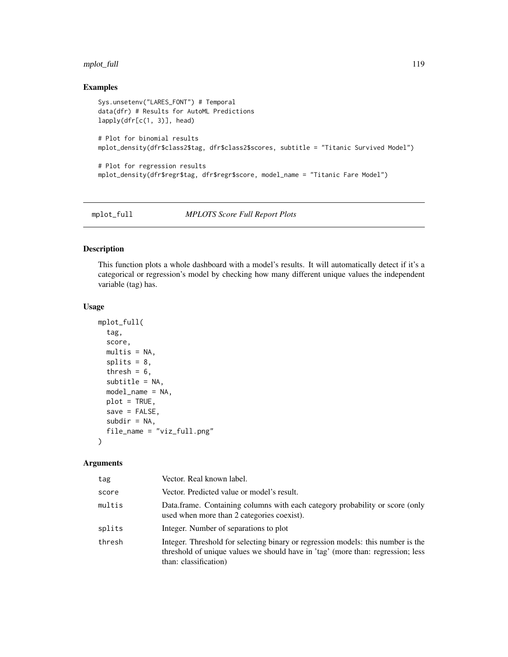# mplot\_full 119

# Examples

```
Sys.unsetenv("LARES_FONT") # Temporal
data(dfr) # Results for AutoML Predictions
lapply(dfr[c(1, 3)], head)
# Plot for binomial results
mplot_density(dfr$class2$tag, dfr$class2$scores, subtitle = "Titanic Survived Model")
# Plot for regression results
mplot_density(dfr$regr$tag, dfr$regr$score, model_name = "Titanic Fare Model")
```
<span id="page-118-0"></span>

mplot\_full *MPLOTS Score Full Report Plots*

#### Description

This function plots a whole dashboard with a model's results. It will automatically detect if it's a categorical or regression's model by checking how many different unique values the independent variable (tag) has.

#### Usage

```
mplot_full(
  tag,
  score,
 multis = NA,
  splits = 8,thresh = 6,
  subtitle = NA,
  model_name = NA,
 plot = TRUE,
  save = FALSE,subdir = NA,
  file_name = "viz_full.png"
\lambda
```
#### Arguments

| tag    | Vector. Real known label.                                                                                                                                                                    |
|--------|----------------------------------------------------------------------------------------------------------------------------------------------------------------------------------------------|
| score  | Vector. Predicted value or model's result.                                                                                                                                                   |
| multis | Data.frame. Containing columns with each category probability or score (only<br>used when more than 2 categories coexist).                                                                   |
| splits | Integer. Number of separations to plot                                                                                                                                                       |
| thresh | Integer. Threshold for selecting binary or regression models: this number is the<br>threshold of unique values we should have in 'tag' (more than: regression; less<br>than: classification) |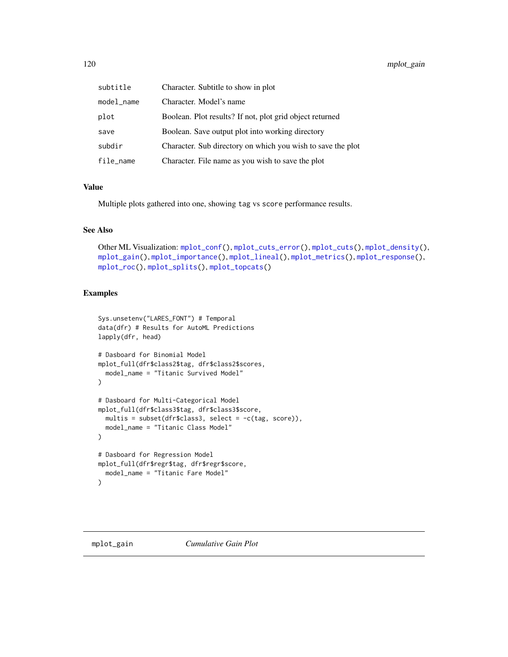| subtitle   | Character. Subtitle to show in plot                         |
|------------|-------------------------------------------------------------|
| model_name | Character. Model's name                                     |
| plot       | Boolean. Plot results? If not, plot grid object returned    |
| save       | Boolean. Save output plot into working directory            |
| subdir     | Character. Sub directory on which you wish to save the plot |
| file_name  | Character. File name as you wish to save the plot           |

## Value

Multiple plots gathered into one, showing tag vs score performance results.

#### See Also

```
Other ML Visualization: mplot_conf(), mplot_cuts_error(), mplot_cuts(), mplot_density(),
mplot_gain(), mplot_importance(), mplot_lineal(), mplot_metrics(), mplot_response(),
mplot_roc(), mplot_splits(), mplot_topcats()
```
# Examples

```
Sys.unsetenv("LARES_FONT") # Temporal
data(dfr) # Results for AutoML Predictions
lapply(dfr, head)
# Dasboard for Binomial Model
mplot_full(dfr$class2$tag, dfr$class2$scores,
  model_name = "Titanic Survived Model"
)
# Dasboard for Multi-Categorical Model
mplot_full(dfr$class3$tag, dfr$class3$score,
  multis = subset(dfr$class3, select = -c(tag, score)),
  model_name = "Titanic Class Model"
)
# Dasboard for Regression Model
mplot_full(dfr$regr$tag, dfr$regr$score,
  model_name = "Titanic Fare Model"
\mathcal{L}
```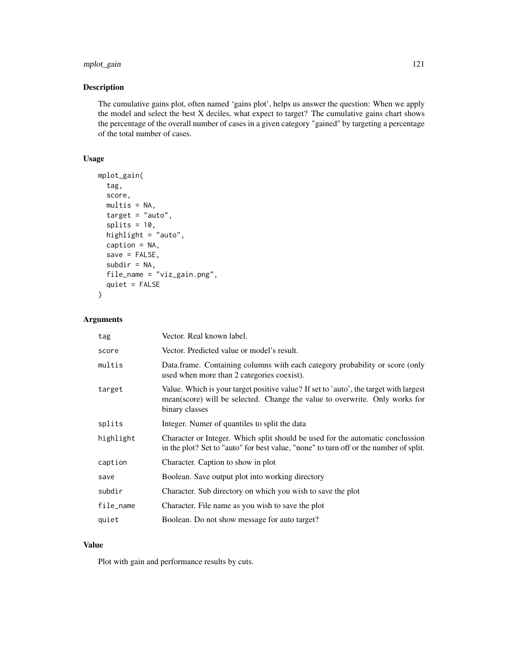# mplot\_gain 121

# Description

The cumulative gains plot, often named 'gains plot', helps us answer the question: When we apply the model and select the best X deciles, what expect to target? The cumulative gains chart shows the percentage of the overall number of cases in a given category "gained" by targeting a percentage of the total number of cases.

# Usage

```
mplot_gain(
  tag,
  score,
 multis = NA,
  target = "auto",splits = 10,highlight = "auto",
  caption = NA,
  save = FALSE,
  subdir = NA,
  file_name = "viz_gain.png",
  quiet = FALSE)
```
# Arguments

| tag       | Vector. Real known label.                                                                                                                                                              |
|-----------|----------------------------------------------------------------------------------------------------------------------------------------------------------------------------------------|
| score     | Vector. Predicted value or model's result.                                                                                                                                             |
| multis    | Data.frame. Containing columns with each category probability or score (only<br>used when more than 2 categories coexist).                                                             |
| target    | Value. Which is your target positive value? If set to 'auto', the target with largest<br>mean(score) will be selected. Change the value to overwrite. Only works for<br>binary classes |
| splits    | Integer. Numer of quantiles to split the data                                                                                                                                          |
| highlight | Character or Integer. Which split should be used for the automatic conclussion<br>in the plot? Set to "auto" for best value, "none" to turn off or the number of split.                |
| caption   | Character. Caption to show in plot                                                                                                                                                     |
| save      | Boolean. Save output plot into working directory                                                                                                                                       |
| subdir    | Character. Sub directory on which you wish to save the plot                                                                                                                            |
| file_name | Character. File name as you wish to save the plot                                                                                                                                      |
| quiet     | Boolean. Do not show message for auto target?                                                                                                                                          |

## Value

Plot with gain and performance results by cuts.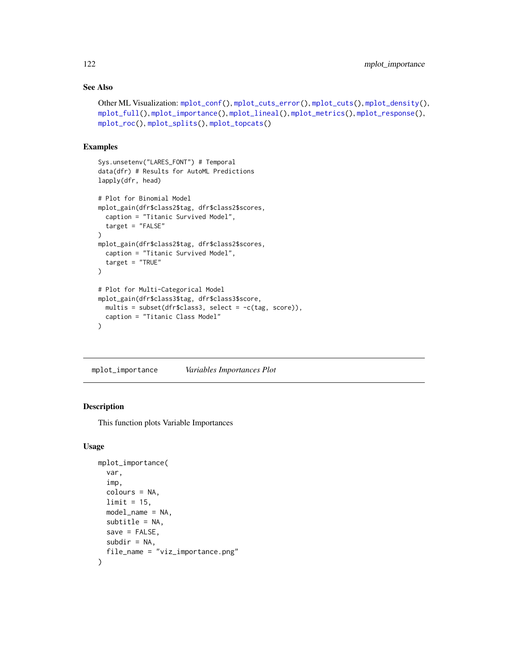# See Also

```
Other ML Visualization: mplot_conf(), mplot_cuts_error(), mplot_cuts(), mplot_density(),
mplot_full(), mplot_importance(), mplot_lineal(), mplot_metrics(), mplot_response(),
mplot_roc(), mplot_splits(), mplot_topcats()
```
#### Examples

```
Sys.unsetenv("LARES_FONT") # Temporal
data(dfr) # Results for AutoML Predictions
lapply(dfr, head)
# Plot for Binomial Model
mplot_gain(dfr$class2$tag, dfr$class2$scores,
  caption = "Titanic Survived Model",
  target = "FALSE"
\lambdamplot_gain(dfr$class2$tag, dfr$class2$scores,
  caption = "Titanic Survived Model",
  target = "TRUE")
# Plot for Multi-Categorical Model
mplot_gain(dfr$class3$tag, dfr$class3$score,
 multis = subset(dfr$class3, select = -c(tag, score)),
  caption = "Titanic Class Model"
\mathcal{L}
```
<span id="page-121-0"></span>mplot\_importance *Variables Importances Plot*

#### Description

This function plots Variable Importances

```
mplot_importance(
  var,
  imp,
  colours = NA,
  limit = 15,model_name = NA,
  subtitle = NA,
  save = FALSE,
  subdir = NA,
  file_name = "viz_importance.png"
)
```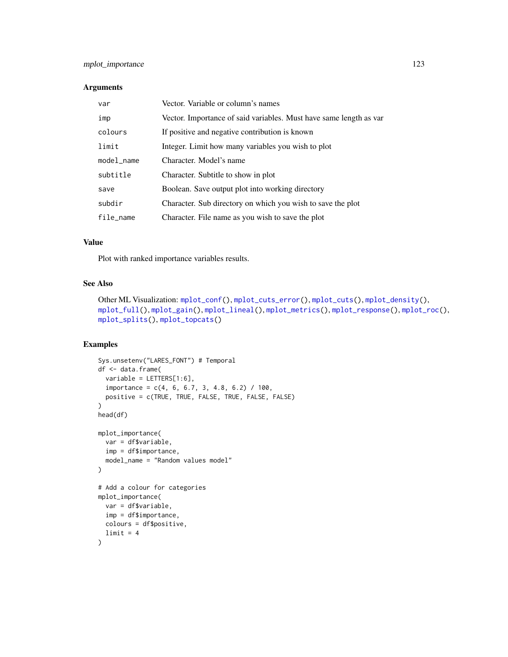# mplot\_importance 123

#### Arguments

| var        | Vector. Variable or column's names                                 |
|------------|--------------------------------------------------------------------|
| imp        | Vector. Importance of said variables. Must have same length as var |
| colours    | If positive and negative contribution is known                     |
| limit      | Integer. Limit how many variables you wish to plot                 |
| model_name | Character. Model's name                                            |
| subtitle   | Character. Subtitle to show in plot                                |
| save       | Boolean. Save output plot into working directory                   |
| subdir     | Character. Sub directory on which you wish to save the plot        |
| file_name  | Character. File name as you wish to save the plot                  |

## Value

Plot with ranked importance variables results.

# See Also

```
Other ML Visualization: mplot_conf(), mplot_cuts_error(), mplot_cuts(), mplot_density(),
mplot_full(), mplot_gain(), mplot_lineal(), mplot_metrics(), mplot_response(), mplot_roc(),
mplot_splits(), mplot_topcats()
```
## Examples

```
Sys.unsetenv("LARES_FONT") # Temporal
df <- data.frame(
  variable = LETTERS[1:6],importance = c(4, 6, 6.7, 3, 4.8, 6.2) / 100,
  positive = c(TRUE, TRUE, FALSE, TRUE, FALSE, FALSE)
\overline{\phantom{a}}head(df)
mplot_importance(
  var = df$variable,
  imp = df$importance,
  model_name = "Random values model"
)
# Add a colour for categories
mplot_importance(
  var = df$variable,
  imp = df$importance,
  colours = df$positive,
  limit = 4\mathcal{L}
```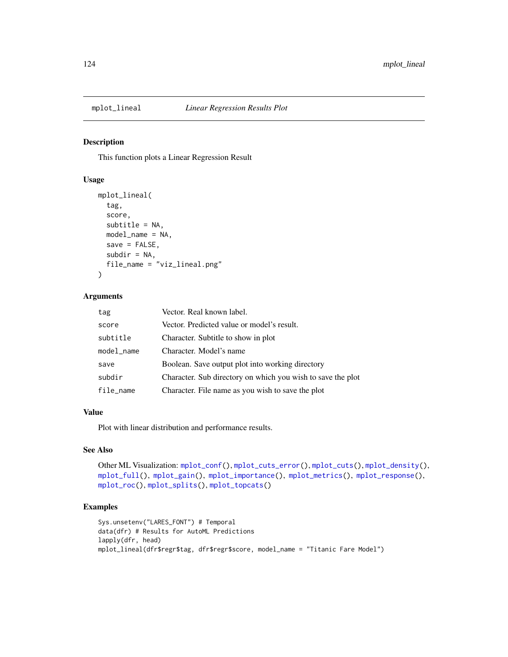<span id="page-123-0"></span>

This function plots a Linear Regression Result

#### Usage

```
mplot_lineal(
  tag,
  score,
  subtitle = NA,
  model_name = NA,
  save = FALSE,subdir = NA,
  file_name = "viz_lineal.png"
\mathcal{L}
```
# Arguments

| tag        | Vector. Real known label.                                   |
|------------|-------------------------------------------------------------|
| score      | Vector. Predicted value or model's result.                  |
| subtitle   | Character. Subtitle to show in plot                         |
| model_name | Character. Model's name                                     |
| save       | Boolean. Save output plot into working directory            |
| subdir     | Character. Sub directory on which you wish to save the plot |
| file_name  | Character. File name as you wish to save the plot           |

## Value

Plot with linear distribution and performance results.

# See Also

```
Other ML Visualization: mplot_conf(), mplot_cuts_error(), mplot_cuts(), mplot_density(),
mplot_full(), mplot_gain(), mplot_importance(), mplot_metrics(), mplot_response(),
mplot_roc(), mplot_splits(), mplot_topcats()
```
# Examples

```
Sys.unsetenv("LARES_FONT") # Temporal
data(dfr) # Results for AutoML Predictions
lapply(dfr, head)
mplot_lineal(dfr$regr$tag, dfr$regr$score, model_name = "Titanic Fare Model")
```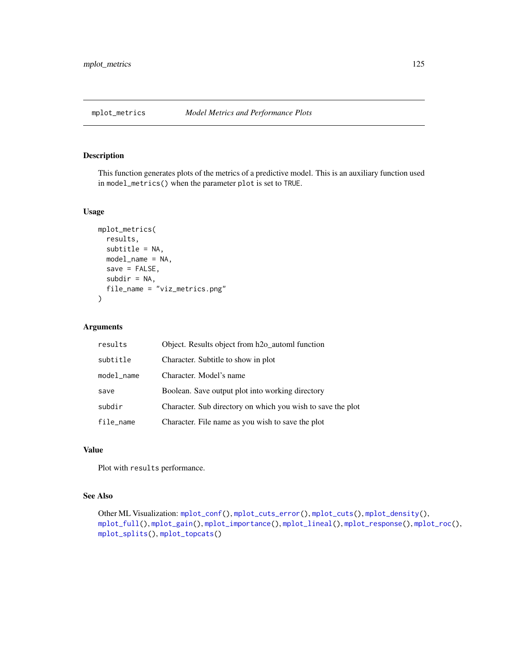<span id="page-124-0"></span>

This function generates plots of the metrics of a predictive model. This is an auxiliary function used in model\_metrics() when the parameter plot is set to TRUE.

## Usage

```
mplot_metrics(
  results,
  subtitle = NA,
 model_name = NA,
  save = FALSE,
  subdir = NA,
  file_name = "viz_metrics.png"
)
```
# Arguments

| results    | Object. Results object from h <sub>20_</sub> automl function |  |
|------------|--------------------------------------------------------------|--|
| subtitle   | Character. Subtitle to show in plot                          |  |
| model_name | Character. Model's name                                      |  |
| save       | Boolean. Save output plot into working directory             |  |
| subdir     | Character. Sub directory on which you wish to save the plot  |  |
| file_name  | Character. File name as you wish to save the plot            |  |

## Value

Plot with results performance.

## See Also

```
Other ML Visualization: mplot_conf(), mplot_cuts_error(), mplot_cuts(), mplot_density(),
mplot_full(), mplot_gain(), mplot_importance(), mplot_lineal(), mplot_response(), mplot_roc(),
mplot_splits(), mplot_topcats()
```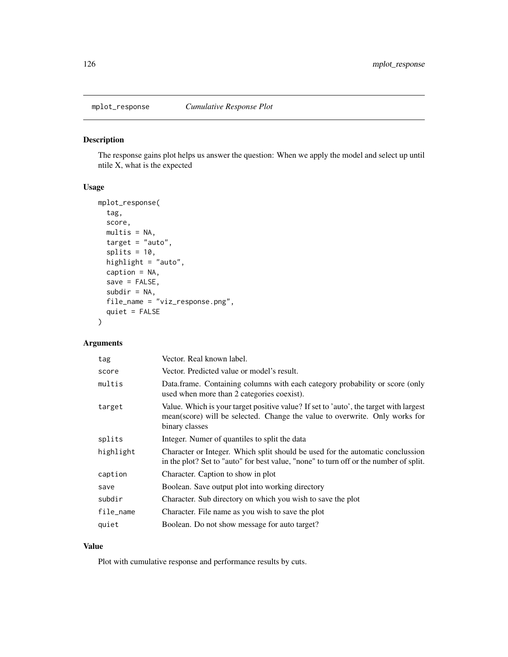<span id="page-125-0"></span>

The response gains plot helps us answer the question: When we apply the model and select up until ntile X, what is the expected

# Usage

```
mplot_response(
  tag,
  score,
 multis = NA,
  target = "auto",splits = 10,highlight = "auto",
  caption = NA,
  save = FALSE,
  subdir = NA,
  file_name = "viz_response.png",
  quiet = FALSE
)
```
# Arguments

| tag       | Vector. Real known label.                                                                                                                                                              |  |
|-----------|----------------------------------------------------------------------------------------------------------------------------------------------------------------------------------------|--|
| score     | Vector. Predicted value or model's result.                                                                                                                                             |  |
| multis    | Data frame. Containing columns with each category probability or score (only<br>used when more than 2 categories coexist).                                                             |  |
| target    | Value. Which is your target positive value? If set to 'auto', the target with largest<br>mean(score) will be selected. Change the value to overwrite. Only works for<br>binary classes |  |
| splits    | Integer. Numer of quantiles to split the data                                                                                                                                          |  |
| highlight | Character or Integer. Which split should be used for the automatic conclussion<br>in the plot? Set to "auto" for best value, "none" to turn off or the number of split.                |  |
| caption   | Character. Caption to show in plot                                                                                                                                                     |  |
| save      | Boolean. Save output plot into working directory                                                                                                                                       |  |
| subdir    | Character. Sub directory on which you wish to save the plot                                                                                                                            |  |
| file_name | Character. File name as you wish to save the plot                                                                                                                                      |  |
| quiet     | Boolean. Do not show message for auto target?                                                                                                                                          |  |

# Value

Plot with cumulative response and performance results by cuts.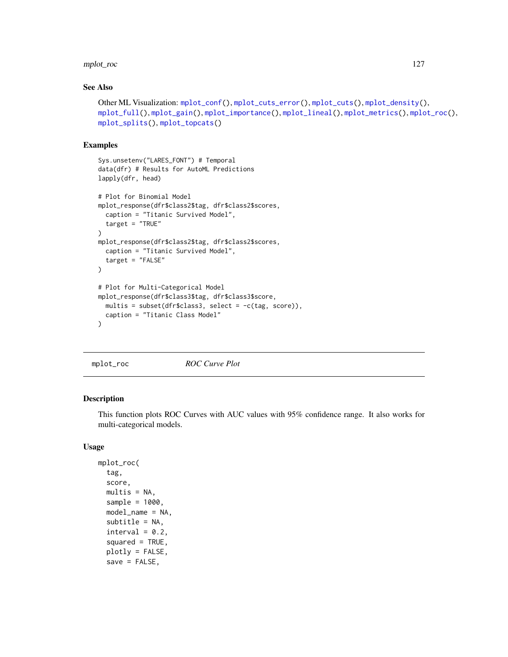# mplot\_roc 127

## See Also

```
Other ML Visualization: mplot_conf(), mplot_cuts_error(), mplot_cuts(), mplot_density(),
mplot_full(), mplot_gain(), mplot_importance(), mplot_lineal(), mplot_metrics(), mplot_roc(),
mplot_splits(), mplot_topcats()
```
## Examples

```
Sys.unsetenv("LARES_FONT") # Temporal
data(dfr) # Results for AutoML Predictions
lapply(dfr, head)
# Plot for Binomial Model
mplot_response(dfr$class2$tag, dfr$class2$scores,
  caption = "Titanic Survived Model",
  target = "TRUE"
)
mplot_response(dfr$class2$tag, dfr$class2$scores,
  caption = "Titanic Survived Model",
  target = "FALSE"
)
# Plot for Multi-Categorical Model
mplot_response(dfr$class3$tag, dfr$class3$score,
  multis = subset(dfr$class3, select = -c(tag, score)),
  caption = "Titanic Class Model"
\lambda
```

```
mplot_roc ROC Curve Plot
```
#### Description

This function plots ROC Curves with AUC values with 95% confidence range. It also works for multi-categorical models.

```
mplot_roc(
  tag,
  score,
  multis = NA,
  sample = 1000,
  model_name = NA,
  subtitle = NA,
  interval = 0.2,
  squared = TRUE,
  plotly = FALSE,
  save = FALSE,
```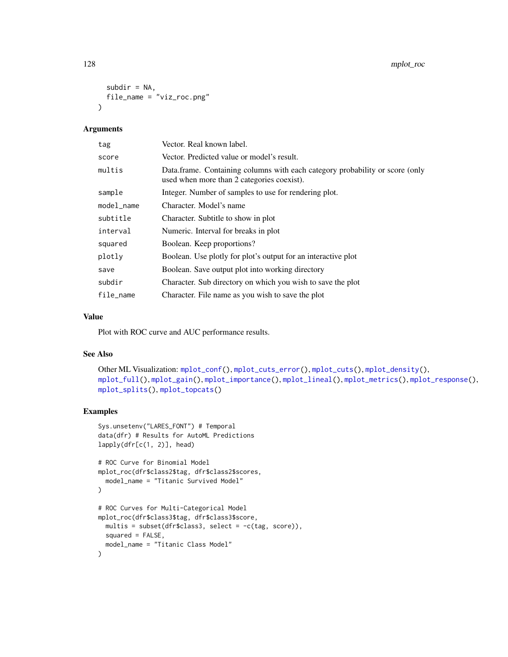```
subdir = NA,
  file_name = "viz_roc.png"
\lambda
```
#### Arguments

| tag        | Vector. Real known label.                                                                                                  |  |
|------------|----------------------------------------------------------------------------------------------------------------------------|--|
| score      | Vector. Predicted value or model's result.                                                                                 |  |
| multis     | Data.frame. Containing columns with each category probability or score (only<br>used when more than 2 categories coexist). |  |
| sample     | Integer. Number of samples to use for rendering plot.                                                                      |  |
| model_name | Character. Model's name                                                                                                    |  |
| subtitle   | Character. Subtitle to show in plot                                                                                        |  |
| interval   | Numeric. Interval for breaks in plot                                                                                       |  |
| squared    | Boolean. Keep proportions?                                                                                                 |  |
| plotly     | Boolean. Use plotly for plot's output for an interactive plot                                                              |  |
| save       | Boolean. Save output plot into working directory                                                                           |  |
| subdir     | Character. Sub directory on which you wish to save the plot                                                                |  |
| file_name  | Character. File name as you wish to save the plot                                                                          |  |

# Value

Plot with ROC curve and AUC performance results.

# See Also

```
Other ML Visualization: mplot_conf(), mplot_cuts_error(), mplot_cuts(), mplot_density(),
mplot_full(), mplot_gain(), mplot_importance(), mplot_lineal(), mplot_metrics(), mplot_response(),
mplot_splits(), mplot_topcats()
```
## Examples

```
Sys.unsetenv("LARES_FONT") # Temporal
data(dfr) # Results for AutoML Predictions
lapply(dfr[c(1, 2)], head)
```

```
# ROC Curve for Binomial Model
mplot_roc(dfr$class2$tag, dfr$class2$scores,
  model_name = "Titanic Survived Model"
\lambda# ROC Curves for Multi-Categorical Model
mplot_roc(dfr$class3$tag, dfr$class3$score,
 multis = subset(dfr$class3, select = -c(tag, score)),
  squared = FALSE,
  model_name = "Titanic Class Model"
\lambda
```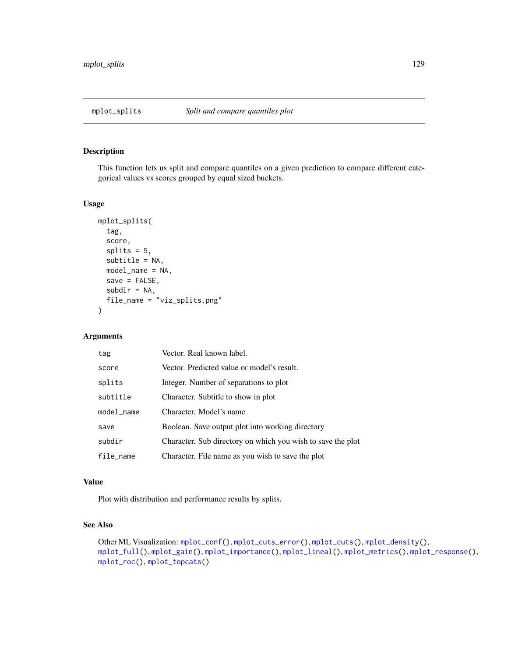<span id="page-128-0"></span>

This function lets us split and compare quantiles on a given prediction to compare different categorical values vs scores grouped by equal sized buckets.

#### Usage

```
mplot_splits(
  tag,
  score,
  splits = 5,
  subtitle = NA,
  model_name = NA,
  save = FALSE,subdir = NA,
  file_name = "viz_splits.png"
\mathcal{L}
```
## Arguments

| tag        | Vector. Real known label.                                   |
|------------|-------------------------------------------------------------|
| score      | Vector. Predicted value or model's result.                  |
| splits     | Integer. Number of separations to plot                      |
| subtitle   | Character. Subtitle to show in plot                         |
| model_name | Character. Model's name                                     |
| save       | Boolean. Save output plot into working directory            |
| subdir     | Character. Sub directory on which you wish to save the plot |
| file_name  | Character. File name as you wish to save the plot           |

#### Value

Plot with distribution and performance results by splits.

# See Also

```
Other ML Visualization: mplot_conf(), mplot_cuts_error(), mplot_cuts(), mplot_density(),
mplot_full(), mplot_gain(), mplot_importance(), mplot_lineal(), mplot_metrics(), mplot_response(),
mplot_roc(), mplot_topcats()
```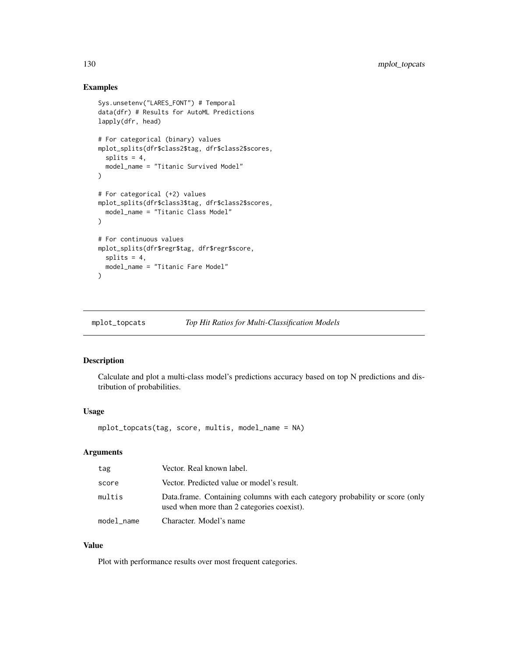#### Examples

```
Sys.unsetenv("LARES_FONT") # Temporal
data(dfr) # Results for AutoML Predictions
lapply(dfr, head)
# For categorical (binary) values
mplot_splits(dfr$class2$tag, dfr$class2$scores,
  splits = 4,
  model_name = "Titanic Survived Model"
)
# For categorical (+2) values
mplot_splits(dfr$class3$tag, dfr$class2$scores,
  model_name = "Titanic Class Model"
\lambda# For continuous values
mplot_splits(dfr$regr$tag, dfr$regr$score,
  splits = 4,model_name = "Titanic Fare Model"
)
```
<span id="page-129-0"></span>mplot\_topcats *Top Hit Ratios for Multi-Classification Models*

## Description

Calculate and plot a multi-class model's predictions accuracy based on top N predictions and distribution of probabilities.

## Usage

mplot\_topcats(tag, score, multis, model\_name = NA)

# Arguments

| tag        | Vector. Real known label.                                                                                                  |  |
|------------|----------------------------------------------------------------------------------------------------------------------------|--|
| score      | Vector. Predicted value or model's result.                                                                                 |  |
| multis     | Data.frame. Containing columns with each category probability or score (only<br>used when more than 2 categories coexist). |  |
| model name | Character. Model's name                                                                                                    |  |

## Value

Plot with performance results over most frequent categories.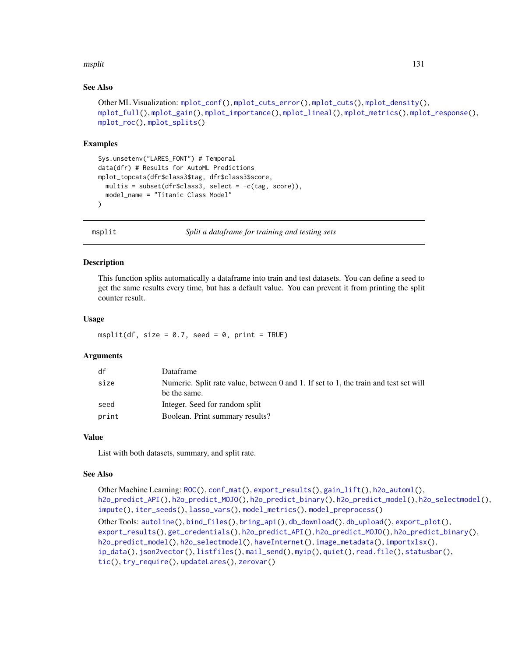#### msplit that is a state of the state of the state of the state of the state of the state of the state of the state of the state of the state of the state of the state of the state of the state of the state of the state of t

## See Also

```
Other ML Visualization: mplot_conf(), mplot_cuts_error(), mplot_cuts(), mplot_density(),
mplot_full(), mplot_gain(), mplot_importance(), mplot_lineal(), mplot_metrics(), mplot_response(),
mplot_roc(), mplot_splits()
```
#### Examples

```
Sys.unsetenv("LARES_FONT") # Temporal
data(dfr) # Results for AutoML Predictions
mplot_topcats(dfr$class3$tag, dfr$class3$score,
 multis = subset(dfr$class3, select = -c(tag, score)),
 model_name = "Titanic Class Model"
\mathcal{L}
```
<span id="page-130-0"></span>

msplit *Split a dataframe for training and testing sets*

#### Description

This function splits automatically a dataframe into train and test datasets. You can define a seed to get the same results every time, but has a default value. You can prevent it from printing the split counter result.

#### Usage

```
msplit(df, size = 0.7, seed = 0, print = TRUE)
```
#### Arguments

| df    | Dataframe                                                                            |
|-------|--------------------------------------------------------------------------------------|
| size  | Numeric. Split rate value, between 0 and 1. If set to 1, the train and test set will |
|       | be the same.                                                                         |
| seed  | Integer. Seed for random split                                                       |
| print | Boolean. Print summary results?                                                      |

#### Value

List with both datasets, summary, and split rate.

#### See Also

```
Other Machine Learning: ROC(), conf_mat(), export_results(), gain_lift(), h2o_automl(),
h2o_predict_API(), h2o_predict_MOJO(), h2o_predict_binary(), h2o_predict_model(), h2o_selectmodel(),
impute(), iter_seeds(), lasso_vars(), model_metrics(), model_preprocess()
Other Tools: autoline(), bind_files(), bring_api(), db_download(), db_upload(), export_plot(),
export_results(), get_credentials(), h2o_predict_API(), h2o_predict_MOJO(), h2o_predict_binary(),
h2o_predict_model(), h2o_selectmodel(), haveInternet(), image_metadata(), importxlsx(),
ip_data(), json2vector(), listfiles(), mail_send(), myip(), quiet(), read.file(), statusbar(),
tic(), try_require(), updateLares(), zerovar()
```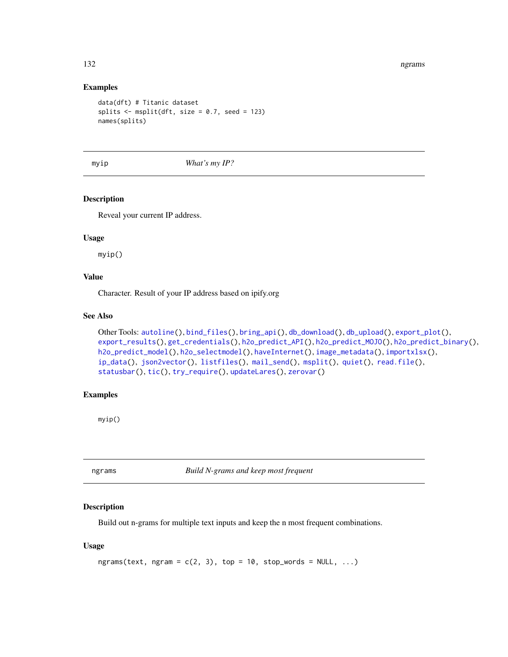#### Examples

```
data(dft) # Titanic dataset
splits \leq msplit(dft, size = 0.7, seed = 123)
names(splits)
```
<span id="page-131-0"></span>myip *What's my IP?*

#### Description

Reveal your current IP address.

#### Usage

myip()

## Value

Character. Result of your IP address based on ipify.org

## See Also

```
Other Tools: autoline(), bind_files(), bring_api(), db_download(), db_upload(), export_plot(),
export_results(), get_credentials(), h2o_predict_API(), h2o_predict_MOJO(), h2o_predict_binary(),
h2o_predict_model(), h2o_selectmodel(), haveInternet(), image_metadata(), importxlsx(),
ip_data(), json2vector(), listfiles(), mail_send(), msplit(), quiet(), read.file(),
statusbar(), tic(), try_require(), updateLares(), zerovar()
```
#### Examples

myip()

ngrams *Build N-grams and keep most frequent*

# Description

Build out n-grams for multiple text inputs and keep the n most frequent combinations.

```
ngrams(text, ngram = c(2, 3), top = 10, stop_words = NULL, ...)
```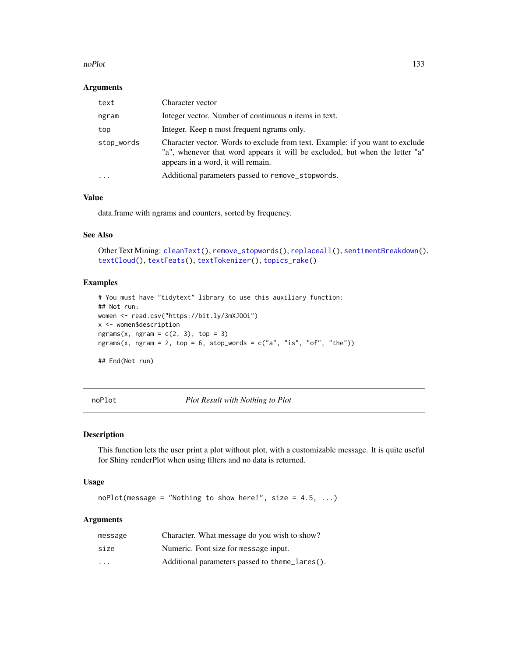#### noPlot 133

#### Arguments

| text       | Character vector                                                                                                                                                                                    |  |
|------------|-----------------------------------------------------------------------------------------------------------------------------------------------------------------------------------------------------|--|
| ngram      | Integer vector. Number of continuous n items in text.                                                                                                                                               |  |
| top        | Integer. Keep n most frequent ngrams only.                                                                                                                                                          |  |
| stop_words | Character vector. Words to exclude from text. Example: if you want to exclude<br>"a", whenever that word appears it will be excluded, but when the letter "a"<br>appears in a word, it will remain. |  |
| $\cdots$   | Additional parameters passed to remove_stopwords.                                                                                                                                                   |  |

## Value

data.frame with ngrams and counters, sorted by frequency.

## See Also

```
Other Text Mining: cleanText(), remove_stopwords(), replaceall(), sentimentBreakdown(),
textCloud(), textFeats(), textTokenizer(), topics_rake()
```
# Examples

```
# You must have "tidytext" library to use this auxiliary function:
## Not run:
women <- read.csv("https://bit.ly/3mXJOOi")
x <- women$description
ngrams(x, ngram = c(2, 3), top = 3)
ngrams(x, ngram = 2, top = 6, stop_words = c("a", "is", "of", "the"))## End(Not run)
```
<span id="page-132-0"></span>noPlot *Plot Result with Nothing to Plot*

#### Description

This function lets the user print a plot without plot, with a customizable message. It is quite useful for Shiny renderPlot when using filters and no data is returned.

#### Usage

```
noPlot(message = "Nothing to show here!", size = 4.5, ...)
```
## Arguments

| message                 | Character. What message do you wish to show?   |
|-------------------------|------------------------------------------------|
| size                    | Numeric. Font size for message input.          |
| $\cdot$ $\cdot$ $\cdot$ | Additional parameters passed to theme_lares(). |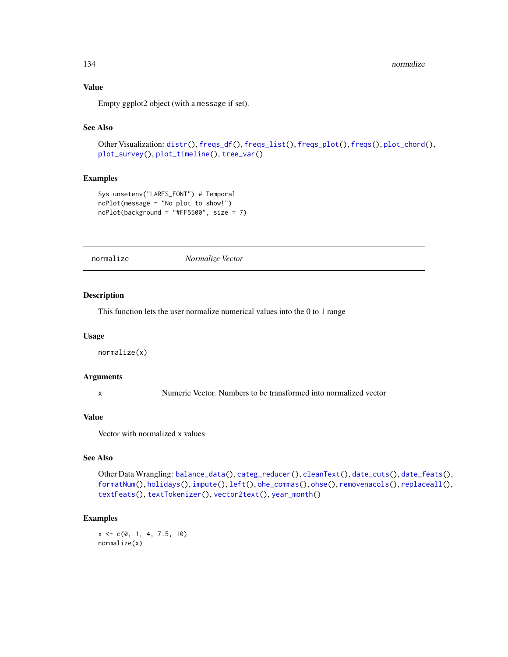# Value

Empty ggplot2 object (with a message if set).

# See Also

```
Other Visualization: distr(), freqs_df(), freqs_list(), freqs_plot(), freqs(), plot_chord(),
plot_survey(), plot_timeline(), tree_var()
```
# Examples

```
Sys.unsetenv("LARES_FONT") # Temporal
noPlot(message = "No plot to show!")
noPlot(background = "#FF5500", size = 7)
```
<span id="page-133-0"></span>normalize *Normalize Vector*

#### Description

This function lets the user normalize numerical values into the 0 to 1 range

#### Usage

normalize(x)

#### Arguments

x Numeric Vector. Numbers to be transformed into normalized vector

## Value

Vector with normalized x values

## See Also

```
Other Data Wrangling: balance_data(), categ_reducer(), cleanText(), date_cuts(), date_feats(),
formatNum(), holidays(), impute(), left(), ohe_commas(), ohse(), removenacols(), replaceall(),
textFeats(), textTokenizer(), vector2text(), year_month()
```
#### Examples

 $x \leq -c(0, 1, 4, 7.5, 10)$ normalize(x)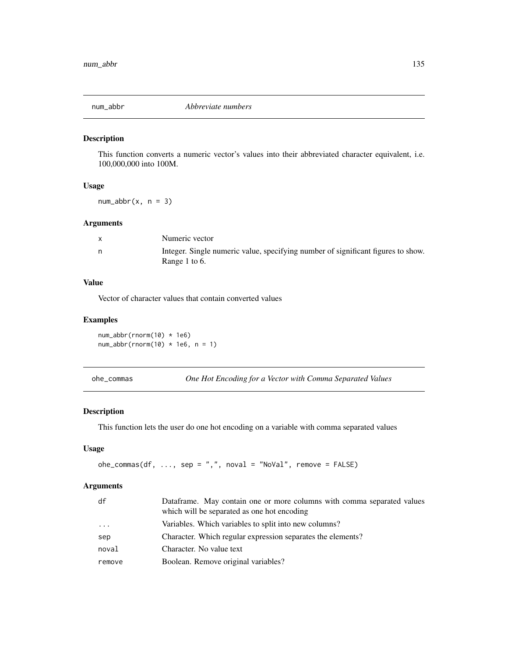This function converts a numeric vector's values into their abbreviated character equivalent, i.e. 100,000,000 into 100M.

#### Usage

 $num_abbr(x, n = 3)$ 

## Arguments

|   | Numeric vector                                                                                    |
|---|---------------------------------------------------------------------------------------------------|
| n | Integer. Single numeric value, specifying number of significant figures to show.<br>Range 1 to 6. |

## Value

Vector of character values that contain converted values

## Examples

num\_abbr(rnorm(10) \* 1e6)  $num\_abbr(rnorm(10) * 1e6, n = 1)$ 

<span id="page-134-0"></span>ohe\_commas *One Hot Encoding for a Vector with Comma Separated Values*

## Description

This function lets the user do one hot encoding on a variable with comma separated values

#### Usage

 $o$ he\_commas(df, ..., sep = ",", noval = "NoVal", remove = FALSE)

## Arguments

| df     | Dataframe. May contain one or more columns with comma separated values<br>which will be separated as one hot encoding |  |
|--------|-----------------------------------------------------------------------------------------------------------------------|--|
| .      | Variables. Which variables to split into new columns?                                                                 |  |
| sep    | Character. Which regular expression separates the elements?                                                           |  |
| noval  | Character. No value text                                                                                              |  |
| remove | Boolean. Remove original variables?                                                                                   |  |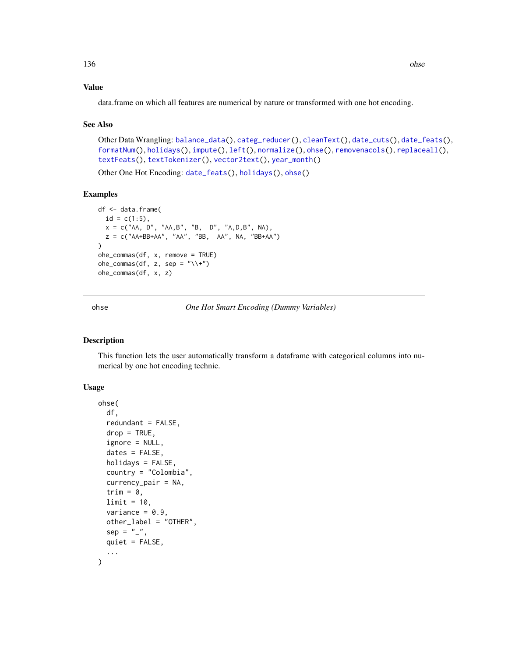## Value

data.frame on which all features are numerical by nature or transformed with one hot encoding.

#### See Also

```
Other Data Wrangling: balance_data(), categ_reducer(), cleanText(), date_cuts(), date_feats(),
formatNum(), holidays(), impute(), left(), normalize(), ohse(), removenacols(), replaceall(),
textFeats(), textTokenizer(), vector2text(), year_month()
```
Other One Hot Encoding: [date\\_feats\(](#page-31-1)), [holidays\(](#page-92-0)), [ohse\(](#page-135-0))

#### Examples

```
df <- data.frame(
  id = c(1:5),
  x = c("AA, D", "AA, B", "B, D", "A, D, B", NA),
  z = c("AA+BB+AA", "AA", "BB, AA", NA, "BB+AA")
)
ohe_commas(df, x, remove = TRUE)
ohe\_commas(df, z, sep = "\\\+")ohe_commas(df, x, z)
```
<span id="page-135-0"></span>ohse *One Hot Smart Encoding (Dummy Variables)*

#### Description

This function lets the user automatically transform a dataframe with categorical columns into numerical by one hot encoding technic.

```
ohse(
  df,
  redundant = FALSE,
  drop = TRUE,ignore = NULL,
  dates = FALSE,holidays = FALSE,
  country = "Colombia",
  currency_pair = NA,
  trim = \theta,
  limit = 10,variance = 0.9,
  other_label = "OTHER",
  sep = "''_",quiet = FALSE,
  ...
)
```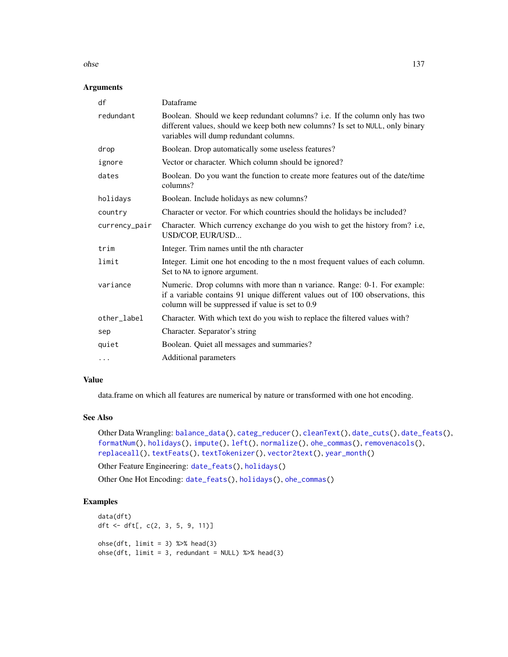ohse 137

# Arguments

| df            | Dataframe                                                                                                                                                                                                        |  |
|---------------|------------------------------------------------------------------------------------------------------------------------------------------------------------------------------------------------------------------|--|
| redundant     | Boolean. Should we keep redundant columns? i.e. If the column only has two<br>different values, should we keep both new columns? Is set to NULL, only binary<br>variables will dump redundant columns.           |  |
| drop          | Boolean. Drop automatically some useless features?                                                                                                                                                               |  |
| ignore        | Vector or character. Which column should be ignored?                                                                                                                                                             |  |
| dates         | Boolean. Do you want the function to create more features out of the date/time<br>columns?                                                                                                                       |  |
| holidays      | Boolean. Include holidays as new columns?                                                                                                                                                                        |  |
| country       | Character or vector. For which countries should the holidays be included?                                                                                                                                        |  |
| currency_pair | Character. Which currency exchange do you wish to get the history from? i.e,<br>USD/COP, EUR/USD                                                                                                                 |  |
| trim          | Integer. Trim names until the nth character                                                                                                                                                                      |  |
| limit         | Integer. Limit one hot encoding to the n most frequent values of each column.<br>Set to NA to ignore argument.                                                                                                   |  |
| variance      | Numeric. Drop columns with more than n variance. Range: 0-1. For example:<br>if a variable contains 91 unique different values out of 100 observations, this<br>column will be suppressed if value is set to 0.9 |  |
| other_label   | Character. With which text do you wish to replace the filtered values with?                                                                                                                                      |  |
| sep           | Character. Separator's string                                                                                                                                                                                    |  |
| quiet         | Boolean. Quiet all messages and summaries?                                                                                                                                                                       |  |
| $\cdots$      | Additional parameters                                                                                                                                                                                            |  |

### Value

data.frame on which all features are numerical by nature or transformed with one hot encoding.

# See Also

Other Data Wrangling: [balance\\_data\(](#page-6-0)), [categ\\_reducer\(](#page-9-0)), [cleanText\(](#page-13-0)), [date\\_cuts\(](#page-31-0)), [date\\_feats\(](#page-31-1)), [formatNum\(](#page-61-0)), [holidays\(](#page-92-0)), [impute\(](#page-94-0)), [left\(](#page-102-1)), [normalize\(](#page-133-0)), [ohe\\_commas\(](#page-134-0)), [removenacols\(](#page-153-0)), [replaceall\(](#page-155-0)), [textFeats\(](#page-182-0)), [textTokenizer\(](#page-183-0)), [vector2text\(](#page-192-0)), [year\\_month\(](#page-197-0))

Other Feature Engineering: [date\\_feats\(](#page-31-1)), [holidays\(](#page-92-0))

Other One Hot Encoding: [date\\_feats\(](#page-31-1)), [holidays\(](#page-92-0)), [ohe\\_commas\(](#page-134-0))

# Examples

```
data(dft)
dft <- dft[, c(2, 3, 5, 9, 11)]
\text{ohse}(dft, \text{ limit} = 3) %>% head(3)
\text{obse}(dft, \text{ limit} = 3, \text{ redundant} = \text{NULL}) %>% head(3)
```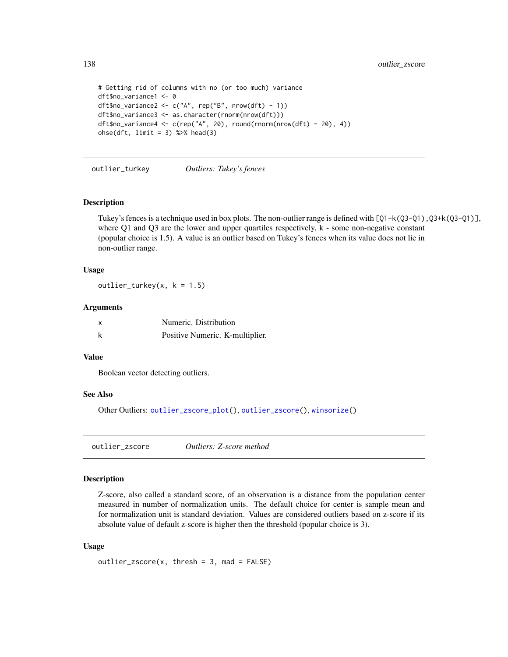```
# Getting rid of columns with no (or too much) variance
dft$no_variance1 <- 0
dft$no_variance2 <- c("A", rep("B", nrow(dft) - 1))
dft$no_variance3 <- as.character(rnorm(nrow(dft)))
dft$no_variance4 <- c(rep("A", 20), round(rnorm(nrow(dft) - 20), 4))
\text{ohse}(dft, \text{ limit} = 3) %>% head(3)
```
<span id="page-137-1"></span>outlier\_turkey *Outliers: Tukey's fences*

#### Description

Tukey's fences is a technique used in box plots. The non-outlier range is defined with  $[Q1-k(Q3-Q1),Q3+k(Q3-Q1)]$ , where Q1 and Q3 are the lower and upper quartiles respectively, k - some non-negative constant (popular choice is 1.5). A value is an outlier based on Tukey's fences when its value does not lie in non-outlier range.

## Usage

outlier\_turkey(x,  $k = 1.5$ )

#### Arguments

| Numeric. Distribution           |
|---------------------------------|
| Positive Numeric. K-multiplier. |

## Value

Boolean vector detecting outliers.

#### See Also

Other Outliers: [outlier\\_zscore\\_plot\(](#page-138-0)), [outlier\\_zscore\(](#page-137-0)), [winsorize\(](#page-193-0))

<span id="page-137-0"></span>outlier\_zscore *Outliers: Z-score method*

# Description

Z-score, also called a standard score, of an observation is a distance from the population center measured in number of normalization units. The default choice for center is sample mean and for normalization unit is standard deviation. Values are considered outliers based on z-score if its absolute value of default z-score is higher then the threshold (popular choice is 3).

```
outlier\_zscore(x, thresh = 3, mad = FALSE)
```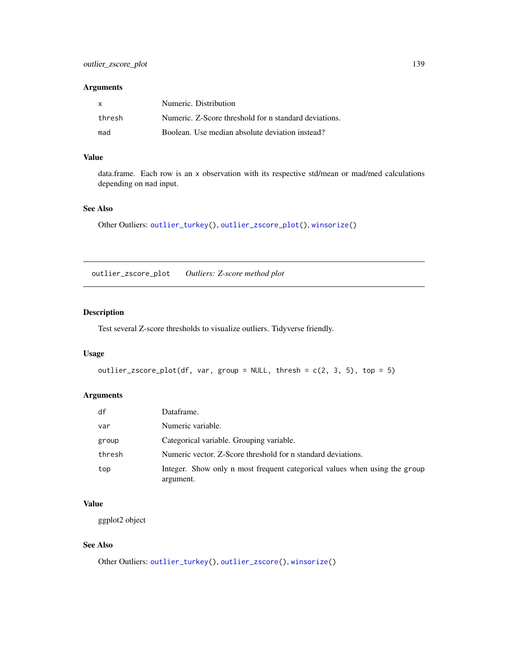#### Arguments

| X      | Numeric. Distribution                                 |
|--------|-------------------------------------------------------|
| thresh | Numeric. Z-Score threshold for n standard deviations. |
| mad    | Boolean. Use median absolute deviation instead?       |

## Value

data.frame. Each row is an x observation with its respective std/mean or mad/med calculations depending on mad input.

#### See Also

Other Outliers: [outlier\\_turkey\(](#page-137-1)), [outlier\\_zscore\\_plot\(](#page-138-0)), [winsorize\(](#page-193-0))

<span id="page-138-0"></span>outlier\_zscore\_plot *Outliers: Z-score method plot*

## Description

Test several Z-score thresholds to visualize outliers. Tidyverse friendly.

## Usage

```
outlier_zscore_plot(df, var, group = NULL, thresh = c(2, 3, 5), top = 5)
```
# Arguments

| df     | Dataframe.                                                                              |
|--------|-----------------------------------------------------------------------------------------|
| var    | Numeric variable.                                                                       |
| group  | Categorical variable. Grouping variable.                                                |
| thresh | Numeric vector. Z-Score threshold for n standard deviations.                            |
| top    | Integer. Show only n most frequent categorical values when using the group<br>argument. |

## Value

ggplot2 object

# See Also

Other Outliers: [outlier\\_turkey\(](#page-137-1)), [outlier\\_zscore\(](#page-137-0)), [winsorize\(](#page-193-0))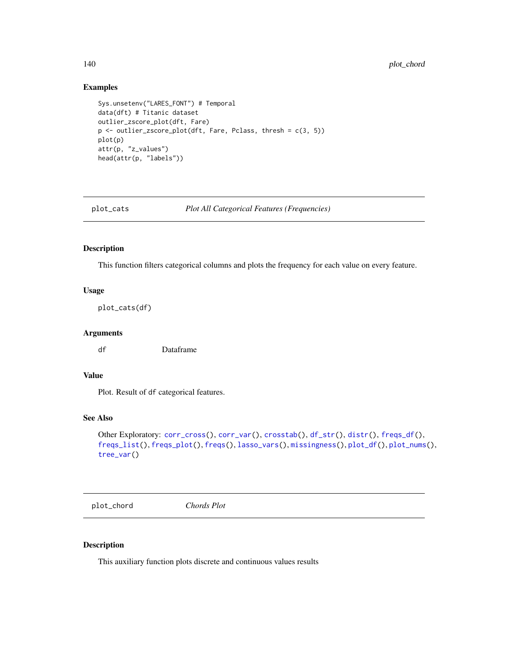## Examples

```
Sys.unsetenv("LARES_FONT") # Temporal
data(dft) # Titanic dataset
outlier_zscore_plot(dft, Fare)
p \leftarrow outlier_zscore_plot(dft, Fare, Pclass, thresh = c(3, 5))
plot(p)
attr(p, "z_values")
head(attr(p, "labels"))
```
<span id="page-139-0"></span>

plot\_cats *Plot All Categorical Features (Frequencies)*

## Description

This function filters categorical columns and plots the frequency for each value on every feature.

#### Usage

plot\_cats(df)

## Arguments

df Dataframe

# Value

Plot. Result of df categorical features.

## See Also

```
corr_cross(corr_var(crosstab(df_str(distr(freqs_df(),
freqs_list(), freqs_plot(), freqs(), lasso_vars(), missingness(), plot_df(), plot_nums(),
tree_var()
```
<span id="page-139-1"></span>plot\_chord *Chords Plot*

#### Description

This auxiliary function plots discrete and continuous values results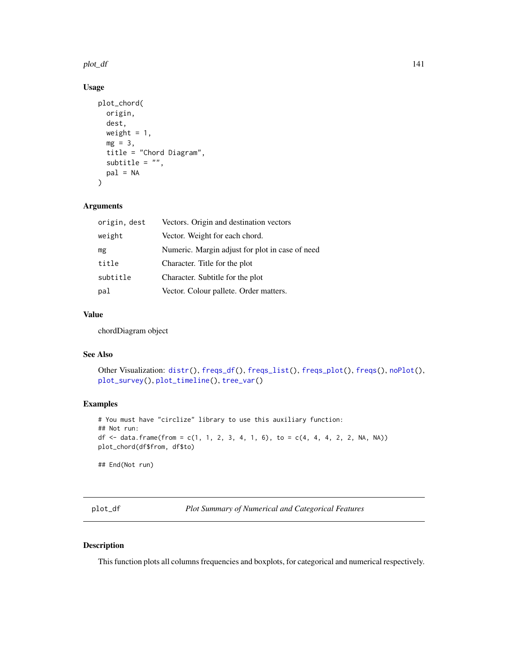#### plot\_df 141

# Usage

```
plot_chord(
 origin,
 dest,
 weight = 1,
 mg = 3,
  title = "Chord Diagram",
  subtitle = ",
 pal = NA)
```
# Arguments

| origin, dest | Vectors. Origin and destination vectors         |
|--------------|-------------------------------------------------|
| weight       | Vector. Weight for each chord.                  |
| mg           | Numeric. Margin adjust for plot in case of need |
| title        | Character. Title for the plot                   |
| subtitle     | Character. Subtitle for the plot                |
| pal          | Vector. Colour pallete. Order matters.          |

# Value

chordDiagram object

#### See Also

```
Other Visualization: distr(), freqs_df(), freqs_list(), freqs_plot(), freqs(), noPlot(),
plot_survey(), plot_timeline(), tree_var()
```
#### Examples

```
# You must have "circlize" library to use this auxiliary function:
## Not run:
df <- data.frame(from = c(1, 1, 2, 3, 4, 1, 6), to = c(4, 4, 4, 2, 2, NA, NA))
plot_chord(df$from, df$to)
## End(Not run)
```
<span id="page-140-0"></span>plot\_df *Plot Summary of Numerical and Categorical Features*

## Description

This function plots all columns frequencies and boxplots, for categorical and numerical respectively.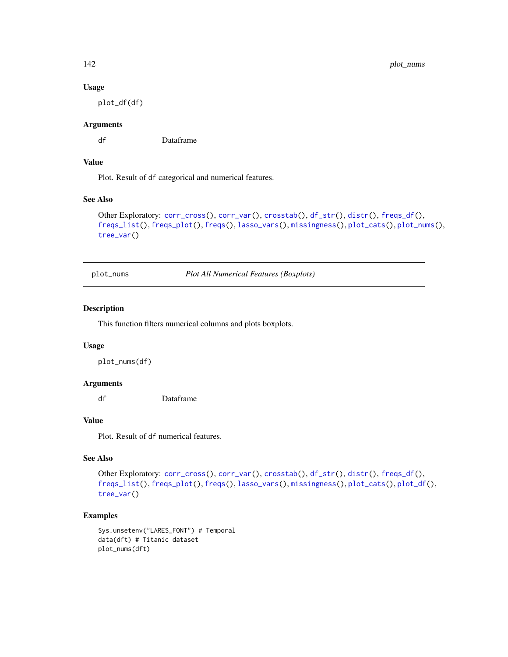## Usage

plot\_df(df)

#### Arguments

df Dataframe

#### Value

Plot. Result of df categorical and numerical features.

#### See Also

```
Other Exploratory: corr_cross(), corr_var(), crosstab(), df_str(), distr(), freqs_df(),
freqs_list(), freqs_plot(), freqs(), lasso_vars(), missingness(), plot_cats(), plot_nums(),
tree_var()
```
<span id="page-141-0"></span>plot\_nums *Plot All Numerical Features (Boxplots)*

## Description

This function filters numerical columns and plots boxplots.

#### Usage

plot\_nums(df)

# Arguments

df Dataframe

### Value

Plot. Result of df numerical features.

# See Also

```
corr_cross(corr_var(crosstab(df_str(distr(freqs_df(),
freqs_list(), freqs_plot(), freqs(), lasso_vars(), missingness(), plot_cats(), plot_df(),
tree_var()
```
# Examples

```
Sys.unsetenv("LARES_FONT") # Temporal
data(dft) # Titanic dataset
plot_nums(dft)
```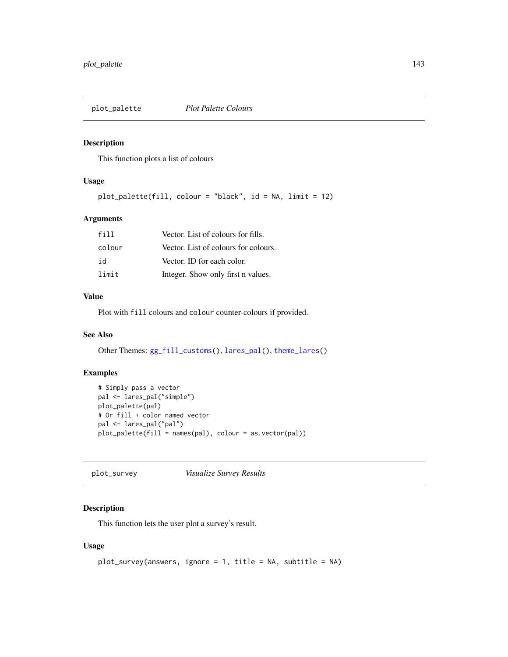This function plots a list of colours

## Usage

```
plot_palette(fill, colour = "black", id = NA, limit = 12)
```
# Arguments

| f11    | Vector. List of colours for fills.   |
|--------|--------------------------------------|
| colour | Vector. List of colours for colours. |
| id     | Vector. ID for each color.           |
| limit  | Integer. Show only first n values.   |

# Value

Plot with fill colours and colour counter-colours if provided.

#### See Also

Other Themes: [gg\\_fill\\_customs\(](#page-75-0)), [lares\\_pal\(](#page-99-0)), [theme\\_lares\(](#page-184-0))

## Examples

```
# Simply pass a vector
pal <- lares_pal("simple")
plot_palette(pal)
# Or fill + color named vector
pal <- lares_pal("pal")
plot_palette(fill = names(pal), colour = as.vector(pal))
```
<span id="page-142-0"></span>plot\_survey *Visualize Survey Results*

# Description

This function lets the user plot a survey's result.

```
plot_survey(answers, ignore = 1, title = NA, subtitle = NA)
```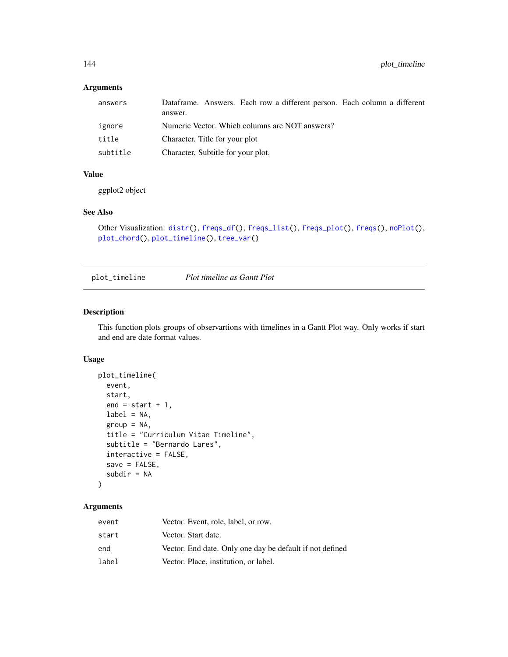# Arguments

| answers  | Dataframe. Answers. Each row a different person. Each column a different<br>answer. |
|----------|-------------------------------------------------------------------------------------|
| ignore   | Numeric Vector. Which columns are NOT answers?                                      |
| title    | Character. Title for your plot                                                      |
| subtitle | Character. Subtitle for your plot.                                                  |

## Value

ggplot2 object

#### See Also

```
Other Visualization: distr(), freqs_df(), freqs_list(), freqs_plot(), freqs(), noPlot(),
plot_chord(), plot_timeline(), tree_var()
```
<span id="page-143-0"></span>plot\_timeline *Plot timeline as Gantt Plot*

#### Description

This function plots groups of observartions with timelines in a Gantt Plot way. Only works if start and end are date format values.

#### Usage

```
plot_timeline(
 event,
  start,
  end = start + 1,
 label = NA,
  group = NA,
  title = "Curriculum Vitae Timeline",
  subtitle = "Bernardo Lares",
  interactive = FALSE,
  save = FALSE,subdir = NA
\mathcal{L}
```
# Arguments

| event | Vector. Event, role, label, or row.                      |
|-------|----------------------------------------------------------|
| start | Vector. Start date.                                      |
| end   | Vector. End date. Only one day be default if not defined |
| label | Vector. Place, institution, or label.                    |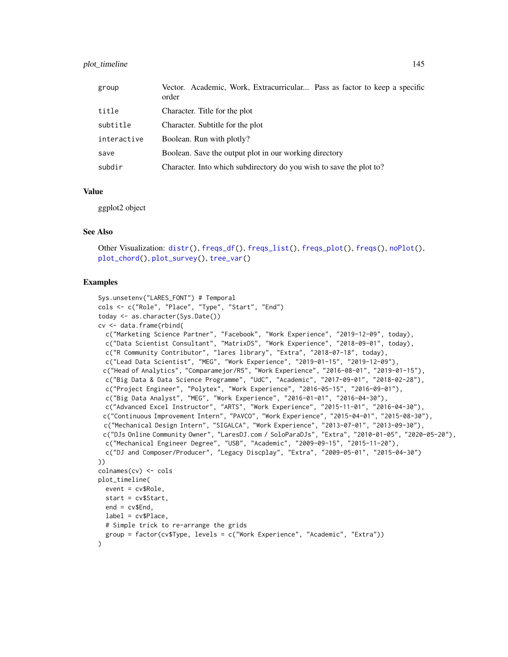## plot\_timeline 145

| group       | Vector. Academic, Work, Extracurricular Pass as factor to keep a specific<br>order |
|-------------|------------------------------------------------------------------------------------|
| title       | Character. Title for the plot                                                      |
| subtitle    | Character. Subtitle for the plot                                                   |
| interactive | Boolean. Run with plotly?                                                          |
| save        | Boolean. Save the output plot in our working directory                             |
| subdir      | Character. Into which subdirectory do you wish to save the plot to?                |

# Value

ggplot2 object

#### See Also

```
Other Visualization: distr(), freqs_df(), freqs_list(), freqs_plot(), freqs(), noPlot(),
plot_chord(), plot_survey(), tree_var()
```
#### Examples

```
Sys.unsetenv("LARES_FONT") # Temporal
cols <- c("Role", "Place", "Type", "Start", "End")
today <- as.character(Sys.Date())
cv <- data.frame(rbind(
 c("Marketing Science Partner", "Facebook", "Work Experience", "2019-12-09", today),
 c("Data Scientist Consultant", "MatrixDS", "Work Experience", "2018-09-01", today),
 c("R Community Contributor", "lares library", "Extra", "2018-07-18", today),
 c("Lead Data Scientist", "MEG", "Work Experience", "2019-01-15", "2019-12-09"),
 c("Head of Analytics", "Comparamejor/R5", "Work Experience", "2016-08-01", "2019-01-15"),
 c("Big Data & Data Science Programme", "UdC", "Academic", "2017-09-01", "2018-02-28"),
 c("Project Engineer", "Polytex", "Work Experience", "2016-05-15", "2016-09-01"),
 c("Big Data Analyst", "MEG", "Work Experience", "2016-01-01", "2016-04-30"),
 c("Advanced Excel Instructor", "ARTS", "Work Experience", "2015-11-01", "2016-04-30"),
 c("Continuous Improvement Intern", "PAVCO", "Work Experience", "2015-04-01", "2015-08-30"),
 c("Mechanical Design Intern", "SIGALCA", "Work Experience", "2013-07-01", "2013-09-30"),
 c("DJs Online Community Owner", "LaresDJ.com / SoloParaDJs", "Extra", "2010-01-05", "2020-05-20"),
 c("Mechanical Engineer Degree", "USB", "Academic", "2009-09-15", "2015-11-20"),
 c("DJ and Composer/Producer", "Legacy Discplay", "Extra", "2009-05-01", "2015-04-30")
))
colnames(cv) <- cols
plot_timeline(
 event = cv$Role,
 start = cv$Start,
 end = cv$End,label = cv$Place,
 # Simple trick to re-arrange the grids
 group = factor(cv$Type, levels = c("Work Experience", "Academic", "Extra"))
\lambda
```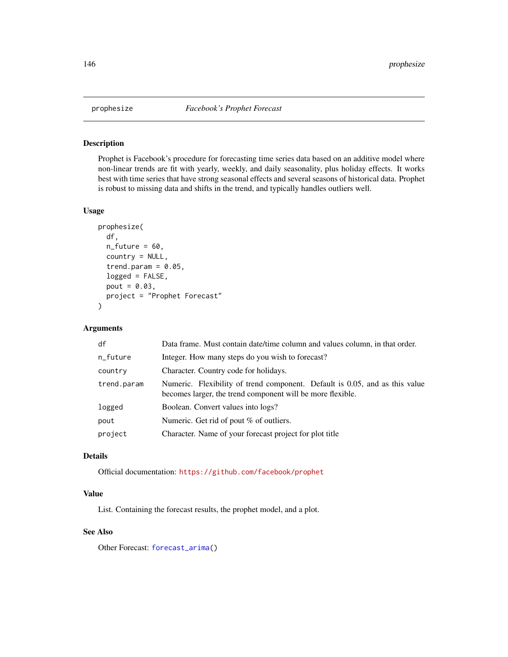Prophet is Facebook's procedure for forecasting time series data based on an additive model where non-linear trends are fit with yearly, weekly, and daily seasonality, plus holiday effects. It works best with time series that have strong seasonal effects and several seasons of historical data. Prophet is robust to missing data and shifts in the trend, and typically handles outliers well.

## Usage

```
prophesize(
  df,
 n_future = 60,
  country = NULL,
  trend.param = 0.05,
  logged = FALSE,
 pout = 0.03,
 project = "Prophet Forecast"
)
```
#### Arguments

| df          | Data frame. Must contain date/time column and values column, in that order.                                                               |
|-------------|-------------------------------------------------------------------------------------------------------------------------------------------|
| n_future    | Integer. How many steps do you wish to forecast?                                                                                          |
| country     | Character. Country code for holidays.                                                                                                     |
| trend.param | Numeric. Flexibility of trend component. Default is 0.05, and as this value<br>becomes larger, the trend component will be more flexible. |
| logged      | Boolean. Convert values into logs?                                                                                                        |
| pout        | Numeric. Get rid of pout % of outliers.                                                                                                   |
| project     | Character. Name of your forecast project for plot title                                                                                   |

## Details

Official documentation: <https://github.com/facebook/prophet>

# Value

List. Containing the forecast results, the prophet model, and a plot.

# See Also

Other Forecast: [forecast\\_arima\(](#page-59-0))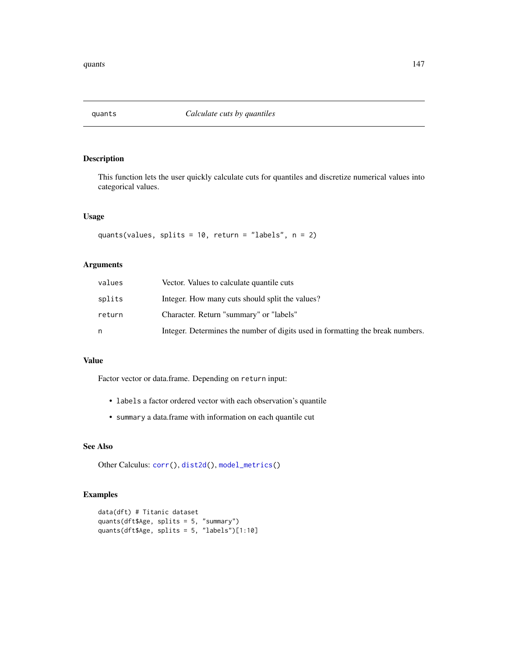This function lets the user quickly calculate cuts for quantiles and discretize numerical values into categorical values.

## Usage

```
quants(values, splits = 10, return = "labels", n = 2)
```
## Arguments

| values | Vector. Values to calculate quantile cuts                                      |
|--------|--------------------------------------------------------------------------------|
| splits | Integer. How many cuts should split the values?                                |
| return | Character. Return "summary" or "labels"                                        |
|        | Integer. Determines the number of digits used in formatting the break numbers. |

# Value

Factor vector or data.frame. Depending on return input:

- labels a factor ordered vector with each observation's quantile
- summary a data.frame with information on each quantile cut

## See Also

Other Calculus: [corr\(](#page-20-0)), [dist2d\(](#page-38-0)), [model\\_metrics\(](#page-108-0))

## Examples

```
data(dft) # Titanic dataset
quants(dft$Age, splits = 5, "summary")
quants(dft$Age, splits = 5, "labels")[1:10]
```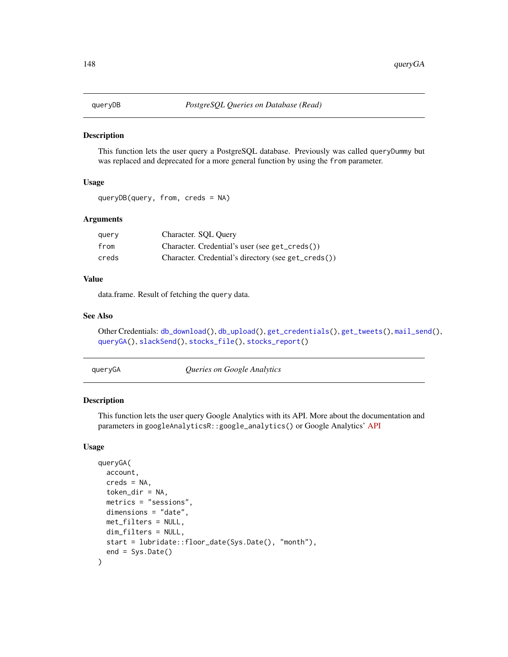<span id="page-147-1"></span>

This function lets the user query a PostgreSQL database. Previously was called queryDummy but was replaced and deprecated for a more general function by using the from parameter.

# Usage

```
queryDB(query, from, creds = NA)
```
## Arguments

| query | Character. SQL Query                                |
|-------|-----------------------------------------------------|
| from  | Character. Credential's user (see get_creds())      |
| creds | Character. Credential's directory (see get_creds()) |

## Value

data.frame. Result of fetching the query data.

## See Also

```
Other Credentials: db_download(), db_upload(), get_credentials(), get_tweets(), mail_send(),
queryGA(), slackSend(), stocks_file(), stocks_report()
```
<span id="page-147-0"></span>queryGA *Queries on Google Analytics*

#### Description

This function lets the user query Google Analytics with its API. More about the documentation and parameters in googleAnalyticsR::google\_analytics() or Google Analytics' [API](https://ga-dev-tools.appspot.com/dimensions-metrics-explorer/)

```
queryGA(
  account,
  creds = NA,
  token\_dir = NA,
 metrics = "sessions",
 dimensions = "date",
 met_filters = NULL,
 dim_filters = NULL,
 start = lubridate::floor_date(Sys.Date(), "month"),
  end = Sys.DataFrame())
```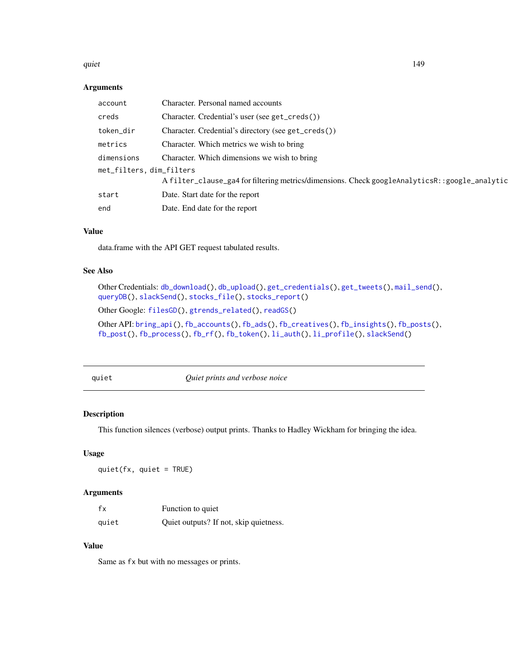#### quiet the contract of the contract of the contract of the contract of the contract of the contract of the contract of the contract of the contract of the contract of the contract of the contract of the contract of the cont

#### Arguments

| account                  | Character. Personal named accounts                                                            |
|--------------------------|-----------------------------------------------------------------------------------------------|
| creds                    | Character. Credential's user (see get_creds())                                                |
| token_dir                | Character. Credential's directory (see get_creds())                                           |
| metrics                  | Character. Which metrics we wish to bring                                                     |
| dimensions               | Character. Which dimensions we wish to bring                                                  |
| met_filters, dim_filters |                                                                                               |
|                          | A filter_clause_ga4 for filtering metrics/dimensions. Check googleAnalyticsR::google_analytic |
| start                    | Date. Start date for the report                                                               |
| end                      | Date. End date for the report                                                                 |

## Value

data.frame with the API GET request tabulated results.

# See Also

Other Credentials: [db\\_download\(](#page-33-0)), [db\\_upload\(](#page-34-0)), [get\\_credentials\(](#page-70-0)), [get\\_tweets\(](#page-74-0)), [mail\\_send\(](#page-106-0)), [queryDB\(](#page-147-1)), [slackSend\(](#page-165-0)), [stocks\\_file\(](#page-174-0)), [stocks\\_report\(](#page-178-0))

Other Google: [filesGD\(](#page-56-0)), [gtrends\\_related\(](#page-79-0)), [readGS\(](#page-150-0))

Other API: [bring\\_api\(](#page-7-0)), [fb\\_accounts\(](#page-45-0)), [fb\\_ads\(](#page-46-0)), [fb\\_creatives\(](#page-47-0)), [fb\\_insights\(](#page-48-0)), [fb\\_posts\(](#page-51-0)), [fb\\_post\(](#page-50-0)), [fb\\_process\(](#page-52-0)), [fb\\_rf\(](#page-53-0)), [fb\\_token\(](#page-55-0)), [li\\_auth\(](#page-104-0)), [li\\_profile\(](#page-105-0)), [slackSend\(](#page-165-0))

<span id="page-148-0"></span>

quiet *Quiet prints and verbose noice*

#### Description

This function silences (verbose) output prints. Thanks to Hadley Wickham for bringing the idea.

#### Usage

quiet(fx, quiet = TRUE)

## Arguments

| fx    | Function to quiet                      |
|-------|----------------------------------------|
| quiet | Quiet outputs? If not, skip quietness. |

#### Value

Same as fx but with no messages or prints.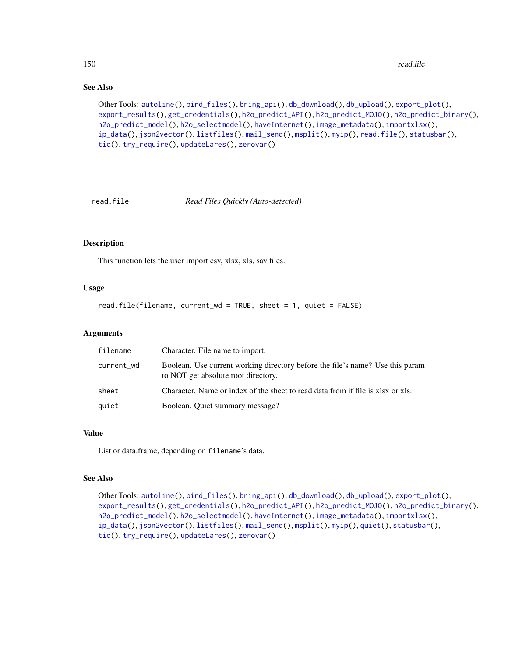## See Also

Other Tools: [autoline\(](#page-5-0)), [bind\\_files\(](#page-7-1)), [bring\\_api\(](#page-7-0)), [db\\_download\(](#page-33-0)), [db\\_upload\(](#page-34-0)), [export\\_plot\(](#page-43-0)), [export\\_results\(](#page-44-0)), [get\\_credentials\(](#page-70-0)), [h2o\\_predict\\_API\(](#page-85-0)), [h2o\\_predict\\_MOJO\(](#page-87-0)), [h2o\\_predict\\_binary\(](#page-85-1)), [h2o\\_predict\\_model\(](#page-86-0)), [h2o\\_selectmodel\(](#page-89-0)), [haveInternet\(](#page-91-0)), [image\\_metadata\(](#page-93-0)), [importxlsx\(](#page-93-1)), [ip\\_data\(](#page-95-0)), [json2vector\(](#page-98-0)), [listfiles\(](#page-102-0)), [mail\\_send\(](#page-106-0)), [msplit\(](#page-130-0)), [myip\(](#page-131-0)), [read.file\(](#page-149-0)), [statusbar\(](#page-173-0)), [tic\(](#page-186-0)), [try\\_require\(](#page-191-0)), [updateLares\(](#page-191-1)), [zerovar\(](#page-198-0))

<span id="page-149-0"></span>

read.file *Read Files Quickly (Auto-detected)*

#### Description

This function lets the user import csv, xlsx, xls, sav files.

## Usage

read.file(filename, current\_wd = TRUE, sheet = 1, quiet = FALSE)

#### Arguments

| filename   | Character. File name to import.                                                                                      |
|------------|----------------------------------------------------------------------------------------------------------------------|
| current_wd | Boolean. Use current working directory before the file's name? Use this param<br>to NOT get absolute root directory. |
| sheet      | Character. Name or index of the sheet to read data from if file is xlsx or xls.                                      |
| quiet      | Boolean. Quiet summary message?                                                                                      |

#### Value

List or data.frame, depending on filename's data.

## See Also

Other Tools: [autoline\(](#page-5-0)), [bind\\_files\(](#page-7-1)), [bring\\_api\(](#page-7-0)), [db\\_download\(](#page-33-0)), [db\\_upload\(](#page-34-0)), [export\\_plot\(](#page-43-0)), [export\\_results\(](#page-44-0)), [get\\_credentials\(](#page-70-0)), [h2o\\_predict\\_API\(](#page-85-0)), [h2o\\_predict\\_MOJO\(](#page-87-0)), [h2o\\_predict\\_binary\(](#page-85-1)), [h2o\\_predict\\_model\(](#page-86-0)), [h2o\\_selectmodel\(](#page-89-0)), [haveInternet\(](#page-91-0)), [image\\_metadata\(](#page-93-0)), [importxlsx\(](#page-93-1)), [ip\\_data\(](#page-95-0)), [json2vector\(](#page-98-0)), [listfiles\(](#page-102-0)), [mail\\_send\(](#page-106-0)), [msplit\(](#page-130-0)), [myip\(](#page-131-0)), [quiet\(](#page-148-0)), [statusbar\(](#page-173-0)), [tic\(](#page-186-0)), [try\\_require\(](#page-191-0)), [updateLares\(](#page-191-1)), [zerovar\(](#page-198-0))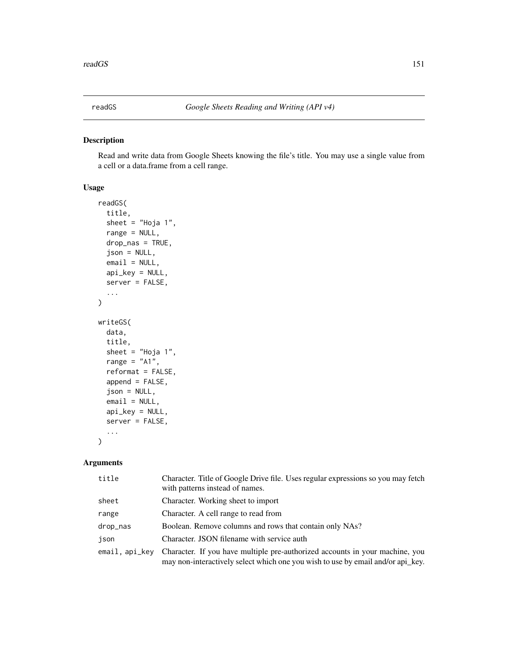<span id="page-150-0"></span>

Read and write data from Google Sheets knowing the file's title. You may use a single value from a cell or a data.frame from a cell range.

#### Usage

```
readGS(
  title,
  sheet = "Hoja 1",
  range = NULL,
  drop_nas = TRUE,
  json = NULL,
  email = NULL,api_key = NULL,
  server = FALSE,
  ...
)
writeGS(
  data,
  title,
  sheet = "Hoja 1",
  range = "A1",reformat = FALSE,
  append = FALSE,
  json = NULL,
  email = NULL,
  api_key = NULL,
  server = FALSE,
  ...
)
```
# Arguments

| title            | Character. Title of Google Drive file. Uses regular expressions so you may fetch<br>with patterns instead of names.                                             |
|------------------|-----------------------------------------------------------------------------------------------------------------------------------------------------------------|
| sheet            | Character. Working sheet to import                                                                                                                              |
| range            | Character. A cell range to read from                                                                                                                            |
| drop_nas         | Boolean. Remove columns and rows that contain only NAs?                                                                                                         |
| json             | Character. JSON filename with service auth                                                                                                                      |
| $email, api_kev$ | Character. If you have multiple pre-authorized accounts in your machine, you<br>may non-interactively select which one you wish to use by email and/or api_key. |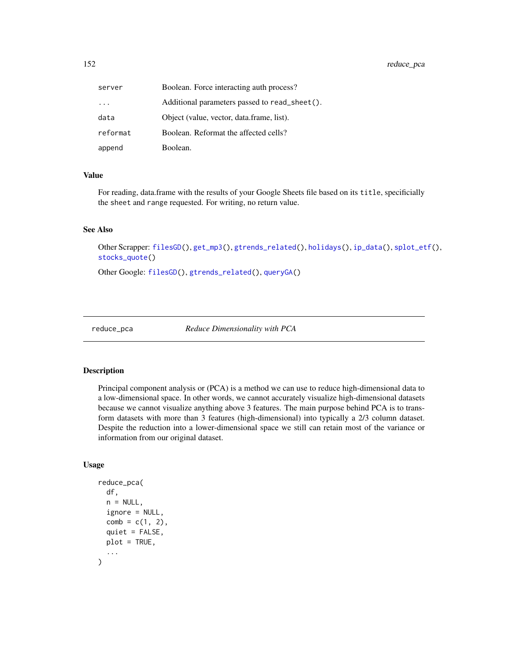| server   | Boolean. Force interacting auth process?      |
|----------|-----------------------------------------------|
| $\cdots$ | Additional parameters passed to read_sheet(). |
| data     | Object (value, vector, data.frame, list).     |
| reformat | Boolean. Reformat the affected cells?         |
| append   | Boolean.                                      |

#### Value

For reading, data.frame with the results of your Google Sheets file based on its title, specificially the sheet and range requested. For writing, no return value.

#### See Also

Other Scrapper: [filesGD\(](#page-56-0)), [get\\_mp3\(](#page-73-0)), [gtrends\\_related\(](#page-79-0)), [holidays\(](#page-92-0)), [ip\\_data\(](#page-95-0)), [splot\\_etf\(](#page-168-0)), [stocks\\_quote\(](#page-176-0))

Other Google: [filesGD\(](#page-56-0)), [gtrends\\_related\(](#page-79-0)), [queryGA\(](#page-147-0))

<span id="page-151-0"></span>reduce\_pca *Reduce Dimensionality with PCA*

## Description

Principal component analysis or (PCA) is a method we can use to reduce high-dimensional data to a low-dimensional space. In other words, we cannot accurately visualize high-dimensional datasets because we cannot visualize anything above 3 features. The main purpose behind PCA is to transform datasets with more than 3 features (high-dimensional) into typically a 2/3 column dataset. Despite the reduction into a lower-dimensional space we still can retain most of the variance or information from our original dataset.

```
reduce_pca(
  df,
  n = NULL,ignore = NULL,
  comb = c(1, 2),
  quiet = FALSE,plot = TRUE,
  ...
)
```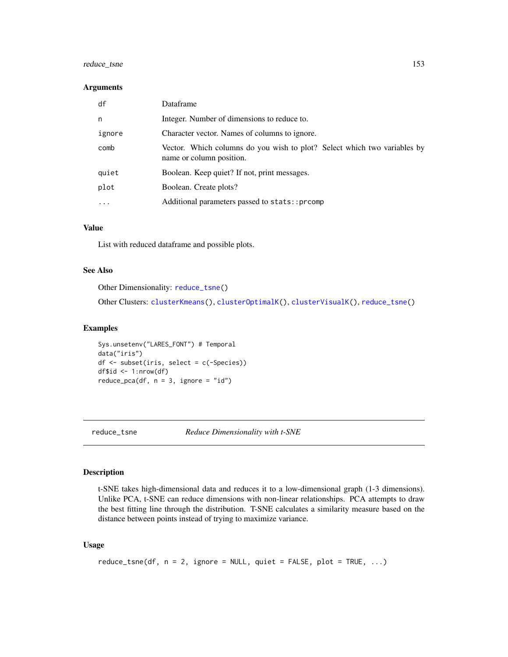# reduce\_tsne 153

#### **Arguments**

| df       | Dataframe                                                                                            |
|----------|------------------------------------------------------------------------------------------------------|
| n        | Integer. Number of dimensions to reduce to.                                                          |
| ignore   | Character vector. Names of columns to ignore.                                                        |
| comb     | Vector. Which columns do you wish to plot? Select which two variables by<br>name or column position. |
| quiet    | Boolean. Keep quiet? If not, print messages.                                                         |
| plot     | Boolean. Create plots?                                                                               |
| $\cdots$ | Additional parameters passed to stats:: prcomp                                                       |

## Value

List with reduced dataframe and possible plots.

## See Also

Other Dimensionality: [reduce\\_tsne\(](#page-152-0))

Other Clusters: [clusterKmeans\(](#page-15-0)), [clusterOptimalK\(](#page-17-0)), [clusterVisualK\(](#page-18-0)), [reduce\\_tsne\(](#page-152-0))

## Examples

Sys.unsetenv("LARES\_FONT") # Temporal data("iris") df <- subset(iris, select = c(-Species)) df $$id$  <- 1:nrow(df)  $reduce\_pca(df, n = 3, ignore = "id")$ 

<span id="page-152-0"></span>

reduce\_tsne *Reduce Dimensionality with t-SNE*

#### Description

t-SNE takes high-dimensional data and reduces it to a low-dimensional graph (1-3 dimensions). Unlike PCA, t-SNE can reduce dimensions with non-linear relationships. PCA attempts to draw the best fitting line through the distribution. T-SNE calculates a similarity measure based on the distance between points instead of trying to maximize variance.

```
reduce_tsne(df, n = 2, ignore = NULL, quiet = FALSE, plot = TRUE, ...)
```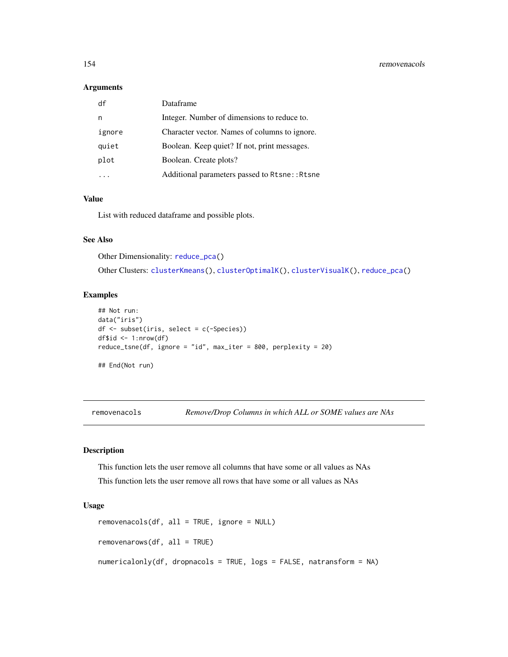| df     | Dataframe                                     |
|--------|-----------------------------------------------|
| n      | Integer. Number of dimensions to reduce to.   |
| ignore | Character vector. Names of columns to ignore. |
| quiet  | Boolean. Keep quiet? If not, print messages.  |
| plot   | Boolean. Create plots?                        |
|        | Additional parameters passed to Rtsne:: Rtsne |

## Value

List with reduced dataframe and possible plots.

## See Also

Other Dimensionality: [reduce\\_pca\(](#page-151-0))

Other Clusters: [clusterKmeans\(](#page-15-0)), [clusterOptimalK\(](#page-17-0)), [clusterVisualK\(](#page-18-0)), [reduce\\_pca\(](#page-151-0))

#### Examples

```
## Not run:
data("iris")
df <- subset(iris, select = c(-Species))
df$id <- 1:nrow(df)
reduce_tsne(df, ignore = "id", max_iter = 800, perplexity = 20)
## End(Not run)
```
<span id="page-153-0"></span>removenacols *Remove/Drop Columns in which ALL or SOME values are NAs*

#### Description

This function lets the user remove all columns that have some or all values as NAs This function lets the user remove all rows that have some or all values as NAs

```
removenacols(df, all = TRUE, ignore = NULL)
removenarows(df, all = TRUE)
numericalonly(df, dropnacols = TRUE, logs = FALSE, natransform = NA)
```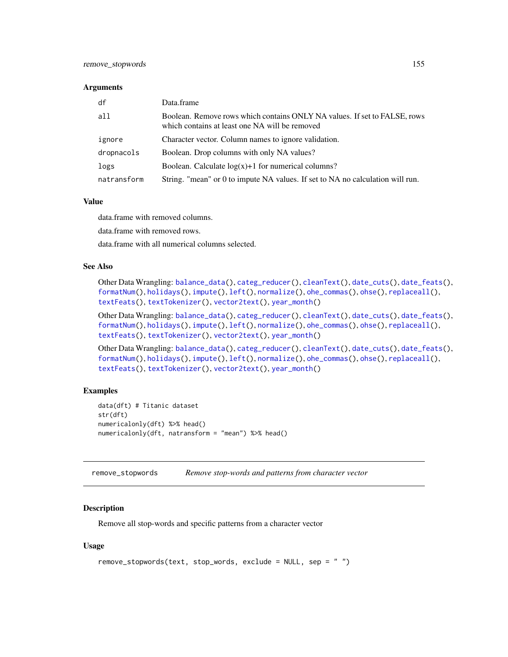| df          | Data.frame                                                                                                                  |
|-------------|-----------------------------------------------------------------------------------------------------------------------------|
| all         | Boolean. Remove rows which contains ONLY NA values. If set to FALSE, rows<br>which contains at least one NA will be removed |
| ignore      | Character vector. Column names to ignore validation.                                                                        |
| dropnacols  | Boolean. Drop columns with only NA values?                                                                                  |
| logs        | Boolean. Calculate $log(x)+1$ for numerical columns?                                                                        |
| natransform | String. "mean" or 0 to impute NA values. If set to NA no calculation will run.                                              |

#### Value

data.frame with removed columns.

data.frame with removed rows.

data.frame with all numerical columns selected.

#### See Also

Other Data Wrangling: [balance\\_data\(](#page-6-0)), [categ\\_reducer\(](#page-9-0)), [cleanText\(](#page-13-0)), [date\\_cuts\(](#page-31-0)), [date\\_feats\(](#page-31-1)), [formatNum\(](#page-61-0)), [holidays\(](#page-92-0)), [impute\(](#page-94-0)), [left\(](#page-102-1)), [normalize\(](#page-133-0)), [ohe\\_commas\(](#page-134-0)), [ohse\(](#page-135-0)), [replaceall\(](#page-155-0)), [textFeats\(](#page-182-0)), [textTokenizer\(](#page-183-0)), [vector2text\(](#page-192-0)), [year\\_month\(](#page-197-0))

Other Data Wrangling: [balance\\_data\(](#page-6-0)), [categ\\_reducer\(](#page-9-0)), [cleanText\(](#page-13-0)), [date\\_cuts\(](#page-31-0)), [date\\_feats\(](#page-31-1)), [formatNum\(](#page-61-0)), [holidays\(](#page-92-0)), [impute\(](#page-94-0)), [left\(](#page-102-1)), [normalize\(](#page-133-0)), [ohe\\_commas\(](#page-134-0)), [ohse\(](#page-135-0)), [replaceall\(](#page-155-0)), [textFeats\(](#page-182-0)), [textTokenizer\(](#page-183-0)), [vector2text\(](#page-192-0)), [year\\_month\(](#page-197-0))

Other Data Wrangling: [balance\\_data\(](#page-6-0)), [categ\\_reducer\(](#page-9-0)), [cleanText\(](#page-13-0)), [date\\_cuts\(](#page-31-0)), [date\\_feats\(](#page-31-1)), [formatNum\(](#page-61-0)), [holidays\(](#page-92-0)), [impute\(](#page-94-0)), [left\(](#page-102-1)), [normalize\(](#page-133-0)), [ohe\\_commas\(](#page-134-0)), [ohse\(](#page-135-0)), [replaceall\(](#page-155-0)), [textFeats\(](#page-182-0)), [textTokenizer\(](#page-183-0)), [vector2text\(](#page-192-0)), [year\\_month\(](#page-197-0))

#### Examples

```
data(dft) # Titanic dataset
str(dft)
numericalonly(dft) %>% head()
numericalonly(dft, natransform = "mean") %>% head()
```
<span id="page-154-0"></span>remove\_stopwords *Remove stop-words and patterns from character vector*

#### Description

Remove all stop-words and specific patterns from a character vector

```
remove_stopwords(text, stop_words, exclude = NULL, sep = " ")
```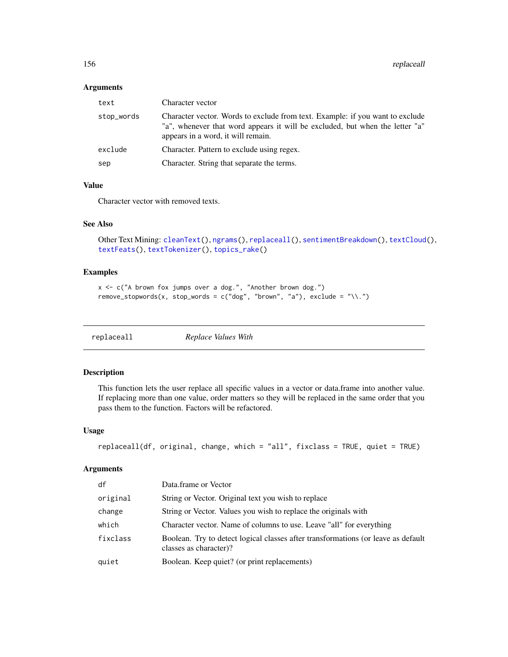| text       | Character vector                                                                                                                                                                                    |  |
|------------|-----------------------------------------------------------------------------------------------------------------------------------------------------------------------------------------------------|--|
| stop_words | Character vector. Words to exclude from text. Example: if you want to exclude<br>"a", whenever that word appears it will be excluded, but when the letter "a"<br>appears in a word, it will remain. |  |
| exclude    | Character. Pattern to exclude using regex.                                                                                                                                                          |  |
| sep        | Character. String that separate the terms.                                                                                                                                                          |  |

#### Value

Character vector with removed texts.

# See Also

```
Other Text Mining: cleanText(), ngrams(), replaceall(), sentimentBreakdown(), textCloud(),
textFeats(), textTokenizer(), topics_rake()
```
## Examples

```
x <- c("A brown fox jumps over a dog.", "Another brown dog.")
remove_stopwords(x, stop_words = c("dog", "brown", "a"), exclude = "\\.")
```
<span id="page-155-0"></span>

| replaceall | Replace Values With |
|------------|---------------------|
|            |                     |

# Description

This function lets the user replace all specific values in a vector or data.frame into another value. If replacing more than one value, order matters so they will be replaced in the same order that you pass them to the function. Factors will be refactored.

#### Usage

```
replaceall(df, original, change, which = "all", fixclass = TRUE, quiet = TRUE)
```
#### Arguments

| df       | Data.frame or Vector                                                                                        |
|----------|-------------------------------------------------------------------------------------------------------------|
| original | String or Vector. Original text you wish to replace                                                         |
| change   | String or Vector. Values you wish to replace the originals with                                             |
| which    | Character vector. Name of columns to use. Leave "all" for everything                                        |
| fixclass | Boolean. Try to detect logical classes after transformations (or leave as default<br>classes as character)? |
| quiet    | Boolean. Keep quiet? (or print replacements)                                                                |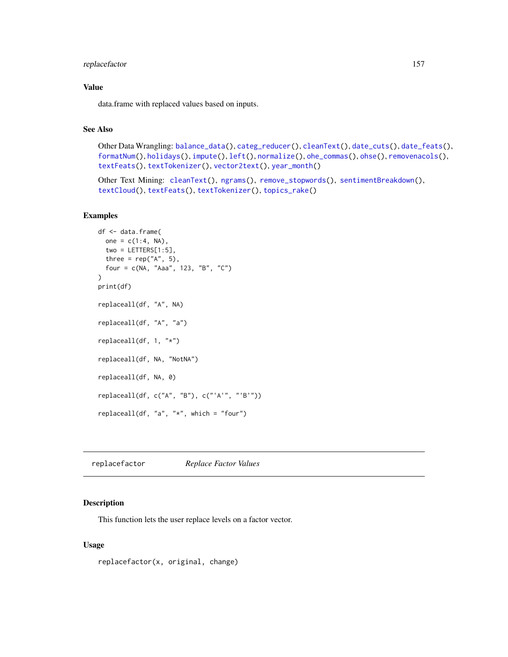# replacefactor 157

#### Value

data.frame with replaced values based on inputs.

## See Also

```
Other Data Wrangling: balance_data(), categ_reducer(), cleanText(), date_cuts(), date_feats(),
formatNum(), holidays(), impute(), left(), normalize(), ohe_commas(), ohse(), removenacols(),
textFeats(), textTokenizer(), vector2text(), year_month()
```

```
Other Text Mining: cleanText(), ngrams(), remove_stopwords(), sentimentBreakdown(),
textCloud(), textFeats(), textTokenizer(), topics_rake()
```
## Examples

```
df <- data.frame(
 one = c(1:4, NA),
  two = LETTERS[1:5],three = rep("A", 5),
  four = c(NA, "Aaa", 123, "B", "C")
\mathcal{L}print(df)
replaceall(df, "A", NA)
replaceall(df, "A", "a")
replaceall(df, 1, "*")
replaceall(df, NA, "NotNA")
replaceall(df, NA, 0)
replaceall(df, c("A", "B"), c("'A'", "'B'"))
replaceall(df, "a", "*", which = "four")
```
replacefactor *Replace Factor Values*

# Description

This function lets the user replace levels on a factor vector.

#### Usage

replacefactor(x, original, change)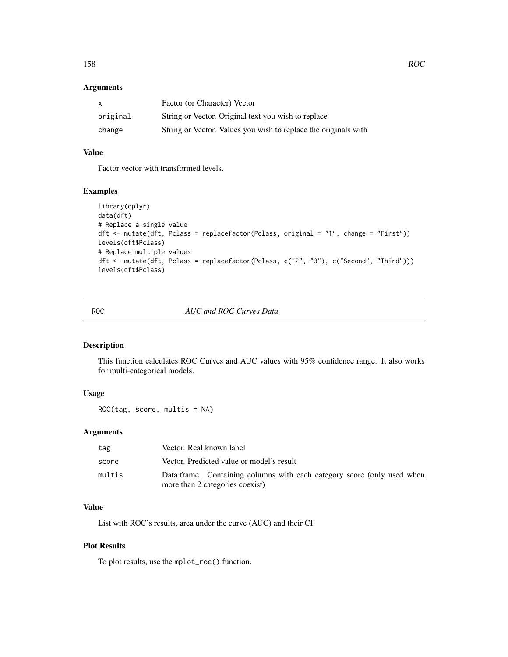| X        | Factor (or Character) Vector                                    |
|----------|-----------------------------------------------------------------|
| original | String or Vector. Original text you wish to replace             |
| change   | String or Vector. Values you wish to replace the originals with |

# Value

Factor vector with transformed levels.

# Examples

```
library(dplyr)
data(dft)
# Replace a single value
dft <- mutate(dft, Pclass = replacefactor(Pclass, original = "1", change = "First"))
levels(dft$Pclass)
# Replace multiple values
dft <- mutate(dft, Pclass = replacefactor(Pclass, c("2", "3"), c("Second", "Third")))
levels(dft$Pclass)
```
ROC *AUC and ROC Curves Data*

# Description

This function calculates ROC Curves and AUC values with 95% confidence range. It also works for multi-categorical models.

# Usage

ROC(tag, score, multis = NA)

# Arguments

| tag    | Vector. Real known label                                                |
|--------|-------------------------------------------------------------------------|
| score  | Vector. Predicted value or model's result                               |
| multis | Data.frame. Containing columns with each category score (only used when |
|        | more than 2 categories coexist)                                         |

## Value

List with ROC's results, area under the curve (AUC) and their CI.

# Plot Results

To plot results, use the mplot\_roc() function.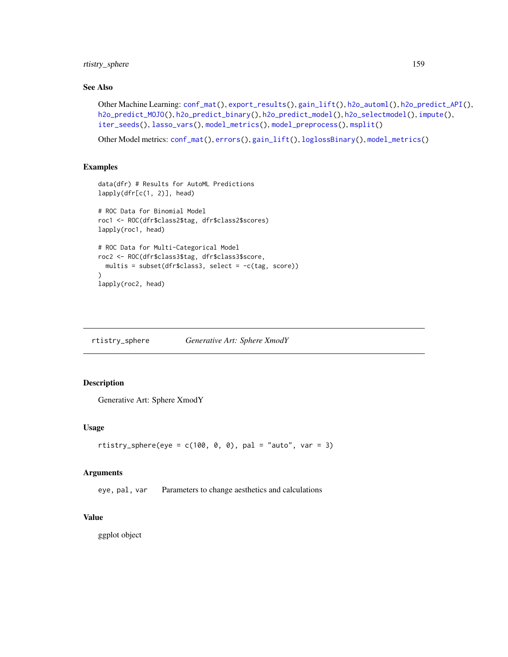rtistry\_sphere 159

## See Also

```
conf_mat(export_results(gain_lift(h2o_automl(h2o_predict_API(),
h2o_predict_MOJO(h2o_predict_binary(h2o_predict_model(h2o_selectmodel(impute(),
iter_seeds(), lasso_vars(), model_metrics(), model_preprocess(), msplit()
```
Other Model metrics: [conf\\_mat\(](#page-19-0)), [errors\(](#page-41-0)), [gain\\_lift\(](#page-69-0)), [loglossBinary\(](#page-105-1)), [model\\_metrics\(](#page-108-0))

#### Examples

```
data(dfr) # Results for AutoML Predictions
lapply(dfr[c(1, 2)], head)
# ROC Data for Binomial Model
roc1 <- ROC(dfr$class2$tag, dfr$class2$scores)
lapply(roc1, head)
# ROC Data for Multi-Categorical Model
roc2 <- ROC(dfr$class3$tag, dfr$class3$score,
  multis = subset(dfr$class3, select = -c(tag, score))
)
lapply(roc2, head)
```
rtistry\_sphere *Generative Art: Sphere XmodY*

# Description

Generative Art: Sphere XmodY

#### Usage

```
rtistry_sphere(eye = c(100, 0, 0), pal = "auto", var = 3)
```
#### Arguments

eye, pal, var Parameters to change aesthetics and calculations

## Value

ggplot object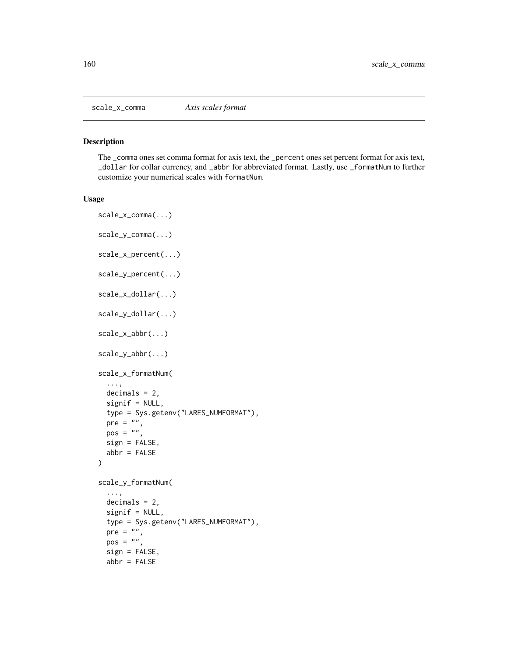The \_comma ones set comma format for axis text, the \_percent ones set percent format for axis text, \_dollar for collar currency, and \_abbr for abbreviated format. Lastly, use \_formatNum to further customize your numerical scales with formatNum.

```
scale_x_comma(...)
scale_y_comma(...)
scale_x_percent(...)
scale_y_percent(...)
scale_x_dollar(...)
scale_y_dollar(...)
scale_x_abbr(...)
scale_y_abbr(...)scale_x_formatNum(
  ...,
 decimals = 2,
 signif = NULL,
  type = Sys.getenv("LARES_NUMFORMAT"),
 pre = "",pos = "",sign = FALSE,
 abbr = FALSE)
scale_y_formatNum(
  ...,
 decimals = 2,signif = NULL,type = Sys.getenv("LARES_NUMFORMAT"),
 pre = "",pos = "",sign = FALSE,
 abbr = FALSE
```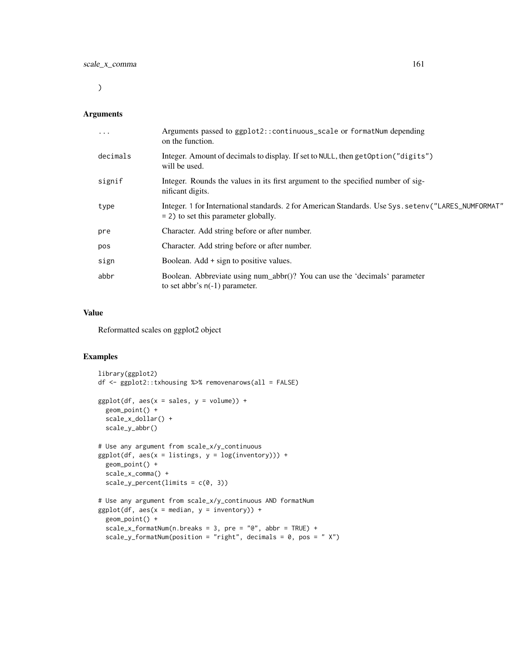$\mathcal{L}$ 

## Arguments

| $\cdots$ | Arguments passed to ggplot2::continuous_scale or formatNum depending<br>on the function.                                                       |
|----------|------------------------------------------------------------------------------------------------------------------------------------------------|
| decimals | Integer. Amount of decimals to display. If set to NULL, then get Option ("digits")<br>will be used.                                            |
| signif   | Integer. Rounds the values in its first argument to the specified number of sig-<br>nificant digits.                                           |
| type     | Integer. 1 for International standards. 2 for American Standards. Use Sys. setenv("LARES_NUMFORMAT"<br>$= 2$ ) to set this parameter globally. |
| pre      | Character. Add string before or after number.                                                                                                  |
| pos      | Character. Add string before or after number.                                                                                                  |
| sign     | Boolean. Add + sign to positive values.                                                                                                        |
| abbr     | Boolean. Abbreviate using num_abbr()? You can use the 'decimals' parameter<br>to set abbr's $n(-1)$ parameter.                                 |

# Value

Reformatted scales on ggplot2 object

#### Examples

```
library(ggplot2)
df <- ggplot2::txhousing %>% removenarows(all = FALSE)
ggplot(df, aes(x = sales, y = volume)) +geom_point() +
  scale_x_dollar() +
  scale_y_abbr()
# Use any argument from scale_x/y_continuous
ggplot(df, aes(x = listings, y = log(inventory))) +geom_point() +
  scale_x_comma() +
  scale_y_percent(limits = c(0, 3))# Use any argument from scale_x/y_continuous AND formatNum
ggplot(df, aes(x = median, y = inventory)) +geom_point() +
  scale_x_formatNum(n.breaks = 3, pre = "@", abbr = TRUE) +
  scale_y_formatNum(position = "right", decimals = 0, pos = "X")
```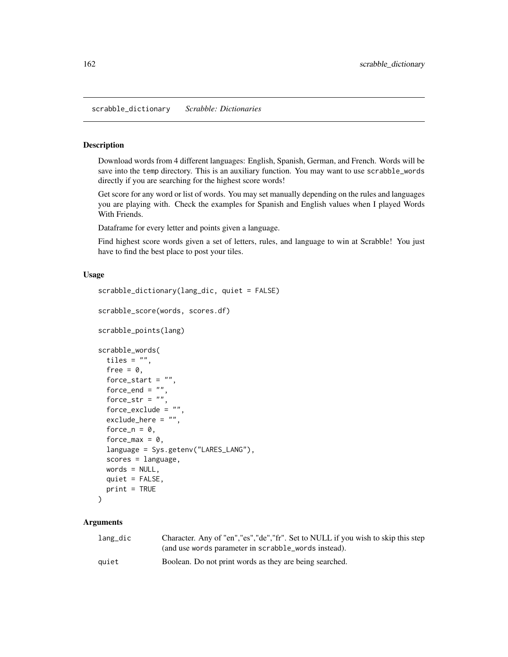scrabble\_dictionary *Scrabble: Dictionaries*

#### Description

Download words from 4 different languages: English, Spanish, German, and French. Words will be save into the temp directory. This is an auxiliary function. You may want to use scrabble\_words directly if you are searching for the highest score words!

Get score for any word or list of words. You may set manually depending on the rules and languages you are playing with. Check the examples for Spanish and English values when I played Words With Friends.

Dataframe for every letter and points given a language.

Find highest score words given a set of letters, rules, and language to win at Scrabble! You just have to find the best place to post your tiles.

#### Usage

```
scrabble_dictionary(lang_dic, quiet = FALSE)
scrabble_score(words, scores.df)
scrabble_points(lang)
scrabble_words(
  tiles = ",
  free = 0,
  force_start = ",
  force_end = ",
  force_str = ",
  force_exclude = "exclude_here = "",
  force_n = 0,
  force_max = 0,
  language = Sys.getenv("LARES_LANG"),
  scores = language,
 words = NULL,
 quiet = FALSE,
 print = TRUE
)
```
#### Arguments

| lang_dic | Character. Any of "en", "es", "de", "fr". Set to NULL if you wish to skip this step<br>(and use words parameter in scrabble_words instead). |
|----------|---------------------------------------------------------------------------------------------------------------------------------------------|
| quiet    | Boolean. Do not print words as they are being searched.                                                                                     |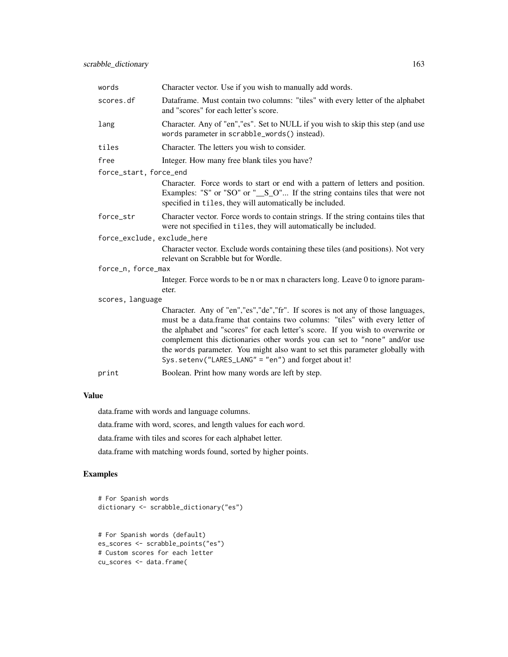| words                       | Character vector. Use if you wish to manually add words.                                                                                                                                                                                                                                                                                                                                                                                                                  |  |  |
|-----------------------------|---------------------------------------------------------------------------------------------------------------------------------------------------------------------------------------------------------------------------------------------------------------------------------------------------------------------------------------------------------------------------------------------------------------------------------------------------------------------------|--|--|
| scores.df                   | Dataframe. Must contain two columns: "tiles" with every letter of the alphabet<br>and "scores" for each letter's score.                                                                                                                                                                                                                                                                                                                                                   |  |  |
| lang                        | Character. Any of "en", "es". Set to NULL if you wish to skip this step (and use<br>words parameter in scrabble_words() instead).                                                                                                                                                                                                                                                                                                                                         |  |  |
| tiles                       | Character. The letters you wish to consider.                                                                                                                                                                                                                                                                                                                                                                                                                              |  |  |
| free                        | Integer. How many free blank tiles you have?                                                                                                                                                                                                                                                                                                                                                                                                                              |  |  |
| force_start, force_end      |                                                                                                                                                                                                                                                                                                                                                                                                                                                                           |  |  |
|                             | Character. Force words to start or end with a pattern of letters and position.<br>Examples: "S" or "SO" or " $_S_0$ " If the string contains tiles that were not<br>specified in tiles, they will automatically be included.                                                                                                                                                                                                                                              |  |  |
| force_str                   | Character vector. Force words to contain strings. If the string contains tiles that<br>were not specified in tiles, they will automatically be included.                                                                                                                                                                                                                                                                                                                  |  |  |
| force_exclude, exclude_here |                                                                                                                                                                                                                                                                                                                                                                                                                                                                           |  |  |
|                             | Character vector. Exclude words containing these tiles (and positions). Not very<br>relevant on Scrabble but for Wordle.                                                                                                                                                                                                                                                                                                                                                  |  |  |
| force_n, force_max          |                                                                                                                                                                                                                                                                                                                                                                                                                                                                           |  |  |
|                             | Integer. Force words to be n or max n characters long. Leave 0 to ignore param-<br>eter.                                                                                                                                                                                                                                                                                                                                                                                  |  |  |
| scores, language            |                                                                                                                                                                                                                                                                                                                                                                                                                                                                           |  |  |
|                             | Character. Any of "en", "es", "de", "fr". If scores is not any of those languages,<br>must be a data.frame that contains two columns: "tiles" with every letter of<br>the alphabet and "scores" for each letter's score. If you wish to overwrite or<br>complement this dictionaries other words you can set to "none" and/or use<br>the words parameter. You might also want to set this parameter globally with<br>Sys.setenv("LARES_LANG" = "en") and forget about it! |  |  |
| print                       | Boolean. Print how many words are left by step.                                                                                                                                                                                                                                                                                                                                                                                                                           |  |  |

# Value

data.frame with words and language columns.

data.frame with word, scores, and length values for each word.

data.frame with tiles and scores for each alphabet letter.

data.frame with matching words found, sorted by higher points.

# Examples

```
# For Spanish words
dictionary <- scrabble_dictionary("es")
# For Spanish words (default)
es_scores <- scrabble_points("es")
# Custom scores for each letter
cu_scores <- data.frame(
```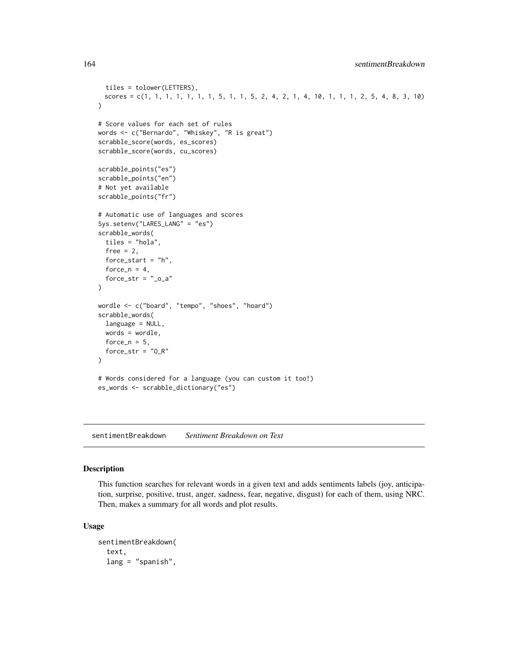```
tiles = tolower(LETTERS),
 scores = c(1, 1, 1, 1, 1, 1, 1, 5, 1, 1, 5, 2, 4, 2, 1, 4, 10, 1, 1, 1, 2, 5, 4, 8, 3, 10)
)
# Score values for each set of rules
words <- c("Bernardo", "Whiskey", "R is great")
scrabble_score(words, es_scores)
scrabble_score(words, cu_scores)
scrabble_points("es")
scrabble_points("en")
# Not yet available
scrabble_points("fr")
# Automatic use of languages and scores
Sys.setenv("LARES_LANG" = "es")
scrabble_words(
  tiles = "hola",
  free = 2,
  force_start = "h",
  force_n = 4,
  force\_str = "_o_a"\mathcal{L}wordle <- c("board", "tempo", "shoes", "hoard")
scrabble_words(
  language = NULL,
  words = wordle,
  force_n = 5,
  force\_str = "0_R")
# Words considered for a language (you can custom it too!)
es_words <- scrabble_dictionary("es")
```
<span id="page-163-0"></span>sentimentBreakdown *Sentiment Breakdown on Text*

#### Description

This function searches for relevant words in a given text and adds sentiments labels (joy, anticipation, surprise, positive, trust, anger, sadness, fear, negative, disgust) for each of them, using NRC. Then, makes a summary for all words and plot results.

```
sentimentBreakdown(
  text,
  lang = "spanish",
```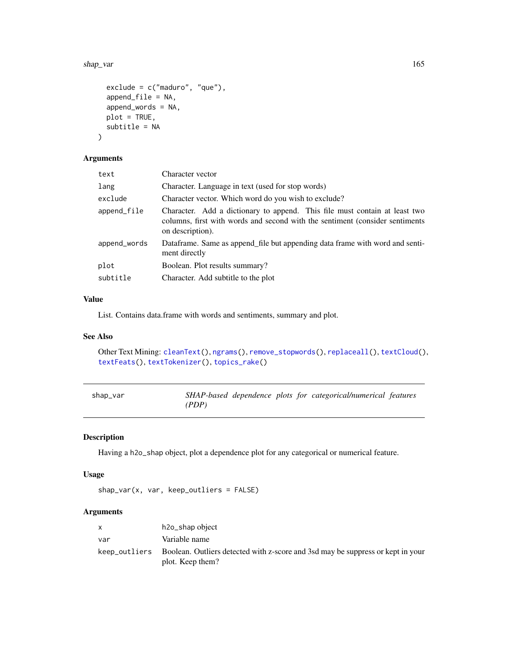#### shap\_var 165

```
exclude = c("maduro", "que"),append_file = NA,
 append_words = NA,
 plot = TRUE,
  subtitle = NA
)
```
# Arguments

| text         | Character vector                                                                                                                                                               |  |  |  |
|--------------|--------------------------------------------------------------------------------------------------------------------------------------------------------------------------------|--|--|--|
| lang         | Character. Language in text (used for stop words)                                                                                                                              |  |  |  |
| exclude      | Character vector. Which word do you wish to exclude?                                                                                                                           |  |  |  |
| append_file  | Character. Add a dictionary to append. This file must contain at least two<br>columns, first with words and second with the sentiment (consider sentiments<br>on description). |  |  |  |
| append_words | Dataframe. Same as append file but appending data frame with word and senti-<br>ment directly                                                                                  |  |  |  |
| plot         | Boolean. Plot results summary?                                                                                                                                                 |  |  |  |
| subtitle     | Character. Add subtitle to the plot                                                                                                                                            |  |  |  |
|              |                                                                                                                                                                                |  |  |  |

#### Value

List. Contains data.frame with words and sentiments, summary and plot.

# See Also

Other Text Mining: [cleanText\(](#page-13-0)), [ngrams\(](#page-131-1)), [remove\\_stopwords\(](#page-154-0)), [replaceall\(](#page-155-0)), [textCloud\(](#page-181-0)), [textFeats\(](#page-182-0)), [textTokenizer\(](#page-183-0)), [topics\\_rake\(](#page-187-0))

| shap_var |       |  | SHAP-based dependence plots for categorical/numerical features |  |
|----------|-------|--|----------------------------------------------------------------|--|
|          | (PDP) |  |                                                                |  |

# Description

Having a h2o\_shap object, plot a dependence plot for any categorical or numerical feature.

# Usage

shap\_var(x, var, keep\_outliers = FALSE)

# Arguments

|     | h2o_shap object                                                                                                   |
|-----|-------------------------------------------------------------------------------------------------------------------|
| var | Variable name                                                                                                     |
|     | keep_outliers Boolean. Outliers detected with z-score and 3sd may be suppress or kept in your<br>plot. Keep them? |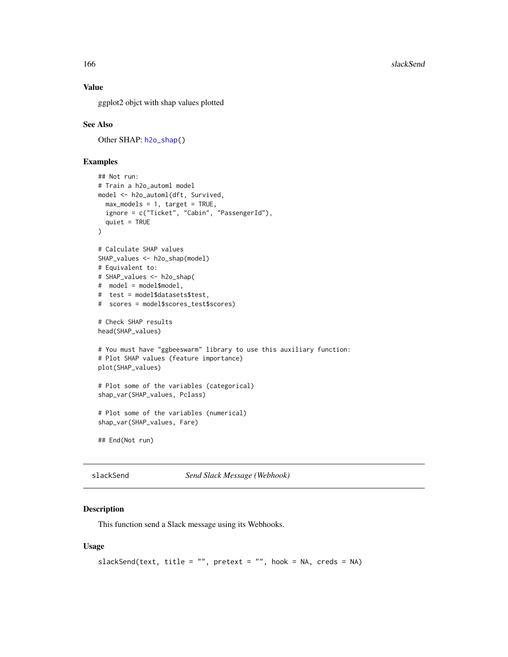## Value

ggplot2 objct with shap values plotted

## See Also

Other SHAP: [h2o\\_shap\(](#page-90-0))

## Examples

```
## Not run:
# Train a h2o_automl model
model <- h2o_automl(dft, Survived,
  max_models = 1, target = TRUE,ignore = c("Ticket", "Cabin", "PassengerId"),
  quiet = TRUE
\lambda# Calculate SHAP values
SHAP_values <- h2o_shap(model)
# Equivalent to:
# SHAP_values <- h2o_shap(
# model = model$model,
# test = model$datasets$test,
# scores = model$scores_test$scores)
# Check SHAP results
head(SHAP_values)
# You must have "ggbeeswarm" library to use this auxiliary function:
# Plot SHAP values (feature importance)
plot(SHAP_values)
# Plot some of the variables (categorical)
shap_var(SHAP_values, Pclass)
# Plot some of the variables (numerical)
shap_var(SHAP_values, Fare)
## End(Not run)
```
<span id="page-165-0"></span>slackSend *Send Slack Message (Webhook)*

#### Description

This function send a Slack message using its Webhooks.

```
slackSend(text, title = "", pretext = "", hook = NA, creds = NA)
```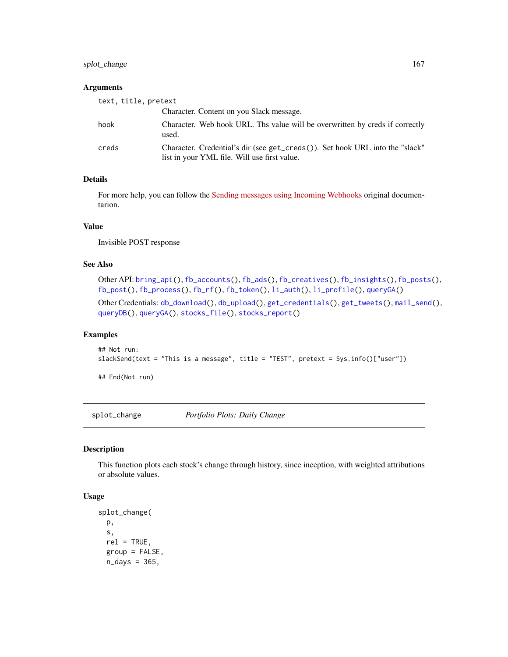# splot\_change 167

## Arguments

| text, title, pretext |                                                                                                                              |
|----------------------|------------------------------------------------------------------------------------------------------------------------------|
|                      | Character. Content on you Slack message.                                                                                     |
| hook                 | Character. Web hook URL. Ths value will be overwritten by creds if correctly<br>used.                                        |
| creds                | Character. Credential's dir (see get_creds()). Set hook URL into the "slack"<br>list in your YML file. Will use first value. |

#### Details

For more help, you can follow the [Sending messages using Incoming Webhooks](https://api.slack.com/messaging/webhooks#posting_with_webhooks) original documentarion.

## Value

Invisible POST response

# See Also

```
Other API: bring_api(), fb_accounts(), fb_ads(), fb_creatives(), fb_insights(), fb_posts(),
fb_post(), fb_process(), fb_rf(), fb_token(), li_auth(), li_profile(), queryGA()
Other Credentials: db_download(), db_upload(), get_credentials(), get_tweets(), mail_send(),
queryDB(), queryGA(), stocks_file(), stocks_report()
```
#### Examples

```
## Not run:
slackSend(text = "This is a message", title = "TEST", pretext = Sys.info()["user"])
```
## End(Not run)

<span id="page-166-0"></span>splot\_change *Portfolio Plots: Daily Change*

#### Description

This function plots each stock's change through history, since inception, with weighted attributions or absolute values.

```
splot_change(
 p,
  s,
  rel = TRUE,group = FALSE,
 n\_days = 365,
```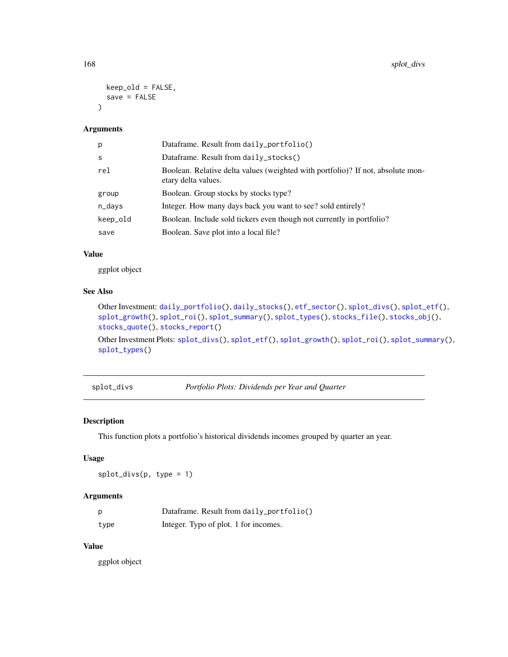```
keep_old = FALSE,
  save = FALSE\lambda
```

| p        | Dataframe. Result from daily_portfolio()                                                               |
|----------|--------------------------------------------------------------------------------------------------------|
| S        | Dataframe. Result from $daily_stocks()$                                                                |
| rel      | Boolean. Relative delta values (weighted with portfolio)? If not, absolute mon-<br>etary delta values. |
| group    | Boolean. Group stocks by stocks type?                                                                  |
| n_days   | Integer. How many days back you want to see? sold entirely?                                            |
| keep_old | Boolean. Include sold tickers even though not currently in portfolio?                                  |
| save     | Boolean. Save plot into a local file?                                                                  |

#### Value

ggplot object

# See Also

```
Other Investment: daily_portfolio(), daily_stocks(), etf_sector(), splot_divs(), splot_etf(),
splot_growth(), splot_roi(), splot_summary(), splot_types(), stocks_file(), stocks_obj(),
stocks_quote(), stocks_report()
```
Other Investment Plots: [splot\\_divs\(](#page-167-0)), [splot\\_etf\(](#page-168-0)), [splot\\_growth\(](#page-169-0)), [splot\\_roi\(](#page-169-1)), [splot\\_summary\(](#page-170-0)), [splot\\_types\(](#page-171-0))

<span id="page-167-0"></span>splot\_divs *Portfolio Plots: Dividends per Year and Quarter*

## Description

This function plots a portfolio's historical dividends incomes grouped by quarter an year.

# Usage

splot\_divs(p, type = 1)

# Arguments

| p    | Dataframe. Result from daily_portfolio() |
|------|------------------------------------------|
| type | Integer. Typo of plot. 1 for incomes.    |

## Value

ggplot object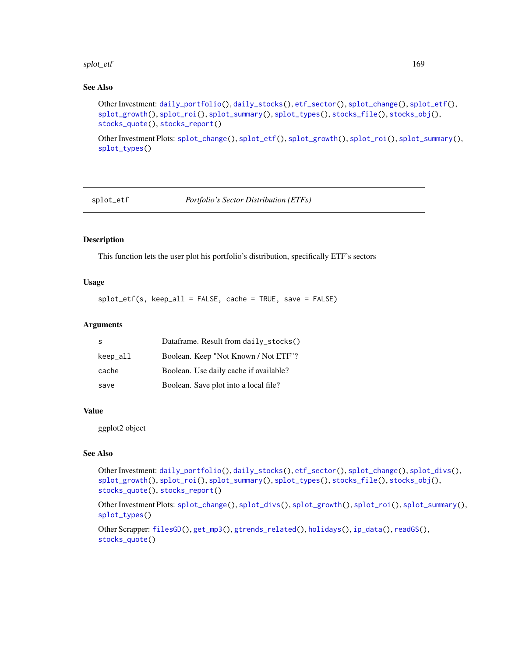#### splot\_etf and the splot of the splot of the splot of the splot of the splot of the splot of the splot of the splot of the splot of the splot of the splot of the splot of the splot of the splot of the splot of the splot of

# See Also

```
Other Investment: daily_portfolio(), daily_stocks(), etf_sector(), splot_change(), splot_etf(),
splot_growth(), splot_roi(), splot_summary(), splot_types(), stocks_file(), stocks_obj(),
stocks_quote(), stocks_report()
```
Other Investment Plots: [splot\\_change\(](#page-166-0)), [splot\\_etf\(](#page-168-0)), [splot\\_growth\(](#page-169-0)), [splot\\_roi\(](#page-169-1)), [splot\\_summary\(](#page-170-0)), [splot\\_types\(](#page-171-0))

<span id="page-168-0"></span>splot\_etf *Portfolio's Sector Distribution (ETFs)*

## Description

This function lets the user plot his portfolio's distribution, specifically ETF's sectors

#### Usage

splot\_etf(s, keep\_all = FALSE, cache = TRUE, save = FALSE)

# Arguments

| -S       | Dataframe. Result from daily_stocks()  |
|----------|----------------------------------------|
| keep_all | Boolean. Keep "Not Known / Not ETF"?   |
| cache    | Boolean. Use daily cache if available? |
| save     | Boolean. Save plot into a local file?  |

## Value

ggplot2 object

#### See Also

Other Investment: [daily\\_portfolio\(](#page-27-0)), [daily\\_stocks\(](#page-28-0)), [etf\\_sector\(](#page-42-0)), [splot\\_change\(](#page-166-0)), [splot\\_divs\(](#page-167-0)), [splot\\_growth\(](#page-169-0)), [splot\\_roi\(](#page-169-1)), [splot\\_summary\(](#page-170-0)), [splot\\_types\(](#page-171-0)), [stocks\\_file\(](#page-174-0)), [stocks\\_obj\(](#page-175-0)), [stocks\\_quote\(](#page-176-0)), [stocks\\_report\(](#page-178-0))

Other Investment Plots: [splot\\_change\(](#page-166-0)), [splot\\_divs\(](#page-167-0)), [splot\\_growth\(](#page-169-0)), [splot\\_roi\(](#page-169-1)), [splot\\_summary\(](#page-170-0)), [splot\\_types\(](#page-171-0))

Other Scrapper: [filesGD\(](#page-56-0)), [get\\_mp3\(](#page-73-0)), [gtrends\\_related\(](#page-79-0)), [holidays\(](#page-92-0)), [ip\\_data\(](#page-95-0)), [readGS\(](#page-150-0)), [stocks\\_quote\(](#page-176-0))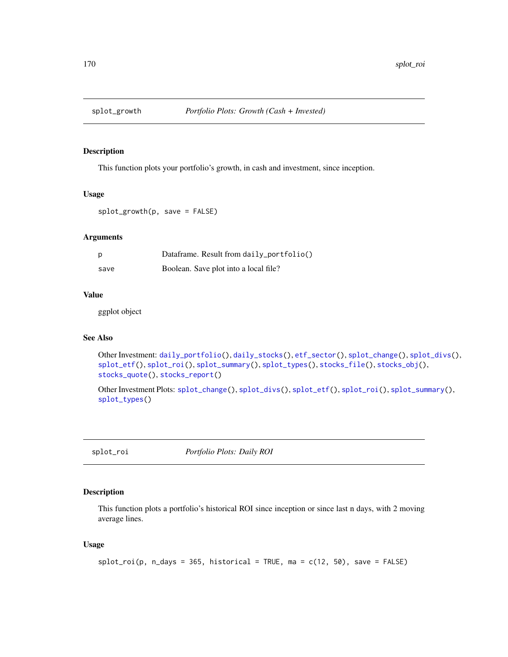<span id="page-169-0"></span>

This function plots your portfolio's growth, in cash and investment, since inception.

#### Usage

splot\_growth(p, save = FALSE)

# Arguments

| p    | Dataframe. Result from daily_portfolio() |
|------|------------------------------------------|
| save | Boolean. Save plot into a local file?    |

#### Value

ggplot object

# See Also

```
Other Investment: daily_portfolio(), daily_stocks(), etf_sector(), splot_change(), splot_divs(),
splot_etf(), splot_roi(), splot_summary(), splot_types(), stocks_file(), stocks_obj(),
stocks_quote(), stocks_report()
```

```
Other Investment Plots: splot_change(), splot_divs(), splot_etf(), splot_roi(), splot_summary(),
splot_types()
```
<span id="page-169-1"></span>splot\_roi *Portfolio Plots: Daily ROI*

# Description

This function plots a portfolio's historical ROI since inception or since last n days, with 2 moving average lines.

```
splot\_roi(p, n\_days = 365, historical = TRUE, ma = c(12, 50), save = FALSE)
```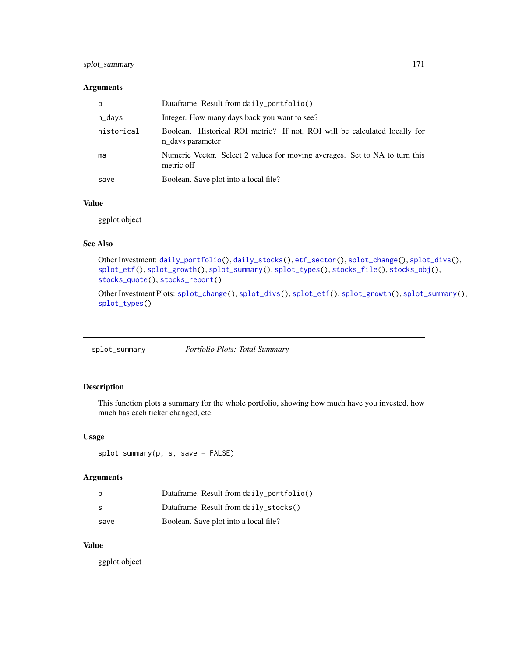# splot\_summary 171

### Arguments

| p          | Dataframe. Result from daily_portfolio()                                                       |
|------------|------------------------------------------------------------------------------------------------|
| n_days     | Integer. How many days back you want to see?                                                   |
| historical | Boolean. Historical ROI metric? If not, ROI will be calculated locally for<br>n days parameter |
| ma         | Numeric Vector. Select 2 values for moving averages. Set to NA to turn this<br>metric off      |
| save       | Boolean. Save plot into a local file?                                                          |

#### Value

ggplot object

## See Also

```
Other Investment: daily_portfolio(), daily_stocks(), etf_sector(), splot_change(), splot_divs(),
splot_etf(), splot_growth(), splot_summary(), splot_types(), stocks_file(), stocks_obj(),
stocks_quote(), stocks_report()
```
Other Investment Plots: [splot\\_change\(](#page-166-0)), [splot\\_divs\(](#page-167-0)), [splot\\_etf\(](#page-168-0)), [splot\\_growth\(](#page-169-0)), [splot\\_summary\(](#page-170-0)), [splot\\_types\(](#page-171-0))

<span id="page-170-0"></span>splot\_summary *Portfolio Plots: Total Summary*

# Description

This function plots a summary for the whole portfolio, showing how much have you invested, how much has each ticker changed, etc.

# Usage

splot\_summary(p, s, save = FALSE)

#### Arguments

| р    | Dataframe. Result from daily_portfolio() |
|------|------------------------------------------|
| -S   | Dataframe. Result from daily_stocks()    |
| save | Boolean. Save plot into a local file?    |

#### Value

ggplot object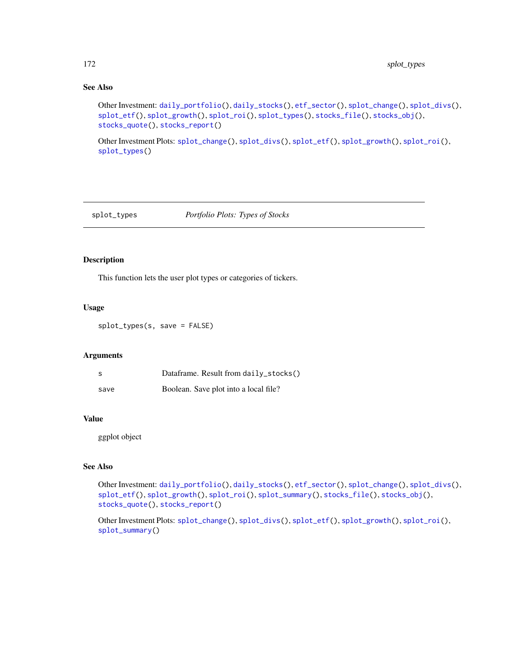# See Also

```
Other Investment: daily_portfolio(), daily_stocks(), etf_sector(), splot_change(), splot_divs(),
splot_etf(), splot_growth(), splot_roi(), splot_types(), stocks_file(), stocks_obj(),
stocks_quote(), stocks_report()
```
Other Investment Plots: [splot\\_change\(](#page-166-0)), [splot\\_divs\(](#page-167-0)), [splot\\_etf\(](#page-168-0)), [splot\\_growth\(](#page-169-0)), [splot\\_roi\(](#page-169-1)), [splot\\_types\(](#page-171-0))

#### <span id="page-171-0"></span>splot\_types *Portfolio Plots: Types of Stocks*

# Description

This function lets the user plot types or categories of tickers.

#### Usage

splot\_types(s, save = FALSE)

## Arguments

| s    | Dataframe. Result from daily_stocks() |
|------|---------------------------------------|
| save | Boolean. Save plot into a local file? |

#### Value

ggplot object

#### See Also

Other Investment: [daily\\_portfolio\(](#page-27-0)), [daily\\_stocks\(](#page-28-0)), [etf\\_sector\(](#page-42-0)), [splot\\_change\(](#page-166-0)), [splot\\_divs\(](#page-167-0)), [splot\\_etf\(](#page-168-0)), [splot\\_growth\(](#page-169-0)), [splot\\_roi\(](#page-169-1)), [splot\\_summary\(](#page-170-0)), [stocks\\_file\(](#page-174-0)), [stocks\\_obj\(](#page-175-0)), [stocks\\_quote\(](#page-176-0)), [stocks\\_report\(](#page-178-0))

Other Investment Plots: [splot\\_change\(](#page-166-0)), [splot\\_divs\(](#page-167-0)), [splot\\_etf\(](#page-168-0)), [splot\\_growth\(](#page-169-0)), [splot\\_roi\(](#page-169-1)), [splot\\_summary\(](#page-170-0))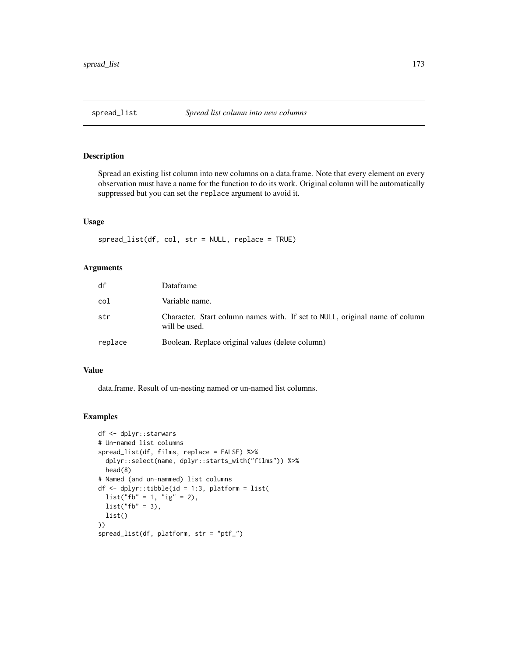Spread an existing list column into new columns on a data.frame. Note that every element on every observation must have a name for the function to do its work. Original column will be automatically suppressed but you can set the replace argument to avoid it.

#### Usage

 $spread\_list(df, col, str = NULL, replace = TRUE)$ 

# Arguments

| df      | Dataframe                                                                                    |
|---------|----------------------------------------------------------------------------------------------|
| col     | Variable name.                                                                               |
| str     | Character. Start column names with. If set to NULL, original name of column<br>will be used. |
| replace | Boolean. Replace original values (delete column)                                             |

## Value

data.frame. Result of un-nesting named or un-named list columns.

## Examples

```
df <- dplyr::starwars
# Un-named list columns
spread_list(df, films, replace = FALSE) %>%
 dplyr::select(name, dplyr::starts_with("films")) %>%
 head(8)
# Named (and un-nammed) list columns
df <- dplyr::tibble(id = 1:3, platform = list(
 list("fb" = 1, "ig" = 2),list("fb" = 3),list()
))
spread_list(df, platform, str = "ptf_")
```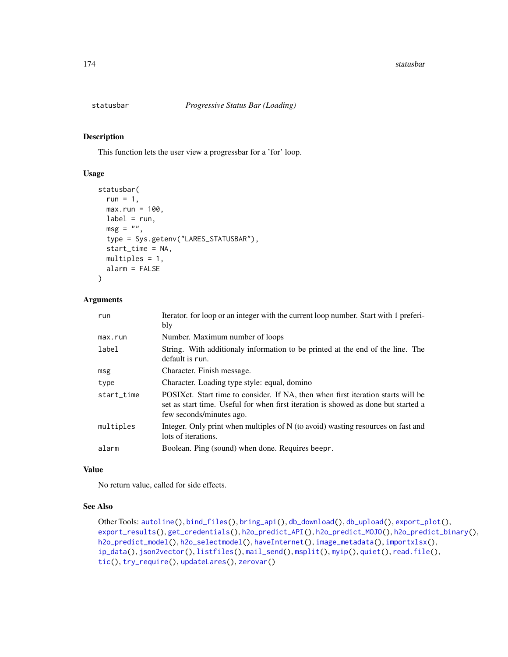<span id="page-173-0"></span>

This function lets the user view a progressbar for a 'for' loop.

# Usage

```
statusbar(
 run = 1,max.run = 100,label = run,msg = "",type = Sys.getenv("LARES_STATUSBAR"),
  start_time = NA,
 multiples = 1,
 alarm = FALSE
)
```
## Arguments

| run        | Iterator. for loop or an integer with the current loop number. Start with 1 preferi-<br>bly                                                                                                         |
|------------|-----------------------------------------------------------------------------------------------------------------------------------------------------------------------------------------------------|
| max.run    | Number. Maximum number of loops                                                                                                                                                                     |
| label      | String. With additionaly information to be printed at the end of the line. The<br>default is run.                                                                                                   |
| msg        | Character. Finish message.                                                                                                                                                                          |
| type       | Character. Loading type style: equal, domino                                                                                                                                                        |
| start_time | POSIX ct. Start time to consider. If NA, then when first iteration starts will be<br>set as start time. Useful for when first iteration is showed as done but started a<br>few seconds/minutes ago. |
| multiples  | Integer. Only print when multiples of N (to avoid) wasting resources on fast and<br>lots of iterations.                                                                                             |
| alarm      | Boolean. Ping (sound) when done. Requires beepr.                                                                                                                                                    |

## Value

No return value, called for side effects.

## See Also

```
Other Tools: autoline(), bind_files(), bring_api(), db_download(), db_upload(), export_plot(),
export_results(), get_credentials(), h2o_predict_API(), h2o_predict_MOJO(), h2o_predict_binary(),
h2o_predict_model(), h2o_selectmodel(), haveInternet(), image_metadata(), importxlsx(),
ip_data(), json2vector(), listfiles(), mail_send(), msplit(), myip(), quiet(), read.file(),
tic(), try_require(), updateLares(), zerovar()
```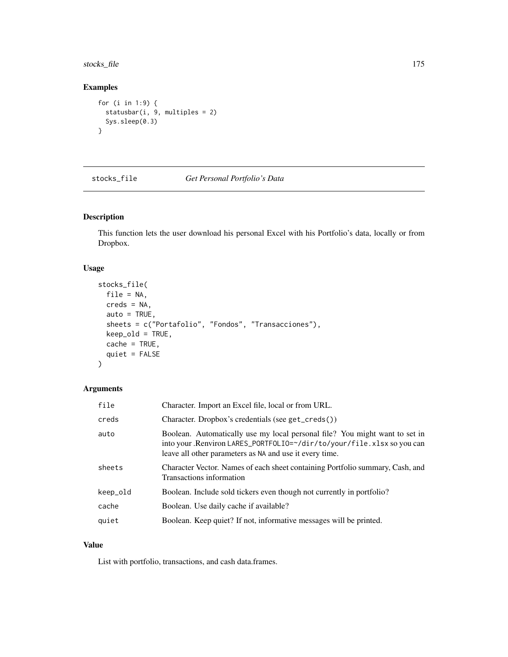# stocks\_file 175

# Examples

```
for (i in 1:9) {
  statusbar(i, 9, multiples = 2)
  Sys.sleep(0.3)
}
```
<span id="page-174-0"></span>

stocks\_file *Get Personal Portfolio's Data*

# Description

This function lets the user download his personal Excel with his Portfolio's data, locally or from Dropbox.

#### Usage

```
stocks_file(
  file = NA,
  creds = NA,
  auto = TRUE,
  sheets = c("Portafolio", "Fondos", "Transacciones"),
 keep_old = TRUE,
  cache = TRUE,
  quiet = FALSE
)
```
# Arguments

| file     | Character. Import an Excel file, local or from URL.                                                                                                                                                              |
|----------|------------------------------------------------------------------------------------------------------------------------------------------------------------------------------------------------------------------|
| creds    | Character. Dropbox's credentials (see get_creds())                                                                                                                                                               |
| auto     | Boolean. Automatically use my local personal file? You might want to set in<br>into your. Renviron LARES_PORTFOLIO=~/dir/to/your/file.xlsx so you can<br>leave all other parameters as NA and use it every time. |
| sheets   | Character Vector. Names of each sheet containing Portfolio summary, Cash, and<br>Transactions information                                                                                                        |
| keep_old | Boolean. Include sold tickers even though not currently in portfolio?                                                                                                                                            |
| cache    | Boolean. Use daily cache if available?                                                                                                                                                                           |
| quiet    | Boolean. Keep quiet? If not, informative messages will be printed.                                                                                                                                               |
|          |                                                                                                                                                                                                                  |

## Value

List with portfolio, transactions, and cash data.frames.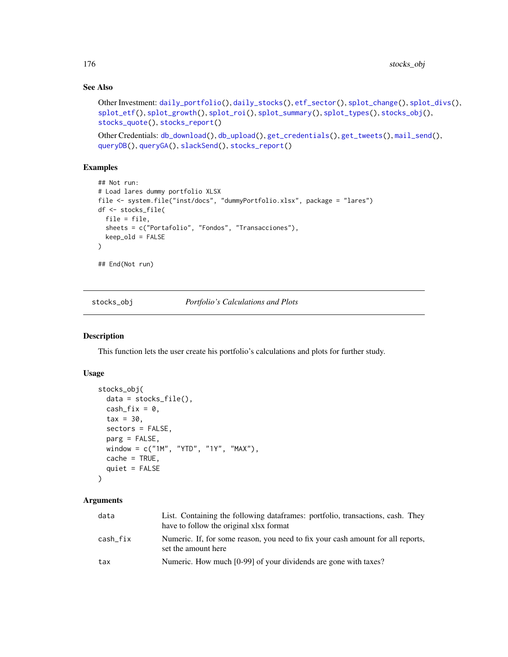# See Also

```
Other Investment: daily_portfolio(), daily_stocks(), etf_sector(), splot_change(), splot_divs(),
splot_etf(), splot_growth(), splot_roi(), splot_summary(), splot_types(), stocks_obj(),
stocks_quote(), stocks_report()
```

```
Other Credentials: db_download(), db_upload(), get_credentials(), get_tweets(), mail_send(),
queryDB(), queryGA(), slackSend(), stocks_report()
```
# Examples

```
## Not run:
# Load lares dummy portfolio XLSX
file <- system.file("inst/docs", "dummyPortfolio.xlsx", package = "lares")
df <- stocks_file(
  file = file,
  sheets = c("Portafolio", "Fondos", "Transacciones"),
  keep_old = FALSE
)
## End(Not run)
```
<span id="page-175-0"></span>stocks\_obj *Portfolio's Calculations and Plots*

#### Description

This function lets the user create his portfolio's calculations and plots for further study.

## Usage

```
stocks_obj(
  data = stocks_file(),
  cash_fix = 0,
  \text{tax} = 30,
  sectors = FALSE,
  parg = FALSE,
 window = c("1M", "YTD", "1Y", "MAX"),
 cache = TRUE,
  quiet = FALSE
)
```
#### Arguments

| data     | List. Containing the following dataframes: portfolio, transactions, cash. They<br>have to follow the original xlsx format |
|----------|---------------------------------------------------------------------------------------------------------------------------|
| cash_fix | Numeric. If, for some reason, you need to fix your cash amount for all reports,<br>set the amount here                    |
| tax      | Numeric. How much [0-99] of your dividends are gone with taxes?                                                           |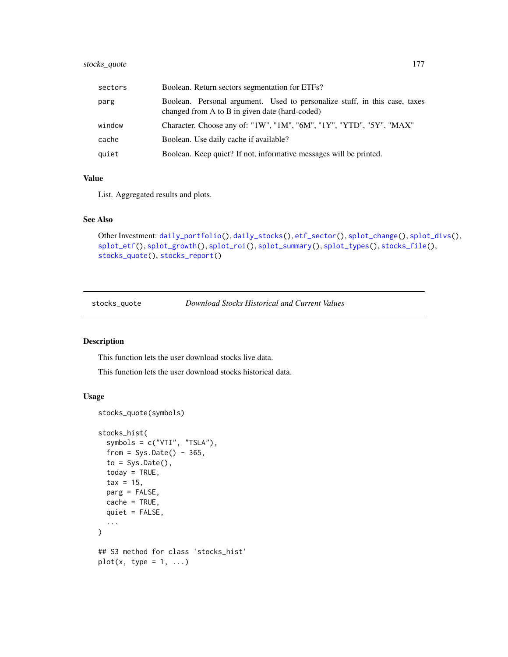# stocks\_quote 177

| sectors | Boolean. Return sectors segmentation for ETFs?                                                                               |
|---------|------------------------------------------------------------------------------------------------------------------------------|
| parg    | Boolean. Personal argument. Used to personalize stuff, in this case, taxes<br>changed from A to B in given date (hard-coded) |
| window  | Character. Choose any of: "1W", "1M", "6M", "1Y", "YTD", "5Y", "MAX"                                                         |
| cache   | Boolean. Use daily cache if available?                                                                                       |
| quiet   | Boolean. Keep quiet? If not, informative messages will be printed.                                                           |

# Value

List. Aggregated results and plots.

## See Also

```
Other Investment: daily_portfolio(), daily_stocks(), etf_sector(), splot_change(), splot_divs(),
splot_etf(), splot_growth(), splot_roi(), splot_summary(), splot_types(), stocks_file(),
stocks_quote(), stocks_report()
```
<span id="page-176-0"></span>stocks\_quote *Download Stocks Historical and Current Values*

## Description

This function lets the user download stocks live data.

This function lets the user download stocks historical data.

```
stocks_quote(symbols)
stocks_hist(
  symbols = c("VTI", "TSLA"),
  from = Sys.Date() - 365,to = Sys.<b>Date()</b>,today = TRUE,
  \text{tax} = 15,parg = FALSE,
 cache = TRUE,
 quiet = FALSE,
  ...
\lambda## S3 method for class 'stocks_hist'
plot(x, type = 1, ...)
```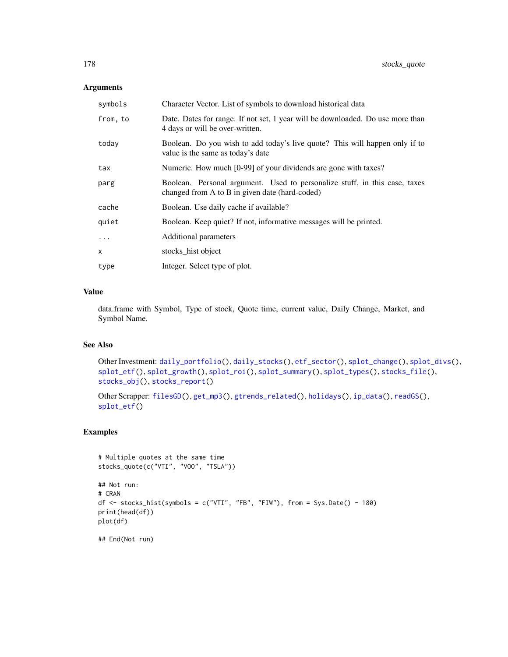| symbols  | Character Vector. List of symbols to download historical data                                                                |  |
|----------|------------------------------------------------------------------------------------------------------------------------------|--|
| from, to | Date. Dates for range. If not set, 1 year will be downloaded. Do use more than<br>4 days or will be over-written.            |  |
| today    | Boolean. Do you wish to add today's live quote? This will happen only if to<br>value is the same as today's date             |  |
| tax      | Numeric. How much [0-99] of your dividends are gone with taxes?                                                              |  |
| parg     | Boolean. Personal argument. Used to personalize stuff, in this case, taxes<br>changed from A to B in given date (hard-coded) |  |
| cache    | Boolean. Use daily cache if available?                                                                                       |  |
| quiet    | Boolean. Keep quiet? If not, informative messages will be printed.                                                           |  |
| $\cdots$ | Additional parameters                                                                                                        |  |
| X        | stocks_hist object                                                                                                           |  |
| type     | Integer. Select type of plot.                                                                                                |  |

# Value

data.frame with Symbol, Type of stock, Quote time, current value, Daily Change, Market, and Symbol Name.

## See Also

```
Other Investment: daily_portfolio(), daily_stocks(), etf_sector(), splot_change(), splot_divs(),
splot_etf(), splot_growth(), splot_roi(), splot_summary(), splot_types(), stocks_file(),
stocks_obj(), stocks_report()
```

```
Other Scrapper: filesGD(), get_mp3(), gtrends_related(), holidays(), ip_data(), readGS(),
splot_etf()
```
# Examples

```
# Multiple quotes at the same time
stocks_quote(c("VTI", "VOO", "TSLA"))
## Not run:
# CRAN
df \le stocks_hist(symbols = c("VTI", "FB", "FIW"), from = Sys.Date() - 180)
print(head(df))
plot(df)
## End(Not run)
```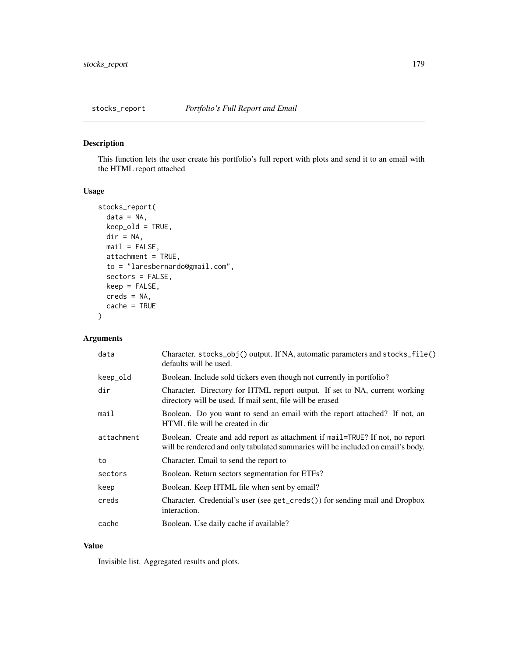<span id="page-178-0"></span>This function lets the user create his portfolio's full report with plots and send it to an email with the HTML report attached

# Usage

```
stocks_report(
  data = NA,
 keep\_old = TRUE,dir = NA,
 mail = FALSE,attachment = TRUE,
  to = "laresbernardo@gmail.com",
  sectors = FALSE,
 keep = FALSE,
 creds = NA,
  cache = TRUE
)
```
# Arguments

| data       | Character. stocks_obj() output. If NA, automatic parameters and stocks_file()<br>defaults will be used.                                                         |
|------------|-----------------------------------------------------------------------------------------------------------------------------------------------------------------|
| keep_old   | Boolean. Include sold tickers even though not currently in portfolio?                                                                                           |
| dir        | Character. Directory for HTML report output. If set to NA, current working<br>directory will be used. If mail sent, file will be erased                         |
| mail       | Boolean. Do you want to send an email with the report attached? If not, an<br>HTML file will be created in dir                                                  |
| attachment | Boolean. Create and add report as attachment if mail=TRUE? If not, no report<br>will be rendered and only tabulated summaries will be included on email's body. |
| to         | Character. Email to send the report to                                                                                                                          |
| sectors    | Boolean. Return sectors segmentation for ETFs?                                                                                                                  |
| keep       | Boolean. Keep HTML file when sent by email?                                                                                                                     |
| creds      | Character. Credential's user (see get_creds()) for sending mail and Dropbox<br>interaction.                                                                     |
| cache      | Boolean. Use daily cache if available?                                                                                                                          |

## Value

Invisible list. Aggregated results and plots.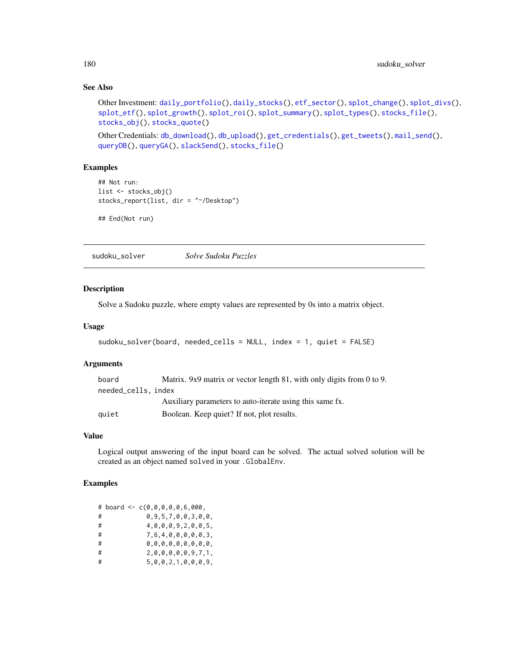## See Also

```
Other Investment: daily_portfolio(), daily_stocks(), etf_sector(), splot_change(), splot_divs(),
splot_etf(), splot_growth(), splot_roi(), splot_summary(), splot_types(), stocks_file(),
stocks_obj(), stocks_quote()
```

```
Other Credentials: db_download(), db_upload(), get_credentials(), get_tweets(), mail_send(),
queryDB(), queryGA(), slackSend(), stocks_file()
```
## Examples

```
## Not run:
list <- stocks_obj()
stocks_report(list, dir = "~/Desktop")
```
## End(Not run)

sudoku\_solver *Solve Sudoku Puzzles*

#### Description

Solve a Sudoku puzzle, where empty values are represented by 0s into a matrix object.

#### Usage

```
sudoku_solver(board, needed_cells = NULL, index = 1, quiet = FALSE)
```
#### Arguments

| board               | Matrix. 9x9 matrix or vector length 81, with only digits from 0 to 9. |
|---------------------|-----------------------------------------------------------------------|
| needed_cells, index |                                                                       |
|                     | Auxiliary parameters to auto-iterate using this same fx.              |
| quiet               | Boolean. Keep quiet? If not, plot results.                            |

#### Value

Logical output answering of the input board can be solved. The actual solved solution will be created as an object named solved in your .GlobalEnv.

# Examples

|   | # board <- c(0,0,0,0,0,6,000, |
|---|-------------------------------|
| # | 0,9,5,7,0,0,3,0,0,            |
| # | 4,0,0,0,9,2,0,0,5,            |
| # | 7,6,4,0,0,0,0,0,3,            |
| # | 0,0,0,0,0,0,0,0,0,            |
| # | 2,0,0,0,0,0,9,7,1,            |
| # | 5,0,0,2,1,0,0,0,9,            |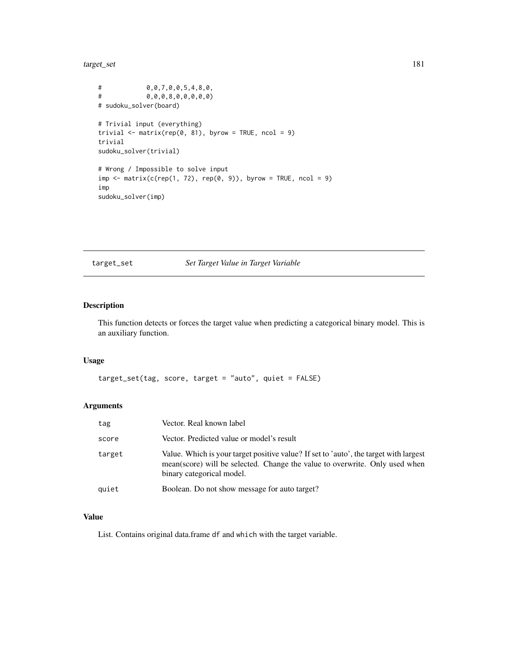<span id="page-180-0"></span>target\_set 181

```
# 0,0,7,0,0,5,4,8,0,
# 0,0,0,8,0,0,0,0,0)
# sudoku_solver(board)
# Trivial input (everything)
trivial \leq matrix(rep(0, 81), byrow = TRUE, ncol = 9)
trivial
sudoku_solver(trivial)
# Wrong / Impossible to solve input
imp \leftarrow matrix(c(rep(1, 72), rep(0, 9)), byrow = TRUE, ncol = 9)imp
sudoku_solver(imp)
```
target\_set *Set Target Value in Target Variable*

# Description

This function detects or forces the target value when predicting a categorical binary model. This is an auxiliary function.

# Usage

```
target_set(tag, score, target = "auto", quiet = FALSE)
```
# Arguments

| tag    | Vector. Real known label                                                                                                                                                                          |
|--------|---------------------------------------------------------------------------------------------------------------------------------------------------------------------------------------------------|
| score  | Vector. Predicted value or model's result                                                                                                                                                         |
| target | Value. Which is your target positive value? If set to 'auto', the target with largest<br>mean(score) will be selected. Change the value to overwrite. Only used when<br>binary categorical model. |
| quiet  | Boolean. Do not show message for auto target?                                                                                                                                                     |

#### Value

List. Contains original data.frame df and which with the target variable.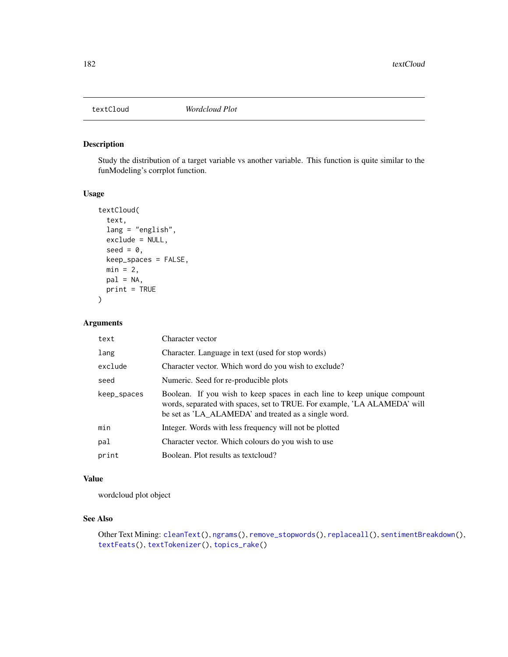<span id="page-181-1"></span><span id="page-181-0"></span>

Study the distribution of a target variable vs another variable. This function is quite similar to the funModeling's corrplot function.

# Usage

```
textCloud(
  text,
  lang = "english",
  exclude = NULL,
  seed = 0,
 keep_spaces = FALSE,
 min = 2,
 pal = NA,
 print = TRUE
)
```
# Arguments

| text        | Character vector                                                                                                                                                                                              |
|-------------|---------------------------------------------------------------------------------------------------------------------------------------------------------------------------------------------------------------|
| lang        | Character. Language in text (used for stop words)                                                                                                                                                             |
| exclude     | Character vector. Which word do you wish to exclude?                                                                                                                                                          |
| seed        | Numeric. Seed for re-producible plots                                                                                                                                                                         |
| keep_spaces | Boolean. If you wish to keep spaces in each line to keep unique compount<br>words, separated with spaces, set to TRUE. For example, 'LA ALAMEDA' will<br>be set as 'LA_ALAMEDA' and treated as a single word. |
| min         | Integer. Words with less frequency will not be plotted                                                                                                                                                        |
| pal         | Character vector. Which colours do you wish to use                                                                                                                                                            |
| print       | Boolean. Plot results as textcloud?                                                                                                                                                                           |

# Value

wordcloud plot object

#### See Also

```
Other Text Mining: cleanText(), ngrams(), remove_stopwords(), replaceall(), sentimentBreakdown(),
textFeats(), textTokenizer(), topics_rake()
```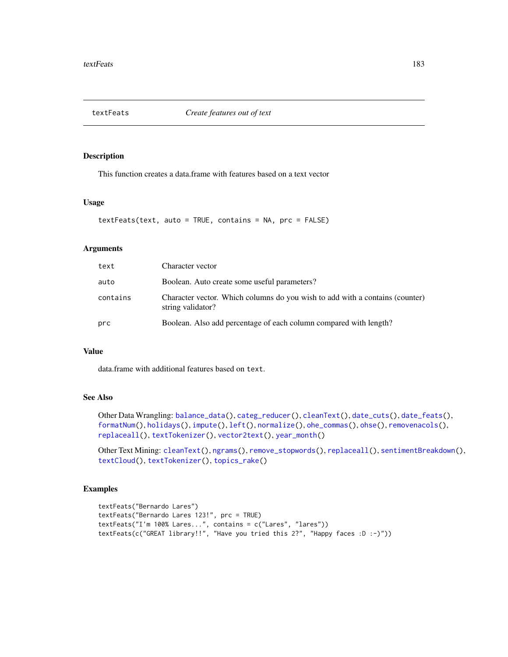<span id="page-182-1"></span><span id="page-182-0"></span>

This function creates a data.frame with features based on a text vector

#### Usage

```
textFeats(text, auto = TRUE, contains = NA, prc = FALSE)
```
#### Arguments

| text     | Character vector                                                                                  |
|----------|---------------------------------------------------------------------------------------------------|
| auto     | Boolean. Auto create some useful parameters?                                                      |
| contains | Character vector. Which columns do you wish to add with a contains (counter)<br>string validator? |
| prc      | Boolean. Also add percentage of each column compared with length?                                 |

# Value

data.frame with additional features based on text.

# See Also

Other Data Wrangling: [balance\\_data\(](#page-6-0)), [categ\\_reducer\(](#page-9-0)), [cleanText\(](#page-13-0)), [date\\_cuts\(](#page-31-0)), [date\\_feats\(](#page-31-1)), [formatNum\(](#page-61-0)), [holidays\(](#page-92-0)), [impute\(](#page-94-0)), [left\(](#page-102-0)), [normalize\(](#page-133-0)), [ohe\\_commas\(](#page-134-0)), [ohse\(](#page-135-0)), [removenacols\(](#page-153-0)), [replaceall\(](#page-155-0)), [textTokenizer\(](#page-183-0)), [vector2text\(](#page-192-0)), [year\\_month\(](#page-197-0))

Other Text Mining: [cleanText\(](#page-13-0)), [ngrams\(](#page-131-0)), [remove\\_stopwords\(](#page-154-0)), [replaceall\(](#page-155-0)), [sentimentBreakdown\(](#page-163-0)), [textCloud\(](#page-181-0)), [textTokenizer\(](#page-183-0)), [topics\\_rake\(](#page-187-0))

# Examples

```
textFeats("Bernardo Lares")
textFeats("Bernardo Lares 123!", prc = TRUE)
textFeats("I'm 100% Lares...", contains = c("Lares", "lares"))
textFeats(c("GREAT library!!", "Have you tried this 2?", "Happy faces :D :-)"))
```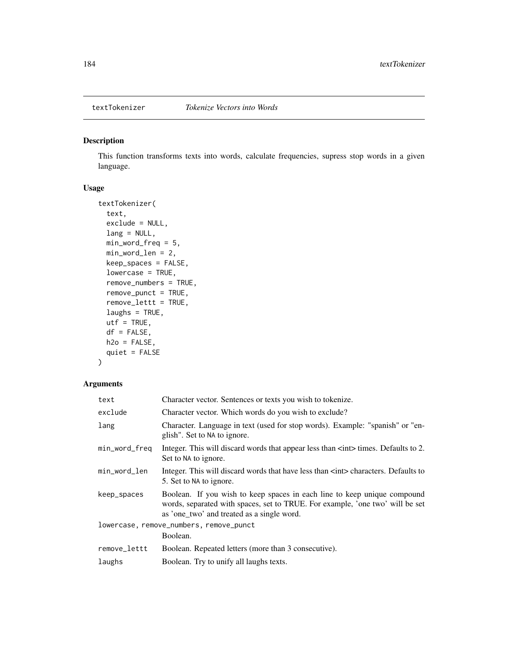<span id="page-183-1"></span><span id="page-183-0"></span>

This function transforms texts into words, calculate frequencies, supress stop words in a given language.

# Usage

```
textTokenizer(
  text,
  exclude = NULL,
  lang = NULL,min_word_freq = 5,
 min_word_len = 2,
  keep_spaces = FALSE,
  lowercase = TRUE,
  remove_numbers = TRUE,
  remove_punct = TRUE,
  remove_lettt = TRUE,
  laughs = TRUE,
 utf = TRUE,df = FALSE,h2o = FALSE,quiet = FALSE
\mathcal{L}
```
# Arguments

| text                                    | Character vector. Sentences or texts you wish to tokenize.                                                                                                                                              |  |
|-----------------------------------------|---------------------------------------------------------------------------------------------------------------------------------------------------------------------------------------------------------|--|
| exclude                                 | Character vector. Which words do you wish to exclude?                                                                                                                                                   |  |
| lang                                    | Character. Language in text (used for stop words). Example: "spanish" or "en-<br>glish". Set to NA to ignore.                                                                                           |  |
| min_word_freq                           | Integer. This will discard words that appear less than $\langle$ int $\rangle$ times. Defaults to 2.<br>Set to NA to ignore.                                                                            |  |
| min_word_len                            | Integer. This will discard words that have less than $\langle$ int> characters. Defaults to<br>5. Set to NA to ignore.                                                                                  |  |
| keep_spaces                             | Boolean. If you wish to keep spaces in each line to keep unique compound<br>words, separated with spaces, set to TRUE. For example, 'one two' will be set<br>as 'one_two' and treated as a single word. |  |
| lowercase, remove_numbers, remove_punct |                                                                                                                                                                                                         |  |
|                                         | Boolean.                                                                                                                                                                                                |  |
| remove_lettt                            | Boolean. Repeated letters (more than 3 consecutive).                                                                                                                                                    |  |
| laughs                                  | Boolean. Try to unify all laughs texts.                                                                                                                                                                 |  |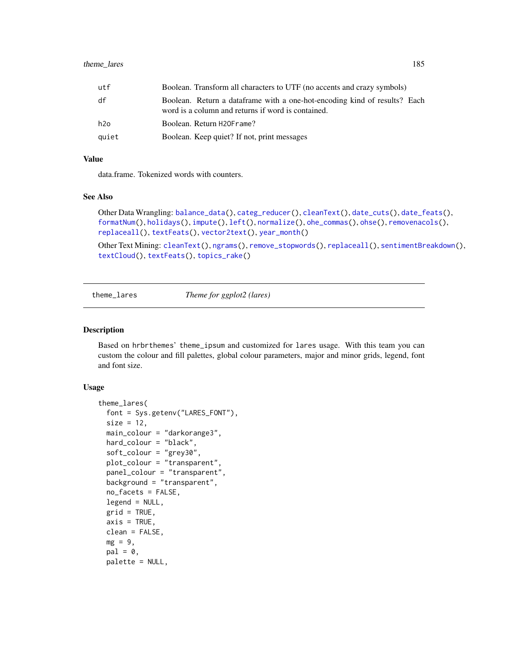<span id="page-184-0"></span>

| utf   | Boolean. Transform all characters to UTF (no accents and crazy symbols)                                                         |
|-------|---------------------------------------------------------------------------------------------------------------------------------|
| df    | Boolean. Return a dataframe with a one-hot-encoding kind of results? Each<br>word is a column and returns if word is contained. |
| h2o   | Boolean. Return H20Frame?                                                                                                       |
| quiet | Boolean. Keep quiet? If not, print messages                                                                                     |

# Value

data.frame. Tokenized words with counters.

#### See Also

```
Other Data Wrangling: balance_data(), categ_reducer(), cleanText(), date_cuts(), date_feats(),
formatNum(), holidays(), impute(), left(), normalize(), ohe_commas(), ohse(), removenacols(),
replaceall(), textFeats(), vector2text(), year_month()
```
Other Text Mining: [cleanText\(](#page-13-0)), [ngrams\(](#page-131-0)), [remove\\_stopwords\(](#page-154-0)), [replaceall\(](#page-155-0)), [sentimentBreakdown\(](#page-163-0)), [textCloud\(](#page-181-0)), [textFeats\(](#page-182-0)), [topics\\_rake\(](#page-187-0))

theme\_lares *Theme for ggplot2 (lares)*

#### Description

Based on hrbrthemes' theme\_ipsum and customized for lares usage. With this team you can custom the colour and fill palettes, global colour parameters, major and minor grids, legend, font and font size.

#### Usage

```
theme_lares(
  font = Sys.getenv("LARES_FONT"),
  size = 12,
 main_colour = "darkorange3",
  hard_colour = "black",
  soft_colour = "grey30",
 plot_colour = "transparent",
  panel_colour = "transparent",
  background = "transparent",
  no_facets = FALSE,
  legend = NULL,
  grid = TRUE,
  axis = TRUE,clean = FALSE,
 mg = 9,
  pal = 0,
  palette = NULL,
```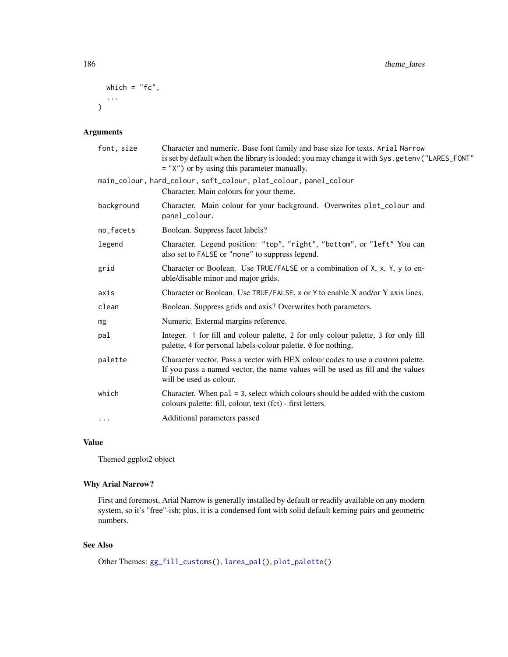```
which = "fc",...
\mathcal{L}
```
# Arguments

| font, size | Character and numeric. Base font family and base size for texts. Arial Narrow<br>is set by default when the library is loaded; you may change it with Sys.getenv("LARES_FONT"<br>= "X") or by using this parameter manually. |
|------------|------------------------------------------------------------------------------------------------------------------------------------------------------------------------------------------------------------------------------|
|            | main_colour, hard_colour, soft_colour, plot_colour, panel_colour<br>Character. Main colours for your theme.                                                                                                                  |
| background | Character. Main colour for your background. Overwrites plot_colour and<br>panel_colour.                                                                                                                                      |
| no_facets  | Boolean. Suppress facet labels?                                                                                                                                                                                              |
| legend     | Character. Legend position: "top", "right", "bottom", or "left" You can<br>also set to FALSE or "none" to suppress legend.                                                                                                   |
| grid       | Character or Boolean. Use TRUE/FALSE or a combination of X, x, Y, y to en-<br>able/disable minor and major grids.                                                                                                            |
| axis       | Character or Boolean. Use TRUE/FALSE, x or Y to enable X and/or Y axis lines.                                                                                                                                                |
| clean      | Boolean. Suppress grids and axis? Overwrites both parameters.                                                                                                                                                                |
| mg         | Numeric. External margins reference.                                                                                                                                                                                         |
| pal        | Integer. 1 for fill and colour palette, 2 for only colour palette, 3 for only fill<br>palette, 4 for personal labels-colour palette. 0 for nothing.                                                                          |
| palette    | Character vector. Pass a vector with HEX colour codes to use a custom palette.<br>If you pass a named vector, the name values will be used as fill and the values<br>will be used as colour.                                 |
| which      | Character. When $pal = 3$ , select which colours should be added with the custom<br>colours palette: fill, colour, text (fct) - first letters.                                                                               |
| $\ddots$   | Additional parameters passed                                                                                                                                                                                                 |
|            |                                                                                                                                                                                                                              |

# Value

Themed ggplot2 object

# Why Arial Narrow?

First and foremost, Arial Narrow is generally installed by default or readily available on any modern system, so it's "free"-ish; plus, it is a condensed font with solid default kerning pairs and geometric numbers.

# See Also

```
Other Themes: gg_fill_customs(), lares_pal(), plot_palette()
```
<span id="page-185-0"></span>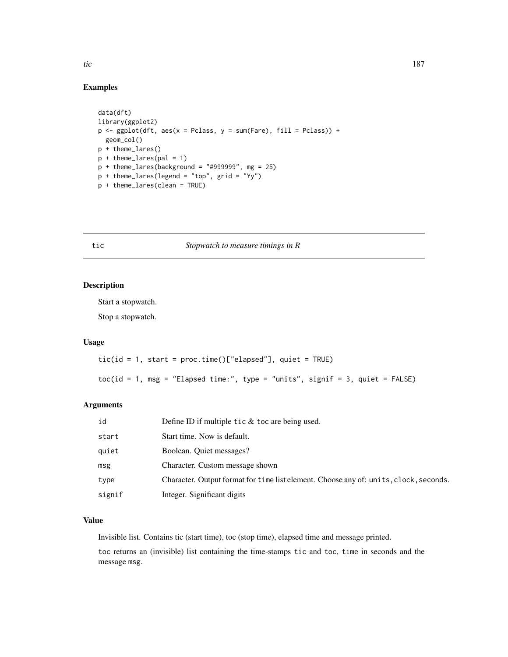# Examples

```
data(dft)
library(ggplot2)
p <- ggplot(dft, aes(x = Pclass, y = sum(Fare), fill = Pclass)) +
 geom_col()
p + theme_lares()
p + theme_lares(pal = 1)
p + theme_lares(background = "#999999", mg = 25)
p + theme_lares(legend = "top", grid = "Yy")
p + theme_lares(clean = TRUE)
```
# <span id="page-186-0"></span>tic *Stopwatch to measure timings in R*

# Description

Start a stopwatch.

Stop a stopwatch.

# Usage

```
tic(id = 1, start = proc.time()['elapsed''], quiet = TRUE)toc(id = 1, msg = "Elapsed time:", type = "units", signif = 3, quiet = FALSE)
```
#### Arguments

| id     | Define ID if multiple tic $&$ toc are being used.                                     |
|--------|---------------------------------------------------------------------------------------|
| start  | Start time. Now is default.                                                           |
| quiet  | Boolean. Quiet messages?                                                              |
| msg    | Character. Custom message shown                                                       |
| type   | Character. Output format for time list element. Choose any of: units, clock, seconds. |
| signif | Integer. Significant digits                                                           |

# Value

Invisible list. Contains tic (start time), toc (stop time), elapsed time and message printed.

toc returns an (invisible) list containing the time-stamps tic and toc, time in seconds and the message msg.

<span id="page-186-1"></span>tic the state of the state of the state of the state of the state of the state of the state of the state of the state of the state of the state of the state of the state of the state of the state of the state of the state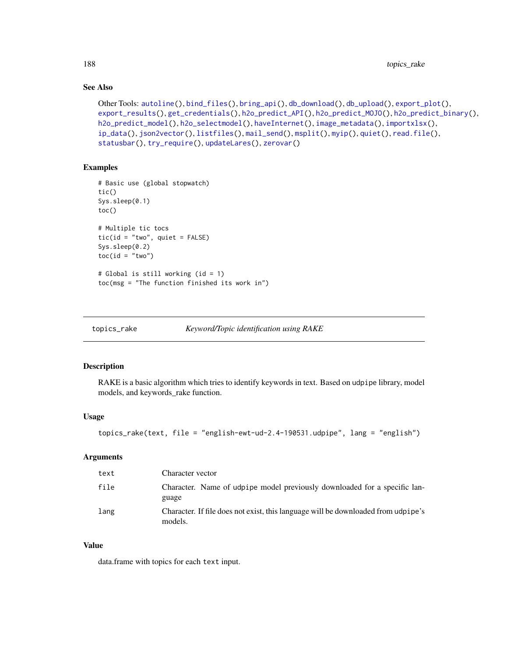# See Also

```
Other Tools: autoline(), bind_files(), bring_api(), db_download(), db_upload(), export_plot(),
export_results(), get_credentials(), h2o_predict_API(), h2o_predict_MOJO(), h2o_predict_binary(),
h2o_predict_model(), h2o_selectmodel(), haveInternet(), image_metadata(), importxlsx(),
ip_data(), json2vector(), listfiles(), mail_send(), msplit(), myip(), quiet(), read.file(),
statusbar(), try_require(), updateLares(), zerovar()
```
# Examples

```
# Basic use (global stopwatch)
tic()
Sys.sleep(0.1)
toc()
# Multiple tic tocs
tic(id = "two", quiet = FALSE)
Sys.sleep(0.2)
toc(id = "two")# Global is still working (id = 1)
toc(msg = "The function finished its work in")
```
<span id="page-187-0"></span>topics\_rake *Keyword/Topic identification using RAKE*

#### Description

RAKE is a basic algorithm which tries to identify keywords in text. Based on udpipe library, model models, and keywords\_rake function.

#### Usage

```
topics_rake(text, file = "english-ewt-ud-2.4-190531.udpipe", lang = "english")
```
#### **Arguments**

| text | Character vector                                                                             |
|------|----------------------------------------------------------------------------------------------|
| file | Character. Name of udpipe model previously downloaded for a specific lan-<br>guage           |
| lang | Character. If file does not exist, this language will be downloaded from udpipe's<br>models. |

#### Value

data.frame with topics for each text input.

<span id="page-187-1"></span>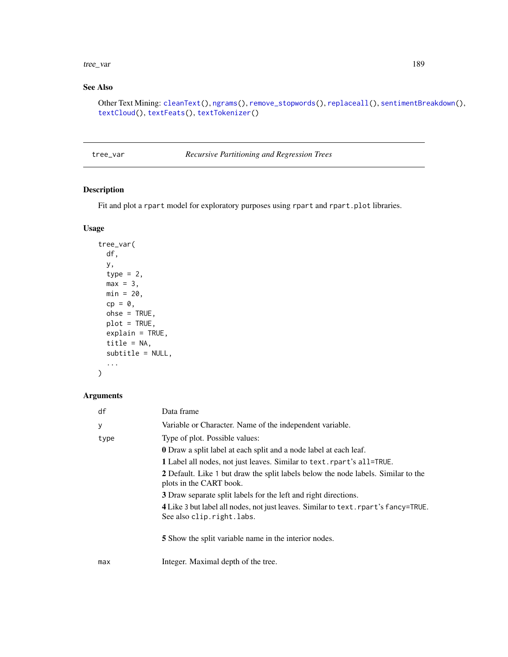#### <span id="page-188-0"></span>tree\_var 189

# See Also

```
Other Text Mining: cleanText(), ngrams(), remove_stopwords(), replaceall(), sentimentBreakdown(),
textCloud(), textFeats(), textTokenizer()
```

| tree_var |  |
|----------|--|
|----------|--|

 $Recursive$  *Partitioning and Regression Trees* 

# Description

Fit and plot a rpart model for exploratory purposes using rpart and rpart.plot libraries.

# Usage

```
tree_var(
 df,
 y,
  type = 2,
 max = 3,
 min = 20,
 cp = 0,
 ohse = TRUE,plot = TRUE,
 explain = TRUE,
 title = NA,
 subtitle = NULL,
  ...
)
```
# Arguments

| df   | Data frame                                                                                                                                                                                                                                                                |
|------|---------------------------------------------------------------------------------------------------------------------------------------------------------------------------------------------------------------------------------------------------------------------------|
| У    | Variable or Character. Name of the independent variable.                                                                                                                                                                                                                  |
| type | Type of plot. Possible values:<br><b>0</b> Draw a split label at each split and a node label at each leaf.<br>1 Label all nodes, not just leaves. Similar to text. rpart's all=TRUE.<br>2 Default. Like 1 but draw the split labels below the node labels. Similar to the |
|      | plots in the CART book.<br>3 Draw separate split labels for the left and right directions.<br>4 Like 3 but label all nodes, not just leaves. Similar to text. rpart's fancy=TRUE.<br>See also clip.right.labs.                                                            |
|      | <b>5</b> Show the split variable name in the interior nodes.                                                                                                                                                                                                              |
| max  | Integer. Maximal depth of the tree.                                                                                                                                                                                                                                       |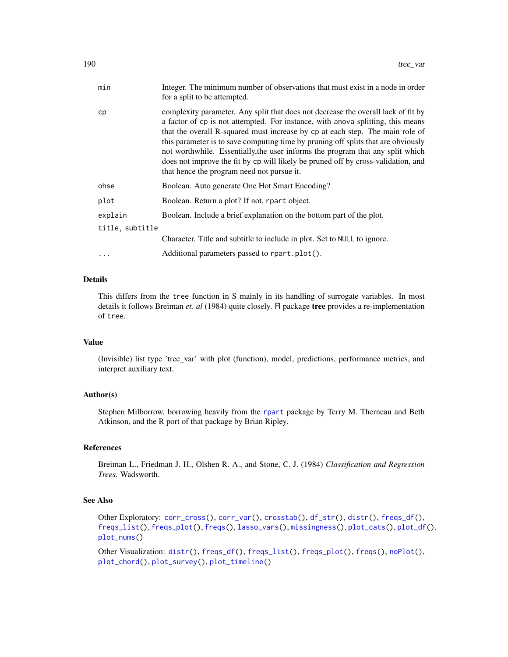<span id="page-189-0"></span>

| min             | Integer. The minimum number of observations that must exist in a node in order<br>for a split to be attempted.                                                                                                                                                                                                                                                                                                                                                                                                                                                  |
|-----------------|-----------------------------------------------------------------------------------------------------------------------------------------------------------------------------------------------------------------------------------------------------------------------------------------------------------------------------------------------------------------------------------------------------------------------------------------------------------------------------------------------------------------------------------------------------------------|
| cp              | complexity parameter. Any split that does not decrease the overall lack of fit by<br>a factor of cp is not attempted. For instance, with anova splitting, this means<br>that the overall R-squared must increase by cp at each step. The main role of<br>this parameter is to save computing time by pruning off splits that are obviously<br>not worthwhile. Essentially, the user informs the program that any split which<br>does not improve the fit by cp will likely be pruned off by cross-validation, and<br>that hence the program need not pursue it. |
| ohse            | Boolean. Auto generate One Hot Smart Encoding?                                                                                                                                                                                                                                                                                                                                                                                                                                                                                                                  |
| plot            | Boolean. Return a plot? If not, rpart object.                                                                                                                                                                                                                                                                                                                                                                                                                                                                                                                   |
| explain         | Boolean. Include a brief explanation on the bottom part of the plot.                                                                                                                                                                                                                                                                                                                                                                                                                                                                                            |
| title, subtitle |                                                                                                                                                                                                                                                                                                                                                                                                                                                                                                                                                                 |
|                 | Character. Title and subtitle to include in plot. Set to NULL to ignore.                                                                                                                                                                                                                                                                                                                                                                                                                                                                                        |
| .               | Additional parameters passed to rpart.plot().                                                                                                                                                                                                                                                                                                                                                                                                                                                                                                                   |

# Details

This differs from the tree function in S mainly in its handling of surrogate variables. In most details it follows Breiman *et. al* (1984) quite closely. R package tree provides a re-implementation of tree.

#### Value

(Invisible) list type 'tree\_var' with plot (function), model, predictions, performance metrics, and interpret auxiliary text.

# Author(s)

Stephen Milborrow, borrowing heavily from the [rpart](#page-0-0) package by Terry M. Therneau and Beth Atkinson, and the R port of that package by Brian Ripley.

# References

Breiman L., Friedman J. H., Olshen R. A., and Stone, C. J. (1984) *Classification and Regression Trees.* Wadsworth.

#### See Also

```
Other Exploratory: corr_cross(), corr_var(), crosstab(), df_str(), distr(), freqs_df(),
freqs_list(), freqs_plot(), freqs(), lasso_vars(), missingness(), plot_cats(), plot_df(),
plot_nums()
```
Other Visualization: [distr\(](#page-39-0)), [freqs\\_df\(](#page-65-0)), [freqs\\_list\(](#page-66-0)), [freqs\\_plot\(](#page-68-0)), [freqs\(](#page-63-0)), [noPlot\(](#page-132-0)), [plot\\_chord\(](#page-139-1)), [plot\\_survey\(](#page-142-1)), [plot\\_timeline\(](#page-143-0))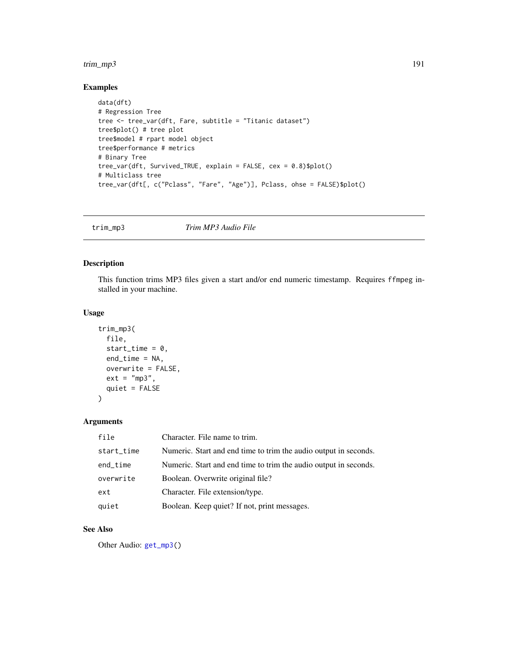#### <span id="page-190-0"></span>trim\_mp3 191

# Examples

```
data(dft)
# Regression Tree
tree <- tree_var(dft, Fare, subtitle = "Titanic dataset")
tree$plot() # tree plot
tree$model # rpart model object
tree$performance # metrics
# Binary Tree
tree_var(dft, Survived_TRUE, explain = FALSE, cex = 0.8)$plot()
# Multiclass tree
tree_var(dft[, c("Pclass", "Fare", "Age")], Pclass, ohse = FALSE)$plot()
```
trim\_mp3 *Trim MP3 Audio File*

#### Description

This function trims MP3 files given a start and/or end numeric timestamp. Requires ffmpeg installed in your machine.

#### Usage

```
trim_mp3(
 file,
  start_time = 0,
 end_time = NA,
 overwrite = FALSE,
 ext = "mp3",quiet = FALSE
)
```
# Arguments

| file       | Character. File name to trim.                                    |
|------------|------------------------------------------------------------------|
| start_time | Numeric. Start and end time to trim the audio output in seconds. |
| end_time   | Numeric. Start and end time to trim the audio output in seconds. |
| overwrite  | Boolean. Overwrite original file?                                |
| ext        | Character. File extension/type.                                  |
| quiet      | Boolean. Keep quiet? If not, print messages.                     |

# See Also

Other Audio: [get\\_mp3\(](#page-73-0))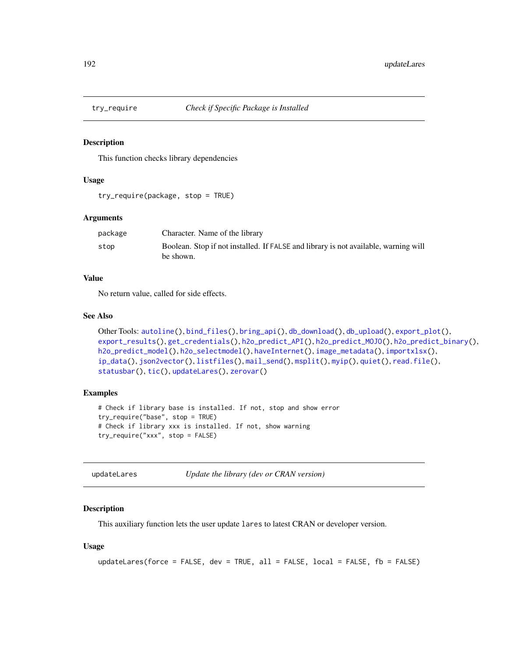<span id="page-191-2"></span><span id="page-191-0"></span>

This function checks library dependencies

#### Usage

```
try_require(package, stop = TRUE)
```
#### Arguments

| package | Character. Name of the library                                                      |
|---------|-------------------------------------------------------------------------------------|
| stop    | Boolean. Stop if not installed. If FALSE and library is not available, warning will |
|         | be shown.                                                                           |

# Value

No return value, called for side effects.

# See Also

```
Other Tools: autoline(), bind_files(), bring_api(), db_download(), db_upload(), export_plot(),
export_results(), get_credentials(), h2o_predict_API(), h2o_predict_MOJO(), h2o_predict_binary(),
h2o_predict_model(), h2o_selectmodel(), haveInternet(), image_metadata(), importxlsx(),
ip_data(), json2vector(), listfiles(), mail_send(), msplit(), myip(), quiet(), read.file(),
statusbar(), tic(), updateLares(), zerovar()
```
# Examples

```
# Check if library base is installed. If not, stop and show error
try_require("base", stop = TRUE)
# Check if library xxx is installed. If not, show warning
try_require("xxx", stop = FALSE)
```
<span id="page-191-1"></span>updateLares *Update the library (dev or CRAN version)*

#### Description

This auxiliary function lets the user update lares to latest CRAN or developer version.

#### Usage

```
updateLares(force = FALSE, dev = TRUE, all = FALSE, local = FALSE, fb = FALSE)
```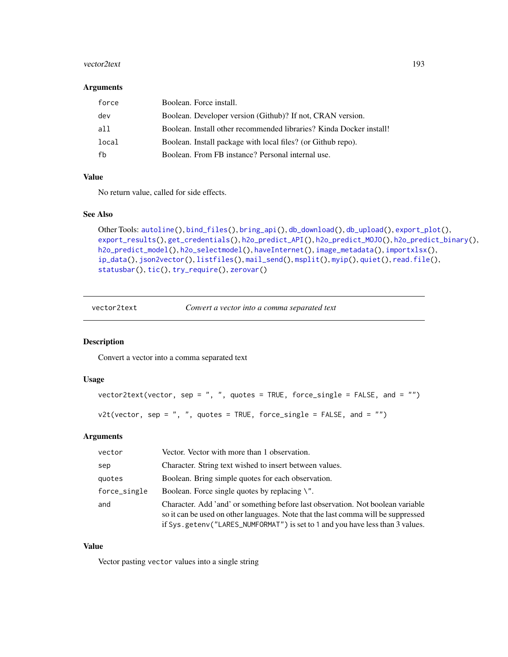#### <span id="page-192-1"></span>vector2text 193

#### Arguments

| force | Boolean. Force install.                                             |
|-------|---------------------------------------------------------------------|
| dev   | Boolean. Developer version (Github)? If not, CRAN version.          |
| a11   | Boolean. Install other recommended libraries? Kinda Docker install! |
| local | Boolean. Install package with local files? (or Github repo).        |
| fh    | Boolean. From FB instance? Personal internal use.                   |

# Value

No return value, called for side effects.

# See Also

```
Other Tools: autoline(), bind_files(), bring_api(), db_download(), db_upload(), export_plot(),
export_results(), get_credentials(), h2o_predict_API(), h2o_predict_MOJO(), h2o_predict_binary(),
h2o_predict_model(), h2o_selectmodel(), haveInternet(), image_metadata(), importxlsx(),
ip_data(), json2vector(), listfiles(), mail_send(), msplit(), myip(), quiet(), read.file(),
statusbar(), tic(), try_require(), zerovar()
```
<span id="page-192-0"></span>

| vector2text | Convert a vector into a comma separated text |
|-------------|----------------------------------------------|
|-------------|----------------------------------------------|

# Description

Convert a vector into a comma separated text

# Usage

```
vector2text(vector, sep = ", ", quotes = TRUE, force_single = FALSE, and = "")
v2t(vector, sep = ", ", quotes = TRUE, force_single = FALSE, and = "")
```
#### Arguments

| vector       | Vector. Vector with more than 1 observation.                                                                                                                                                                                                          |
|--------------|-------------------------------------------------------------------------------------------------------------------------------------------------------------------------------------------------------------------------------------------------------|
| sep          | Character. String text wished to insert between values.                                                                                                                                                                                               |
| quotes       | Boolean. Bring simple quotes for each observation.                                                                                                                                                                                                    |
| force_single | Boolean. Force single quotes by replacing $\mathcal{N}'$ .                                                                                                                                                                                            |
| and          | Character. Add 'and' or something before last observation. Not boolean variable<br>so it can be used on other languages. Note that the last comma will be suppressed<br>if Sys.getenv("LARES_NUMFORMAT") is set to 1 and you have less than 3 values. |

# Value

Vector pasting vector values into a single string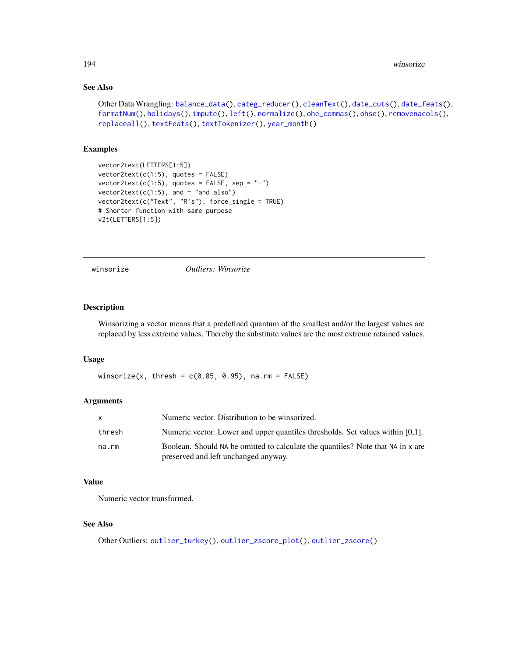# <span id="page-193-0"></span>See Also

```
Other Data Wrangling: balance_data(), categ_reducer(), cleanText(), date_cuts(), date_feats(),
formatNum(), holidays(), impute(), left(), normalize(), ohe_commas(), ohse(), removenacols(),
replaceall(), textFeats(), textTokenizer(), year_month()
```
#### Examples

```
vector2text(LETTERS[1:5])
vector2text(c(1:5), quotes = FALSE)vector2text(c(1:5), quotes = FALSE, sep = "-")vector2text(c(1:5), and = "and also")vector2text(c("Text", "R's"), force_single = TRUE)
# Shorter function with same purpose
v2t(LETTERS[1:5])
```
winsorize *Outliers: Winsorize*

# Description

Winsorizing a vector means that a predefined quantum of the smallest and/or the largest values are replaced by less extreme values. Thereby the substitute values are the most extreme retained values.

#### Usage

winsorize(x, thresh =  $c(0.05, 0.95)$ , na.rm = FALSE)

# Arguments

| X      | Numeric vector. Distribution to be winsorized.                                                                          |
|--------|-------------------------------------------------------------------------------------------------------------------------|
| thresh | Numeric vector. Lower and upper quantiles thresholds. Set values within [0,1].                                          |
| na.rm  | Boolean. Should NA be omitted to calculate the quantiles? Note that NA in x are<br>preserved and left unchanged anyway. |

#### Value

Numeric vector transformed.

#### See Also

Other Outliers: [outlier\\_turkey\(](#page-137-0)), [outlier\\_zscore\\_plot\(](#page-138-0)), [outlier\\_zscore\(](#page-137-1))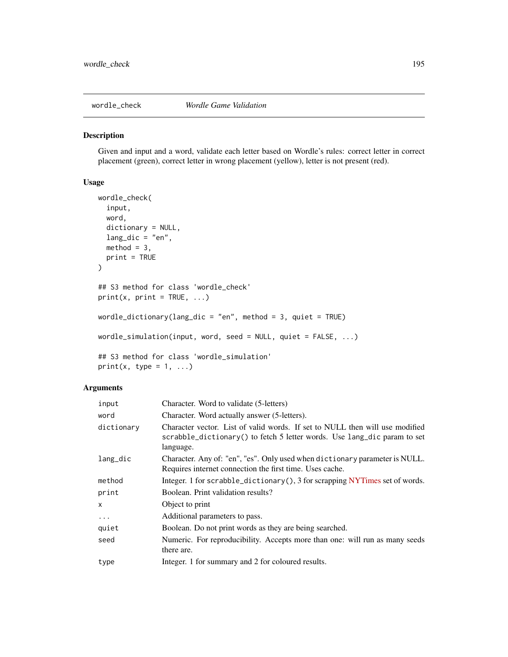<span id="page-194-0"></span>

Given and input and a word, validate each letter based on Wordle's rules: correct letter in correct placement (green), correct letter in wrong placement (yellow), letter is not present (red).

# Usage

```
wordle_check(
  input,
 word,
 dictionary = NULL,
 lang\_dic = "en",method = 3,print = TRUE
)
## S3 method for class 'wordle_check'
print(x, print = TRUE, ...)wordle_dictionary(lang_dic = "en", method = 3, quiet = TRUE)
wordle_simulation(input, word, seed = NULL, quiet = FALSE, ...)
## S3 method for class 'wordle_simulation'
print(x, type = 1, ...)
```
# Arguments

| input        | Character. Word to validate (5-letters)                                                                                                                               |
|--------------|-----------------------------------------------------------------------------------------------------------------------------------------------------------------------|
| word         | Character. Word actually answer (5-letters).                                                                                                                          |
| dictionary   | Character vector. List of valid words. If set to NULL then will use modified<br>scrabble_dictionary() to fetch 5 letter words. Use lang_dic param to set<br>language. |
| lang_dic     | Character. Any of: "en", "es". Only used when dictionary parameter is NULL.<br>Requires internet connection the first time. Uses cache.                               |
| method       | Integer. 1 for scrabble_dictionary(), 3 for scrapping NYTimes set of words.                                                                                           |
| print        | Boolean. Print validation results?                                                                                                                                    |
| $\mathsf{x}$ | Object to print                                                                                                                                                       |
| .            | Additional parameters to pass.                                                                                                                                        |
| quiet        | Boolean. Do not print words as they are being searched.                                                                                                               |
| seed         | Numeric. For reproducibility. Accepts more than one: will run as many seeds<br>there are.                                                                             |
| type         | Integer. 1 for summary and 2 for coloured results.                                                                                                                    |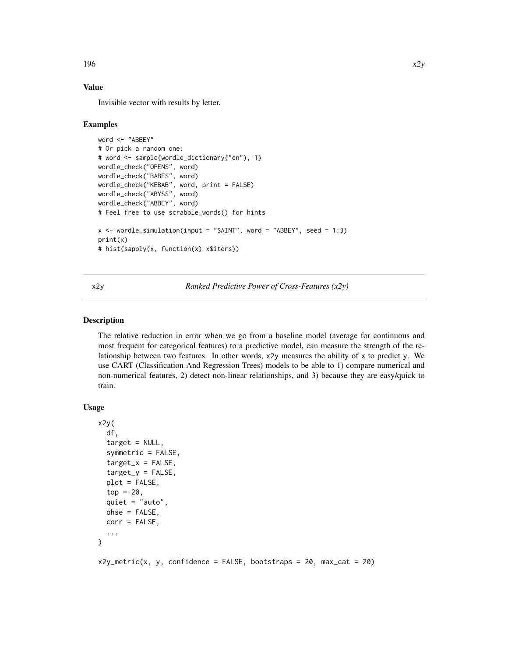#### Value

Invisible vector with results by letter.

#### Examples

```
word <- "ABBEY"
# Or pick a random one:
# word <- sample(wordle_dictionary("en"), 1)
wordle_check("OPENS", word)
wordle_check("BABES", word)
wordle_check("KEBAB", word, print = FALSE)
wordle_check("ABYSS", word)
wordle_check("ABBEY", word)
# Feel free to use scrabble_words() for hints
x \le - wordle_simulation(input = "SAINT", word = "ABBEY", seed = 1:3)
print(x)
# hist(sapply(x, function(x) x$iters))
```
x2y *Ranked Predictive Power of Cross-Features (x2y)*

# Description

The relative reduction in error when we go from a baseline model (average for continuous and most frequent for categorical features) to a predictive model, can measure the strength of the relationship between two features. In other words, x2y measures the ability of x to predict y. We use CART (Classification And Regression Trees) models to be able to 1) compare numerical and non-numerical features, 2) detect non-linear relationships, and 3) because they are easy/quick to train.

```
Usage
```

```
x2y(
  df,
  target = NULL,symmetric = FALSE,
  target_x = FALSE,target_y = FALSE,plot = FALSE,
  top = 20,
  quiet = "auto",
  ohse = FALSE,
  corr = FALSE,
  ...
)
```
 $x2y_metric(x, y, confidence = FALSE, bootstraps = 20, max_cat = 20)$ 

<span id="page-195-0"></span>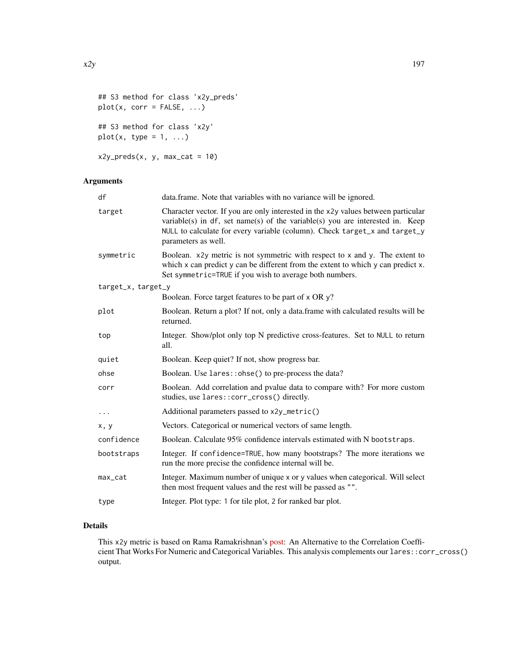```
## S3 method for class 'x2y_preds'
plot(x, corr = FALSE, ...)
```

```
## S3 method for class 'x2y'
plot(x, type = 1, ...)
```

```
x2y_preds(x, y, max_cat = 10)
```
# Arguments

| df                 | data.frame. Note that variables with no variance will be ignored.                                                                                                                                                                                                          |
|--------------------|----------------------------------------------------------------------------------------------------------------------------------------------------------------------------------------------------------------------------------------------------------------------------|
| target             | Character vector. If you are only interested in the x2y values between particular<br>variable(s) in $df$ , set name(s) of the variable(s) you are interested in. Keep<br>NULL to calculate for every variable (column). Check target_x and target_y<br>parameters as well. |
| symmetric          | Boolean. x2y metric is not symmetric with respect to x and y. The extent to<br>which x can predict y can be different from the extent to which y can predict x.<br>Set symmetric=TRUE if you wish to average both numbers.                                                 |
| target_x, target_y |                                                                                                                                                                                                                                                                            |
|                    | Boolean. Force target features to be part of x OR y?                                                                                                                                                                                                                       |
| plot               | Boolean. Return a plot? If not, only a data.frame with calculated results will be<br>returned.                                                                                                                                                                             |
| top                | Integer. Show/plot only top N predictive cross-features. Set to NULL to return<br>all.                                                                                                                                                                                     |
| quiet              | Boolean. Keep quiet? If not, show progress bar.                                                                                                                                                                                                                            |
| ohse               | Boolean. Use lares:: ohse() to pre-process the data?                                                                                                                                                                                                                       |
| corr               | Boolean. Add correlation and pvalue data to compare with? For more custom<br>studies, use lares:: corr_cross() directly.                                                                                                                                                   |
| $\ddots$ .         | Additional parameters passed to x2y_metric()                                                                                                                                                                                                                               |
| x, y               | Vectors. Categorical or numerical vectors of same length.                                                                                                                                                                                                                  |
| confidence         | Boolean. Calculate 95% confidence intervals estimated with N bootstraps.                                                                                                                                                                                                   |
| bootstraps         | Integer. If confidence=TRUE, how many bootstraps? The more iterations we<br>run the more precise the confidence internal will be.                                                                                                                                          |
| max_cat            | Integer. Maximum number of unique x or y values when categorical. Will select<br>then most frequent values and the rest will be passed as "".                                                                                                                              |
| type               | Integer. Plot type: 1 for tile plot, 2 for ranked bar plot.                                                                                                                                                                                                                |

# Details

This x2y metric is based on Rama Ramakrishnan's [post:](https://bit.ly/3sOVbei) An Alternative to the Correlation Coefficient That Works For Numeric and Categorical Variables. This analysis complements our lares::corr\_cross() output.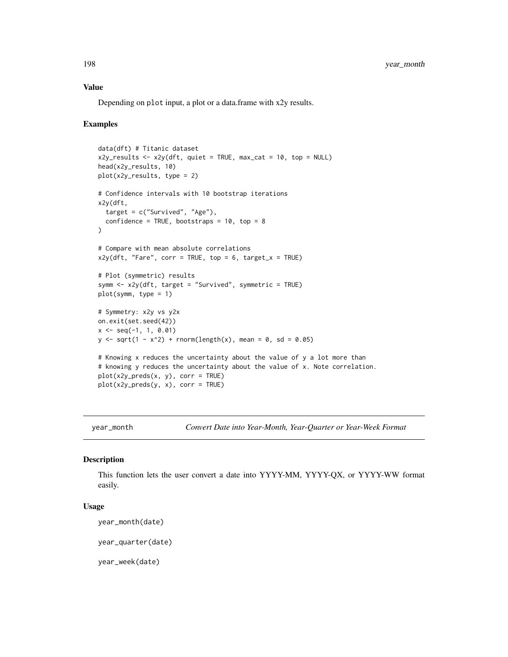# Value

Depending on plot input, a plot or a data.frame with x2y results.

# Examples

```
data(dft) # Titanic dataset
x2y_results <- x2y(dft, quiet = TRUE, max_cat = 10, top = NULL)
head(x2y_results, 10)
plot(x2y_results, type = 2)
# Confidence intervals with 10 bootstrap iterations
x2y(dft,
  target = c("Survived", "Age"),confidence = TRUE, bootstraps = 10, top = 8\lambda# Compare with mean absolute correlations
x2y(dft, "Fare", corr = TRUE, top = 6, target_x = TRUE)# Plot (symmetric) results
symm <- x2y(dft, target = "Survived", symmetric = TRUE)
plot(symm, type = 1)
# Symmetry: x2y vs y2x
on.exit(set.seed(42))
x \leq -\text{seq}(-1, 1, 0.01)y \le -sqrt(1 - x^2) + rnorm(length(x)), mean = 0, sd = 0.05)# Knowing x reduces the uncertainty about the value of y a lot more than
# knowing y reduces the uncertainty about the value of x. Note correlation.
plot(x2y_preds(x, y), corr = TRUE)
plot(x2y_preds(y, x), corr = TRUE)
```
<span id="page-197-0"></span>

year\_month *Convert Date into Year-Month, Year-Quarter or Year-Week Format*

#### Description

This function lets the user convert a date into YYYY-MM, YYYY-QX, or YYYY-WW format easily.

# Usage

```
year_month(date)
```
year\_quarter(date)

year\_week(date)

<span id="page-197-1"></span>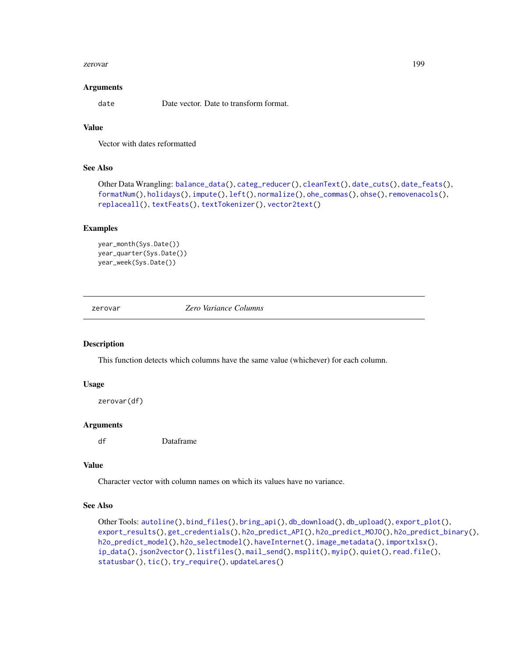#### <span id="page-198-1"></span>zerovar 199

#### **Arguments**

date Date vector. Date to transform format.

# Value

Vector with dates reformatted

#### See Also

```
balance_data(categ_reducer(cleanText(date_cuts(date_feats(),
formatNum(), holidays(), impute(), left(), normalize(), ohe_commas(), ohse(), removenacols(),
replaceall(), textFeats(), textTokenizer(), vector2text()
```
# Examples

```
year_month(Sys.Date())
year_quarter(Sys.Date())
year_week(Sys.Date())
```
<span id="page-198-0"></span>zerovar *Zero Variance Columns*

#### Description

This function detects which columns have the same value (whichever) for each column.

#### Usage

```
zerovar(df)
```
# Arguments

df Dataframe

# Value

Character vector with column names on which its values have no variance.

# See Also

```
Other Tools: autoline(), bind_files(), bring_api(), db_download(), db_upload(), export_plot(),
export_results(), get_credentials(), h2o_predict_API(), h2o_predict_MOJO(), h2o_predict_binary(),
h2o_predict_model(), h2o_selectmodel(), haveInternet(), image_metadata(), importxlsx(),
ip_data(), json2vector(), listfiles(), mail_send(), msplit(), myip(), quiet(), read.file(),
statusbar(), tic(), try_require(), updateLares()
```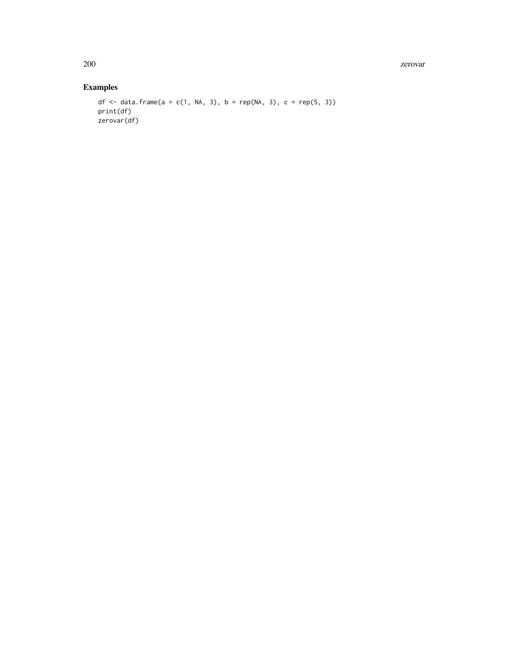200 zerovar

# Examples

```
df <- data.frame(a = c(1, NA, 3), b = rep(NA, 3), c = rep(5, 3))
print(df)
zerovar(df)
```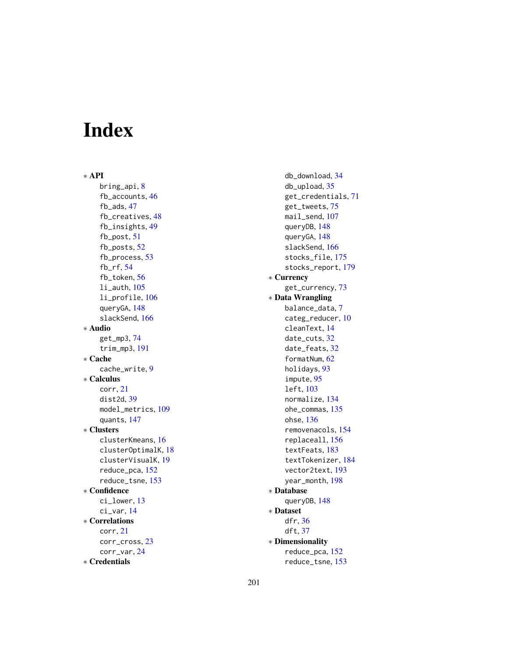# Index

∗ API bring\_api, [8](#page-7-2) fb\_accounts, [46](#page-45-0) fb\_ads, [47](#page-46-0) fb\_creatives, [48](#page-47-0) fb\_insights, [49](#page-48-0) fb\_post, [51](#page-50-0) fb\_posts, [52](#page-51-0) fb\_process, [53](#page-52-0) fb\_rf, [54](#page-53-0) fb\_token, [56](#page-55-0) li\_auth, [105](#page-104-0) li\_profile, [106](#page-105-0) queryGA, [148](#page-147-0) slackSend, [166](#page-165-0) ∗ Audio get\_mp3, [74](#page-73-1) trim\_mp3, [191](#page-190-0) ∗ Cache cache\_write, [9](#page-8-0) ∗ Calculus corr, [21](#page-20-0) dist2d, [39](#page-38-0) model\_metrics, [109](#page-108-0) quants, [147](#page-146-0) ∗ Clusters clusterKmeans, [16](#page-15-0) clusterOptimalK, [18](#page-17-0) clusterVisualK, [19](#page-18-0) reduce\_pca, [152](#page-151-0) reduce\_tsne, [153](#page-152-0) ∗ Confidence ci\_lower, [13](#page-12-0) ci\_var, [14](#page-13-1) ∗ Correlations corr, [21](#page-20-0) corr\_cross, [23](#page-22-1) corr\_var, [24](#page-23-1) ∗ Credentials

db\_download, [34](#page-33-1) db\_upload, [35](#page-34-1) get\_credentials, [71](#page-70-1) get\_tweets, [75](#page-74-0) mail\_send, [107](#page-106-1) queryDB, [148](#page-147-0) queryGA, [148](#page-147-0) slackSend, [166](#page-165-0) stocks\_file, [175](#page-174-0) stocks\_report, [179](#page-178-0) ∗ Currency get\_currency, [73](#page-72-0) ∗ Data Wrangling balance\_data, [7](#page-6-1) categ\_reducer, [10](#page-9-1) cleanText, [14](#page-13-1) date\_cuts, [32](#page-31-2) date\_feats, [32](#page-31-2) formatNum, [62](#page-61-1) holidays, [93](#page-92-1) impute, [95](#page-94-1) left, [103](#page-102-2) normalize, [134](#page-133-1) ohe\_commas, [135](#page-134-1) ohse, [136](#page-135-1) removenacols, [154](#page-153-1) replaceall, [156](#page-155-1) textFeats, [183](#page-182-1) textTokenizer, [184](#page-183-1) vector2text, [193](#page-192-1) year\_month, [198](#page-197-1) ∗ Database queryDB, [148](#page-147-0) ∗ Dataset dfr, [36](#page-35-0) dft, [37](#page-36-0) ∗ Dimensionality reduce\_pca, [152](#page-151-0) reduce\_tsne, [153](#page-152-0)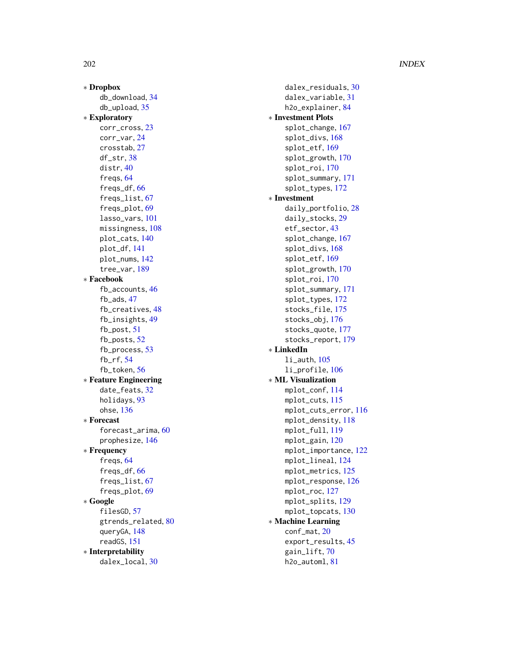# 202 **INDEX**

∗ Dropbox db\_download , [34](#page-33-1) db\_upload , [35](#page-34-1) ∗ Exploratory corr\_cross , [23](#page-22-1) corr\_var , [24](#page-23-1) crosstab , [27](#page-26-1) df\_str , [38](#page-37-1) distr , [40](#page-39-1) freqs , [64](#page-63-1) freqs\_df , [66](#page-65-1) freqs\_list , [67](#page-66-1) freqs\_plot , [69](#page-68-1) lasso\_vars , [101](#page-100-1) missingness, [108](#page-107-1) plot\_cats , [140](#page-139-2) plot\_df , [141](#page-140-1) plot\_nums , [142](#page-141-1) tree\_var , [189](#page-188-0) ∗ Facebook fb\_accounts , [46](#page-45-0) fb\_ads , [47](#page-46-0) fb\_creatives , [48](#page-47-0) fb\_insights , [49](#page-48-0) fb\_post , [51](#page-50-0) fb\_posts , [52](#page-51-0) fb\_process , [53](#page-52-0) fb\_rf , [54](#page-53-0) fb\_token , [56](#page-55-0) ∗ Feature Engineering date\_feats, [32](#page-31-2) holidays , [93](#page-92-1) ohse , [136](#page-135-1) ∗ Forecast forecast\_arima , [60](#page-59-0) prophesize , [146](#page-145-0) ∗ Frequency freqs , [64](#page-63-1) freqs\_df , [66](#page-65-1) freqs\_list , [67](#page-66-1) freqs\_plot , [69](#page-68-1) ∗ Google filesGD, [57](#page-56-0) gtrends\_related, [80](#page-79-0) queryGA , [148](#page-147-0) readGS , [151](#page-150-0) ∗ Interpretability dalex\_local , [30](#page-29-0)

dalex\_residuals , [30](#page-29-0) dalex\_variable , [31](#page-30-0) h2o\_explainer, [84](#page-83-0) ∗ Investment Plots splot\_change , [167](#page-166-0) splot\_divs , [168](#page-167-0) splot\_etf , [169](#page-168-0) splot\_growth , [170](#page-169-0) splot\_roi , [170](#page-169-0) splot\_summary , [171](#page-170-0) splot\_types , [172](#page-171-0) ∗ Investment daily\_portfolio , [28](#page-27-0) daily\_stocks , [29](#page-28-0) etf\_sector , [43](#page-42-0) splot\_change , [167](#page-166-0) splot\_divs , [168](#page-167-0) splot\_etf , [169](#page-168-0) splot\_growth , [170](#page-169-0) splot\_roi , [170](#page-169-0) splot\_summary , [171](#page-170-0) splot\_types , [172](#page-171-0) stocks\_file , [175](#page-174-0) stocks\_obj , [176](#page-175-0) stocks\_quote , [177](#page-176-0) stocks\_report , [179](#page-178-0) ∗ LinkedIn li\_auth , [105](#page-104-0) li\_profile , [106](#page-105-0) ∗ ML Visualization mplot\_conf , [114](#page-113-0) mplot\_cuts , [115](#page-114-0) mplot\_cuts\_error , [116](#page-115-0) mplot\_density , [118](#page-117-0) mplot\_full , [119](#page-118-0) mplot\_gain,[120](#page-119-0) mplot\_importance , [122](#page-121-0) mplot\_lineal , [124](#page-123-0) mplot\_metrics , [125](#page-124-0) mplot\_response, [126](#page-125-0) mplot\_roc , [127](#page-126-0) mplot\_splits , [129](#page-128-0) mplot\_topcats , [130](#page-129-0) ∗ Machine Learning conf\_mat , [20](#page-19-0) export\_results , [45](#page-44-1) gain\_lift , [70](#page-69-0) h2o\_automl , [81](#page-80-0)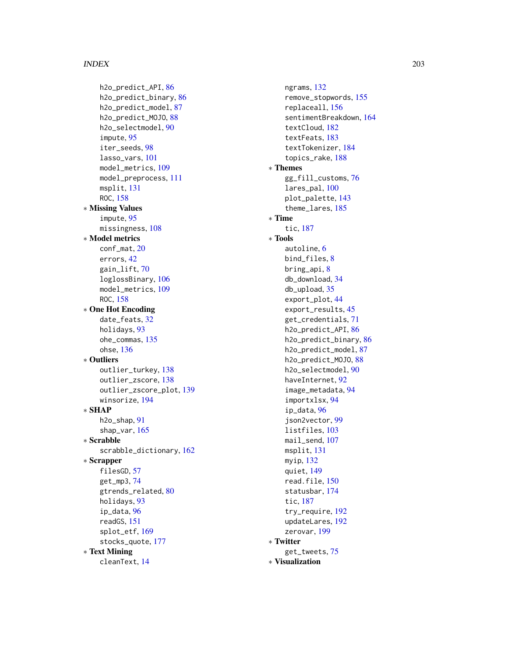#### INDEX 203

h2o\_predict\_API , [86](#page-85-2) h2o\_predict\_binary , [86](#page-85-2) h2o\_predict\_model , [87](#page-86-1) h2o\_predict\_MOJO , [88](#page-87-1) h2o\_selectmodel , [90](#page-89-1) impute , [95](#page-94-1) iter\_seeds , [98](#page-97-0) lasso\_vars , [101](#page-100-1) model\_metrics , [109](#page-108-0) model\_preprocess , [111](#page-110-0) msplit , [131](#page-130-1) ROC, [158](#page-157-0) ∗ Missing Values impute , [95](#page-94-1) missingness, [108](#page-107-1) ∗ Model metrics conf\_mat , [20](#page-19-0) errors , [42](#page-41-0) gain\_lift , [70](#page-69-0) loglossBinary , [106](#page-105-0) model\_metrics , [109](#page-108-0) ROC, [158](#page-157-0) ∗ One Hot Encoding date\_feats, [32](#page-31-2) holidays, [93](#page-92-1) ohe\_commas , [135](#page-134-1) ohse , [136](#page-135-1) ∗ Outliers outlier\_turkey , [138](#page-137-2) outlier\_zscore , [138](#page-137-2) outlier\_zscore\_plot , [139](#page-138-1) winsorize , [194](#page-193-0) ∗ SHAP h2o\_shap , [91](#page-90-0) shap\_var , [165](#page-164-0) ∗ Scrabble scrabble\_dictionary , [162](#page-161-0) ∗ Scrapper filesGD, [57](#page-56-0) get\_mp3 , [74](#page-73-1) gtrends\_related, [80](#page-79-0) holidays , [93](#page-92-1) ip\_data , [96](#page-95-1) readGS , [151](#page-150-0) splot\_etf , [169](#page-168-0) stocks\_quote , [177](#page-176-0) ∗ Text Mining cleanText , [14](#page-13-1)

ngrams , [132](#page-131-2) remove\_stopwords , [155](#page-154-1) replaceall , [156](#page-155-1) sentimentBreakdown , [164](#page-163-1) textCloud , [182](#page-181-1) textFeats , [183](#page-182-1) textTokenizer , [184](#page-183-1) topics\_rake , [188](#page-187-1) ∗ Themes gg\_fill\_customs , [76](#page-75-1) lares\_pal , [100](#page-99-1) plot\_palette , [143](#page-142-2) theme\_lares , [185](#page-184-0) ∗ Time tic , [187](#page-186-1) ∗ Tools autoline , [6](#page-5-1) bind\_files, [8](#page-7-2) bring\_api , [8](#page-7-2) db\_download , [34](#page-33-1) db\_upload , [35](#page-34-1) export\_plot , [44](#page-43-1) export\_results , [45](#page-44-1) get\_credentials , [71](#page-70-1) h2o\_predict\_API, [86](#page-85-2) h2o\_predict\_binary, [86](#page-85-2) h2o\_predict\_model , [87](#page-86-1) h2o\_predict\_MOJO , [88](#page-87-1) h2o\_selectmodel , [90](#page-89-1) haveInternet , [92](#page-91-1) image\_metadata , [94](#page-93-2) importxlsx , [94](#page-93-2) ip\_data , [96](#page-95-1) json2vector , [99](#page-98-1) listfiles , [103](#page-102-2) mail\_send, [107](#page-106-1) msplit , [131](#page-130-1) myip , [132](#page-131-2) quiet , [149](#page-148-1) read.file, [150](#page-149-1) statusbar , [174](#page-173-1) tic , [187](#page-186-1) try\_require , [192](#page-191-2) updateLares , [192](#page-191-2) zerovar , [199](#page-198-1) ∗ Twitter get\_tweets , [75](#page-74-0) ∗ Visualization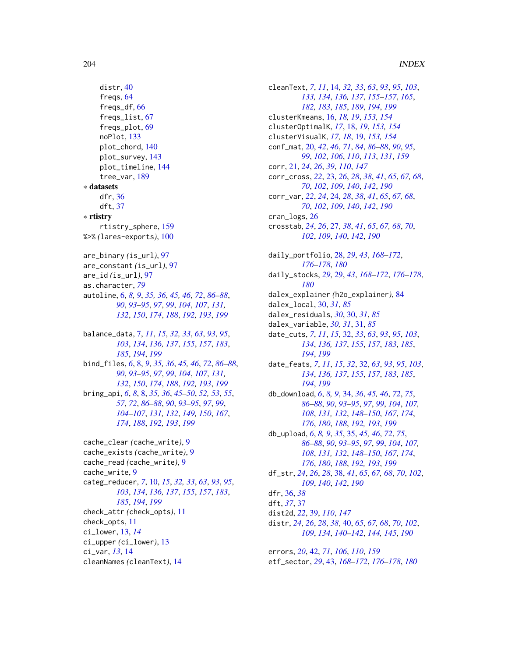```
distr, 40
    freqs, 64
    freqs_df, 66
    freqs_list, 67
    freqs_plot, 69
    noPlot, 133
    plot_chord, 140
    plot_survey, 143
    plot_timeline, 144
    tree_var, 189
∗ datasets
    dfr, 36
    dft, 37
∗ rtistry
    rtistry_sphere, 159
%>% (lares-exports), 100
are_binary (is_url), 97
are_constant (is_url), 97
are_id (is_url), 97
as.character, 79
autoline, 6, 8, 9, 35, 36, 45, 46, 72, 86–88,
         90, 93–95, 97, 99, 104, 107, 131,
         132, 150, 174, 188, 192, 193, 199
balance_data, 7, 11, 15, 32, 33, 63, 93, 95,
         103, 134, 136, 137, 155, 157, 183,
         185, 194, 199
bind_files, 6, 8, 9, 35, 36, 45, 46, 72, 86–88,
         90, 93–95, 97, 99, 104, 107, 131,
         132, 150, 174, 188, 192, 193, 199
bring_api, 6, 8, 8, 35, 36, 45–50, 52, 53, 55,
         57, 72, 86–88, 90, 93–95, 97, 99,
         104–107, 131, 132, 149, 150, 167,
         174, 188, 192, 193, 199
cache_clear (cache_write), 9
cache_exists (cache_write), 9
cache_read (cache_write), 9
cache_write, 9
categ_reducer, 7, 10, 15, 32, 33, 63, 93, 95,
         103, 134, 136, 137, 155, 157, 183,
         185, 194, 199
check_attr (check_opts), 11
check_opts, 11
```
ci\_lower, [13,](#page-12-0) *[14](#page-13-1)*

ci\_var, *[13](#page-12-0)*, [14](#page-13-1)

ci\_upper *(*ci\_lower*)*, [13](#page-12-0)

cleanNames *(*cleanText*)*, [14](#page-13-1)

cleanText, *[7](#page-6-1)*, *[11](#page-10-0)*, [14,](#page-13-1) *[32,](#page-31-2) [33](#page-32-0)*, *[63](#page-62-0)*, *[93](#page-92-1)*, *[95](#page-94-1)*, *[103](#page-102-2)*, *[133,](#page-132-1) [134](#page-133-1)*, *[136,](#page-135-1) [137](#page-136-0)*, *[155](#page-154-1)[–157](#page-156-0)*, *[165](#page-164-0)*, *[182,](#page-181-1) [183](#page-182-1)*, *[185](#page-184-0)*, *[189](#page-188-0)*, *[194](#page-193-0)*, *[199](#page-198-1)* clusterKmeans, [16,](#page-15-0) *[18,](#page-17-0) [19](#page-18-0)*, *[153,](#page-152-0) [154](#page-153-1)* clusterOptimalK, *[17](#page-16-0)*, [18,](#page-17-0) *[19](#page-18-0)*, *[153,](#page-152-0) [154](#page-153-1)* clusterVisualK, *[17,](#page-16-0) [18](#page-17-0)*, [19,](#page-18-0) *[153,](#page-152-0) [154](#page-153-1)* conf\_mat, [20,](#page-19-0) *[42](#page-41-0)*, *[46](#page-45-0)*, *[71](#page-70-1)*, *[84](#page-83-0)*, *[86](#page-85-2)[–88](#page-87-1)*, *[90](#page-89-1)*, *[95](#page-94-1)*, *[99](#page-98-1)*, *[102](#page-101-0)*, *[106](#page-105-0)*, *[110](#page-109-0)*, *[113](#page-112-0)*, *[131](#page-130-1)*, *[159](#page-158-0)* corr, [21,](#page-20-0) *[24](#page-23-1)*, *[26](#page-25-0)*, *[39](#page-38-0)*, *[110](#page-109-0)*, *[147](#page-146-0)* corr\_cross, *[22](#page-21-0)*, [23,](#page-22-1) *[26](#page-25-0)*, *[28](#page-27-0)*, *[38](#page-37-1)*, *[41](#page-40-0)*, *[65](#page-64-0)*, *[67,](#page-66-1) [68](#page-67-0)*, *[70](#page-69-0)*, *[102](#page-101-0)*, *[109](#page-108-0)*, *[140](#page-139-2)*, *[142](#page-141-1)*, *[190](#page-189-0)* corr\_var, *[22](#page-21-0)*, *[24](#page-23-1)*, [24,](#page-23-1) *[28](#page-27-0)*, *[38](#page-37-1)*, *[41](#page-40-0)*, *[65](#page-64-0)*, *[67,](#page-66-1) [68](#page-67-0)*, *[70](#page-69-0)*, *[102](#page-101-0)*, *[109](#page-108-0)*, *[140](#page-139-2)*, *[142](#page-141-1)*, *[190](#page-189-0)* cran\_logs, [26](#page-25-0) crosstab, *[24](#page-23-1)*, *[26](#page-25-0)*, [27,](#page-26-1) *[38](#page-37-1)*, *[41](#page-40-0)*, *[65](#page-64-0)*, *[67,](#page-66-1) [68](#page-67-0)*, *[70](#page-69-0)*, *[102](#page-101-0)*, *[109](#page-108-0)*, *[140](#page-139-2)*, *[142](#page-141-1)*, *[190](#page-189-0)* daily\_portfolio, [28,](#page-27-0) *[29](#page-28-0)*, *[43](#page-42-0)*, *[168](#page-167-0)[–172](#page-171-0)*, *[176](#page-175-0)[–178](#page-177-0)*, *[180](#page-179-0)* daily\_stocks, *[29](#page-28-0)*, [29,](#page-28-0) *[43](#page-42-0)*, *[168](#page-167-0)[–172](#page-171-0)*, *[176](#page-175-0)[–178](#page-177-0)*, *[180](#page-179-0)* dalex\_explainer *(*h2o\_explainer*)*, [84](#page-83-0) dalex\_local, [30,](#page-29-0) *[31](#page-30-0)*, *[85](#page-84-0)* dalex\_residuals, *[30](#page-29-0)*, [30,](#page-29-0) *[31](#page-30-0)*, *[85](#page-84-0)* dalex\_variable, *[30,](#page-29-0) [31](#page-30-0)*, [31,](#page-30-0) *[85](#page-84-0)* date\_cuts, *[7](#page-6-1)*, *[11](#page-10-0)*, *[15](#page-14-0)*, [32,](#page-31-2) *[33](#page-32-0)*, *[63](#page-62-0)*, *[93](#page-92-1)*, *[95](#page-94-1)*, *[103](#page-102-2)*, *[134](#page-133-1)*, *[136,](#page-135-1) [137](#page-136-0)*, *[155](#page-154-1)*, *[157](#page-156-0)*, *[183](#page-182-1)*, *[185](#page-184-0)*, *[194](#page-193-0)*, *[199](#page-198-1)* date\_feats, *[7](#page-6-1)*, *[11](#page-10-0)*, *[15](#page-14-0)*, *[32](#page-31-2)*, [32,](#page-31-2) *[63](#page-62-0)*, *[93](#page-92-1)*, *[95](#page-94-1)*, *[103](#page-102-2)*, *[134](#page-133-1)*, *[136,](#page-135-1) [137](#page-136-0)*, *[155](#page-154-1)*, *[157](#page-156-0)*, *[183](#page-182-1)*, *[185](#page-184-0)*, *[194](#page-193-0)*, *[199](#page-198-1)* db\_download, *[6](#page-5-1)*, *[8,](#page-7-2) [9](#page-8-0)*, [34,](#page-33-1) *[36](#page-35-0)*, *[45,](#page-44-1) [46](#page-45-0)*, *[72](#page-71-0)*, *[75](#page-74-0)*, *[86](#page-85-2)[–88](#page-87-1)*, *[90](#page-89-1)*, *[93](#page-92-1)[–95](#page-94-1)*, *[97](#page-96-0)*, *[99](#page-98-1)*, *[104](#page-103-0)*, *[107,](#page-106-1) [108](#page-107-1)*, *[131,](#page-130-1) [132](#page-131-2)*, *[148](#page-147-0)[–150](#page-149-1)*, *[167](#page-166-0)*, *[174](#page-173-1)*, *[176](#page-175-0)*, *[180](#page-179-0)*, *[188](#page-187-1)*, *[192,](#page-191-2) [193](#page-192-1)*, *[199](#page-198-1)* db\_upload, *[6](#page-5-1)*, *[8,](#page-7-2) [9](#page-8-0)*, *[35](#page-34-1)*, [35,](#page-34-1) *[45,](#page-44-1) [46](#page-45-0)*, *[72](#page-71-0)*, *[75](#page-74-0)*, *[86](#page-85-2)[–88](#page-87-1)*, *[90](#page-89-1)*, *[93](#page-92-1)[–95](#page-94-1)*, *[97](#page-96-0)*, *[99](#page-98-1)*, *[104](#page-103-0)*, *[107,](#page-106-1) [108](#page-107-1)*, *[131,](#page-130-1) [132](#page-131-2)*, *[148](#page-147-0)[–150](#page-149-1)*, *[167](#page-166-0)*, *[174](#page-173-1)*, *[176](#page-175-0)*, *[180](#page-179-0)*, *[188](#page-187-1)*, *[192,](#page-191-2) [193](#page-192-1)*, *[199](#page-198-1)* df\_str, *[24](#page-23-1)*, *[26](#page-25-0)*, *[28](#page-27-0)*, [38,](#page-37-1) *[41](#page-40-0)*, *[65](#page-64-0)*, *[67,](#page-66-1) [68](#page-67-0)*, *[70](#page-69-0)*, *[102](#page-101-0)*, *[109](#page-108-0)*, *[140](#page-139-2)*, *[142](#page-141-1)*, *[190](#page-189-0)* dfr, [36,](#page-35-0) *[38](#page-37-1)* dft, *[37](#page-36-0)*, [37](#page-36-0) dist2d, *[22](#page-21-0)*, [39,](#page-38-0) *[110](#page-109-0)*, *[147](#page-146-0)* distr, *[24](#page-23-1)*, *[26](#page-25-0)*, *[28](#page-27-0)*, *[38](#page-37-1)*, [40,](#page-39-1) *[65](#page-64-0)*, *[67,](#page-66-1) [68](#page-67-0)*, *[70](#page-69-0)*, *[102](#page-101-0)*, *[109](#page-108-0)*, *[134](#page-133-1)*, *[140](#page-139-2)[–142](#page-141-1)*, *[144,](#page-143-1) [145](#page-144-0)*, *[190](#page-189-0)*

errors, *[20](#page-19-0)*, [42,](#page-41-0) *[71](#page-70-1)*, *[106](#page-105-0)*, *[110](#page-109-0)*, *[159](#page-158-0)* etf\_sector, *[29](#page-28-0)*, [43,](#page-42-0) *[168](#page-167-0)[–172](#page-171-0)*, *[176](#page-175-0)[–178](#page-177-0)*, *[180](#page-179-0)*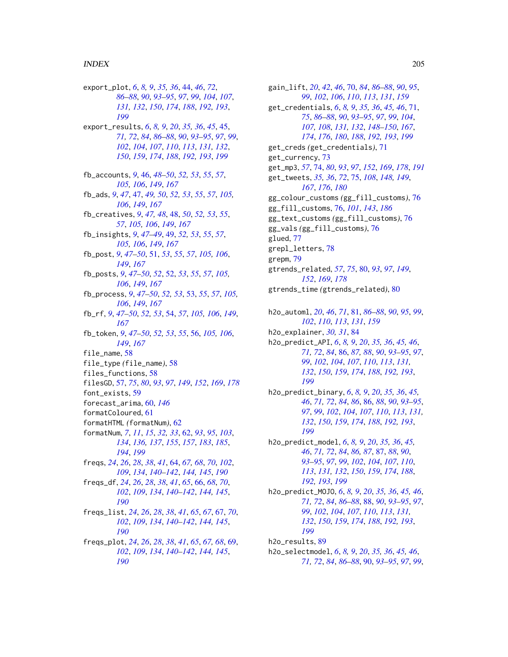export\_plot, *[6](#page-5-1)*, *[8,](#page-7-2) [9](#page-8-0)*, *[35,](#page-34-1) [36](#page-35-0)*, [44,](#page-43-1) *[46](#page-45-0)*, *[72](#page-71-0)*, *[86](#page-85-2)[–88](#page-87-1)*, *[90](#page-89-1)*, *[93–](#page-92-1)[95](#page-94-1)*, *[97](#page-96-0)*, *[99](#page-98-1)*, *[104](#page-103-0)*, *[107](#page-106-1)*, *[131,](#page-130-1) [132](#page-131-2)*, *[150](#page-149-1)*, *[174](#page-173-1)*, *[188](#page-187-1)*, *[192,](#page-191-2) [193](#page-192-1)*, *[199](#page-198-1)* export\_results, *[6](#page-5-1)*, *[8,](#page-7-2) [9](#page-8-0)*, *[20](#page-19-0)*, *[35,](#page-34-1) [36](#page-35-0)*, *[45](#page-44-1)*, [45,](#page-44-1) *[71,](#page-70-1) [72](#page-71-0)*, *[84](#page-83-0)*, *[86–](#page-85-2)[88](#page-87-1)*, *[90](#page-89-1)*, *[93–](#page-92-1)[95](#page-94-1)*, *[97](#page-96-0)*, *[99](#page-98-1)*, *[102](#page-101-0)*, *[104](#page-103-0)*, *[107](#page-106-1)*, *[110](#page-109-0)*, *[113](#page-112-0)*, *[131,](#page-130-1) [132](#page-131-2)*, *[150](#page-149-1)*, *[159](#page-158-0)*, *[174](#page-173-1)*, *[188](#page-187-1)*, *[192,](#page-191-2) [193](#page-192-1)*, *[199](#page-198-1)* fb\_accounts, *[9](#page-8-0)*, [46,](#page-45-0) *[48–](#page-47-0)[50](#page-49-0)*, *[52,](#page-51-0) [53](#page-52-0)*, *[55](#page-54-0)*, *[57](#page-56-0)*, *[105,](#page-104-0) [106](#page-105-0)*, *[149](#page-148-1)*, *[167](#page-166-0)* fb\_ads, *[9](#page-8-0)*, *[47](#page-46-0)*, [47,](#page-46-0) *[49,](#page-48-0) [50](#page-49-0)*, *[52,](#page-51-0) [53](#page-52-0)*, *[55](#page-54-0)*, *[57](#page-56-0)*, *[105,](#page-104-0) [106](#page-105-0)*, *[149](#page-148-1)*, *[167](#page-166-0)* fb\_creatives, *[9](#page-8-0)*, *[47,](#page-46-0) [48](#page-47-0)*, [48,](#page-47-0) *[50](#page-49-0)*, *[52,](#page-51-0) [53](#page-52-0)*, *[55](#page-54-0)*, *[57](#page-56-0)*, *[105,](#page-104-0) [106](#page-105-0)*, *[149](#page-148-1)*, *[167](#page-166-0)* fb\_insights, *[9](#page-8-0)*, *[47](#page-46-0)[–49](#page-48-0)*, [49,](#page-48-0) *[52,](#page-51-0) [53](#page-52-0)*, *[55](#page-54-0)*, *[57](#page-56-0)*, *[105,](#page-104-0) [106](#page-105-0)*, *[149](#page-148-1)*, *[167](#page-166-0)* fb\_post, *[9](#page-8-0)*, *[47](#page-46-0)[–50](#page-49-0)*, [51,](#page-50-0) *[53](#page-52-0)*, *[55](#page-54-0)*, *[57](#page-56-0)*, *[105,](#page-104-0) [106](#page-105-0)*, *[149](#page-148-1)*, *[167](#page-166-0)* fb\_posts, *[9](#page-8-0)*, *[47](#page-46-0)[–50](#page-49-0)*, *[52](#page-51-0)*, [52,](#page-51-0) *[53](#page-52-0)*, *[55](#page-54-0)*, *[57](#page-56-0)*, *[105,](#page-104-0) [106](#page-105-0)*, *[149](#page-148-1)*, *[167](#page-166-0)* fb\_process, *[9](#page-8-0)*, *[47](#page-46-0)[–50](#page-49-0)*, *[52,](#page-51-0) [53](#page-52-0)*, [53,](#page-52-0) *[55](#page-54-0)*, *[57](#page-56-0)*, *[105,](#page-104-0) [106](#page-105-0)*, *[149](#page-148-1)*, *[167](#page-166-0)* fb\_rf, *[9](#page-8-0)*, *[47](#page-46-0)[–50](#page-49-0)*, *[52,](#page-51-0) [53](#page-52-0)*, [54,](#page-53-0) *[57](#page-56-0)*, *[105,](#page-104-0) [106](#page-105-0)*, *[149](#page-148-1)*, *[167](#page-166-0)* fb\_token, *[9](#page-8-0)*, *[47](#page-46-0)[–50](#page-49-0)*, *[52,](#page-51-0) [53](#page-52-0)*, *[55](#page-54-0)*, [56,](#page-55-0) *[105,](#page-104-0) [106](#page-105-0)*, *[149](#page-148-1)*, *[167](#page-166-0)* file\_name. [58](#page-57-0) file\_type *(*file\_name*)*, [58](#page-57-0) files\_functions, [58](#page-57-0) filesGD, [57,](#page-56-0) *[75](#page-74-0)*, *[80](#page-79-0)*, *[93](#page-92-1)*, *[97](#page-96-0)*, *[149](#page-148-1)*, *[152](#page-151-0)*, *[169](#page-168-0)*, *[178](#page-177-0)* font\_exists, [59](#page-58-0) forecast\_arima, [60,](#page-59-0) *[146](#page-145-0)* formatColoured, [61](#page-60-0) formatHTML *(*formatNum*)*, [62](#page-61-1) formatNum, *[7](#page-6-1)*, *[11](#page-10-0)*, *[15](#page-14-0)*, *[32,](#page-31-2) [33](#page-32-0)*, [62,](#page-61-1) *[93](#page-92-1)*, *[95](#page-94-1)*, *[103](#page-102-2)*, *[134](#page-133-1)*, *[136,](#page-135-1) [137](#page-136-0)*, *[155](#page-154-1)*, *[157](#page-156-0)*, *[183](#page-182-1)*, *[185](#page-184-0)*, *[194](#page-193-0)*, *[199](#page-198-1)* freqs, *[24](#page-23-1)*, *[26](#page-25-0)*, *[28](#page-27-0)*, *[38](#page-37-1)*, *[41](#page-40-0)*, [64,](#page-63-1) *[67,](#page-66-1) [68](#page-67-0)*, *[70](#page-69-0)*, *[102](#page-101-0)*, *[109](#page-108-0)*, *[134](#page-133-1)*, *[140–](#page-139-2)[142](#page-141-1)*, *[144,](#page-143-1) [145](#page-144-0)*, *[190](#page-189-0)* freqs\_df, *[24](#page-23-1)*, *[26](#page-25-0)*, *[28](#page-27-0)*, *[38](#page-37-1)*, *[41](#page-40-0)*, *[65](#page-64-0)*, [66,](#page-65-1) *[68](#page-67-0)*, *[70](#page-69-0)*, *[102](#page-101-0)*, *[109](#page-108-0)*, *[134](#page-133-1)*, *[140–](#page-139-2)[142](#page-141-1)*, *[144,](#page-143-1) [145](#page-144-0)*, *[190](#page-189-0)* freqs\_list, *[24](#page-23-1)*, *[26](#page-25-0)*, *[28](#page-27-0)*, *[38](#page-37-1)*, *[41](#page-40-0)*, *[65](#page-64-0)*, *[67](#page-66-1)*, [67,](#page-66-1) *[70](#page-69-0)*, *[102](#page-101-0)*, *[109](#page-108-0)*, *[134](#page-133-1)*, *[140–](#page-139-2)[142](#page-141-1)*, *[144,](#page-143-1) [145](#page-144-0)*, *[190](#page-189-0)* freqs\_plot, *[24](#page-23-1)*, *[26](#page-25-0)*, *[28](#page-27-0)*, *[38](#page-37-1)*, *[41](#page-40-0)*, *[65](#page-64-0)*, *[67,](#page-66-1) [68](#page-67-0)*, [69,](#page-68-1) *[102](#page-101-0)*, *[109](#page-108-0)*, *[134](#page-133-1)*, *[140–](#page-139-2)[142](#page-141-1)*, *[144,](#page-143-1) [145](#page-144-0)*, *[190](#page-189-0)*

gain\_lift, *[20](#page-19-0)*, *[42](#page-41-0)*, *[46](#page-45-0)*, [70,](#page-69-0) *[84](#page-83-0)*, *[86](#page-85-2)[–88](#page-87-1)*, *[90](#page-89-1)*, *[95](#page-94-1)*, *[99](#page-98-1)*, *[102](#page-101-0)*, *[106](#page-105-0)*, *[110](#page-109-0)*, *[113](#page-112-0)*, *[131](#page-130-1)*, *[159](#page-158-0)* get\_credentials, *[6](#page-5-1)*, *[8,](#page-7-2) [9](#page-8-0)*, *[35,](#page-34-1) [36](#page-35-0)*, *[45,](#page-44-1) [46](#page-45-0)*, [71,](#page-70-1) *[75](#page-74-0)*, *[86](#page-85-2)[–88](#page-87-1)*, *[90](#page-89-1)*, *[93](#page-92-1)[–95](#page-94-1)*, *[97](#page-96-0)*, *[99](#page-98-1)*, *[104](#page-103-0)*, *[107,](#page-106-1) [108](#page-107-1)*, *[131,](#page-130-1) [132](#page-131-2)*, *[148](#page-147-0)[–150](#page-149-1)*, *[167](#page-166-0)*, *[174](#page-173-1)*, *[176](#page-175-0)*, *[180](#page-179-0)*, *[188](#page-187-1)*, *[192,](#page-191-2) [193](#page-192-1)*, *[199](#page-198-1)* get\_creds *(*get\_credentials*)*, [71](#page-70-1) get\_currency, [73](#page-72-0) get\_mp3, *[57](#page-56-0)*, [74,](#page-73-1) *[80](#page-79-0)*, *[93](#page-92-1)*, *[97](#page-96-0)*, *[152](#page-151-0)*, *[169](#page-168-0)*, *[178](#page-177-0)*, *[191](#page-190-0)* get\_tweets, *[35,](#page-34-1) [36](#page-35-0)*, *[72](#page-71-0)*, [75,](#page-74-0) *[108](#page-107-1)*, *[148,](#page-147-0) [149](#page-148-1)*, *[167](#page-166-0)*, *[176](#page-175-0)*, *[180](#page-179-0)* gg\_colour\_customs *(*gg\_fill\_customs*)*, [76](#page-75-1) gg\_fill\_customs, [76,](#page-75-1) *[101](#page-100-1)*, *[143](#page-142-2)*, *[186](#page-185-0)* gg\_text\_customs *(*gg\_fill\_customs*)*, [76](#page-75-1) gg\_vals *(*gg\_fill\_customs*)*, [76](#page-75-1) glued, [77](#page-76-0) grepl\_letters, [78](#page-77-0) grepm, [79](#page-78-0) gtrends\_related, *[57](#page-56-0)*, *[75](#page-74-0)*, [80,](#page-79-0) *[93](#page-92-1)*, *[97](#page-96-0)*, *[149](#page-148-1)*, *[152](#page-151-0)*, *[169](#page-168-0)*, *[178](#page-177-0)* gtrends\_time *(*gtrends\_related*)*, [80](#page-79-0) h2o\_automl, *[20](#page-19-0)*, *[46](#page-45-0)*, *[71](#page-70-1)*, [81,](#page-80-0) *[86](#page-85-2)[–88](#page-87-1)*, *[90](#page-89-1)*, *[95](#page-94-1)*, *[99](#page-98-1)*, *[102](#page-101-0)*, *[110](#page-109-0)*, *[113](#page-112-0)*, *[131](#page-130-1)*, *[159](#page-158-0)* h2o\_explainer, *[30,](#page-29-0) [31](#page-30-0)*, [84](#page-83-0) h2o\_predict\_API, *[6](#page-5-1)*, *[8,](#page-7-2) [9](#page-8-0)*, *[20](#page-19-0)*, *[35,](#page-34-1) [36](#page-35-0)*, *[45,](#page-44-1) [46](#page-45-0)*, *[71,](#page-70-1) [72](#page-71-0)*, *[84](#page-83-0)*, [86,](#page-85-2) *[87,](#page-86-1) [88](#page-87-1)*, *[90](#page-89-1)*, *[93](#page-92-1)[–95](#page-94-1)*, *[97](#page-96-0)*, *[99](#page-98-1)*, *[102](#page-101-0)*, *[104](#page-103-0)*, *[107](#page-106-1)*, *[110](#page-109-0)*, *[113](#page-112-0)*, *[131,](#page-130-1) [132](#page-131-2)*, *[150](#page-149-1)*, *[159](#page-158-0)*, *[174](#page-173-1)*, *[188](#page-187-1)*, *[192,](#page-191-2) [193](#page-192-1)*, *[199](#page-198-1)* h2o\_predict\_binary, *[6](#page-5-1)*, *[8,](#page-7-2) [9](#page-8-0)*, *[20](#page-19-0)*, *[35,](#page-34-1) [36](#page-35-0)*, *[45,](#page-44-1) [46](#page-45-0)*, *[71,](#page-70-1) [72](#page-71-0)*, *[84](#page-83-0)*, *[86](#page-85-2)*, [86,](#page-85-2) *[88](#page-87-1)*, *[90](#page-89-1)*, *[93](#page-92-1)[–95](#page-94-1)*, *[97](#page-96-0)*, *[99](#page-98-1)*, *[102](#page-101-0)*, *[104](#page-103-0)*, *[107](#page-106-1)*, *[110](#page-109-0)*, *[113](#page-112-0)*, *[131,](#page-130-1) [132](#page-131-2)*, *[150](#page-149-1)*, *[159](#page-158-0)*, *[174](#page-173-1)*, *[188](#page-187-1)*, *[192,](#page-191-2) [193](#page-192-1)*, *[199](#page-198-1)* h2o\_predict\_model, *[6](#page-5-1)*, *[8,](#page-7-2) [9](#page-8-0)*, *[20](#page-19-0)*, *[35,](#page-34-1) [36](#page-35-0)*, *[45,](#page-44-1) [46](#page-45-0)*, *[71,](#page-70-1) [72](#page-71-0)*, *[84](#page-83-0)*, *[86,](#page-85-2) [87](#page-86-1)*, [87,](#page-86-1) *[88](#page-87-1)*, *[90](#page-89-1)*, *[93](#page-92-1)[–95](#page-94-1)*, *[97](#page-96-0)*, *[99](#page-98-1)*, *[102](#page-101-0)*, *[104](#page-103-0)*, *[107](#page-106-1)*, *[110](#page-109-0)*, *[113](#page-112-0)*, *[131,](#page-130-1) [132](#page-131-2)*, *[150](#page-149-1)*, *[159](#page-158-0)*, *[174](#page-173-1)*, *[188](#page-187-1)*, *[192,](#page-191-2) [193](#page-192-1)*, *[199](#page-198-1)* h2o\_predict\_MOJO, *[6](#page-5-1)*, *[8,](#page-7-2) [9](#page-8-0)*, *[20](#page-19-0)*, *[35,](#page-34-1) [36](#page-35-0)*, *[45,](#page-44-1) [46](#page-45-0)*,

*[71,](#page-70-1) [72](#page-71-0)*, *[84](#page-83-0)*, *[86](#page-85-2)[–88](#page-87-1)*, [88,](#page-87-1) *[90](#page-89-1)*, *[93](#page-92-1)[–95](#page-94-1)*, *[97](#page-96-0)*, *[99](#page-98-1)*, *[102](#page-101-0)*, *[104](#page-103-0)*, *[107](#page-106-1)*, *[110](#page-109-0)*, *[113](#page-112-0)*, *[131,](#page-130-1) [132](#page-131-2)*, *[150](#page-149-1)*, *[159](#page-158-0)*, *[174](#page-173-1)*, *[188](#page-187-1)*, *[192,](#page-191-2) [193](#page-192-1)*, *[199](#page-198-1)*

h2o\_results, [89](#page-88-0) h2o\_selectmodel, *[6](#page-5-1)*, *[8,](#page-7-2) [9](#page-8-0)*, *[20](#page-19-0)*, *[35,](#page-34-1) [36](#page-35-0)*, *[45,](#page-44-1) [46](#page-45-0)*, *[71,](#page-70-1) [72](#page-71-0)*, *[84](#page-83-0)*, *[86](#page-85-2)[–88](#page-87-1)*, [90,](#page-89-1) *[93](#page-92-1)[–95](#page-94-1)*, *[97](#page-96-0)*, *[99](#page-98-1)*,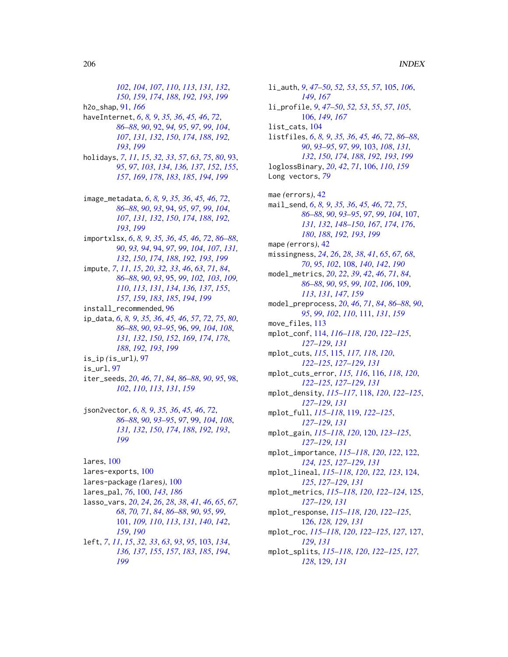*[102](#page-101-0)*, *[104](#page-103-0)*, *[107](#page-106-1)*, *[110](#page-109-0)*, *[113](#page-112-0)*, *[131,](#page-130-1) [132](#page-131-2)*, *[150](#page-149-1)*, *[159](#page-158-0)*, *[174](#page-173-1)*, *[188](#page-187-1)*, *[192,](#page-191-2) [193](#page-192-1)*, *[199](#page-198-1)* h2o\_shap, [91,](#page-90-0) *[166](#page-165-0)* haveInternet, *[6](#page-5-1)*, *[8,](#page-7-2) [9](#page-8-0)*, *[35,](#page-34-1) [36](#page-35-0)*, *[45,](#page-44-1) [46](#page-45-0)*, *[72](#page-71-0)*, *[86](#page-85-2)[–88](#page-87-1)*, *[90](#page-89-1)*, [92,](#page-91-1) *[94,](#page-93-2) [95](#page-94-1)*, *[97](#page-96-0)*, *[99](#page-98-1)*, *[104](#page-103-0)*, *[107](#page-106-1)*, *[131,](#page-130-1) [132](#page-131-2)*, *[150](#page-149-1)*, *[174](#page-173-1)*, *[188](#page-187-1)*, *[192,](#page-191-2) [193](#page-192-1)*, *[199](#page-198-1)* holidays, *[7](#page-6-1)*, *[11](#page-10-0)*, *[15](#page-14-0)*, *[32,](#page-31-2) [33](#page-32-0)*, *[57](#page-56-0)*, *[63](#page-62-0)*, *[75](#page-74-0)*, *[80](#page-79-0)*, [93,](#page-92-1) *[95](#page-94-1)*, *[97](#page-96-0)*, *[103](#page-102-2)*, *[134](#page-133-1)*, *[136,](#page-135-1) [137](#page-136-0)*, *[152](#page-151-0)*, *[155](#page-154-1)*, *[157](#page-156-0)*, *[169](#page-168-0)*, *[178](#page-177-0)*, *[183](#page-182-1)*, *[185](#page-184-0)*, *[194](#page-193-0)*, *[199](#page-198-1)* image\_metadata, *[6](#page-5-1)*, *[8,](#page-7-2) [9](#page-8-0)*, *[35,](#page-34-1) [36](#page-35-0)*, *[45,](#page-44-1) [46](#page-45-0)*, *[72](#page-71-0)*, *[86](#page-85-2)[–88](#page-87-1)*, *[90](#page-89-1)*, *[93](#page-92-1)*, [94,](#page-93-2) *[95](#page-94-1)*, *[97](#page-96-0)*, *[99](#page-98-1)*, *[104](#page-103-0)*, *[107](#page-106-1)*, *[131,](#page-130-1) [132](#page-131-2)*, *[150](#page-149-1)*, *[174](#page-173-1)*, *[188](#page-187-1)*, *[192,](#page-191-2) [193](#page-192-1)*, *[199](#page-198-1)* importxlsx, *[6](#page-5-1)*, *[8,](#page-7-2) [9](#page-8-0)*, *[35,](#page-34-1) [36](#page-35-0)*, *[45,](#page-44-1) [46](#page-45-0)*, *[72](#page-71-0)*, *[86–](#page-85-2)[88](#page-87-1)*, *[90](#page-89-1)*, *[93,](#page-92-1) [94](#page-93-2)*, [94,](#page-93-2) *[97](#page-96-0)*, *[99](#page-98-1)*, *[104](#page-103-0)*, *[107](#page-106-1)*, *[131,](#page-130-1) [132](#page-131-2)*, *[150](#page-149-1)*, *[174](#page-173-1)*, *[188](#page-187-1)*, *[192,](#page-191-2) [193](#page-192-1)*, *[199](#page-198-1)* impute, *[7](#page-6-1)*, *[11](#page-10-0)*, *[15](#page-14-0)*, *[20](#page-19-0)*, *[32,](#page-31-2) [33](#page-32-0)*, *[46](#page-45-0)*, *[63](#page-62-0)*, *[71](#page-70-1)*, *[84](#page-83-0)*, *[86](#page-85-2)[–88](#page-87-1)*, *[90](#page-89-1)*, *[93](#page-92-1)*, [95,](#page-94-1) *[99](#page-98-1)*, *[102,](#page-101-0) [103](#page-102-2)*, *[109,](#page-108-0) [110](#page-109-0)*, *[113](#page-112-0)*, *[131](#page-130-1)*, *[134](#page-133-1)*, *[136,](#page-135-1) [137](#page-136-0)*, *[155](#page-154-1)*, *[157](#page-156-0)*, *[159](#page-158-0)*, *[183](#page-182-1)*, *[185](#page-184-0)*, *[194](#page-193-0)*, *[199](#page-198-1)* install\_recommended, [96](#page-95-1) ip\_data, *[6](#page-5-1)*, *[8,](#page-7-2) [9](#page-8-0)*, *[35,](#page-34-1) [36](#page-35-0)*, *[45,](#page-44-1) [46](#page-45-0)*, *[57](#page-56-0)*, *[72](#page-71-0)*, *[75](#page-74-0)*, *[80](#page-79-0)*, *[86](#page-85-2)[–88](#page-87-1)*, *[90](#page-89-1)*, *[93–](#page-92-1)[95](#page-94-1)*, [96,](#page-95-1) *[99](#page-98-1)*, *[104](#page-103-0)*, *[108](#page-107-1)*, *[131,](#page-130-1) [132](#page-131-2)*, *[150](#page-149-1)*, *[152](#page-151-0)*, *[169](#page-168-0)*, *[174](#page-173-1)*, *[178](#page-177-0)*, *[188](#page-187-1)*, *[192,](#page-191-2) [193](#page-192-1)*, *[199](#page-198-1)* is\_ip *(*is\_url*)*, [97](#page-96-0) is\_url, [97](#page-96-0) iter\_seeds, *[20](#page-19-0)*, *[46](#page-45-0)*, *[71](#page-70-1)*, *[84](#page-83-0)*, *[86–](#page-85-2)[88](#page-87-1)*, *[90](#page-89-1)*, *[95](#page-94-1)*, [98,](#page-97-0) *[102](#page-101-0)*, *[110](#page-109-0)*, *[113](#page-112-0)*, *[131](#page-130-1)*, *[159](#page-158-0)* json2vector, *[6](#page-5-1)*, *[8,](#page-7-2) [9](#page-8-0)*, *[35,](#page-34-1) [36](#page-35-0)*, *[45,](#page-44-1) [46](#page-45-0)*, *[72](#page-71-0)*, *[86](#page-85-2)[–88](#page-87-1)*, *[90](#page-89-1)*, *[93–](#page-92-1)[95](#page-94-1)*, *[97](#page-96-0)*, [99,](#page-98-1) *[104](#page-103-0)*, *[108](#page-107-1)*, *[131,](#page-130-1) [132](#page-131-2)*, *[150](#page-149-1)*, *[174](#page-173-1)*, *[188](#page-187-1)*, *[192,](#page-191-2) [193](#page-192-1)*, *[199](#page-198-1)*

lares, [100](#page-99-1) lares-exports, [100](#page-99-1) lares-package *(*lares*)*, [100](#page-99-1) lares\_pal, *[76](#page-75-1)*, [100,](#page-99-1) *[143](#page-142-2)*, *[186](#page-185-0)* lasso\_vars, *[20](#page-19-0)*, *[24](#page-23-1)*, *[26](#page-25-0)*, *[28](#page-27-0)*, *[38](#page-37-1)*, *[41](#page-40-0)*, *[46](#page-45-0)*, *[65](#page-64-0)*, *[67,](#page-66-1) [68](#page-67-0)*, *[70,](#page-69-0) [71](#page-70-1)*, *[84](#page-83-0)*, *[86–](#page-85-2)[88](#page-87-1)*, *[90](#page-89-1)*, *[95](#page-94-1)*, *[99](#page-98-1)*, [101,](#page-100-1) *[109,](#page-108-0) [110](#page-109-0)*, *[113](#page-112-0)*, *[131](#page-130-1)*, *[140](#page-139-2)*, *[142](#page-141-1)*, *[159](#page-158-0)*, *[190](#page-189-0)* left, *[7](#page-6-1)*, *[11](#page-10-0)*, *[15](#page-14-0)*, *[32,](#page-31-2) [33](#page-32-0)*, *[63](#page-62-0)*, *[93](#page-92-1)*, *[95](#page-94-1)*, [103,](#page-102-2) *[134](#page-133-1)*, *[136,](#page-135-1) [137](#page-136-0)*, *[155](#page-154-1)*, *[157](#page-156-0)*, *[183](#page-182-1)*, *[185](#page-184-0)*, *[194](#page-193-0)*, *[199](#page-198-1)*

li\_auth, *[9](#page-8-0)*, *[47](#page-46-0)[–50](#page-49-0)*, *[52,](#page-51-0) [53](#page-52-0)*, *[55](#page-54-0)*, *[57](#page-56-0)*, [105,](#page-104-0) *[106](#page-105-0)*, *[149](#page-148-1)*, *[167](#page-166-0)* li\_profile, *[9](#page-8-0)*, *[47](#page-46-0)[–50](#page-49-0)*, *[52,](#page-51-0) [53](#page-52-0)*, *[55](#page-54-0)*, *[57](#page-56-0)*, *[105](#page-104-0)*, [106,](#page-105-0) *[149](#page-148-1)*, *[167](#page-166-0)* list\_cats, [104](#page-103-0) listfiles, *[6](#page-5-1)*, *[8,](#page-7-2) [9](#page-8-0)*, *[35,](#page-34-1) [36](#page-35-0)*, *[45,](#page-44-1) [46](#page-45-0)*, *[72](#page-71-0)*, *[86](#page-85-2)[–88](#page-87-1)*, *[90](#page-89-1)*, *[93](#page-92-1)[–95](#page-94-1)*, *[97](#page-96-0)*, *[99](#page-98-1)*, [103,](#page-102-2) *[108](#page-107-1)*, *[131,](#page-130-1) [132](#page-131-2)*, *[150](#page-149-1)*, *[174](#page-173-1)*, *[188](#page-187-1)*, *[192,](#page-191-2) [193](#page-192-1)*, *[199](#page-198-1)* loglossBinary, *[20](#page-19-0)*, *[42](#page-41-0)*, *[71](#page-70-1)*, [106,](#page-105-0) *[110](#page-109-0)*, *[159](#page-158-0)* Long vectors, *[79](#page-78-0)* mae *(*errors*)*, [42](#page-41-0) mail\_send, *[6](#page-5-1)*, *[8,](#page-7-2) [9](#page-8-0)*, *[35,](#page-34-1) [36](#page-35-0)*, *[45,](#page-44-1) [46](#page-45-0)*, *[72](#page-71-0)*, *[75](#page-74-0)*, *[86](#page-85-2)[–88](#page-87-1)*, *[90](#page-89-1)*, *[93](#page-92-1)[–95](#page-94-1)*, *[97](#page-96-0)*, *[99](#page-98-1)*, *[104](#page-103-0)*, [107,](#page-106-1) *[131,](#page-130-1) [132](#page-131-2)*, *[148](#page-147-0)[–150](#page-149-1)*, *[167](#page-166-0)*, *[174](#page-173-1)*, *[176](#page-175-0)*, *[180](#page-179-0)*, *[188](#page-187-1)*, *[192,](#page-191-2) [193](#page-192-1)*, *[199](#page-198-1)* mape *(*errors*)*, [42](#page-41-0) missingness, *[24](#page-23-1)*, *[26](#page-25-0)*, *[28](#page-27-0)*, *[38](#page-37-1)*, *[41](#page-40-0)*, *[65](#page-64-0)*, *[67,](#page-66-1) [68](#page-67-0)*, *[70](#page-69-0)*, *[95](#page-94-1)*, *[102](#page-101-0)*, [108,](#page-107-1) *[140](#page-139-2)*, *[142](#page-141-1)*, *[190](#page-189-0)* model\_metrics, *[20](#page-19-0)*, *[22](#page-21-0)*, *[39](#page-38-0)*, *[42](#page-41-0)*, *[46](#page-45-0)*, *[71](#page-70-1)*, *[84](#page-83-0)*, *[86](#page-85-2)[–88](#page-87-1)*, *[90](#page-89-1)*, *[95](#page-94-1)*, *[99](#page-98-1)*, *[102](#page-101-0)*, *[106](#page-105-0)*, [109,](#page-108-0) *[113](#page-112-0)*, *[131](#page-130-1)*, *[147](#page-146-0)*, *[159](#page-158-0)* model\_preprocess, *[20](#page-19-0)*, *[46](#page-45-0)*, *[71](#page-70-1)*, *[84](#page-83-0)*, *[86](#page-85-2)[–88](#page-87-1)*, *[90](#page-89-1)*, *[95](#page-94-1)*, *[99](#page-98-1)*, *[102](#page-101-0)*, *[110](#page-109-0)*, [111,](#page-110-0) *[131](#page-130-1)*, *[159](#page-158-0)* move\_files, [113](#page-112-0) mplot\_conf, [114,](#page-113-0) *[116](#page-115-0)[–118](#page-117-0)*, *[120](#page-119-0)*, *[122](#page-121-0)[–125](#page-124-0)*, *[127](#page-126-0)[–129](#page-128-0)*, *[131](#page-130-1)* mplot\_cuts, *[115](#page-114-0)*, [115,](#page-114-0) *[117,](#page-116-0) [118](#page-117-0)*, *[120](#page-119-0)*, *[122](#page-121-0)[–125](#page-124-0)*, *[127](#page-126-0)[–129](#page-128-0)*, *[131](#page-130-1)* mplot\_cuts\_error, *[115,](#page-114-0) [116](#page-115-0)*, [116,](#page-115-0) *[118](#page-117-0)*, *[120](#page-119-0)*, *[122](#page-121-0)[–125](#page-124-0)*, *[127](#page-126-0)[–129](#page-128-0)*, *[131](#page-130-1)* mplot\_density, *[115](#page-114-0)[–117](#page-116-0)*, [118,](#page-117-0) *[120](#page-119-0)*, *[122](#page-121-0)[–125](#page-124-0)*, *[127](#page-126-0)[–129](#page-128-0)*, *[131](#page-130-1)* mplot\_full, *[115](#page-114-0)[–118](#page-117-0)*, [119,](#page-118-0) *[122](#page-121-0)[–125](#page-124-0)*, *[127](#page-126-0)[–129](#page-128-0)*, *[131](#page-130-1)* mplot\_gain, *[115](#page-114-0)[–118](#page-117-0)*, *[120](#page-119-0)*, [120,](#page-119-0) *[123](#page-122-0)[–125](#page-124-0)*, *[127](#page-126-0)[–129](#page-128-0)*, *[131](#page-130-1)* mplot\_importance, *[115](#page-114-0)[–118](#page-117-0)*, *[120](#page-119-0)*, *[122](#page-121-0)*, [122,](#page-121-0) *[124,](#page-123-0) [125](#page-124-0)*, *[127](#page-126-0)[–129](#page-128-0)*, *[131](#page-130-1)* mplot\_lineal, *[115](#page-114-0)[–118](#page-117-0)*, *[120](#page-119-0)*, *[122,](#page-121-0) [123](#page-122-0)*, [124,](#page-123-0) *[125](#page-124-0)*, *[127](#page-126-0)[–129](#page-128-0)*, *[131](#page-130-1)* mplot\_metrics, *[115](#page-114-0)[–118](#page-117-0)*, *[120](#page-119-0)*, *[122](#page-121-0)[–124](#page-123-0)*, [125,](#page-124-0) *[127](#page-126-0)[–129](#page-128-0)*, *[131](#page-130-1)* mplot\_response, *[115](#page-114-0)[–118](#page-117-0)*, *[120](#page-119-0)*, *[122](#page-121-0)[–125](#page-124-0)*, [126,](#page-125-0) *[128,](#page-127-0) [129](#page-128-0)*, *[131](#page-130-1)* mplot\_roc, *[115](#page-114-0)[–118](#page-117-0)*, *[120](#page-119-0)*, *[122](#page-121-0)[–125](#page-124-0)*, *[127](#page-126-0)*, [127,](#page-126-0) *[129](#page-128-0)*, *[131](#page-130-1)* mplot\_splits, *[115](#page-114-0)[–118](#page-117-0)*, *[120](#page-119-0)*, *[122](#page-121-0)[–125](#page-124-0)*, *[127,](#page-126-0) [128](#page-127-0)*, [129,](#page-128-0) *[131](#page-130-1)*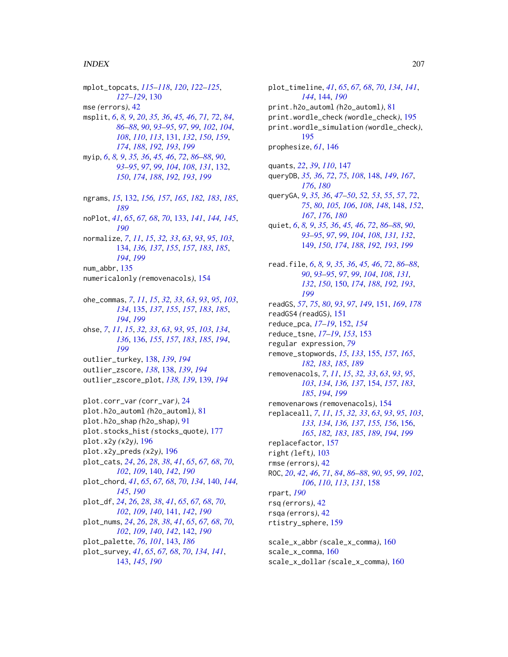#### INDEX 207

mplot\_topcats, *[115](#page-114-0)[–118](#page-117-0)*, *[120](#page-119-0)*, *[122–](#page-121-0)[125](#page-124-0)*, *[127](#page-126-0)[–129](#page-128-0)*, [130](#page-129-0) mse *(*errors*)*, [42](#page-41-0) msplit, *[6](#page-5-1)*, *[8,](#page-7-2) [9](#page-8-0)*, *[20](#page-19-0)*, *[35,](#page-34-1) [36](#page-35-0)*, *[45,](#page-44-1) [46](#page-45-0)*, *[71,](#page-70-1) [72](#page-71-0)*, *[84](#page-83-0)*, *[86](#page-85-2)[–88](#page-87-1)*, *[90](#page-89-1)*, *[93–](#page-92-1)[95](#page-94-1)*, *[97](#page-96-0)*, *[99](#page-98-1)*, *[102](#page-101-0)*, *[104](#page-103-0)*, *[108](#page-107-1)*, *[110](#page-109-0)*, *[113](#page-112-0)*, [131,](#page-130-1) *[132](#page-131-2)*, *[150](#page-149-1)*, *[159](#page-158-0)*, *[174](#page-173-1)*, *[188](#page-187-1)*, *[192,](#page-191-2) [193](#page-192-1)*, *[199](#page-198-1)* myip, *[6](#page-5-1)*, *[8,](#page-7-2) [9](#page-8-0)*, *[35,](#page-34-1) [36](#page-35-0)*, *[45,](#page-44-1) [46](#page-45-0)*, *[72](#page-71-0)*, *[86–](#page-85-2)[88](#page-87-1)*, *[90](#page-89-1)*, *[93](#page-92-1)[–95](#page-94-1)*, *[97](#page-96-0)*, *[99](#page-98-1)*, *[104](#page-103-0)*, *[108](#page-107-1)*, *[131](#page-130-1)*, [132,](#page-131-2) *[150](#page-149-1)*, *[174](#page-173-1)*, *[188](#page-187-1)*, *[192,](#page-191-2) [193](#page-192-1)*, *[199](#page-198-1)* ngrams, *[15](#page-14-0)*, [132,](#page-131-2) *[156,](#page-155-1) [157](#page-156-0)*, *[165](#page-164-0)*, *[182,](#page-181-1) [183](#page-182-1)*, *[185](#page-184-0)*, *[189](#page-188-0)* noPlot, *[41](#page-40-0)*, *[65](#page-64-0)*, *[67,](#page-66-1) [68](#page-67-0)*, *[70](#page-69-0)*, [133,](#page-132-1) *[141](#page-140-1)*, *[144,](#page-143-1) [145](#page-144-0)*, *[190](#page-189-0)* normalize, *[7](#page-6-1)*, *[11](#page-10-0)*, *[15](#page-14-0)*, *[32,](#page-31-2) [33](#page-32-0)*, *[63](#page-62-0)*, *[93](#page-92-1)*, *[95](#page-94-1)*, *[103](#page-102-2)*, [134,](#page-133-1) *[136,](#page-135-1) [137](#page-136-0)*, *[155](#page-154-1)*, *[157](#page-156-0)*, *[183](#page-182-1)*, *[185](#page-184-0)*, *[194](#page-193-0)*, *[199](#page-198-1)* num\_abbr, [135](#page-134-1) numericalonly *(*removenacols*)*, [154](#page-153-1) ohe\_commas, *[7](#page-6-1)*, *[11](#page-10-0)*, *[15](#page-14-0)*, *[32,](#page-31-2) [33](#page-32-0)*, *[63](#page-62-0)*, *[93](#page-92-1)*, *[95](#page-94-1)*, *[103](#page-102-2)*, *[134](#page-133-1)*, [135,](#page-134-1) *[137](#page-136-0)*, *[155](#page-154-1)*, *[157](#page-156-0)*, *[183](#page-182-1)*, *[185](#page-184-0)*, *[194](#page-193-0)*, *[199](#page-198-1)* ohse, *[7](#page-6-1)*, *[11](#page-10-0)*, *[15](#page-14-0)*, *[32,](#page-31-2) [33](#page-32-0)*, *[63](#page-62-0)*, *[93](#page-92-1)*, *[95](#page-94-1)*, *[103](#page-102-2)*, *[134](#page-133-1)*, *[136](#page-135-1)*, [136,](#page-135-1) *[155](#page-154-1)*, *[157](#page-156-0)*, *[183](#page-182-1)*, *[185](#page-184-0)*, *[194](#page-193-0)*, *[199](#page-198-1)* outlier\_turkey, [138,](#page-137-2) *[139](#page-138-1)*, *[194](#page-193-0)* outlier\_zscore, *[138](#page-137-2)*, [138,](#page-137-2) *[139](#page-138-1)*, *[194](#page-193-0)* outlier\_zscore\_plot, *[138,](#page-137-2) [139](#page-138-1)*, [139,](#page-138-1) *[194](#page-193-0)* plot.corr\_var *(*corr\_var*)*, [24](#page-23-1) plot.h2o\_automl *(*h2o\_automl*)*, [81](#page-80-0) plot.h2o\_shap *(*h2o\_shap*)*, [91](#page-90-0) plot.stocks\_hist *(*stocks\_quote*)*, [177](#page-176-0) plot.x2y *(*x2y*)*, [196](#page-195-0) plot.x2y\_preds *(*x2y*)*, [196](#page-195-0) plot\_cats, *[24](#page-23-1)*, *[26](#page-25-0)*, *[28](#page-27-0)*, *[38](#page-37-1)*, *[41](#page-40-0)*, *[65](#page-64-0)*, *[67,](#page-66-1) [68](#page-67-0)*, *[70](#page-69-0)*, *[102](#page-101-0)*, *[109](#page-108-0)*, [140,](#page-139-2) *[142](#page-141-1)*, *[190](#page-189-0)* plot\_chord, *[41](#page-40-0)*, *[65](#page-64-0)*, *[67,](#page-66-1) [68](#page-67-0)*, *[70](#page-69-0)*, *[134](#page-133-1)*, [140,](#page-139-2) *[144,](#page-143-1) [145](#page-144-0)*, *[190](#page-189-0)* plot\_df, *[24](#page-23-1)*, *[26](#page-25-0)*, *[28](#page-27-0)*, *[38](#page-37-1)*, *[41](#page-40-0)*, *[65](#page-64-0)*, *[67,](#page-66-1) [68](#page-67-0)*, *[70](#page-69-0)*, *[102](#page-101-0)*, *[109](#page-108-0)*, *[140](#page-139-2)*, [141,](#page-140-1) *[142](#page-141-1)*, *[190](#page-189-0)* plot\_nums, *[24](#page-23-1)*, *[26](#page-25-0)*, *[28](#page-27-0)*, *[38](#page-37-1)*, *[41](#page-40-0)*, *[65](#page-64-0)*, *[67,](#page-66-1) [68](#page-67-0)*, *[70](#page-69-0)*, *[102](#page-101-0)*, *[109](#page-108-0)*, *[140](#page-139-2)*, *[142](#page-141-1)*, [142,](#page-141-1) *[190](#page-189-0)* plot\_palette, *[76](#page-75-1)*, *[101](#page-100-1)*, [143,](#page-142-2) *[186](#page-185-0)* plot\_survey, *[41](#page-40-0)*, *[65](#page-64-0)*, *[67,](#page-66-1) [68](#page-67-0)*, *[70](#page-69-0)*, *[134](#page-133-1)*, *[141](#page-140-1)*, [143,](#page-142-2) *[145](#page-144-0)*, *[190](#page-189-0)*

plot\_timeline, *[41](#page-40-0)*, *[65](#page-64-0)*, *[67,](#page-66-1) [68](#page-67-0)*, *[70](#page-69-0)*, *[134](#page-133-1)*, *[141](#page-140-1)*, *[144](#page-143-1)*, [144,](#page-143-1) *[190](#page-189-0)* print.h2o\_automl *(*h2o\_automl*)*, [81](#page-80-0) print.wordle\_check *(*wordle\_check*)*, [195](#page-194-0) print.wordle\_simulation *(*wordle\_check*)*, [195](#page-194-0) prophesize, *[61](#page-60-0)*, [146](#page-145-0) quants, *[22](#page-21-0)*, *[39](#page-38-0)*, *[110](#page-109-0)*, [147](#page-146-0) queryDB, *[35,](#page-34-1) [36](#page-35-0)*, *[72](#page-71-0)*, *[75](#page-74-0)*, *[108](#page-107-1)*, [148,](#page-147-0) *[149](#page-148-1)*, *[167](#page-166-0)*, *[176](#page-175-0)*, *[180](#page-179-0)* queryGA, *[9](#page-8-0)*, *[35,](#page-34-1) [36](#page-35-0)*, *[47](#page-46-0)[–50](#page-49-0)*, *[52,](#page-51-0) [53](#page-52-0)*, *[55](#page-54-0)*, *[57](#page-56-0)*, *[72](#page-71-0)*, *[75](#page-74-0)*, *[80](#page-79-0)*, *[105,](#page-104-0) [106](#page-105-0)*, *[108](#page-107-1)*, *[148](#page-147-0)*, [148,](#page-147-0) *[152](#page-151-0)*, *[167](#page-166-0)*, *[176](#page-175-0)*, *[180](#page-179-0)* quiet, *[6](#page-5-1)*, *[8,](#page-7-2) [9](#page-8-0)*, *[35,](#page-34-1) [36](#page-35-0)*, *[45,](#page-44-1) [46](#page-45-0)*, *[72](#page-71-0)*, *[86](#page-85-2)[–88](#page-87-1)*, *[90](#page-89-1)*, *[93](#page-92-1)[–95](#page-94-1)*, *[97](#page-96-0)*, *[99](#page-98-1)*, *[104](#page-103-0)*, *[108](#page-107-1)*, *[131,](#page-130-1) [132](#page-131-2)*, [149,](#page-148-1) *[150](#page-149-1)*, *[174](#page-173-1)*, *[188](#page-187-1)*, *[192,](#page-191-2) [193](#page-192-1)*, *[199](#page-198-1)* read.file, *[6](#page-5-1)*, *[8,](#page-7-2) [9](#page-8-0)*, *[35,](#page-34-1) [36](#page-35-0)*, *[45,](#page-44-1) [46](#page-45-0)*, *[72](#page-71-0)*, *[86](#page-85-2)[–88](#page-87-1)*, *[90](#page-89-1)*, *[93](#page-92-1)[–95](#page-94-1)*, *[97](#page-96-0)*, *[99](#page-98-1)*, *[104](#page-103-0)*, *[108](#page-107-1)*, *[131,](#page-130-1) [132](#page-131-2)*, *[150](#page-149-1)*, [150,](#page-149-1) *[174](#page-173-1)*, *[188](#page-187-1)*, *[192,](#page-191-2) [193](#page-192-1)*, *[199](#page-198-1)* readGS, *[57](#page-56-0)*, *[75](#page-74-0)*, *[80](#page-79-0)*, *[93](#page-92-1)*, *[97](#page-96-0)*, *[149](#page-148-1)*, [151,](#page-150-0) *[169](#page-168-0)*, *[178](#page-177-0)* readGS4 *(*readGS*)*, [151](#page-150-0) reduce\_pca, *[17](#page-16-0)[–19](#page-18-0)*, [152,](#page-151-0) *[154](#page-153-1)* reduce\_tsne, *[17](#page-16-0)[–19](#page-18-0)*, *[153](#page-152-0)*, [153](#page-152-0) regular expression, *[79](#page-78-0)* remove\_stopwords, *[15](#page-14-0)*, *[133](#page-132-1)*, [155,](#page-154-1) *[157](#page-156-0)*, *[165](#page-164-0)*, *[182,](#page-181-1) [183](#page-182-1)*, *[185](#page-184-0)*, *[189](#page-188-0)* removenacols, *[7](#page-6-1)*, *[11](#page-10-0)*, *[15](#page-14-0)*, *[32,](#page-31-2) [33](#page-32-0)*, *[63](#page-62-0)*, *[93](#page-92-1)*, *[95](#page-94-1)*, *[103](#page-102-2)*, *[134](#page-133-1)*, *[136,](#page-135-1) [137](#page-136-0)*, [154,](#page-153-1) *[157](#page-156-0)*, *[183](#page-182-1)*, *[185](#page-184-0)*, *[194](#page-193-0)*, *[199](#page-198-1)* removenarows *(*removenacols*)*, [154](#page-153-1) replaceall, *[7](#page-6-1)*, *[11](#page-10-0)*, *[15](#page-14-0)*, *[32,](#page-31-2) [33](#page-32-0)*, *[63](#page-62-0)*, *[93](#page-92-1)*, *[95](#page-94-1)*, *[103](#page-102-2)*, *[133,](#page-132-1) [134](#page-133-1)*, *[136,](#page-135-1) [137](#page-136-0)*, *[155,](#page-154-1) [156](#page-155-1)*, [156,](#page-155-1) *[165](#page-164-0)*, *[182,](#page-181-1) [183](#page-182-1)*, *[185](#page-184-0)*, *[189](#page-188-0)*, *[194](#page-193-0)*, *[199](#page-198-1)* replacefactor, [157](#page-156-0) right *(*left*)*, [103](#page-102-2) rmse *(*errors*)*, [42](#page-41-0) ROC, *[20](#page-19-0)*, *[42](#page-41-0)*, *[46](#page-45-0)*, *[71](#page-70-1)*, *[84](#page-83-0)*, *[86](#page-85-2)[–88](#page-87-1)*, *[90](#page-89-1)*, *[95](#page-94-1)*, *[99](#page-98-1)*, *[102](#page-101-0)*, *[106](#page-105-0)*, *[110](#page-109-0)*, *[113](#page-112-0)*, *[131](#page-130-1)*, [158](#page-157-0) rpart, *[190](#page-189-0)* rsq *(*errors*)*, [42](#page-41-0) rsqa *(*errors*)*, [42](#page-41-0) rtistry\_sphere, [159](#page-158-0) scale\_x\_abbr *(*scale\_x\_comma*)*, [160](#page-159-0) scale\_x\_comma, [160](#page-159-0) scale\_x\_dollar *(*scale\_x\_comma*)*, [160](#page-159-0)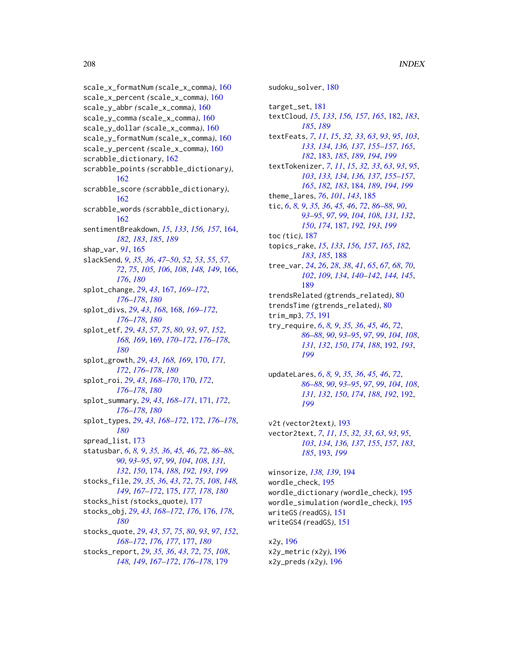scale\_x\_formatNum *(*scale\_x\_comma*)*, [160](#page-159-0) scale\_x\_percent *(*scale\_x\_comma*)*, [160](#page-159-0) scale\_y\_abbr *(*scale\_x\_comma*)*, [160](#page-159-0) scale\_y\_comma *(*scale\_x\_comma*)*, [160](#page-159-0) scale\_y\_dollar *(*scale\_x\_comma*)*, [160](#page-159-0) scale\_y\_formatNum *(*scale\_x\_comma*)*, [160](#page-159-0) scale\_y\_percent *(*scale\_x\_comma*)*, [160](#page-159-0) scrabble\_dictionary, [162](#page-161-0) scrabble\_points *(*scrabble\_dictionary*)*, [162](#page-161-0) scrabble\_score *(*scrabble\_dictionary*)*, [162](#page-161-0) scrabble\_words *(*scrabble\_dictionary*)*, [162](#page-161-0) sentimentBreakdown, *[15](#page-14-0)*, *[133](#page-132-1)*, *[156,](#page-155-1) [157](#page-156-0)*, [164,](#page-163-1) *[182,](#page-181-1) [183](#page-182-1)*, *[185](#page-184-0)*, *[189](#page-188-0)* shap\_var, *[91](#page-90-0)*, [165](#page-164-0) slackSend, *[9](#page-8-0)*, *[35,](#page-34-1) [36](#page-35-0)*, *[47–](#page-46-0)[50](#page-49-0)*, *[52,](#page-51-0) [53](#page-52-0)*, *[55](#page-54-0)*, *[57](#page-56-0)*, *[72](#page-71-0)*, *[75](#page-74-0)*, *[105,](#page-104-0) [106](#page-105-0)*, *[108](#page-107-1)*, *[148,](#page-147-0) [149](#page-148-1)*, [166,](#page-165-0) *[176](#page-175-0)*, *[180](#page-179-0)* splot\_change, *[29](#page-28-0)*, *[43](#page-42-0)*, [167,](#page-166-0) *[169–](#page-168-0)[172](#page-171-0)*, *[176](#page-175-0)[–178](#page-177-0)*, *[180](#page-179-0)* splot\_divs, *[29](#page-28-0)*, *[43](#page-42-0)*, *[168](#page-167-0)*, [168,](#page-167-0) *[169–](#page-168-0)[172](#page-171-0)*, *[176](#page-175-0)[–178](#page-177-0)*, *[180](#page-179-0)* splot\_etf, *[29](#page-28-0)*, *[43](#page-42-0)*, *[57](#page-56-0)*, *[75](#page-74-0)*, *[80](#page-79-0)*, *[93](#page-92-1)*, *[97](#page-96-0)*, *[152](#page-151-0)*, *[168,](#page-167-0) [169](#page-168-0)*, [169,](#page-168-0) *[170–](#page-169-0)[172](#page-171-0)*, *[176–](#page-175-0)[178](#page-177-0)*, *[180](#page-179-0)* splot\_growth, *[29](#page-28-0)*, *[43](#page-42-0)*, *[168,](#page-167-0) [169](#page-168-0)*, [170,](#page-169-0) *[171,](#page-170-0) [172](#page-171-0)*, *[176](#page-175-0)[–178](#page-177-0)*, *[180](#page-179-0)* splot\_roi, *[29](#page-28-0)*, *[43](#page-42-0)*, *[168–](#page-167-0)[170](#page-169-0)*, [170,](#page-169-0) *[172](#page-171-0)*, *[176](#page-175-0)[–178](#page-177-0)*, *[180](#page-179-0)* splot\_summary, *[29](#page-28-0)*, *[43](#page-42-0)*, *[168–](#page-167-0)[171](#page-170-0)*, [171,](#page-170-0) *[172](#page-171-0)*, *[176](#page-175-0)[–178](#page-177-0)*, *[180](#page-179-0)* splot\_types, *[29](#page-28-0)*, *[43](#page-42-0)*, *[168–](#page-167-0)[172](#page-171-0)*, [172,](#page-171-0) *[176–](#page-175-0)[178](#page-177-0)*, *[180](#page-179-0)* spread\_list, [173](#page-172-0) statusbar, *[6](#page-5-1)*, *[8,](#page-7-2) [9](#page-8-0)*, *[35,](#page-34-1) [36](#page-35-0)*, *[45,](#page-44-1) [46](#page-45-0)*, *[72](#page-71-0)*, *[86–](#page-85-2)[88](#page-87-1)*, *[90](#page-89-1)*, *[93](#page-92-1)[–95](#page-94-1)*, *[97](#page-96-0)*, *[99](#page-98-1)*, *[104](#page-103-0)*, *[108](#page-107-1)*, *[131,](#page-130-1) [132](#page-131-2)*, *[150](#page-149-1)*, [174,](#page-173-1) *[188](#page-187-1)*, *[192,](#page-191-2) [193](#page-192-1)*, *[199](#page-198-1)* stocks\_file, *[29](#page-28-0)*, *[35,](#page-34-1) [36](#page-35-0)*, *[43](#page-42-0)*, *[72](#page-71-0)*, *[75](#page-74-0)*, *[108](#page-107-1)*, *[148,](#page-147-0) [149](#page-148-1)*, *[167](#page-166-0)[–172](#page-171-0)*, [175,](#page-174-0) *[177,](#page-176-0) [178](#page-177-0)*, *[180](#page-179-0)* stocks\_hist *(*stocks\_quote*)*, [177](#page-176-0) stocks\_obj, *[29](#page-28-0)*, *[43](#page-42-0)*, *[168–](#page-167-0)[172](#page-171-0)*, *[176](#page-175-0)*, [176,](#page-175-0) *[178](#page-177-0)*, *[180](#page-179-0)* stocks\_quote, *[29](#page-28-0)*, *[43](#page-42-0)*, *[57](#page-56-0)*, *[75](#page-74-0)*, *[80](#page-79-0)*, *[93](#page-92-1)*, *[97](#page-96-0)*, *[152](#page-151-0)*, *[168](#page-167-0)[–172](#page-171-0)*, *[176,](#page-175-0) [177](#page-176-0)*, [177,](#page-176-0) *[180](#page-179-0)* stocks\_report, *[29](#page-28-0)*, *[35,](#page-34-1) [36](#page-35-0)*, *[43](#page-42-0)*, *[72](#page-71-0)*, *[75](#page-74-0)*, *[108](#page-107-1)*,

*[148,](#page-147-0) [149](#page-148-1)*, *[167–](#page-166-0)[172](#page-171-0)*, *[176–](#page-175-0)[178](#page-177-0)*, [179](#page-178-0)

sudoku\_solver, [180](#page-179-0) target\_set, [181](#page-180-0) textCloud, *[15](#page-14-0)*, *[133](#page-132-1)*, *[156,](#page-155-1) [157](#page-156-0)*, *[165](#page-164-0)*, [182,](#page-181-1) *[183](#page-182-1)*, *[185](#page-184-0)*, *[189](#page-188-0)* textFeats, *[7](#page-6-1)*, *[11](#page-10-0)*, *[15](#page-14-0)*, *[32,](#page-31-2) [33](#page-32-0)*, *[63](#page-62-0)*, *[93](#page-92-1)*, *[95](#page-94-1)*, *[103](#page-102-2)*, *[133,](#page-132-1) [134](#page-133-1)*, *[136,](#page-135-1) [137](#page-136-0)*, *[155](#page-154-1)[–157](#page-156-0)*, *[165](#page-164-0)*, *[182](#page-181-1)*, [183,](#page-182-1) *[185](#page-184-0)*, *[189](#page-188-0)*, *[194](#page-193-0)*, *[199](#page-198-1)* textTokenizer, *[7](#page-6-1)*, *[11](#page-10-0)*, *[15](#page-14-0)*, *[32,](#page-31-2) [33](#page-32-0)*, *[63](#page-62-0)*, *[93](#page-92-1)*, *[95](#page-94-1)*, *[103](#page-102-2)*, *[133,](#page-132-1) [134](#page-133-1)*, *[136,](#page-135-1) [137](#page-136-0)*, *[155](#page-154-1)[–157](#page-156-0)*, *[165](#page-164-0)*, *[182,](#page-181-1) [183](#page-182-1)*, [184,](#page-183-1) *[189](#page-188-0)*, *[194](#page-193-0)*, *[199](#page-198-1)* theme\_lares, *[76](#page-75-1)*, *[101](#page-100-1)*, *[143](#page-142-2)*, [185](#page-184-0) tic, *[6](#page-5-1)*, *[8,](#page-7-2) [9](#page-8-0)*, *[35,](#page-34-1) [36](#page-35-0)*, *[45,](#page-44-1) [46](#page-45-0)*, *[72](#page-71-0)*, *[86](#page-85-2)[–88](#page-87-1)*, *[90](#page-89-1)*, *[93](#page-92-1)[–95](#page-94-1)*, *[97](#page-96-0)*, *[99](#page-98-1)*, *[104](#page-103-0)*, *[108](#page-107-1)*, *[131,](#page-130-1) [132](#page-131-2)*, *[150](#page-149-1)*, *[174](#page-173-1)*, [187,](#page-186-1) *[192,](#page-191-2) [193](#page-192-1)*, *[199](#page-198-1)* toc *(*tic*)*, [187](#page-186-1) topics\_rake, *[15](#page-14-0)*, *[133](#page-132-1)*, *[156,](#page-155-1) [157](#page-156-0)*, *[165](#page-164-0)*, *[182,](#page-181-1) [183](#page-182-1)*, *[185](#page-184-0)*, [188](#page-187-1) tree\_var, *[24](#page-23-1)*, *[26](#page-25-0)*, *[28](#page-27-0)*, *[38](#page-37-1)*, *[41](#page-40-0)*, *[65](#page-64-0)*, *[67,](#page-66-1) [68](#page-67-0)*, *[70](#page-69-0)*, *[102](#page-101-0)*, *[109](#page-108-0)*, *[134](#page-133-1)*, *[140](#page-139-2)[–142](#page-141-1)*, *[144,](#page-143-1) [145](#page-144-0)*, [189](#page-188-0) trendsRelated *(*gtrends\_related*)*, [80](#page-79-0) trendsTime *(*gtrends\_related*)*, [80](#page-79-0) trim\_mp3, *[75](#page-74-0)*, [191](#page-190-0) try\_require, *[6](#page-5-1)*, *[8,](#page-7-2) [9](#page-8-0)*, *[35,](#page-34-1) [36](#page-35-0)*, *[45,](#page-44-1) [46](#page-45-0)*, *[72](#page-71-0)*, *[86](#page-85-2)[–88](#page-87-1)*, *[90](#page-89-1)*, *[93](#page-92-1)[–95](#page-94-1)*, *[97](#page-96-0)*, *[99](#page-98-1)*, *[104](#page-103-0)*, *[108](#page-107-1)*, *[131,](#page-130-1) [132](#page-131-2)*, *[150](#page-149-1)*, *[174](#page-173-1)*, *[188](#page-187-1)*, [192,](#page-191-2) *[193](#page-192-1)*, *[199](#page-198-1)*

updateLares, *[6](#page-5-1)*, *[8,](#page-7-2) [9](#page-8-0)*, *[35,](#page-34-1) [36](#page-35-0)*, *[45,](#page-44-1) [46](#page-45-0)*, *[72](#page-71-0)*, *[86](#page-85-2)[–88](#page-87-1)*, *[90](#page-89-1)*, *[93](#page-92-1)[–95](#page-94-1)*, *[97](#page-96-0)*, *[99](#page-98-1)*, *[104](#page-103-0)*, *[108](#page-107-1)*, *[131,](#page-130-1) [132](#page-131-2)*, *[150](#page-149-1)*, *[174](#page-173-1)*, *[188](#page-187-1)*, *[192](#page-191-2)*, [192,](#page-191-2) *[199](#page-198-1)*

v2t *(*vector2text*)*, [193](#page-192-1) vector2text, *[7](#page-6-1)*, *[11](#page-10-0)*, *[15](#page-14-0)*, *[32,](#page-31-2) [33](#page-32-0)*, *[63](#page-62-0)*, *[93](#page-92-1)*, *[95](#page-94-1)*, *[103](#page-102-2)*, *[134](#page-133-1)*, *[136,](#page-135-1) [137](#page-136-0)*, *[155](#page-154-1)*, *[157](#page-156-0)*, *[183](#page-182-1)*, *[185](#page-184-0)*, [193,](#page-192-1) *[199](#page-198-1)*

winsorize, *[138,](#page-137-2) [139](#page-138-1)*, [194](#page-193-0) wordle\_check, [195](#page-194-0) wordle\_dictionary *(*wordle\_check*)*, [195](#page-194-0) wordle\_simulation *(*wordle\_check*)*, [195](#page-194-0) writeGS *(*readGS*)*, [151](#page-150-0) writeGS4 *(*readGS*)*, [151](#page-150-0)

x2y, [196](#page-195-0) x2y\_metric *(*x2y*)*, [196](#page-195-0) x2y\_preds *(*x2y*)*, [196](#page-195-0)